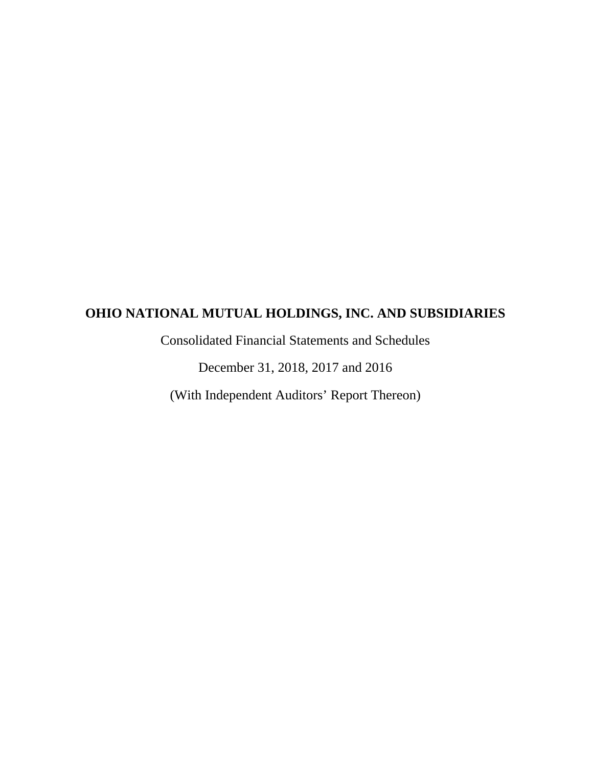Consolidated Financial Statements and Schedules

December 31, 2018, 2017 and 2016

(With Independent Auditors' Report Thereon)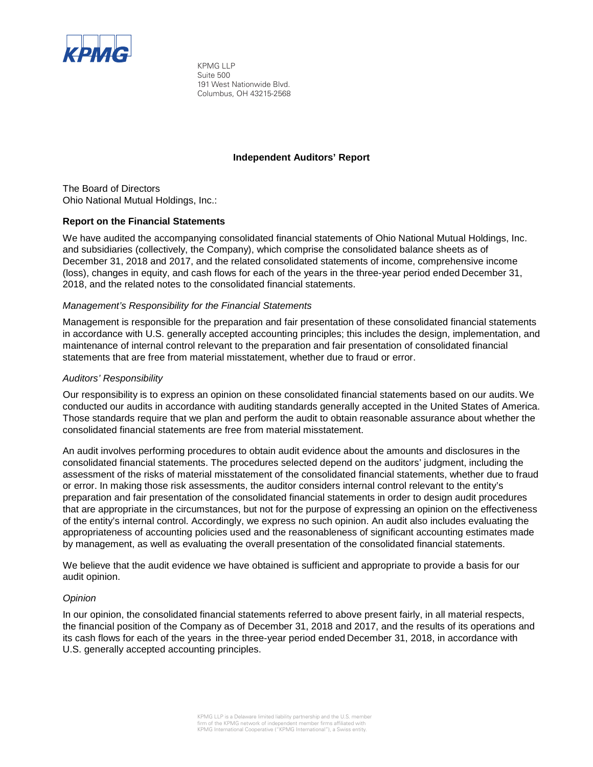

KPMG LLP Suite 500 191 West Nationwide Blvd. Columbus, OH 43215-2568

## **Independent Auditors' Report**

The Board of Directors Ohio National Mutual Holdings, Inc.:

## **Report on the Financial Statements**

We have audited the accompanying consolidated financial statements of Ohio National Mutual Holdings, Inc. and subsidiaries (collectively, the Company), which comprise the consolidated balance sheets as of December 31, 2018 and 2017, and the related consolidated statements of income, comprehensive income (loss), changes in equity, and cash flows for each of the years in the three-year period ended December 31, 2018, and the related notes to the consolidated financial statements.

#### *Management's Responsibility for the Financial Statements*

Management is responsible for the preparation and fair presentation of these consolidated financial statements in accordance with U.S. generally accepted accounting principles; this includes the design, implementation, and maintenance of internal control relevant to the preparation and fair presentation of consolidated financial statements that are free from material misstatement, whether due to fraud or error.

#### *Auditors' Responsibility*

Our responsibility is to express an opinion on these consolidated financial statements based on our audits. We conducted our audits in accordance with auditing standards generally accepted in the United States of America. Those standards require that we plan and perform the audit to obtain reasonable assurance about whether the consolidated financial statements are free from material misstatement.

An audit involves performing procedures to obtain audit evidence about the amounts and disclosures in the consolidated financial statements. The procedures selected depend on the auditors' judgment, including the assessment of the risks of material misstatement of the consolidated financial statements, whether due to fraud or error. In making those risk assessments, the auditor considers internal control relevant to the entity's preparation and fair presentation of the consolidated financial statements in order to design audit procedures that are appropriate in the circumstances, but not for the purpose of expressing an opinion on the effectiveness of the entity's internal control. Accordingly, we express no such opinion. An audit also includes evaluating the appropriateness of accounting policies used and the reasonableness of significant accounting estimates made by management, as well as evaluating the overall presentation of the consolidated financial statements.

We believe that the audit evidence we have obtained is sufficient and appropriate to provide a basis for our audit opinion.

#### *Opinion*

In our opinion, the consolidated financial statements referred to above present fairly, in all material respects, the financial position of the Company as of December 31, 2018 and 2017, and the results of its operations and its cash flows for each of the years in the three-year period ended December 31, 2018, in accordance with U.S. generally accepted accounting principles.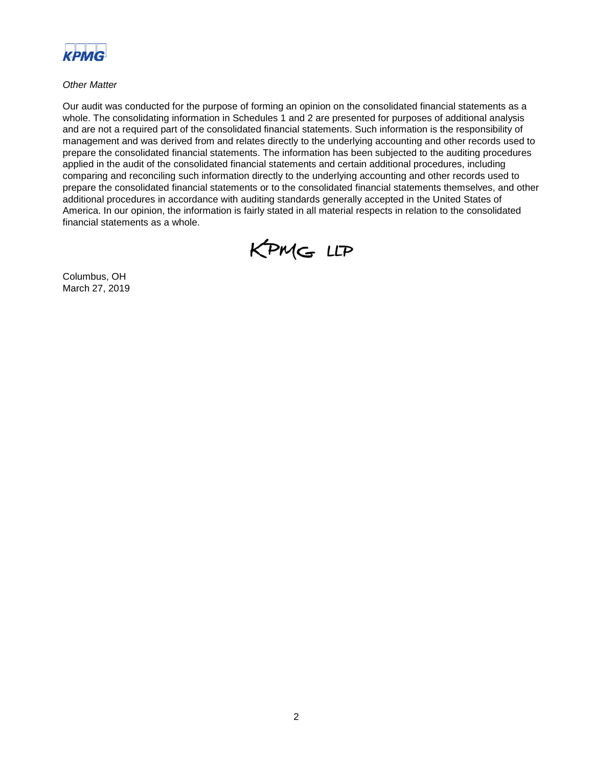

#### *Other Matter*

Our audit was conducted for the purpose of forming an opinion on the consolidated financial statements as a whole. The consolidating information in Schedules 1 and 2 are presented for purposes of additional analysis and are not a required part of the consolidated financial statements. Such information is the responsibility of management and was derived from and relates directly to the underlying accounting and other records used to prepare the consolidated financial statements. The information has been subjected to the auditing procedures applied in the audit of the consolidated financial statements and certain additional procedures, including comparing and reconciling such information directly to the underlying accounting and other records used to prepare the consolidated financial statements or to the consolidated financial statements themselves, and other additional procedures in accordance with auditing standards generally accepted in the United States of America. In our opinion, the information is fairly stated in all material respects in relation to the consolidated financial statements as a whole.



Columbus, OH March 27, 2019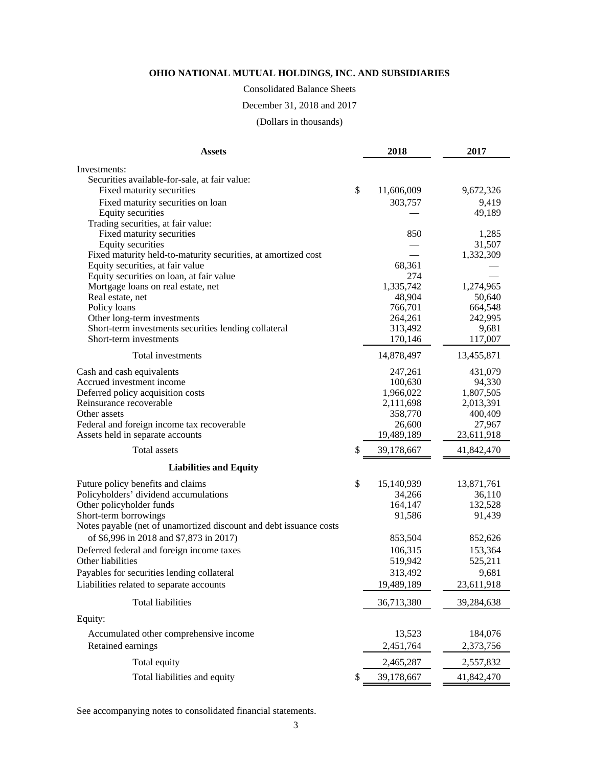## Consolidated Balance Sheets

## December 31, 2018 and 2017

(Dollars in thousands)

| <b>Assets</b>                                                      | 2018             | 2017       |
|--------------------------------------------------------------------|------------------|------------|
| Investments:                                                       |                  |            |
| Securities available-for-sale, at fair value:                      |                  |            |
| Fixed maturity securities                                          | \$<br>11,606,009 | 9,672,326  |
| Fixed maturity securities on loan                                  | 303,757          | 9,419      |
| Equity securities                                                  |                  | 49,189     |
| Trading securities, at fair value:                                 |                  |            |
| Fixed maturity securities                                          | 850              | 1,285      |
| Equity securities                                                  |                  | 31,507     |
| Fixed maturity held-to-maturity securities, at amortized cost      |                  | 1,332,309  |
| Equity securities, at fair value                                   | 68,361           |            |
| Equity securities on loan, at fair value                           | 274              |            |
| Mortgage loans on real estate, net                                 | 1,335,742        | 1,274,965  |
| Real estate, net                                                   | 48,904           | 50,640     |
| Policy loans                                                       | 766,701          | 664,548    |
| Other long-term investments                                        | 264,261          | 242,995    |
| Short-term investments securities lending collateral               | 313,492          | 9,681      |
| Short-term investments                                             | 170,146          | 117,007    |
| Total investments                                                  | 14,878,497       | 13,455,871 |
| Cash and cash equivalents                                          | 247,261          | 431,079    |
| Accrued investment income                                          | 100,630          | 94,330     |
| Deferred policy acquisition costs                                  | 1,966,022        | 1,807,505  |
| Reinsurance recoverable                                            | 2,111,698        | 2,013,391  |
| Other assets                                                       | 358,770          | 400,409    |
| Federal and foreign income tax recoverable                         | 26,600           | 27,967     |
| Assets held in separate accounts                                   | 19,489,189       | 23,611,918 |
| <b>Total assets</b>                                                | \$<br>39,178,667 | 41,842,470 |
| <b>Liabilities and Equity</b>                                      |                  |            |
| Future policy benefits and claims                                  | \$<br>15,140,939 | 13,871,761 |
| Policyholders' dividend accumulations                              | 34,266           | 36,110     |
| Other policyholder funds                                           | 164,147          | 132,528    |
| Short-term borrowings                                              | 91,586           | 91,439     |
| Notes payable (net of unamortized discount and debt issuance costs |                  |            |
| of \$6,996 in 2018 and \$7,873 in 2017)                            | 853,504          | 852,626    |
| Deferred federal and foreign income taxes                          | 106,315          | 153,364    |
| Other liabilities                                                  | 519,942          | 525,211    |
| Payables for securities lending collateral                         | 313,492          | 9,681      |
| Liabilities related to separate accounts                           | 19,489,189       |            |
|                                                                    |                  | 23,611,918 |
| <b>Total liabilities</b>                                           | 36,713,380       | 39,284,638 |
| Equity:                                                            |                  |            |
| Accumulated other comprehensive income                             | 13,523           | 184,076    |
| Retained earnings                                                  | 2,451,764        | 2,373,756  |
| Total equity                                                       | 2,465,287        | 2,557,832  |
| Total liabilities and equity                                       | \$<br>39,178,667 | 41,842,470 |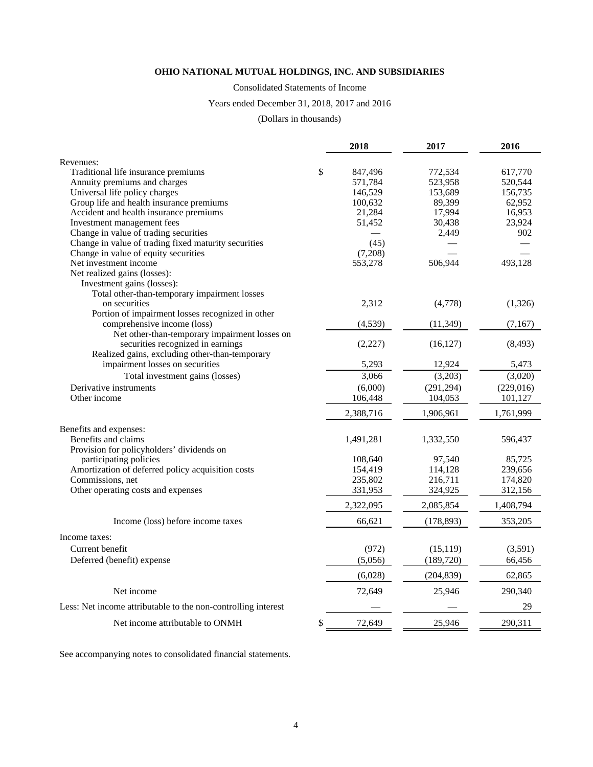Consolidated Statements of Income

Years ended December 31, 2018, 2017 and 2016

(Dollars in thousands)

|                                                               | 2018          | 2017       | 2016      |
|---------------------------------------------------------------|---------------|------------|-----------|
| Revenues:                                                     |               |            |           |
| Traditional life insurance premiums                           | \$<br>847,496 | 772,534    | 617,770   |
| Annuity premiums and charges                                  | 571,784       | 523,958    | 520,544   |
| Universal life policy charges                                 | 146,529       | 153,689    | 156,735   |
| Group life and health insurance premiums                      | 100,632       | 89,399     | 62,952    |
| Accident and health insurance premiums                        | 21,284        | 17,994     | 16,953    |
| Investment management fees                                    | 51,452        | 30,438     | 23,924    |
| Change in value of trading securities                         |               | 2,449      | 902       |
| Change in value of trading fixed maturity securities          | (45)          |            |           |
| Change in value of equity securities                          | (7,208)       |            |           |
| Net investment income                                         | 553,278       | 506,944    | 493,128   |
| Net realized gains (losses):                                  |               |            |           |
| Investment gains (losses):                                    |               |            |           |
| Total other-than-temporary impairment losses                  |               |            |           |
| on securities                                                 | 2,312         | (4,778)    | (1,326)   |
| Portion of impairment losses recognized in other              |               |            |           |
| comprehensive income (loss)                                   | (4,539)       | (11, 349)  | (7,167)   |
| Net other-than-temporary impairment losses on                 |               |            |           |
| securities recognized in earnings                             | (2,227)       | (16, 127)  | (8, 493)  |
| Realized gains, excluding other-than-temporary                |               |            |           |
| impairment losses on securities                               | 5,293         | 12,924     | 5,473     |
| Total investment gains (losses)                               | 3,066         | (3,203)    | (3,020)   |
| Derivative instruments                                        | (6,000)       | (291, 294) | (229,016) |
| Other income                                                  | 106,448       | 104,053    | 101,127   |
|                                                               | 2,388,716     | 1,906,961  | 1,761,999 |
| Benefits and expenses:                                        |               |            |           |
| Benefits and claims                                           | 1,491,281     | 1,332,550  | 596,437   |
| Provision for policyholders' dividends on                     |               |            |           |
| participating policies                                        | 108,640       | 97,540     | 85,725    |
| Amortization of deferred policy acquisition costs             | 154,419       | 114,128    | 239,656   |
| Commissions, net                                              | 235,802       | 216,711    | 174,820   |
| Other operating costs and expenses                            | 331,953       | 324,925    | 312,156   |
|                                                               |               |            |           |
|                                                               | 2,322,095     | 2,085,854  | 1,408,794 |
| Income (loss) before income taxes                             | 66,621        | (178, 893) | 353,205   |
| Income taxes:                                                 |               |            |           |
| Current benefit                                               | (972)         | (15, 119)  | (3,591)   |
| Deferred (benefit) expense                                    | (5,056)       | (189, 720) | 66,456    |
|                                                               | (6,028)       | (204, 839) | 62,865    |
|                                                               |               |            |           |
| Net income                                                    | 72,649        | 25,946     | 290,340   |
| Less: Net income attributable to the non-controlling interest |               |            | 29        |
| Net income attributable to ONMH                               | \$<br>72,649  | 25,946     | 290,311   |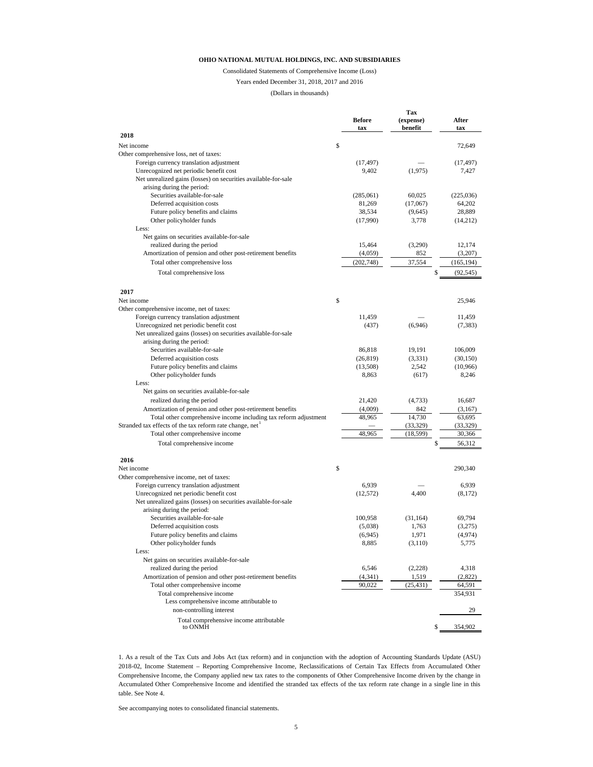#### Consolidated Statements of Comprehensive Income (Loss)

Years ended December 31, 2018, 2017 and 2016

(Dollars in thousands)

**Tax**

|                                                                  | <b>Before</b><br>tax  | 1 ал<br>(expense)<br>benefit | After<br>tax          |
|------------------------------------------------------------------|-----------------------|------------------------------|-----------------------|
| 2018                                                             |                       |                              |                       |
| Net income                                                       | \$                    |                              | 72,649                |
| Other comprehensive loss, net of taxes:                          |                       |                              |                       |
| Foreign currency translation adjustment                          | (17, 497)             |                              | (17, 497)             |
| Unrecognized net periodic benefit cost                           | 9,402                 | (1,975)                      | 7,427                 |
| Net unrealized gains (losses) on securities available-for-sale   |                       |                              |                       |
| arising during the period:<br>Securities available-for-sale      |                       |                              |                       |
| Deferred acquisition costs                                       | (285,061)<br>81,269   | 60,025<br>(17,067)           | (225,036)             |
| Future policy benefits and claims                                | 38,534                | (9,645)                      | 64,202<br>28,889      |
| Other policyholder funds                                         | (17,990)              | 3,778                        | (14,212)              |
| Less:                                                            |                       |                              |                       |
| Net gains on securities available-for-sale                       |                       |                              |                       |
| realized during the period                                       | 15,464                | (3,290)                      | 12,174                |
| Amortization of pension and other post-retirement benefits       | (4,059)               | 852                          | (3,207)               |
| Total other comprehensive loss                                   | (202, 748)            | 37,554                       | (165, 194)            |
|                                                                  |                       |                              |                       |
| Total comprehensive loss                                         |                       |                              | \$<br>(92, 545)       |
| 2017                                                             |                       |                              |                       |
| Net income                                                       | \$                    |                              | 25,946                |
| Other comprehensive income, net of taxes:                        |                       |                              |                       |
| Foreign currency translation adjustment                          | 11,459                |                              | 11,459                |
| Unrecognized net periodic benefit cost                           | (437)                 | (6,946)                      | (7, 383)              |
| Net unrealized gains (losses) on securities available-for-sale   |                       |                              |                       |
| arising during the period:                                       |                       |                              | 106,009               |
| Securities available-for-sale<br>Deferred acquisition costs      | 86,818                | 19,191                       |                       |
| Future policy benefits and claims                                | (26, 819)<br>(13,508) | (3,331)<br>2,542             | (30, 150)<br>(10,966) |
| Other policyholder funds                                         | 8,863                 | (617)                        | 8,246                 |
| Less:                                                            |                       |                              |                       |
| Net gains on securities available-for-sale                       |                       |                              |                       |
| realized during the period                                       | 21,420                | (4,733)                      | 16,687                |
| Amortization of pension and other post-retirement benefits       | (4,009)               | 842                          | (3,167)               |
| Total other comprehensive income including tax reform adjustment | 48,965                | 14,730                       | 63,695                |
| Stranded tax effects of the tax reform rate change, net          |                       | (33, 329)                    | (33, 329)             |
| Total other comprehensive income                                 | 48,965                | (18, 599)                    | 30,366                |
| Total comprehensive income                                       |                       |                              | \$<br>56,312          |
| 2016                                                             |                       |                              |                       |
| Net income                                                       | \$                    |                              | 290,340               |
| Other comprehensive income, net of taxes:                        |                       |                              |                       |
| Foreign currency translation adjustment                          | 6,939                 |                              | 6,939                 |
| Unrecognized net periodic benefit cost                           | (12, 572)             | 4,400                        | (8,172)               |
| Net unrealized gains (losses) on securities available-for-sale   |                       |                              |                       |
| arising during the period:                                       |                       |                              |                       |
| Securities available-for-sale                                    | 100,958               | (31, 164)                    | 69,794                |
| Deferred acquisition costs                                       | (5,038)               | 1,763                        | (3,275)               |
| Future policy benefits and claims                                | (6,945)               | 1,971                        | (4,974)               |
| Other policyholder funds                                         | 8,885                 | (3,110)                      | 5,775                 |
| Less:                                                            |                       |                              |                       |
| Net gains on securities available-for-sale                       |                       |                              |                       |
| realized during the period                                       | 6,546                 | (2,228)                      | 4,318                 |
| Amortization of pension and other post-retirement benefits       | (4, 341)              | 1,519                        | (2,822)               |
| Total other comprehensive income                                 | 90,022                | (25, 431)                    | 64,591                |
| Total comprehensive income                                       |                       |                              | 354,931               |
| Less comprehensive income attributable to                        |                       |                              |                       |
| non-controlling interest                                         |                       |                              | 29                    |
| Total comprehensive income attributable<br>to ONMH               |                       |                              | \$<br>354,902         |

1. As a result of the Tax Cuts and Jobs Act (tax reform) and in conjunction with the adoption of Accounting Standards Update (ASU) 2018-02, Income Statement – Reporting Comprehensive Income, Reclassifications of Certain Tax Effects from Accumulated Other Comprehensive Income, the Company applied new tax rates to the components of Other Comprehensive Income driven by the change in Accumulated Other Comprehensive Income and identified the stranded tax effects of the tax reform rate change in a single line in this table. See Note 4.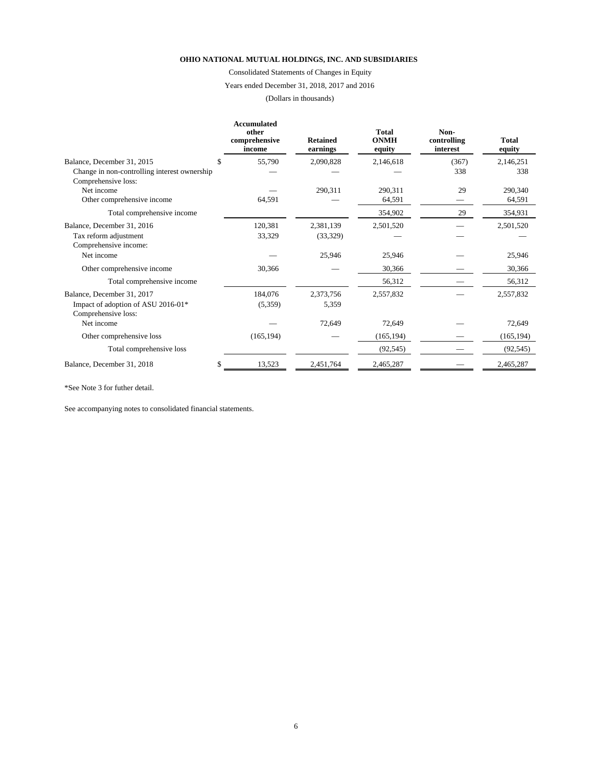Consolidated Statements of Changes in Equity

Years ended December 31, 2018, 2017 and 2016

(Dollars in thousands)

|                                                           | <b>Accumulated</b><br>other<br>comprehensive<br>income | <b>Retained</b><br>earnings | <b>Total</b><br><b>ONMH</b><br>equity | Non-<br>controlling<br>interest | <b>Total</b><br>equity |
|-----------------------------------------------------------|--------------------------------------------------------|-----------------------------|---------------------------------------|---------------------------------|------------------------|
| Balance, December 31, 2015                                | \$<br>55,790                                           | 2,090,828                   | 2,146,618                             | (367)                           | 2,146,251              |
| Change in non-controlling interest ownership              |                                                        |                             |                                       | 338                             | 338                    |
| Comprehensive loss:                                       |                                                        |                             |                                       |                                 |                        |
| Net income                                                |                                                        | 290,311                     | 290,311                               | 29                              | 290,340                |
| Other comprehensive income                                | 64,591                                                 |                             | 64,591                                |                                 | 64,591                 |
| Total comprehensive income                                |                                                        |                             | 354,902                               | 29                              | 354,931                |
| Balance, December 31, 2016                                | 120,381                                                | 2,381,139                   | 2,501,520                             |                                 | 2,501,520              |
| Tax reform adjustment<br>Comprehensive income:            | 33,329                                                 | (33, 329)                   |                                       |                                 |                        |
| Net income                                                |                                                        | 25,946                      | 25,946                                |                                 | 25,946                 |
| Other comprehensive income                                | 30,366                                                 |                             | 30,366                                |                                 | 30,366                 |
| Total comprehensive income                                |                                                        |                             | 56,312                                |                                 | 56,312                 |
| Balance, December 31, 2017                                | 184,076                                                | 2,373,756                   | 2,557,832                             |                                 | 2,557,832              |
| Impact of adoption of ASU 2016-01*<br>Comprehensive loss: | (5,359)                                                | 5,359                       |                                       |                                 |                        |
| Net income                                                |                                                        | 72,649                      | 72,649                                |                                 | 72,649                 |
| Other comprehensive loss                                  | (165, 194)                                             |                             | (165, 194)                            |                                 | (165, 194)             |
| Total comprehensive loss                                  |                                                        |                             | (92, 545)                             |                                 | (92, 545)              |
| Balance, December 31, 2018                                | \$<br>13,523                                           | 2,451,764                   | 2,465,287                             |                                 | 2,465,287              |

\*See Note 3 for futher detail.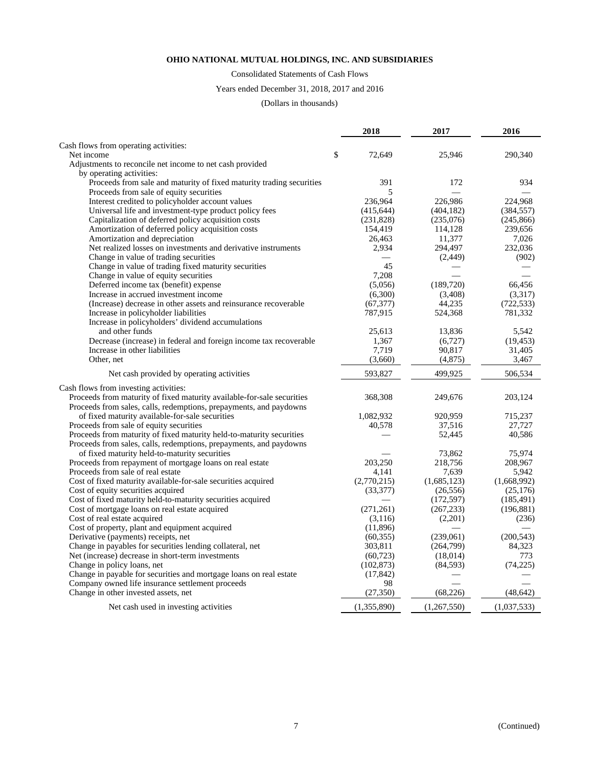#### Consolidated Statements of Cash Flows

#### Years ended December 31, 2018, 2017 and 2016

(Dollars in thousands)

|                                                                        | 2018         | 2017        | 2016        |
|------------------------------------------------------------------------|--------------|-------------|-------------|
| Cash flows from operating activities:                                  |              |             |             |
| Net income                                                             | \$<br>72,649 | 25,946      | 290,340     |
| Adjustments to reconcile net income to net cash provided               |              |             |             |
| by operating activities:                                               |              |             |             |
| Proceeds from sale and maturity of fixed maturity trading securities   | 391          | 172         | 934         |
| Proceeds from sale of equity securities                                | 5            |             |             |
| Interest credited to policyholder account values                       | 236,964      | 226.986     | 224,968     |
| Universal life and investment-type product policy fees                 | (415, 644)   | (404, 182)  | (384, 557)  |
| Capitalization of deferred policy acquisition costs                    | (231, 828)   | (235,076)   | (245, 866)  |
| Amortization of deferred policy acquisition costs                      | 154,419      | 114,128     | 239,656     |
| Amortization and depreciation                                          | 26,463       | 11,377      | 7,026       |
| Net realized losses on investments and derivative instruments          | 2,934        | 294,497     | 232,036     |
| Change in value of trading securities                                  |              | (2,449)     | (902)       |
| Change in value of trading fixed maturity securities                   | 45           |             |             |
| Change in value of equity securities                                   | 7,208        |             |             |
| Deferred income tax (benefit) expense                                  | (5,056)      | (189, 720)  | 66,456      |
| Increase in accrued investment income                                  | (6,300)      | (3,408)     | (3,317)     |
| (Increase) decrease in other assets and reinsurance recoverable        | (67, 377)    | 44,235      | (722, 533)  |
| Increase in policyholder liabilities                                   | 787,915      | 524,368     | 781,332     |
| Increase in policyholders' dividend accumulations                      |              |             |             |
| and other funds                                                        | 25,613       | 13,836      | 5,542       |
| Decrease (increase) in federal and foreign income tax recoverable      | 1,367        | (6,727)     | (19, 453)   |
| Increase in other liabilities                                          | 7,719        | 90,817      | 31,405      |
| Other, net                                                             | (3,660)      | (4, 875)    | 3,467       |
|                                                                        |              |             |             |
| Net cash provided by operating activities                              | 593,827      | 499,925     | 506,534     |
| Cash flows from investing activities:                                  |              |             |             |
| Proceeds from maturity of fixed maturity available-for-sale securities | 368,308      | 249,676     | 203,124     |
| Proceeds from sales, calls, redemptions, prepayments, and paydowns     |              |             |             |
| of fixed maturity available-for-sale securities                        | 1,082,932    | 920,959     | 715,237     |
| Proceeds from sale of equity securities                                | 40,578       | 37,516      | 27,727      |
| Proceeds from maturity of fixed maturity held-to-maturity securities   |              | 52,445      | 40,586      |
| Proceeds from sales, calls, redemptions, prepayments, and paydowns     |              |             |             |
| of fixed maturity held-to-maturity securities                          |              | 73,862      | 75,974      |
| Proceeds from repayment of mortgage loans on real estate               | 203,250      | 218,756     | 208,967     |
| Proceeds from sale of real estate                                      | 4,141        | 7,639       | 5,942       |
| Cost of fixed maturity available-for-sale securities acquired          | (2,770,215)  | (1,685,123) | (1,668,992) |
| Cost of equity securities acquired                                     | (33,377)     | (26, 556)   | (25, 176)   |
| Cost of fixed maturity held-to-maturity securities acquired            |              | (172, 597)  | (185, 491)  |
| Cost of mortgage loans on real estate acquired                         | (271,261)    | (267, 233)  | (196, 881)  |
| Cost of real estate acquired                                           | (3,116)      | (2,201)     | (236)       |
| Cost of property, plant and equipment acquired                         | (11,896)     |             |             |
| Derivative (payments) receipts, net                                    | (60, 355)    | (239,061)   | (200, 543)  |
| Change in payables for securities lending collateral, net              | 303,811      | (264,799)   | 84,323      |
| Net (increase) decrease in short-term investments                      | (60, 723)    | (18,014)    | 773         |
| Change in policy loans, net                                            | (102, 873)   | (84, 593)   | (74, 225)   |
| Change in payable for securities and mortgage loans on real estate     | (17, 842)    |             |             |
| Company owned life insurance settlement proceeds                       | 98           |             |             |
| Change in other invested assets, net                                   | (27, 350)    | (68, 226)   | (48, 642)   |
|                                                                        |              |             |             |
| Net cash used in investing activities                                  | (1,355,890)  | (1,267,550) | (1,037,533) |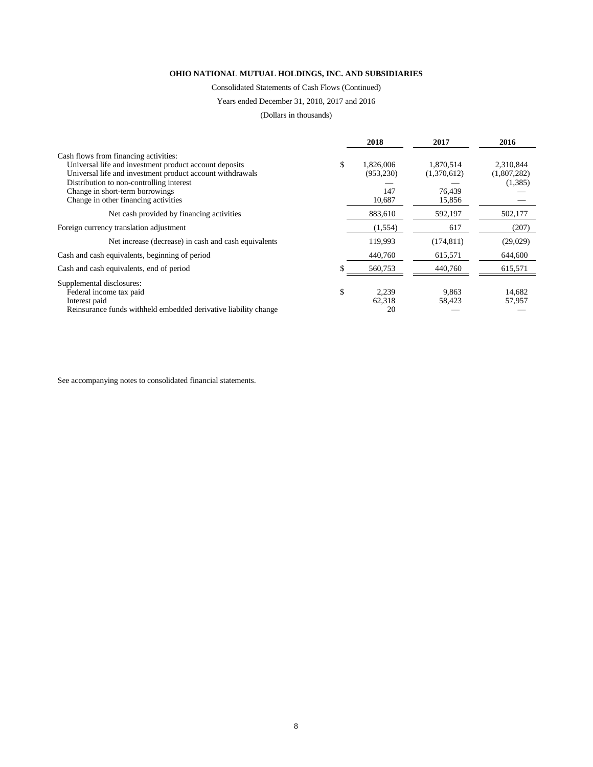#### Consolidated Statements of Cash Flows (Continued)

## Years ended December 31, 2018, 2017 and 2016

#### (Dollars in thousands)

|                                                                 | 2018            | 2017        | 2016        |
|-----------------------------------------------------------------|-----------------|-------------|-------------|
| Cash flows from financing activities:                           |                 |             |             |
| Universal life and investment product account deposits          | \$<br>1.826,006 | 1.870.514   | 2,310,844   |
| Universal life and investment product account withdrawals       | (953, 230)      | (1,370,612) | (1,807,282) |
| Distribution to non-controlling interest                        |                 |             | (1,385)     |
| Change in short-term borrowings                                 | 147             | 76.439      |             |
| Change in other financing activities                            | 10,687          | 15,856      |             |
| Net cash provided by financing activities                       | 883,610         | 592,197     | 502,177     |
| Foreign currency translation adjustment                         | (1, 554)        | 617         | (207)       |
| Net increase (decrease) in cash and cash equivalents            | 119,993         | (174, 811)  | (29,029)    |
| Cash and cash equivalents, beginning of period                  | 440,760         | 615,571     | 644,600     |
| Cash and cash equivalents, end of period                        | 560,753         | 440,760     | 615,571     |
| Supplemental disclosures:                                       |                 |             |             |
| Federal income tax paid                                         | \$<br>2.239     | 9,863       | 14,682      |
| Interest paid                                                   | 62,318          | 58,423      | 57,957      |
| Reinsurance funds withheld embedded derivative liability change | 20              |             |             |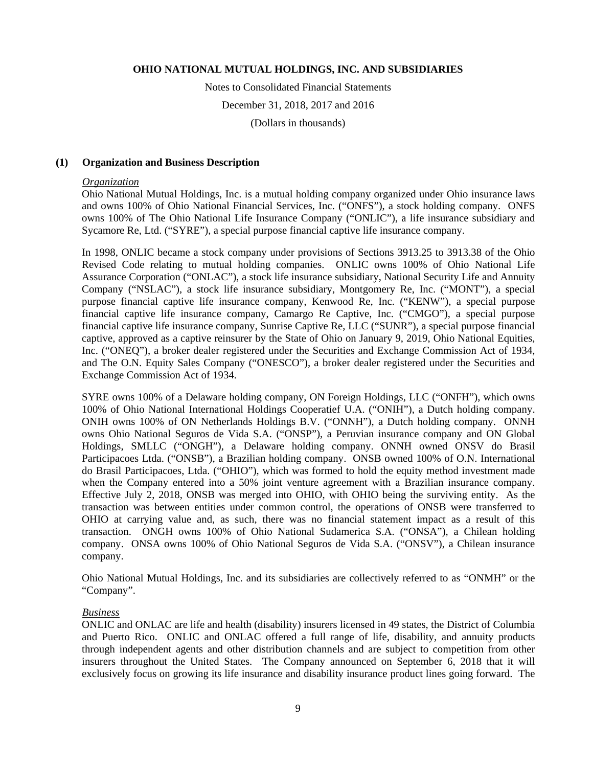Notes to Consolidated Financial Statements

December 31, 2018, 2017 and 2016

(Dollars in thousands)

#### **(1) Organization and Business Description**

#### *Organization*

Ohio National Mutual Holdings, Inc. is a mutual holding company organized under Ohio insurance laws and owns 100% of Ohio National Financial Services, Inc. ("ONFS"), a stock holding company. ONFS owns 100% of The Ohio National Life Insurance Company ("ONLIC"), a life insurance subsidiary and Sycamore Re, Ltd. ("SYRE"), a special purpose financial captive life insurance company.

In 1998, ONLIC became a stock company under provisions of Sections 3913.25 to 3913.38 of the Ohio Revised Code relating to mutual holding companies. ONLIC owns 100% of Ohio National Life Assurance Corporation ("ONLAC"), a stock life insurance subsidiary, National Security Life and Annuity Company ("NSLAC"), a stock life insurance subsidiary, Montgomery Re, Inc. ("MONT"), a special purpose financial captive life insurance company, Kenwood Re, Inc. ("KENW"), a special purpose financial captive life insurance company, Camargo Re Captive, Inc. ("CMGO"), a special purpose financial captive life insurance company, Sunrise Captive Re, LLC ("SUNR"), a special purpose financial captive, approved as a captive reinsurer by the State of Ohio on January 9, 2019, Ohio National Equities, Inc. ("ONEQ"), a broker dealer registered under the Securities and Exchange Commission Act of 1934, and The O.N. Equity Sales Company ("ONESCO"), a broker dealer registered under the Securities and Exchange Commission Act of 1934.

SYRE owns 100% of a Delaware holding company, ON Foreign Holdings, LLC ("ONFH"), which owns 100% of Ohio National International Holdings Cooperatief U.A. ("ONIH"), a Dutch holding company. ONIH owns 100% of ON Netherlands Holdings B.V. ("ONNH"), a Dutch holding company. ONNH owns Ohio National Seguros de Vida S.A. ("ONSP"), a Peruvian insurance company and ON Global Holdings, SMLLC ("ONGH"), a Delaware holding company. ONNH owned ONSV do Brasil Participacoes Ltda. ("ONSB"), a Brazilian holding company. ONSB owned 100% of O.N. International do Brasil Participacoes, Ltda. ("OHIO"), which was formed to hold the equity method investment made when the Company entered into a 50% joint venture agreement with a Brazilian insurance company. Effective July 2, 2018, ONSB was merged into OHIO, with OHIO being the surviving entity. As the transaction was between entities under common control, the operations of ONSB were transferred to OHIO at carrying value and, as such, there was no financial statement impact as a result of this transaction. ONGH owns 100% of Ohio National Sudamerica S.A. ("ONSA"), a Chilean holding company. ONSA owns 100% of Ohio National Seguros de Vida S.A. ("ONSV"), a Chilean insurance company.

Ohio National Mutual Holdings, Inc. and its subsidiaries are collectively referred to as "ONMH" or the "Company".

#### *Business*

ONLIC and ONLAC are life and health (disability) insurers licensed in 49 states, the District of Columbia and Puerto Rico. ONLIC and ONLAC offered a full range of life, disability, and annuity products through independent agents and other distribution channels and are subject to competition from other insurers throughout the United States. The Company announced on September 6, 2018 that it will exclusively focus on growing its life insurance and disability insurance product lines going forward. The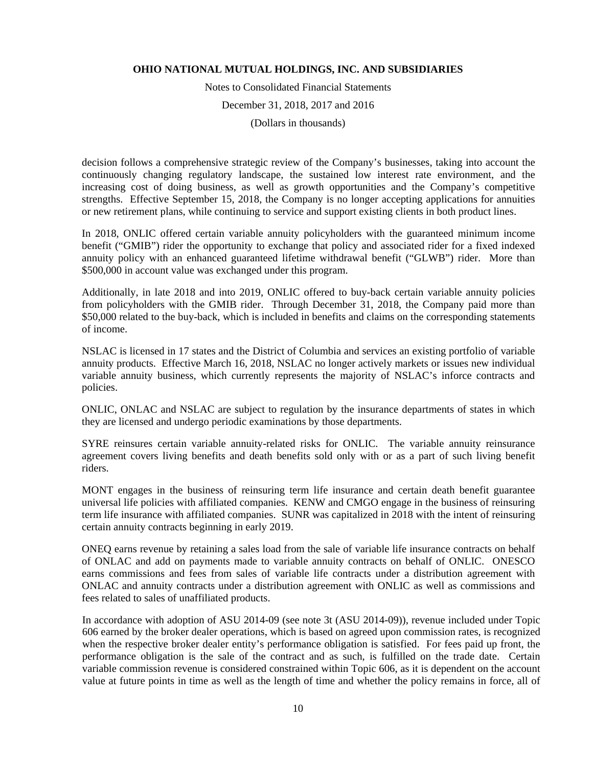Notes to Consolidated Financial Statements

December 31, 2018, 2017 and 2016

(Dollars in thousands)

decision follows a comprehensive strategic review of the Company's businesses, taking into account the continuously changing regulatory landscape, the sustained low interest rate environment, and the increasing cost of doing business, as well as growth opportunities and the Company's competitive strengths. Effective September 15, 2018, the Company is no longer accepting applications for annuities or new retirement plans, while continuing to service and support existing clients in both product lines.

In 2018, ONLIC offered certain variable annuity policyholders with the guaranteed minimum income benefit ("GMIB") rider the opportunity to exchange that policy and associated rider for a fixed indexed annuity policy with an enhanced guaranteed lifetime withdrawal benefit ("GLWB") rider. More than \$500,000 in account value was exchanged under this program.

Additionally, in late 2018 and into 2019, ONLIC offered to buy-back certain variable annuity policies from policyholders with the GMIB rider. Through December 31, 2018, the Company paid more than \$50,000 related to the buy-back, which is included in benefits and claims on the corresponding statements of income.

NSLAC is licensed in 17 states and the District of Columbia and services an existing portfolio of variable annuity products. Effective March 16, 2018, NSLAC no longer actively markets or issues new individual variable annuity business, which currently represents the majority of NSLAC's inforce contracts and policies.

ONLIC, ONLAC and NSLAC are subject to regulation by the insurance departments of states in which they are licensed and undergo periodic examinations by those departments.

SYRE reinsures certain variable annuity-related risks for ONLIC. The variable annuity reinsurance agreement covers living benefits and death benefits sold only with or as a part of such living benefit riders.

MONT engages in the business of reinsuring term life insurance and certain death benefit guarantee universal life policies with affiliated companies. KENW and CMGO engage in the business of reinsuring term life insurance with affiliated companies. SUNR was capitalized in 2018 with the intent of reinsuring certain annuity contracts beginning in early 2019.

ONEQ earns revenue by retaining a sales load from the sale of variable life insurance contracts on behalf of ONLAC and add on payments made to variable annuity contracts on behalf of ONLIC. ONESCO earns commissions and fees from sales of variable life contracts under a distribution agreement with ONLAC and annuity contracts under a distribution agreement with ONLIC as well as commissions and fees related to sales of unaffiliated products.

In accordance with adoption of ASU 2014-09 (see note 3t (ASU 2014-09)), revenue included under Topic 606 earned by the broker dealer operations, which is based on agreed upon commission rates, is recognized when the respective broker dealer entity's performance obligation is satisfied. For fees paid up front, the performance obligation is the sale of the contract and as such, is fulfilled on the trade date. Certain variable commission revenue is considered constrained within Topic 606, as it is dependent on the account value at future points in time as well as the length of time and whether the policy remains in force, all of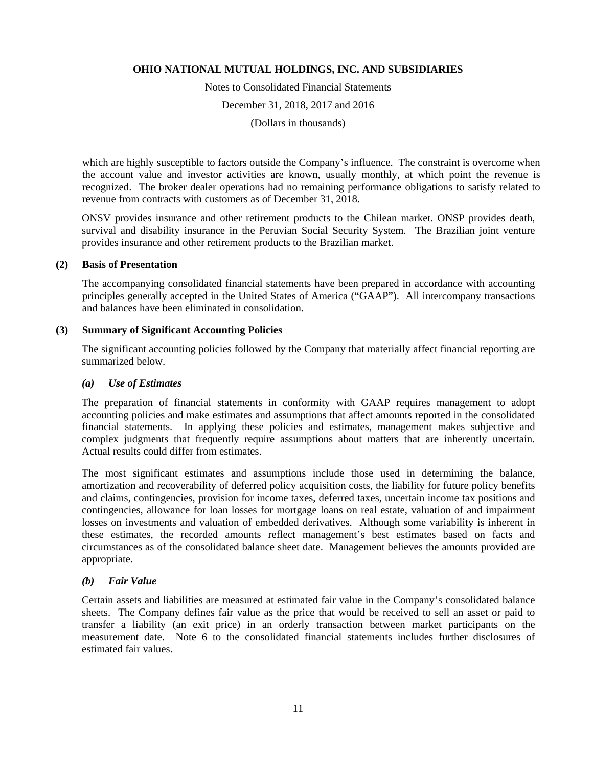Notes to Consolidated Financial Statements

December 31, 2018, 2017 and 2016

(Dollars in thousands)

which are highly susceptible to factors outside the Company's influence. The constraint is overcome when the account value and investor activities are known, usually monthly, at which point the revenue is recognized. The broker dealer operations had no remaining performance obligations to satisfy related to revenue from contracts with customers as of December 31, 2018.

ONSV provides insurance and other retirement products to the Chilean market. ONSP provides death, survival and disability insurance in the Peruvian Social Security System. The Brazilian joint venture provides insurance and other retirement products to the Brazilian market.

#### **(2) Basis of Presentation**

The accompanying consolidated financial statements have been prepared in accordance with accounting principles generally accepted in the United States of America ("GAAP"). All intercompany transactions and balances have been eliminated in consolidation.

## **(3) Summary of Significant Accounting Policies**

The significant accounting policies followed by the Company that materially affect financial reporting are summarized below.

#### *(a) Use of Estimates*

The preparation of financial statements in conformity with GAAP requires management to adopt accounting policies and make estimates and assumptions that affect amounts reported in the consolidated financial statements. In applying these policies and estimates, management makes subjective and complex judgments that frequently require assumptions about matters that are inherently uncertain. Actual results could differ from estimates.

The most significant estimates and assumptions include those used in determining the balance, amortization and recoverability of deferred policy acquisition costs, the liability for future policy benefits and claims, contingencies, provision for income taxes, deferred taxes, uncertain income tax positions and contingencies, allowance for loan losses for mortgage loans on real estate, valuation of and impairment losses on investments and valuation of embedded derivatives. Although some variability is inherent in these estimates, the recorded amounts reflect management's best estimates based on facts and circumstances as of the consolidated balance sheet date. Management believes the amounts provided are appropriate.

## *(b) Fair Value*

Certain assets and liabilities are measured at estimated fair value in the Company's consolidated balance sheets. The Company defines fair value as the price that would be received to sell an asset or paid to transfer a liability (an exit price) in an orderly transaction between market participants on the measurement date. Note 6 to the consolidated financial statements includes further disclosures of estimated fair values.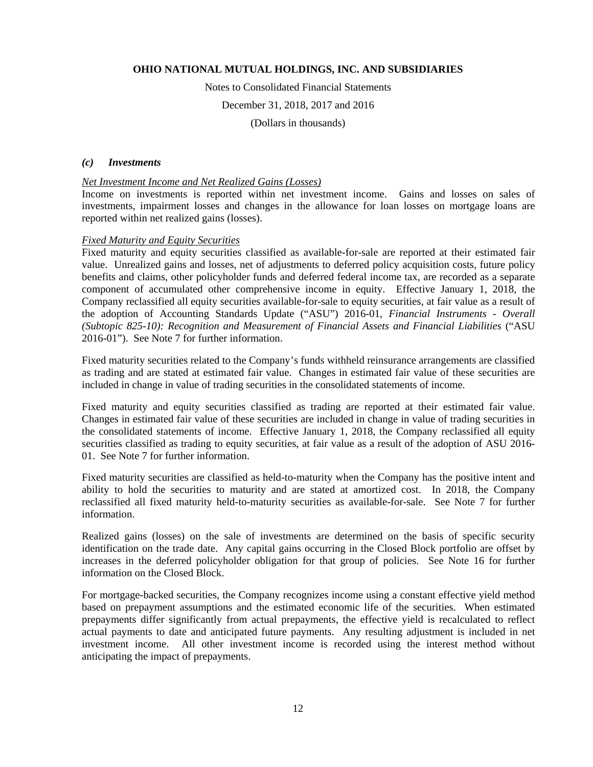Notes to Consolidated Financial Statements

December 31, 2018, 2017 and 2016

(Dollars in thousands)

#### *(c) Investments*

#### *Net Investment Income and Net Realized Gains (Losses)*

Income on investments is reported within net investment income. Gains and losses on sales of investments, impairment losses and changes in the allowance for loan losses on mortgage loans are reported within net realized gains (losses).

## *Fixed Maturity and Equity Securities*

Fixed maturity and equity securities classified as available-for-sale are reported at their estimated fair value. Unrealized gains and losses, net of adjustments to deferred policy acquisition costs, future policy benefits and claims, other policyholder funds and deferred federal income tax, are recorded as a separate component of accumulated other comprehensive income in equity. Effective January 1, 2018, the Company reclassified all equity securities available-for-sale to equity securities, at fair value as a result of the adoption of Accounting Standards Update ("ASU") 2016-01, *Financial Instruments - Overall (Subtopic 825-10): Recognition and Measurement of Financial Assets and Financial Liabilities* ("ASU 2016-01"). See Note 7 for further information.

Fixed maturity securities related to the Company's funds withheld reinsurance arrangements are classified as trading and are stated at estimated fair value. Changes in estimated fair value of these securities are included in change in value of trading securities in the consolidated statements of income.

Fixed maturity and equity securities classified as trading are reported at their estimated fair value. Changes in estimated fair value of these securities are included in change in value of trading securities in the consolidated statements of income. Effective January 1, 2018, the Company reclassified all equity securities classified as trading to equity securities, at fair value as a result of the adoption of ASU 2016- 01. See Note 7 for further information.

Fixed maturity securities are classified as held-to-maturity when the Company has the positive intent and ability to hold the securities to maturity and are stated at amortized cost. In 2018, the Company reclassified all fixed maturity held-to-maturity securities as available-for-sale. See Note 7 for further information.

Realized gains (losses) on the sale of investments are determined on the basis of specific security identification on the trade date. Any capital gains occurring in the Closed Block portfolio are offset by increases in the deferred policyholder obligation for that group of policies. See Note 16 for further information on the Closed Block.

For mortgage-backed securities, the Company recognizes income using a constant effective yield method based on prepayment assumptions and the estimated economic life of the securities. When estimated prepayments differ significantly from actual prepayments, the effective yield is recalculated to reflect actual payments to date and anticipated future payments. Any resulting adjustment is included in net investment income. All other investment income is recorded using the interest method without anticipating the impact of prepayments.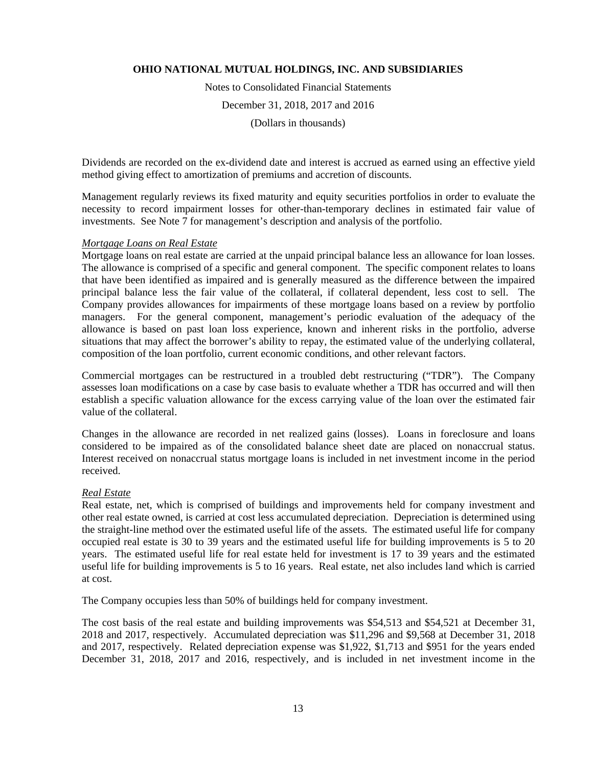Notes to Consolidated Financial Statements

December 31, 2018, 2017 and 2016

(Dollars in thousands)

Dividends are recorded on the ex-dividend date and interest is accrued as earned using an effective yield method giving effect to amortization of premiums and accretion of discounts.

Management regularly reviews its fixed maturity and equity securities portfolios in order to evaluate the necessity to record impairment losses for other-than-temporary declines in estimated fair value of investments. See Note 7 for management's description and analysis of the portfolio.

#### *Mortgage Loans on Real Estate*

Mortgage loans on real estate are carried at the unpaid principal balance less an allowance for loan losses. The allowance is comprised of a specific and general component. The specific component relates to loans that have been identified as impaired and is generally measured as the difference between the impaired principal balance less the fair value of the collateral, if collateral dependent, less cost to sell. The Company provides allowances for impairments of these mortgage loans based on a review by portfolio managers. For the general component, management's periodic evaluation of the adequacy of the allowance is based on past loan loss experience, known and inherent risks in the portfolio, adverse situations that may affect the borrower's ability to repay, the estimated value of the underlying collateral, composition of the loan portfolio, current economic conditions, and other relevant factors.

Commercial mortgages can be restructured in a troubled debt restructuring ("TDR"). The Company assesses loan modifications on a case by case basis to evaluate whether a TDR has occurred and will then establish a specific valuation allowance for the excess carrying value of the loan over the estimated fair value of the collateral.

Changes in the allowance are recorded in net realized gains (losses). Loans in foreclosure and loans considered to be impaired as of the consolidated balance sheet date are placed on nonaccrual status. Interest received on nonaccrual status mortgage loans is included in net investment income in the period received.

#### *Real Estate*

Real estate, net, which is comprised of buildings and improvements held for company investment and other real estate owned, is carried at cost less accumulated depreciation. Depreciation is determined using the straight-line method over the estimated useful life of the assets. The estimated useful life for company occupied real estate is 30 to 39 years and the estimated useful life for building improvements is 5 to 20 years. The estimated useful life for real estate held for investment is 17 to 39 years and the estimated useful life for building improvements is 5 to 16 years. Real estate, net also includes land which is carried at cost.

The Company occupies less than 50% of buildings held for company investment.

The cost basis of the real estate and building improvements was \$54,513 and \$54,521 at December 31, 2018 and 2017, respectively. Accumulated depreciation was \$11,296 and \$9,568 at December 31, 2018 and 2017, respectively. Related depreciation expense was \$1,922, \$1,713 and \$951 for the years ended December 31, 2018, 2017 and 2016, respectively, and is included in net investment income in the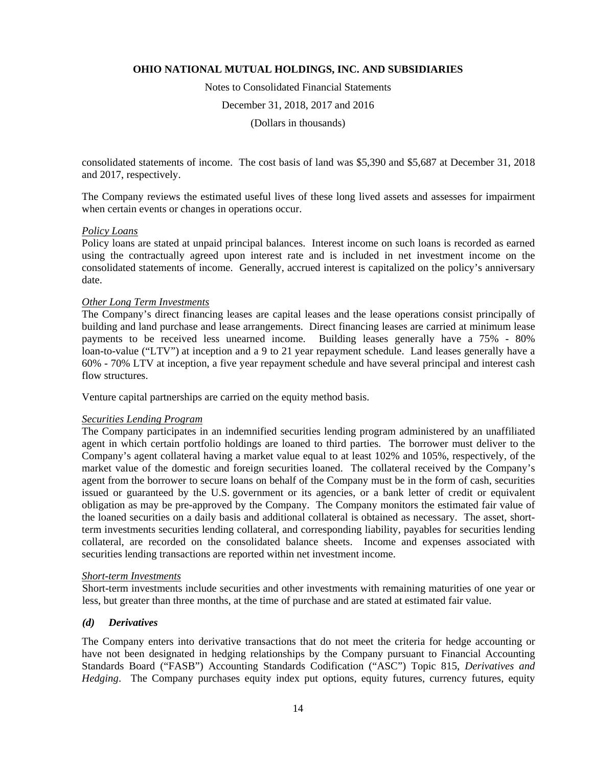Notes to Consolidated Financial Statements

December 31, 2018, 2017 and 2016

(Dollars in thousands)

consolidated statements of income. The cost basis of land was \$5,390 and \$5,687 at December 31, 2018 and 2017, respectively.

The Company reviews the estimated useful lives of these long lived assets and assesses for impairment when certain events or changes in operations occur.

#### *Policy Loans*

Policy loans are stated at unpaid principal balances. Interest income on such loans is recorded as earned using the contractually agreed upon interest rate and is included in net investment income on the consolidated statements of income. Generally, accrued interest is capitalized on the policy's anniversary date.

#### *Other Long Term Investments*

The Company's direct financing leases are capital leases and the lease operations consist principally of building and land purchase and lease arrangements. Direct financing leases are carried at minimum lease payments to be received less unearned income. Building leases generally have a 75% - 80% loan-to-value ("LTV") at inception and a 9 to 21 year repayment schedule. Land leases generally have a 60% - 70% LTV at inception, a five year repayment schedule and have several principal and interest cash flow structures.

Venture capital partnerships are carried on the equity method basis.

## *Securities Lending Program*

The Company participates in an indemnified securities lending program administered by an unaffiliated agent in which certain portfolio holdings are loaned to third parties. The borrower must deliver to the Company's agent collateral having a market value equal to at least 102% and 105%, respectively, of the market value of the domestic and foreign securities loaned. The collateral received by the Company's agent from the borrower to secure loans on behalf of the Company must be in the form of cash, securities issued or guaranteed by the U.S. government or its agencies, or a bank letter of credit or equivalent obligation as may be pre-approved by the Company. The Company monitors the estimated fair value of the loaned securities on a daily basis and additional collateral is obtained as necessary. The asset, shortterm investments securities lending collateral, and corresponding liability, payables for securities lending collateral, are recorded on the consolidated balance sheets. Income and expenses associated with securities lending transactions are reported within net investment income.

#### *Short-term Investments*

Short-term investments include securities and other investments with remaining maturities of one year or less, but greater than three months, at the time of purchase and are stated at estimated fair value.

## *(d) Derivatives*

The Company enters into derivative transactions that do not meet the criteria for hedge accounting or have not been designated in hedging relationships by the Company pursuant to Financial Accounting Standards Board ("FASB") Accounting Standards Codification ("ASC") Topic 815, *Derivatives and Hedging*. The Company purchases equity index put options, equity futures, currency futures, equity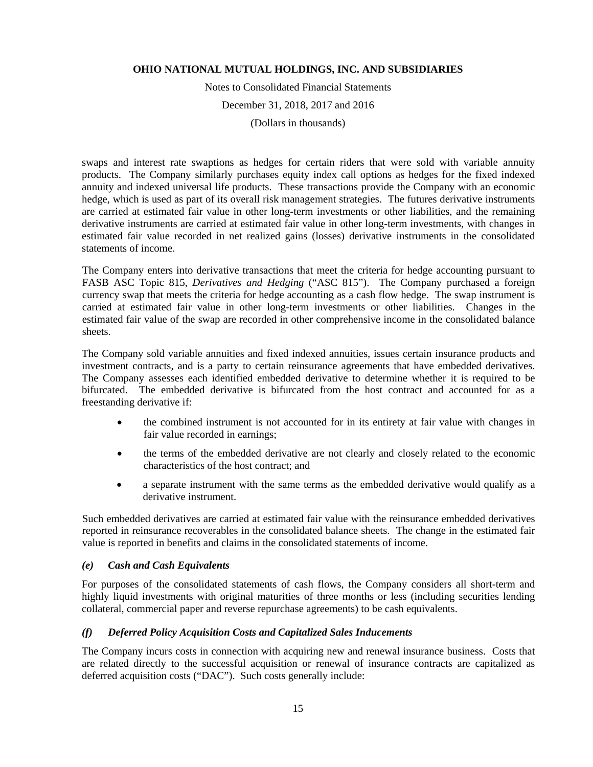Notes to Consolidated Financial Statements

December 31, 2018, 2017 and 2016

(Dollars in thousands)

swaps and interest rate swaptions as hedges for certain riders that were sold with variable annuity products. The Company similarly purchases equity index call options as hedges for the fixed indexed annuity and indexed universal life products. These transactions provide the Company with an economic hedge, which is used as part of its overall risk management strategies. The futures derivative instruments are carried at estimated fair value in other long-term investments or other liabilities, and the remaining derivative instruments are carried at estimated fair value in other long-term investments, with changes in estimated fair value recorded in net realized gains (losses) derivative instruments in the consolidated statements of income.

The Company enters into derivative transactions that meet the criteria for hedge accounting pursuant to FASB ASC Topic 815, *Derivatives and Hedging* ("ASC 815"). The Company purchased a foreign currency swap that meets the criteria for hedge accounting as a cash flow hedge. The swap instrument is carried at estimated fair value in other long-term investments or other liabilities. Changes in the estimated fair value of the swap are recorded in other comprehensive income in the consolidated balance sheets.

The Company sold variable annuities and fixed indexed annuities, issues certain insurance products and investment contracts, and is a party to certain reinsurance agreements that have embedded derivatives. The Company assesses each identified embedded derivative to determine whether it is required to be bifurcated. The embedded derivative is bifurcated from the host contract and accounted for as a freestanding derivative if:

- the combined instrument is not accounted for in its entirety at fair value with changes in fair value recorded in earnings;
- the terms of the embedded derivative are not clearly and closely related to the economic characteristics of the host contract; and
- a separate instrument with the same terms as the embedded derivative would qualify as a derivative instrument.

Such embedded derivatives are carried at estimated fair value with the reinsurance embedded derivatives reported in reinsurance recoverables in the consolidated balance sheets. The change in the estimated fair value is reported in benefits and claims in the consolidated statements of income.

#### *(e) Cash and Cash Equivalents*

For purposes of the consolidated statements of cash flows, the Company considers all short-term and highly liquid investments with original maturities of three months or less (including securities lending collateral, commercial paper and reverse repurchase agreements) to be cash equivalents.

## *(f) Deferred Policy Acquisition Costs and Capitalized Sales Inducements*

The Company incurs costs in connection with acquiring new and renewal insurance business. Costs that are related directly to the successful acquisition or renewal of insurance contracts are capitalized as deferred acquisition costs ("DAC"). Such costs generally include: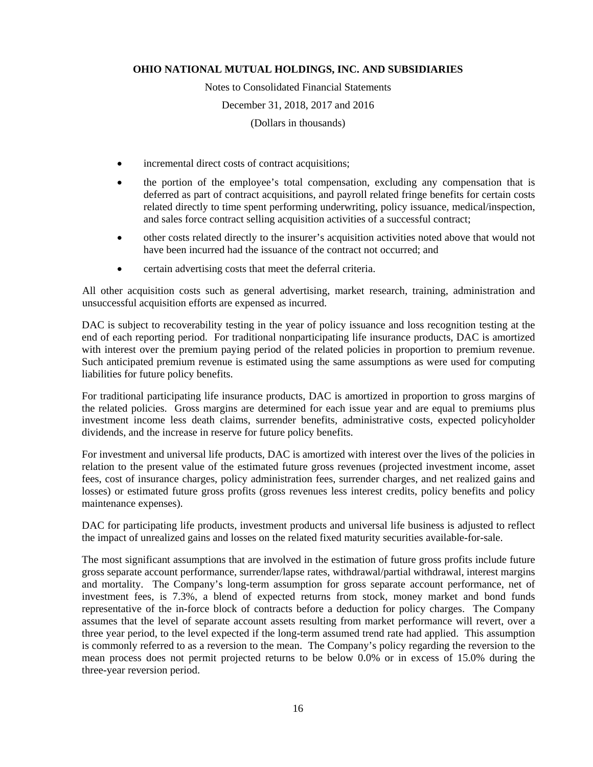Notes to Consolidated Financial Statements

December 31, 2018, 2017 and 2016

(Dollars in thousands)

- incremental direct costs of contract acquisitions;
- the portion of the employee's total compensation, excluding any compensation that is deferred as part of contract acquisitions, and payroll related fringe benefits for certain costs related directly to time spent performing underwriting, policy issuance, medical/inspection, and sales force contract selling acquisition activities of a successful contract;
- other costs related directly to the insurer's acquisition activities noted above that would not have been incurred had the issuance of the contract not occurred; and
- certain advertising costs that meet the deferral criteria.

All other acquisition costs such as general advertising, market research, training, administration and unsuccessful acquisition efforts are expensed as incurred.

DAC is subject to recoverability testing in the year of policy issuance and loss recognition testing at the end of each reporting period. For traditional nonparticipating life insurance products, DAC is amortized with interest over the premium paying period of the related policies in proportion to premium revenue. Such anticipated premium revenue is estimated using the same assumptions as were used for computing liabilities for future policy benefits.

For traditional participating life insurance products, DAC is amortized in proportion to gross margins of the related policies. Gross margins are determined for each issue year and are equal to premiums plus investment income less death claims, surrender benefits, administrative costs, expected policyholder dividends, and the increase in reserve for future policy benefits.

For investment and universal life products, DAC is amortized with interest over the lives of the policies in relation to the present value of the estimated future gross revenues (projected investment income, asset fees, cost of insurance charges, policy administration fees, surrender charges, and net realized gains and losses) or estimated future gross profits (gross revenues less interest credits, policy benefits and policy maintenance expenses).

DAC for participating life products, investment products and universal life business is adjusted to reflect the impact of unrealized gains and losses on the related fixed maturity securities available-for-sale.

The most significant assumptions that are involved in the estimation of future gross profits include future gross separate account performance, surrender/lapse rates, withdrawal/partial withdrawal, interest margins and mortality. The Company's long-term assumption for gross separate account performance, net of investment fees, is 7.3%, a blend of expected returns from stock, money market and bond funds representative of the in-force block of contracts before a deduction for policy charges. The Company assumes that the level of separate account assets resulting from market performance will revert, over a three year period, to the level expected if the long-term assumed trend rate had applied. This assumption is commonly referred to as a reversion to the mean. The Company's policy regarding the reversion to the mean process does not permit projected returns to be below 0.0% or in excess of 15.0% during the three-year reversion period.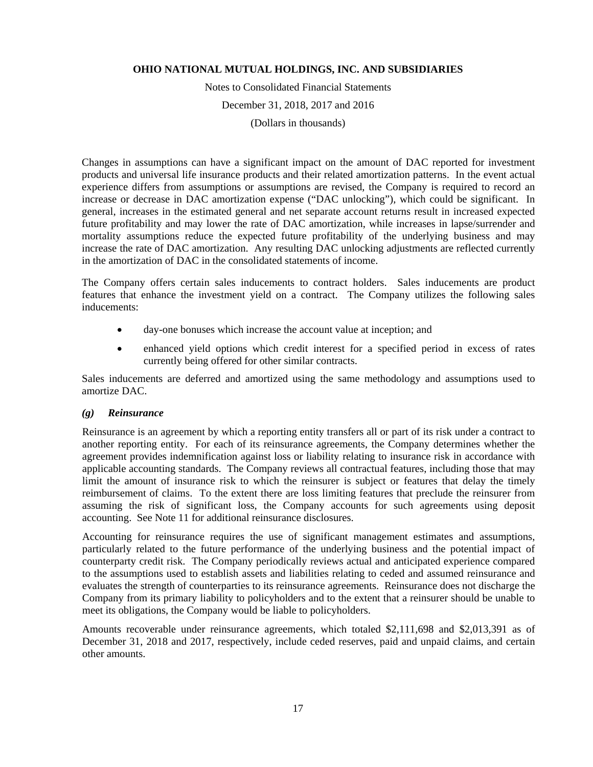Notes to Consolidated Financial Statements

December 31, 2018, 2017 and 2016

(Dollars in thousands)

Changes in assumptions can have a significant impact on the amount of DAC reported for investment products and universal life insurance products and their related amortization patterns. In the event actual experience differs from assumptions or assumptions are revised, the Company is required to record an increase or decrease in DAC amortization expense ("DAC unlocking"), which could be significant. In general, increases in the estimated general and net separate account returns result in increased expected future profitability and may lower the rate of DAC amortization, while increases in lapse/surrender and mortality assumptions reduce the expected future profitability of the underlying business and may increase the rate of DAC amortization. Any resulting DAC unlocking adjustments are reflected currently in the amortization of DAC in the consolidated statements of income.

The Company offers certain sales inducements to contract holders. Sales inducements are product features that enhance the investment yield on a contract. The Company utilizes the following sales inducements:

- day-one bonuses which increase the account value at inception; and
- enhanced yield options which credit interest for a specified period in excess of rates currently being offered for other similar contracts.

Sales inducements are deferred and amortized using the same methodology and assumptions used to amortize DAC.

#### *(g) Reinsurance*

Reinsurance is an agreement by which a reporting entity transfers all or part of its risk under a contract to another reporting entity. For each of its reinsurance agreements, the Company determines whether the agreement provides indemnification against loss or liability relating to insurance risk in accordance with applicable accounting standards. The Company reviews all contractual features, including those that may limit the amount of insurance risk to which the reinsurer is subject or features that delay the timely reimbursement of claims. To the extent there are loss limiting features that preclude the reinsurer from assuming the risk of significant loss, the Company accounts for such agreements using deposit accounting. See Note 11 for additional reinsurance disclosures.

Accounting for reinsurance requires the use of significant management estimates and assumptions, particularly related to the future performance of the underlying business and the potential impact of counterparty credit risk. The Company periodically reviews actual and anticipated experience compared to the assumptions used to establish assets and liabilities relating to ceded and assumed reinsurance and evaluates the strength of counterparties to its reinsurance agreements. Reinsurance does not discharge the Company from its primary liability to policyholders and to the extent that a reinsurer should be unable to meet its obligations, the Company would be liable to policyholders.

Amounts recoverable under reinsurance agreements, which totaled \$2,111,698 and \$2,013,391 as of December 31, 2018 and 2017, respectively, include ceded reserves, paid and unpaid claims, and certain other amounts.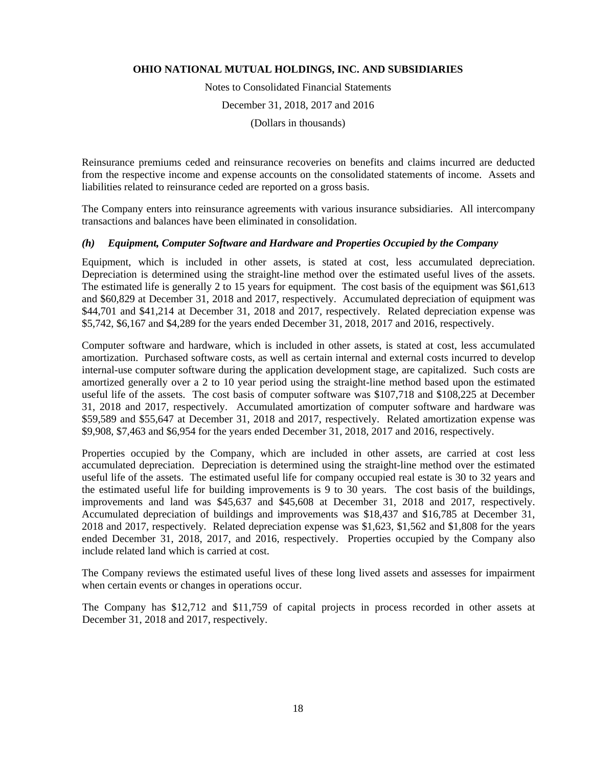Notes to Consolidated Financial Statements

December 31, 2018, 2017 and 2016

(Dollars in thousands)

Reinsurance premiums ceded and reinsurance recoveries on benefits and claims incurred are deducted from the respective income and expense accounts on the consolidated statements of income. Assets and liabilities related to reinsurance ceded are reported on a gross basis.

The Company enters into reinsurance agreements with various insurance subsidiaries. All intercompany transactions and balances have been eliminated in consolidation.

#### *(h) Equipment, Computer Software and Hardware and Properties Occupied by the Company*

Equipment, which is included in other assets, is stated at cost, less accumulated depreciation. Depreciation is determined using the straight-line method over the estimated useful lives of the assets. The estimated life is generally 2 to 15 years for equipment. The cost basis of the equipment was  $$61,613$ and \$60,829 at December 31, 2018 and 2017, respectively. Accumulated depreciation of equipment was \$44,701 and \$41,214 at December 31, 2018 and 2017, respectively. Related depreciation expense was \$5,742, \$6,167 and \$4,289 for the years ended December 31, 2018, 2017 and 2016, respectively.

Computer software and hardware, which is included in other assets, is stated at cost, less accumulated amortization. Purchased software costs, as well as certain internal and external costs incurred to develop internal-use computer software during the application development stage, are capitalized. Such costs are amortized generally over a 2 to 10 year period using the straight-line method based upon the estimated useful life of the assets. The cost basis of computer software was \$107,718 and \$108,225 at December 31, 2018 and 2017, respectively. Accumulated amortization of computer software and hardware was \$59,589 and \$55,647 at December 31, 2018 and 2017, respectively. Related amortization expense was \$9,908, \$7,463 and \$6,954 for the years ended December 31, 2018, 2017 and 2016, respectively.

Properties occupied by the Company, which are included in other assets, are carried at cost less accumulated depreciation. Depreciation is determined using the straight-line method over the estimated useful life of the assets. The estimated useful life for company occupied real estate is 30 to 32 years and the estimated useful life for building improvements is 9 to 30 years. The cost basis of the buildings, improvements and land was \$45,637 and \$45,608 at December 31, 2018 and 2017, respectively. Accumulated depreciation of buildings and improvements was \$18,437 and \$16,785 at December 31, 2018 and 2017, respectively. Related depreciation expense was \$1,623, \$1,562 and \$1,808 for the years ended December 31, 2018, 2017, and 2016, respectively. Properties occupied by the Company also include related land which is carried at cost.

The Company reviews the estimated useful lives of these long lived assets and assesses for impairment when certain events or changes in operations occur.

The Company has \$12,712 and \$11,759 of capital projects in process recorded in other assets at December 31, 2018 and 2017, respectively.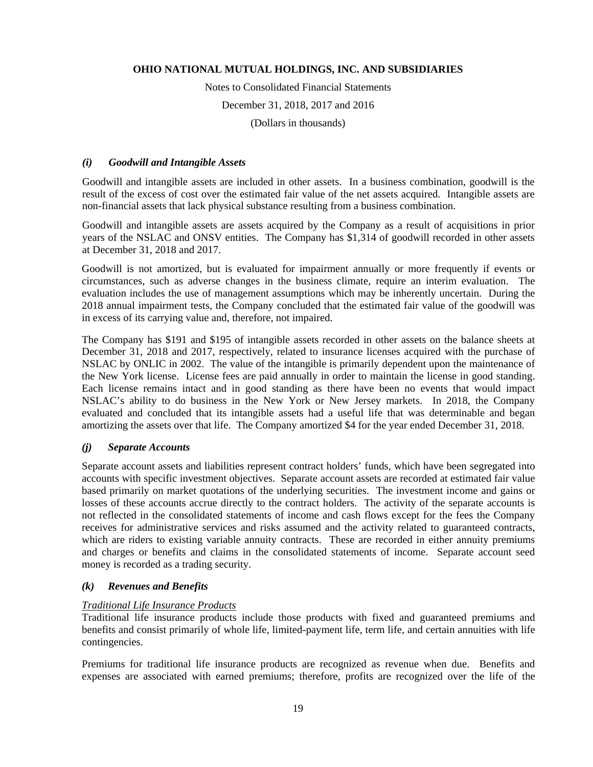Notes to Consolidated Financial Statements

December 31, 2018, 2017 and 2016

(Dollars in thousands)

## *(i) Goodwill and Intangible Assets*

Goodwill and intangible assets are included in other assets. In a business combination, goodwill is the result of the excess of cost over the estimated fair value of the net assets acquired. Intangible assets are non-financial assets that lack physical substance resulting from a business combination.

Goodwill and intangible assets are assets acquired by the Company as a result of acquisitions in prior years of the NSLAC and ONSV entities. The Company has \$1,314 of goodwill recorded in other assets at December 31, 2018 and 2017.

Goodwill is not amortized, but is evaluated for impairment annually or more frequently if events or circumstances, such as adverse changes in the business climate, require an interim evaluation. The evaluation includes the use of management assumptions which may be inherently uncertain. During the 2018 annual impairment tests, the Company concluded that the estimated fair value of the goodwill was in excess of its carrying value and, therefore, not impaired.

The Company has \$191 and \$195 of intangible assets recorded in other assets on the balance sheets at December 31, 2018 and 2017, respectively, related to insurance licenses acquired with the purchase of NSLAC by ONLIC in 2002. The value of the intangible is primarily dependent upon the maintenance of the New York license. License fees are paid annually in order to maintain the license in good standing. Each license remains intact and in good standing as there have been no events that would impact NSLAC's ability to do business in the New York or New Jersey markets. In 2018, the Company evaluated and concluded that its intangible assets had a useful life that was determinable and began amortizing the assets over that life. The Company amortized \$4 for the year ended December 31, 2018.

## *(j) Separate Accounts*

Separate account assets and liabilities represent contract holders' funds, which have been segregated into accounts with specific investment objectives. Separate account assets are recorded at estimated fair value based primarily on market quotations of the underlying securities. The investment income and gains or losses of these accounts accrue directly to the contract holders. The activity of the separate accounts is not reflected in the consolidated statements of income and cash flows except for the fees the Company receives for administrative services and risks assumed and the activity related to guaranteed contracts, which are riders to existing variable annuity contracts. These are recorded in either annuity premiums and charges or benefits and claims in the consolidated statements of income. Separate account seed money is recorded as a trading security.

## *(k) Revenues and Benefits*

## *Traditional Life Insurance Products*

Traditional life insurance products include those products with fixed and guaranteed premiums and benefits and consist primarily of whole life, limited-payment life, term life, and certain annuities with life contingencies.

Premiums for traditional life insurance products are recognized as revenue when due. Benefits and expenses are associated with earned premiums; therefore, profits are recognized over the life of the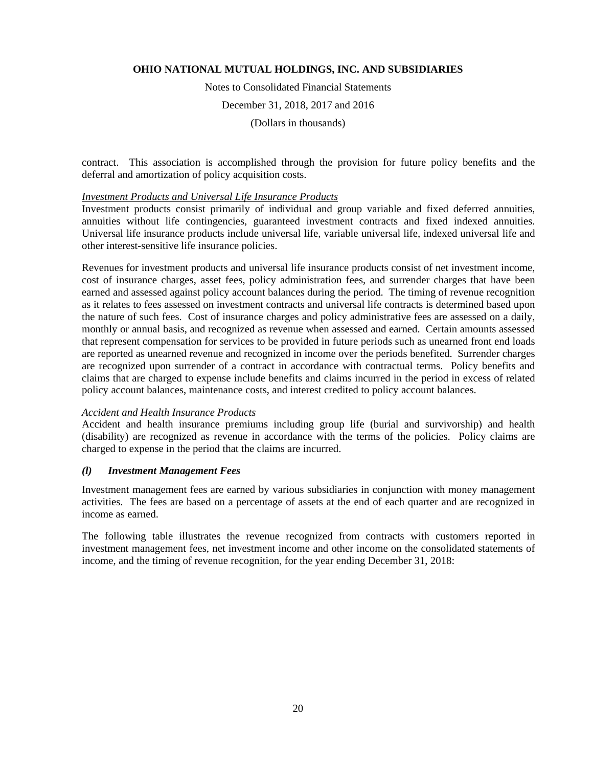Notes to Consolidated Financial Statements

December 31, 2018, 2017 and 2016

(Dollars in thousands)

contract. This association is accomplished through the provision for future policy benefits and the deferral and amortization of policy acquisition costs.

## *Investment Products and Universal Life Insurance Products*

Investment products consist primarily of individual and group variable and fixed deferred annuities, annuities without life contingencies, guaranteed investment contracts and fixed indexed annuities. Universal life insurance products include universal life, variable universal life, indexed universal life and other interest-sensitive life insurance policies.

Revenues for investment products and universal life insurance products consist of net investment income, cost of insurance charges, asset fees, policy administration fees, and surrender charges that have been earned and assessed against policy account balances during the period. The timing of revenue recognition as it relates to fees assessed on investment contracts and universal life contracts is determined based upon the nature of such fees. Cost of insurance charges and policy administrative fees are assessed on a daily, monthly or annual basis, and recognized as revenue when assessed and earned. Certain amounts assessed that represent compensation for services to be provided in future periods such as unearned front end loads are reported as unearned revenue and recognized in income over the periods benefited. Surrender charges are recognized upon surrender of a contract in accordance with contractual terms. Policy benefits and claims that are charged to expense include benefits and claims incurred in the period in excess of related policy account balances, maintenance costs, and interest credited to policy account balances.

#### *Accident and Health Insurance Products*

Accident and health insurance premiums including group life (burial and survivorship) and health (disability) are recognized as revenue in accordance with the terms of the policies. Policy claims are charged to expense in the period that the claims are incurred.

#### *(l) Investment Management Fees*

Investment management fees are earned by various subsidiaries in conjunction with money management activities. The fees are based on a percentage of assets at the end of each quarter and are recognized in income as earned.

The following table illustrates the revenue recognized from contracts with customers reported in investment management fees, net investment income and other income on the consolidated statements of income, and the timing of revenue recognition, for the year ending December 31, 2018: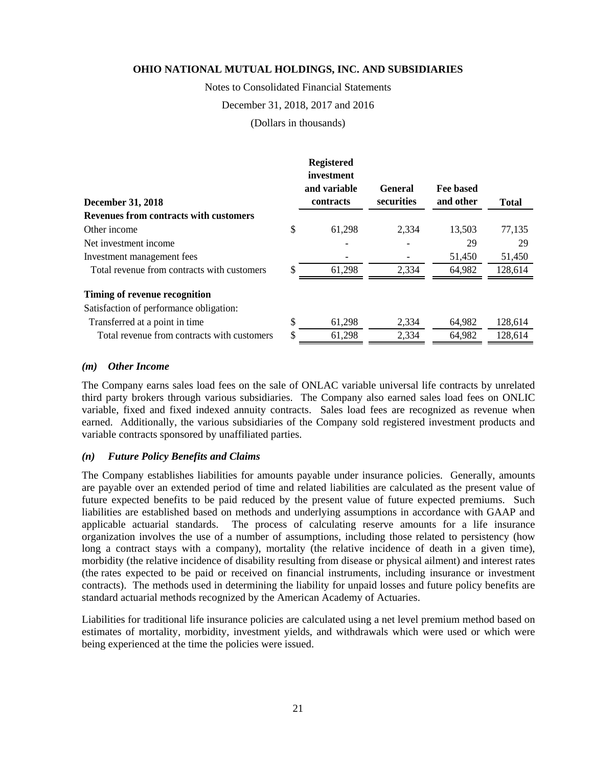Notes to Consolidated Financial Statements

December 31, 2018, 2017 and 2016

(Dollars in thousands)

| <b>December 31, 2018</b>                      |    | <b>Registered</b><br>investment<br>and variable<br>contracts | <b>General</b><br>securities | <b>Fee based</b><br>and other | <b>Total</b> |
|-----------------------------------------------|----|--------------------------------------------------------------|------------------------------|-------------------------------|--------------|
| <b>Revenues from contracts with customers</b> |    |                                                              |                              |                               |              |
| Other income                                  | \$ | 61,298                                                       | 2,334                        | 13,503                        | 77,135       |
| Net investment income                         |    |                                                              |                              | 29                            | 29           |
| Investment management fees                    |    |                                                              |                              | 51,450                        | 51,450       |
| Total revenue from contracts with customers   | S  | 61,298                                                       | 2,334                        | 64,982                        | 128,614      |
| Timing of revenue recognition                 |    |                                                              |                              |                               |              |
| Satisfaction of performance obligation:       |    |                                                              |                              |                               |              |
| Transferred at a point in time                | \$ | 61,298                                                       | 2,334                        | 64,982                        | 128,614      |
| Total revenue from contracts with customers   | \$ | 61,298                                                       | 2,334                        | 64,982                        | 128,614      |

#### *(m) Other Income*

The Company earns sales load fees on the sale of ONLAC variable universal life contracts by unrelated third party brokers through various subsidiaries. The Company also earned sales load fees on ONLIC variable, fixed and fixed indexed annuity contracts. Sales load fees are recognized as revenue when earned. Additionally, the various subsidiaries of the Company sold registered investment products and variable contracts sponsored by unaffiliated parties.

#### *(n) Future Policy Benefits and Claims*

The Company establishes liabilities for amounts payable under insurance policies. Generally, amounts are payable over an extended period of time and related liabilities are calculated as the present value of future expected benefits to be paid reduced by the present value of future expected premiums. Such liabilities are established based on methods and underlying assumptions in accordance with GAAP and applicable actuarial standards. The process of calculating reserve amounts for a life insurance organization involves the use of a number of assumptions, including those related to persistency (how long a contract stays with a company), mortality (the relative incidence of death in a given time), morbidity (the relative incidence of disability resulting from disease or physical ailment) and interest rates (the rates expected to be paid or received on financial instruments, including insurance or investment contracts). The methods used in determining the liability for unpaid losses and future policy benefits are standard actuarial methods recognized by the American Academy of Actuaries.

Liabilities for traditional life insurance policies are calculated using a net level premium method based on estimates of mortality, morbidity, investment yields, and withdrawals which were used or which were being experienced at the time the policies were issued.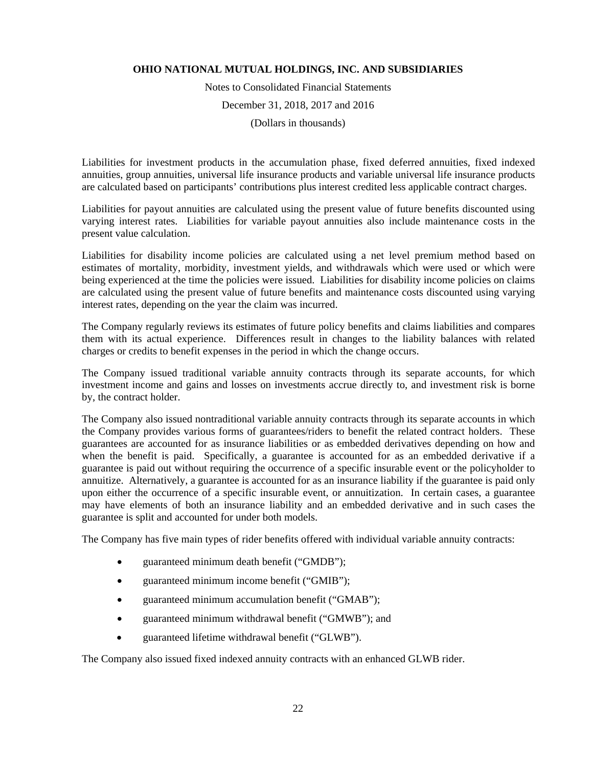Notes to Consolidated Financial Statements

December 31, 2018, 2017 and 2016

(Dollars in thousands)

Liabilities for investment products in the accumulation phase, fixed deferred annuities, fixed indexed annuities, group annuities, universal life insurance products and variable universal life insurance products are calculated based on participants' contributions plus interest credited less applicable contract charges.

Liabilities for payout annuities are calculated using the present value of future benefits discounted using varying interest rates. Liabilities for variable payout annuities also include maintenance costs in the present value calculation.

Liabilities for disability income policies are calculated using a net level premium method based on estimates of mortality, morbidity, investment yields, and withdrawals which were used or which were being experienced at the time the policies were issued. Liabilities for disability income policies on claims are calculated using the present value of future benefits and maintenance costs discounted using varying interest rates, depending on the year the claim was incurred.

The Company regularly reviews its estimates of future policy benefits and claims liabilities and compares them with its actual experience. Differences result in changes to the liability balances with related charges or credits to benefit expenses in the period in which the change occurs.

The Company issued traditional variable annuity contracts through its separate accounts, for which investment income and gains and losses on investments accrue directly to, and investment risk is borne by, the contract holder.

The Company also issued nontraditional variable annuity contracts through its separate accounts in which the Company provides various forms of guarantees/riders to benefit the related contract holders. These guarantees are accounted for as insurance liabilities or as embedded derivatives depending on how and when the benefit is paid. Specifically, a guarantee is accounted for as an embedded derivative if a guarantee is paid out without requiring the occurrence of a specific insurable event or the policyholder to annuitize. Alternatively, a guarantee is accounted for as an insurance liability if the guarantee is paid only upon either the occurrence of a specific insurable event, or annuitization. In certain cases, a guarantee may have elements of both an insurance liability and an embedded derivative and in such cases the guarantee is split and accounted for under both models.

The Company has five main types of rider benefits offered with individual variable annuity contracts:

- guaranteed minimum death benefit ("GMDB");
- guaranteed minimum income benefit ("GMIB");
- guaranteed minimum accumulation benefit ("GMAB");
- guaranteed minimum withdrawal benefit ("GMWB"); and
- guaranteed lifetime withdrawal benefit ("GLWB").

The Company also issued fixed indexed annuity contracts with an enhanced GLWB rider.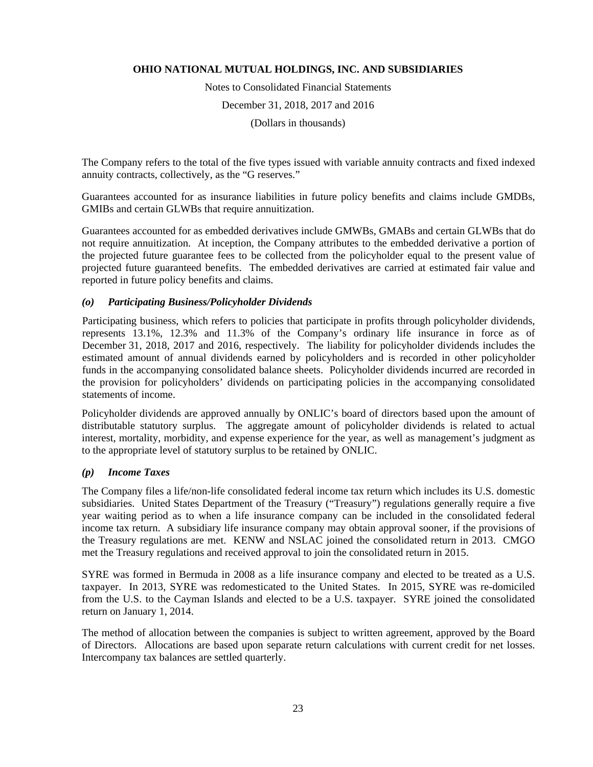Notes to Consolidated Financial Statements December 31, 2018, 2017 and 2016 (Dollars in thousands)

The Company refers to the total of the five types issued with variable annuity contracts and fixed indexed annuity contracts, collectively, as the "G reserves."

Guarantees accounted for as insurance liabilities in future policy benefits and claims include GMDBs, GMIBs and certain GLWBs that require annuitization.

Guarantees accounted for as embedded derivatives include GMWBs, GMABs and certain GLWBs that do not require annuitization. At inception, the Company attributes to the embedded derivative a portion of the projected future guarantee fees to be collected from the policyholder equal to the present value of projected future guaranteed benefits. The embedded derivatives are carried at estimated fair value and reported in future policy benefits and claims.

# *(o) Participating Business/Policyholder Dividends*

Participating business, which refers to policies that participate in profits through policyholder dividends, represents 13.1%, 12.3% and 11.3% of the Company's ordinary life insurance in force as of December 31, 2018, 2017 and 2016, respectively. The liability for policyholder dividends includes the estimated amount of annual dividends earned by policyholders and is recorded in other policyholder funds in the accompanying consolidated balance sheets. Policyholder dividends incurred are recorded in the provision for policyholders' dividends on participating policies in the accompanying consolidated statements of income.

Policyholder dividends are approved annually by ONLIC's board of directors based upon the amount of distributable statutory surplus. The aggregate amount of policyholder dividends is related to actual interest, mortality, morbidity, and expense experience for the year, as well as management's judgment as to the appropriate level of statutory surplus to be retained by ONLIC.

## *(p) Income Taxes*

The Company files a life/non-life consolidated federal income tax return which includes its U.S. domestic subsidiaries. United States Department of the Treasury ("Treasury") regulations generally require a five year waiting period as to when a life insurance company can be included in the consolidated federal income tax return. A subsidiary life insurance company may obtain approval sooner, if the provisions of the Treasury regulations are met. KENW and NSLAC joined the consolidated return in 2013. CMGO met the Treasury regulations and received approval to join the consolidated return in 2015.

SYRE was formed in Bermuda in 2008 as a life insurance company and elected to be treated as a U.S. taxpayer. In 2013, SYRE was redomesticated to the United States. In 2015, SYRE was re-domiciled from the U.S. to the Cayman Islands and elected to be a U.S. taxpayer. SYRE joined the consolidated return on January 1, 2014.

The method of allocation between the companies is subject to written agreement, approved by the Board of Directors. Allocations are based upon separate return calculations with current credit for net losses. Intercompany tax balances are settled quarterly.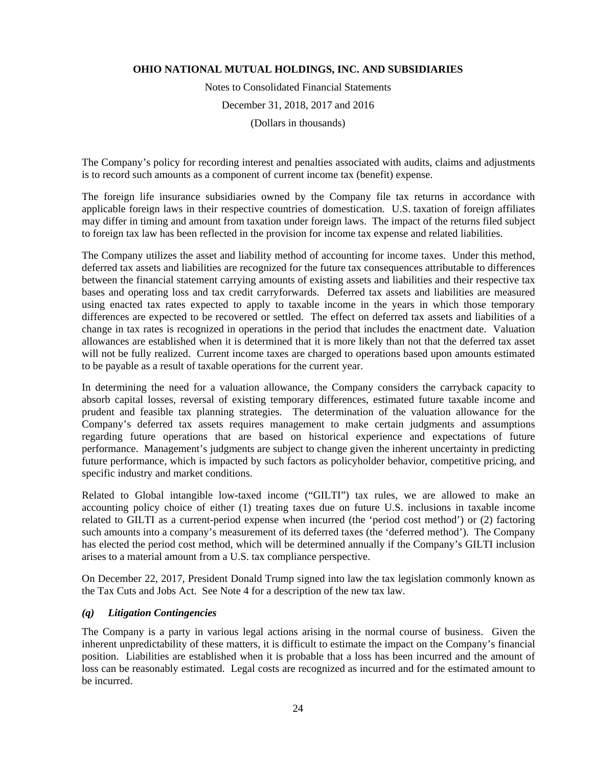Notes to Consolidated Financial Statements December 31, 2018, 2017 and 2016 (Dollars in thousands)

The Company's policy for recording interest and penalties associated with audits, claims and adjustments is to record such amounts as a component of current income tax (benefit) expense.

The foreign life insurance subsidiaries owned by the Company file tax returns in accordance with applicable foreign laws in their respective countries of domestication. U.S. taxation of foreign affiliates may differ in timing and amount from taxation under foreign laws. The impact of the returns filed subject to foreign tax law has been reflected in the provision for income tax expense and related liabilities.

The Company utilizes the asset and liability method of accounting for income taxes. Under this method, deferred tax assets and liabilities are recognized for the future tax consequences attributable to differences between the financial statement carrying amounts of existing assets and liabilities and their respective tax bases and operating loss and tax credit carryforwards. Deferred tax assets and liabilities are measured using enacted tax rates expected to apply to taxable income in the years in which those temporary differences are expected to be recovered or settled. The effect on deferred tax assets and liabilities of a change in tax rates is recognized in operations in the period that includes the enactment date. Valuation allowances are established when it is determined that it is more likely than not that the deferred tax asset will not be fully realized. Current income taxes are charged to operations based upon amounts estimated to be payable as a result of taxable operations for the current year.

In determining the need for a valuation allowance, the Company considers the carryback capacity to absorb capital losses, reversal of existing temporary differences, estimated future taxable income and prudent and feasible tax planning strategies. The determination of the valuation allowance for the Company's deferred tax assets requires management to make certain judgments and assumptions regarding future operations that are based on historical experience and expectations of future performance. Management's judgments are subject to change given the inherent uncertainty in predicting future performance, which is impacted by such factors as policyholder behavior, competitive pricing, and specific industry and market conditions.

Related to Global intangible low-taxed income ("GILTI") tax rules, we are allowed to make an accounting policy choice of either (1) treating taxes due on future U.S. inclusions in taxable income related to GILTI as a current-period expense when incurred (the 'period cost method') or (2) factoring such amounts into a company's measurement of its deferred taxes (the 'deferred method'). The Company has elected the period cost method, which will be determined annually if the Company's GILTI inclusion arises to a material amount from a U.S. tax compliance perspective.

On December 22, 2017, President Donald Trump signed into law the tax legislation commonly known as the Tax Cuts and Jobs Act. See Note 4 for a description of the new tax law.

## *(q) Litigation Contingencies*

The Company is a party in various legal actions arising in the normal course of business. Given the inherent unpredictability of these matters, it is difficult to estimate the impact on the Company's financial position. Liabilities are established when it is probable that a loss has been incurred and the amount of loss can be reasonably estimated. Legal costs are recognized as incurred and for the estimated amount to be incurred.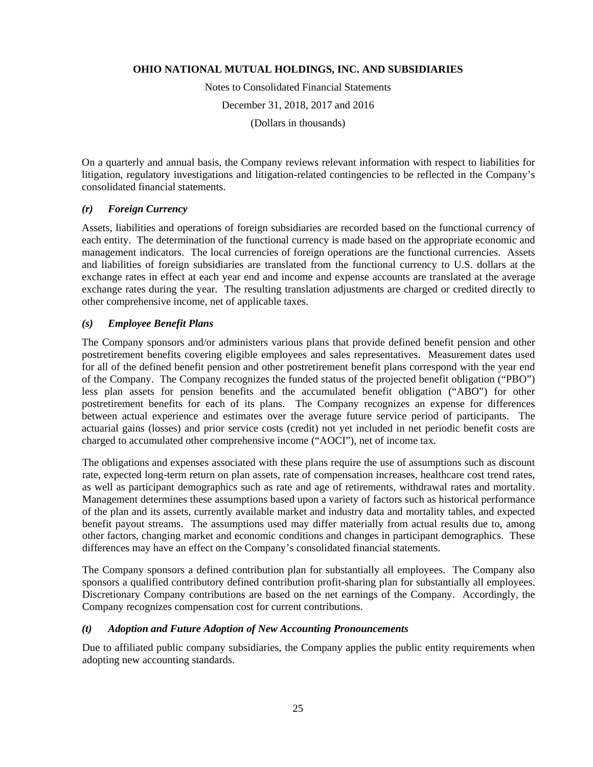Notes to Consolidated Financial Statements

December 31, 2018, 2017 and 2016

(Dollars in thousands)

On a quarterly and annual basis, the Company reviews relevant information with respect to liabilities for litigation, regulatory investigations and litigation-related contingencies to be reflected in the Company's consolidated financial statements.

#### *(r) Foreign Currency*

Assets, liabilities and operations of foreign subsidiaries are recorded based on the functional currency of each entity. The determination of the functional currency is made based on the appropriate economic and management indicators. The local currencies of foreign operations are the functional currencies. Assets and liabilities of foreign subsidiaries are translated from the functional currency to U.S. dollars at the exchange rates in effect at each year end and income and expense accounts are translated at the average exchange rates during the year. The resulting translation adjustments are charged or credited directly to other comprehensive income, net of applicable taxes.

## *(s) Employee Benefit Plans*

The Company sponsors and/or administers various plans that provide defined benefit pension and other postretirement benefits covering eligible employees and sales representatives. Measurement dates used for all of the defined benefit pension and other postretirement benefit plans correspond with the year end of the Company. The Company recognizes the funded status of the projected benefit obligation ("PBO") less plan assets for pension benefits and the accumulated benefit obligation ("ABO") for other postretirement benefits for each of its plans. The Company recognizes an expense for differences between actual experience and estimates over the average future service period of participants. The actuarial gains (losses) and prior service costs (credit) not yet included in net periodic benefit costs are charged to accumulated other comprehensive income ("AOCI"), net of income tax.

The obligations and expenses associated with these plans require the use of assumptions such as discount rate, expected long-term return on plan assets, rate of compensation increases, healthcare cost trend rates, as well as participant demographics such as rate and age of retirements, withdrawal rates and mortality. Management determines these assumptions based upon a variety of factors such as historical performance of the plan and its assets, currently available market and industry data and mortality tables, and expected benefit payout streams. The assumptions used may differ materially from actual results due to, among other factors, changing market and economic conditions and changes in participant demographics. These differences may have an effect on the Company's consolidated financial statements.

The Company sponsors a defined contribution plan for substantially all employees. The Company also sponsors a qualified contributory defined contribution profit-sharing plan for substantially all employees. Discretionary Company contributions are based on the net earnings of the Company. Accordingly, the Company recognizes compensation cost for current contributions.

## *(t) Adoption and Future Adoption of New Accounting Pronouncements*

Due to affiliated public company subsidiaries, the Company applies the public entity requirements when adopting new accounting standards.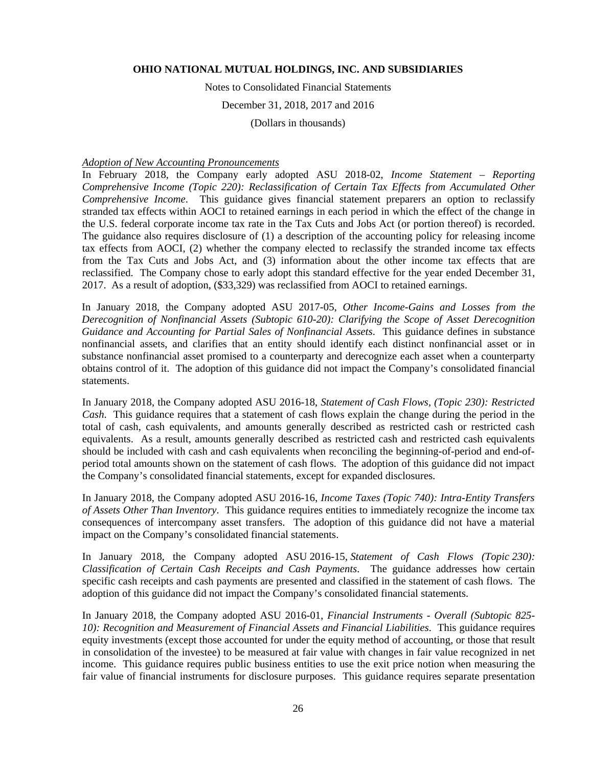Notes to Consolidated Financial Statements

December 31, 2018, 2017 and 2016

(Dollars in thousands)

## *Adoption of New Accounting Pronouncements*

In February 2018, the Company early adopted ASU 2018-02, *Income Statement – Reporting Comprehensive Income (Topic 220): Reclassification of Certain Tax Effects from Accumulated Other Comprehensive Income*. This guidance gives financial statement preparers an option to reclassify stranded tax effects within AOCI to retained earnings in each period in which the effect of the change in the U.S. federal corporate income tax rate in the Tax Cuts and Jobs Act (or portion thereof) is recorded. The guidance also requires disclosure of (1) a description of the accounting policy for releasing income tax effects from AOCI, (2) whether the company elected to reclassify the stranded income tax effects from the Tax Cuts and Jobs Act, and (3) information about the other income tax effects that are reclassified. The Company chose to early adopt this standard effective for the year ended December 31, 2017. As a result of adoption, (\$33,329) was reclassified from AOCI to retained earnings.

In January 2018, the Company adopted ASU 2017-05, *Other Income-Gains and Losses from the Derecognition of Nonfinancial Assets (Subtopic 610-20): Clarifying the Scope of Asset Derecognition Guidance and Accounting for Partial Sales of Nonfinancial Assets*. This guidance defines in substance nonfinancial assets, and clarifies that an entity should identify each distinct nonfinancial asset or in substance nonfinancial asset promised to a counterparty and derecognize each asset when a counterparty obtains control of it. The adoption of this guidance did not impact the Company's consolidated financial statements.

In January 2018, the Company adopted ASU 2016-18, *Statement of Cash Flows, (Topic 230): Restricted Cash*. This guidance requires that a statement of cash flows explain the change during the period in the total of cash, cash equivalents, and amounts generally described as restricted cash or restricted cash equivalents. As a result, amounts generally described as restricted cash and restricted cash equivalents should be included with cash and cash equivalents when reconciling the beginning-of-period and end-ofperiod total amounts shown on the statement of cash flows. The adoption of this guidance did not impact the Company's consolidated financial statements, except for expanded disclosures.

In January 2018, the Company adopted ASU 2016-16, *Income Taxes (Topic 740): Intra-Entity Transfers of Assets Other Than Inventory*. This guidance requires entities to immediately recognize the income tax consequences of intercompany asset transfers. The adoption of this guidance did not have a material impact on the Company's consolidated financial statements.

In January 2018, the Company adopted ASU 2016-15, *Statement of Cash Flows (Topic 230): Classification of Certain Cash Receipts and Cash Payments*. The guidance addresses how certain specific cash receipts and cash payments are presented and classified in the statement of cash flows. The adoption of this guidance did not impact the Company's consolidated financial statements.

In January 2018, the Company adopted ASU 2016-01, *Financial Instruments - Overall (Subtopic 825- 10): Recognition and Measurement of Financial Assets and Financial Liabilities*. This guidance requires equity investments (except those accounted for under the equity method of accounting, or those that result in consolidation of the investee) to be measured at fair value with changes in fair value recognized in net income. This guidance requires public business entities to use the exit price notion when measuring the fair value of financial instruments for disclosure purposes. This guidance requires separate presentation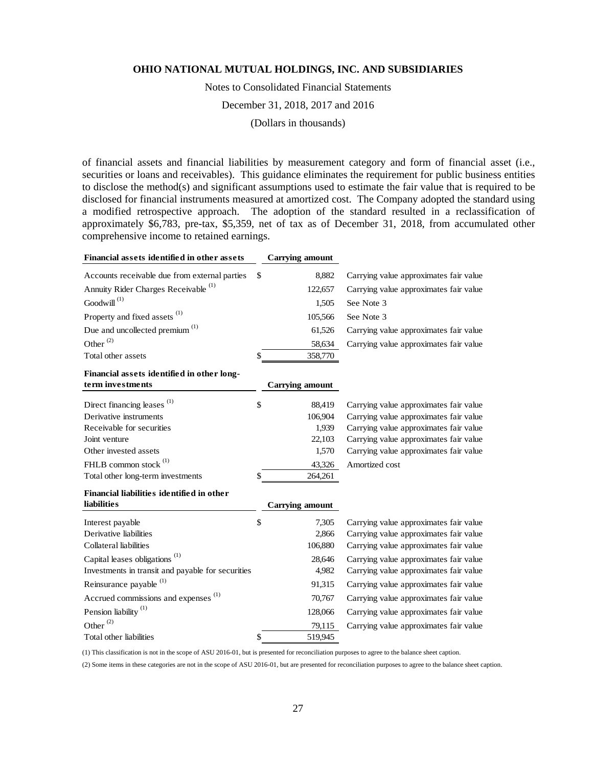Notes to Consolidated Financial Statements

December 31, 2018, 2017 and 2016

(Dollars in thousands)

of financial assets and financial liabilities by measurement category and form of financial asset (i.e., securities or loans and receivables). This guidance eliminates the requirement for public business entities to disclose the method(s) and significant assumptions used to estimate the fair value that is required to be disclosed for financial instruments measured at amortized cost. The Company adopted the standard using a modified retrospective approach. The adoption of the standard resulted in a reclassification of approximately \$6,783, pre-tax, \$5,359, net of tax as of December 31, 2018, from accumulated other comprehensive income to retained earnings.

| Financial assets identified in other assets       | <b>Carrying amount</b> |                                        |
|---------------------------------------------------|------------------------|----------------------------------------|
| Accounts receivable due from external parties     | \$<br>8,882            | Carrying value approximates fair value |
| Annuity Rider Charges Receivable <sup>(1)</sup>   | 122,657                | Carrying value approximates fair value |
| Goodwill $\prescript{(1)}{}$                      | 1,505                  | See Note 3                             |
| Property and fixed assets <sup>(1)</sup>          | 105,566                | See Note 3                             |
| Due and uncollected premium <sup>(1)</sup>        | 61,526                 | Carrying value approximates fair value |
| Other <sup>(2)</sup>                              | 58,634                 | Carrying value approximates fair value |
| Total other assets                                | \$<br>358,770          |                                        |
| Financial assets identified in other long-        |                        |                                        |
| term investments                                  | <b>Carrying amount</b> |                                        |
| Direct financing leases <sup>(1)</sup>            | \$<br>88,419           | Carrying value approximates fair value |
| Derivative instruments                            | 106,904                | Carrying value approximates fair value |
| Receivable for securities                         | 1.939                  | Carrying value approximates fair value |
| Joint venture                                     | 22,103                 | Carrying value approximates fair value |
| Other invested assets                             | 1,570                  | Carrying value approximates fair value |
| FHLB common stock $^{(1)}$                        | 43,326                 | Amortized cost                         |
| Total other long-term investments                 | \$<br>264,261          |                                        |
| Financial liabilities identified in other         |                        |                                        |
| <b>liabilities</b>                                | <b>Carrying amount</b> |                                        |
| Interest payable                                  | \$<br>7,305            | Carrying value approximates fair value |
| Derivative liabilities                            | 2,866                  | Carrying value approximates fair value |
| Collateral liabilities                            | 106,880                | Carrying value approximates fair value |
| Capital leases obligations <sup>(1)</sup>         | 28,646                 | Carrying value approximates fair value |
| Investments in transit and payable for securities | 4,982                  | Carrying value approximates fair value |
| Reinsurance payable <sup>(1)</sup>                | 91,315                 | Carrying value approximates fair value |
| Accrued commissions and expenses <sup>(1)</sup>   | 70,767                 | Carrying value approximates fair value |
| Pension liability <sup>(1)</sup>                  | 128,066                | Carrying value approximates fair value |
| Other <sup>(2)</sup>                              | 79,115                 | Carrying value approximates fair value |
| Total other liabilities                           | \$<br>519,945          |                                        |

(1) This classification is not in the scope of ASU 2016-01, but is presented for reconciliation purposes to agree to the balance sheet caption.

(2) Some items in these categories are not in the scope of ASU 2016-01, but are presented for reconciliation purposes to agree to the balance sheet caption.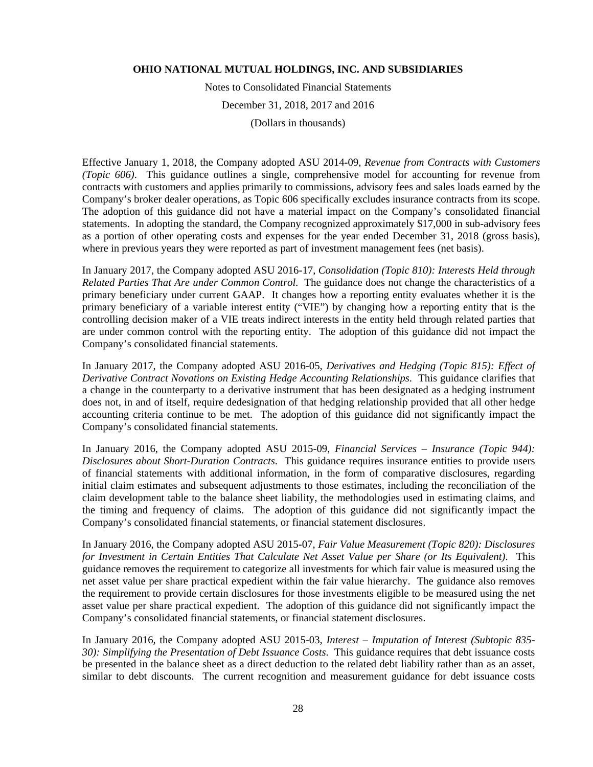Notes to Consolidated Financial Statements

December 31, 2018, 2017 and 2016

(Dollars in thousands)

Effective January 1, 2018, the Company adopted ASU 2014-09, *Revenue from Contracts with Customers (Topic 606)*. This guidance outlines a single, comprehensive model for accounting for revenue from contracts with customers and applies primarily to commissions, advisory fees and sales loads earned by the Company's broker dealer operations, as Topic 606 specifically excludes insurance contracts from its scope. The adoption of this guidance did not have a material impact on the Company's consolidated financial statements. In adopting the standard, the Company recognized approximately \$17,000 in sub-advisory fees as a portion of other operating costs and expenses for the year ended December 31, 2018 (gross basis), where in previous years they were reported as part of investment management fees (net basis).

In January 2017, the Company adopted ASU 2016-17, *Consolidation (Topic 810): Interests Held through Related Parties That Are under Common Control*. The guidance does not change the characteristics of a primary beneficiary under current GAAP. It changes how a reporting entity evaluates whether it is the primary beneficiary of a variable interest entity ("VIE") by changing how a reporting entity that is the controlling decision maker of a VIE treats indirect interests in the entity held through related parties that are under common control with the reporting entity. The adoption of this guidance did not impact the Company's consolidated financial statements.

In January 2017, the Company adopted ASU 2016-05, *Derivatives and Hedging (Topic 815): Effect of Derivative Contract Novations on Existing Hedge Accounting Relationships*. This guidance clarifies that a change in the counterparty to a derivative instrument that has been designated as a hedging instrument does not, in and of itself, require dedesignation of that hedging relationship provided that all other hedge accounting criteria continue to be met. The adoption of this guidance did not significantly impact the Company's consolidated financial statements.

In January 2016, the Company adopted ASU 2015-09, *Financial Services – Insurance (Topic 944): Disclosures about Short-Duration Contracts*. This guidance requires insurance entities to provide users of financial statements with additional information, in the form of comparative disclosures, regarding initial claim estimates and subsequent adjustments to those estimates, including the reconciliation of the claim development table to the balance sheet liability, the methodologies used in estimating claims, and the timing and frequency of claims. The adoption of this guidance did not significantly impact the Company's consolidated financial statements, or financial statement disclosures.

In January 2016, the Company adopted ASU 2015-07, *Fair Value Measurement (Topic 820): Disclosures for Investment in Certain Entities That Calculate Net Asset Value per Share (or Its Equivalent)*. This guidance removes the requirement to categorize all investments for which fair value is measured using the net asset value per share practical expedient within the fair value hierarchy. The guidance also removes the requirement to provide certain disclosures for those investments eligible to be measured using the net asset value per share practical expedient. The adoption of this guidance did not significantly impact the Company's consolidated financial statements, or financial statement disclosures.

In January 2016, the Company adopted ASU 2015-03, *Interest – Imputation of Interest (Subtopic 835- 30): Simplifying the Presentation of Debt Issuance Costs*. This guidance requires that debt issuance costs be presented in the balance sheet as a direct deduction to the related debt liability rather than as an asset, similar to debt discounts. The current recognition and measurement guidance for debt issuance costs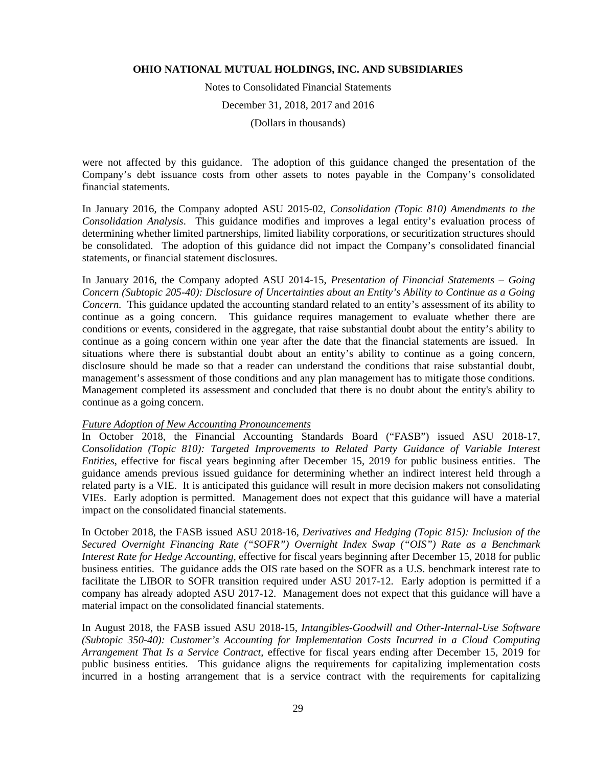Notes to Consolidated Financial Statements

December 31, 2018, 2017 and 2016

(Dollars in thousands)

were not affected by this guidance. The adoption of this guidance changed the presentation of the Company's debt issuance costs from other assets to notes payable in the Company's consolidated financial statements.

In January 2016, the Company adopted ASU 2015-02, *Consolidation (Topic 810) Amendments to the Consolidation Analysis*. This guidance modifies and improves a legal entity's evaluation process of determining whether limited partnerships, limited liability corporations, or securitization structures should be consolidated. The adoption of this guidance did not impact the Company's consolidated financial statements, or financial statement disclosures.

In January 2016, the Company adopted ASU 2014-15, *Presentation of Financial Statements – Going Concern (Subtopic 205-40): Disclosure of Uncertainties about an Entity's Ability to Continue as a Going Concern.* This guidance updated the accounting standard related to an entity's assessment of its ability to continue as a going concern. This guidance requires management to evaluate whether there are conditions or events, considered in the aggregate, that raise substantial doubt about the entity's ability to continue as a going concern within one year after the date that the financial statements are issued. In situations where there is substantial doubt about an entity's ability to continue as a going concern, disclosure should be made so that a reader can understand the conditions that raise substantial doubt, management's assessment of those conditions and any plan management has to mitigate those conditions. Management completed its assessment and concluded that there is no doubt about the entity's ability to continue as a going concern.

#### *Future Adoption of New Accounting Pronouncements*

In October 2018, the Financial Accounting Standards Board ("FASB") issued ASU 2018-17, *Consolidation (Topic 810): Targeted Improvements to Related Party Guidance of Variable Interest Entities*, effective for fiscal years beginning after December 15, 2019 for public business entities. The guidance amends previous issued guidance for determining whether an indirect interest held through a related party is a VIE. It is anticipated this guidance will result in more decision makers not consolidating VIEs. Early adoption is permitted. Management does not expect that this guidance will have a material impact on the consolidated financial statements.

In October 2018, the FASB issued ASU 2018-16, *Derivatives and Hedging (Topic 815): Inclusion of the Secured Overnight Financing Rate ("SOFR") Overnight Index Swap ("OIS") Rate as a Benchmark Interest Rate for Hedge Accounting*, effective for fiscal years beginning after December 15, 2018 for public business entities. The guidance adds the OIS rate based on the SOFR as a U.S. benchmark interest rate to facilitate the LIBOR to SOFR transition required under ASU 2017-12. Early adoption is permitted if a company has already adopted ASU 2017-12. Management does not expect that this guidance will have a material impact on the consolidated financial statements.

In August 2018, the FASB issued ASU 2018-15, *Intangibles-Goodwill and Other-Internal-Use Software (Subtopic 350-40): Customer's Accounting for Implementation Costs Incurred in a Cloud Computing Arrangement That Is a Service Contract,* effective for fiscal years ending after December 15, 2019 for public business entities. This guidance aligns the requirements for capitalizing implementation costs incurred in a hosting arrangement that is a service contract with the requirements for capitalizing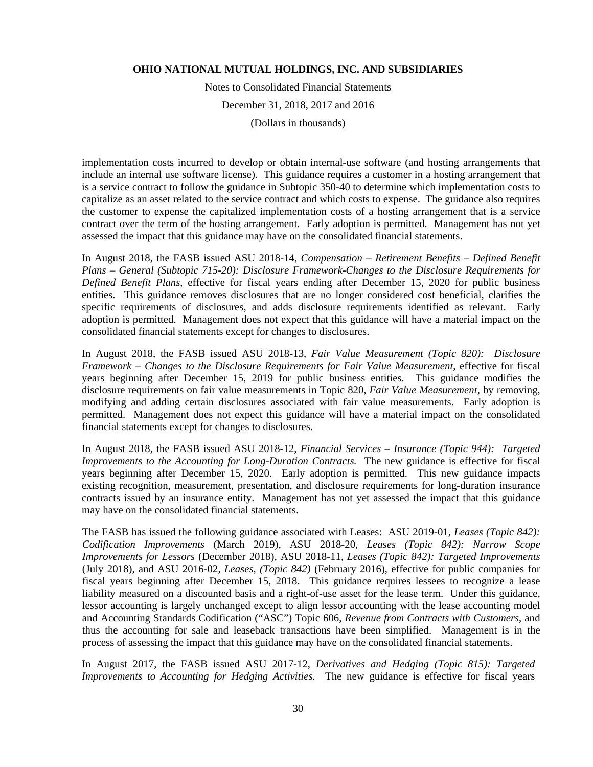Notes to Consolidated Financial Statements

December 31, 2018, 2017 and 2016

(Dollars in thousands)

implementation costs incurred to develop or obtain internal-use software (and hosting arrangements that include an internal use software license). This guidance requires a customer in a hosting arrangement that is a service contract to follow the guidance in Subtopic 350-40 to determine which implementation costs to capitalize as an asset related to the service contract and which costs to expense. The guidance also requires the customer to expense the capitalized implementation costs of a hosting arrangement that is a service contract over the term of the hosting arrangement. Early adoption is permitted. Management has not yet assessed the impact that this guidance may have on the consolidated financial statements.

In August 2018, the FASB issued ASU 2018-14, *Compensation – Retirement Benefits – Defined Benefit Plans – General (Subtopic 715-20): Disclosure Framework-Changes to the Disclosure Requirements for Defined Benefit Plans*, effective for fiscal years ending after December 15, 2020 for public business entities. This guidance removes disclosures that are no longer considered cost beneficial, clarifies the specific requirements of disclosures, and adds disclosure requirements identified as relevant. Early adoption is permitted. Management does not expect that this guidance will have a material impact on the consolidated financial statements except for changes to disclosures.

In August 2018, the FASB issued ASU 2018-13, *Fair Value Measurement (Topic 820): Disclosure Framework – Changes to the Disclosure Requirements for Fair Value Measurement*, effective for fiscal years beginning after December 15, 2019 for public business entities. This guidance modifies the disclosure requirements on fair value measurements in Topic 820, *Fair Value Measurement*, by removing, modifying and adding certain disclosures associated with fair value measurements. Early adoption is permitted. Management does not expect this guidance will have a material impact on the consolidated financial statements except for changes to disclosures.

In August 2018, the FASB issued ASU 2018-12, *Financial Services – Insurance (Topic 944): Targeted Improvements to the Accounting for Long-Duration Contracts.* The new guidance is effective for fiscal years beginning after December 15, 2020. Early adoption is permitted. This new guidance impacts existing recognition, measurement, presentation, and disclosure requirements for long-duration insurance contracts issued by an insurance entity. Management has not yet assessed the impact that this guidance may have on the consolidated financial statements.

The FASB has issued the following guidance associated with Leases: ASU 2019-01, *Leases (Topic 842): Codification Improvements* (March 2019), ASU 2018-20, *Leases (Topic 842): Narrow Scope Improvements for Lessors* (December 2018), ASU 2018-11, *Leases (Topic 842): Targeted Improvements* (July 2018), and ASU 2016-02, *Leases, (Topic 842)* (February 2016), effective for public companies for fiscal years beginning after December 15, 2018. This guidance requires lessees to recognize a lease liability measured on a discounted basis and a right-of-use asset for the lease term. Under this guidance, lessor accounting is largely unchanged except to align lessor accounting with the lease accounting model and Accounting Standards Codification ("ASC") Topic 606, *Revenue from Contracts with Customers*, and thus the accounting for sale and leaseback transactions have been simplified. Management is in the process of assessing the impact that this guidance may have on the consolidated financial statements.

In August 2017, the FASB issued ASU 2017-12, *Derivatives and Hedging (Topic 815): Targeted Improvements to Accounting for Hedging Activities*. The new guidance is effective for fiscal years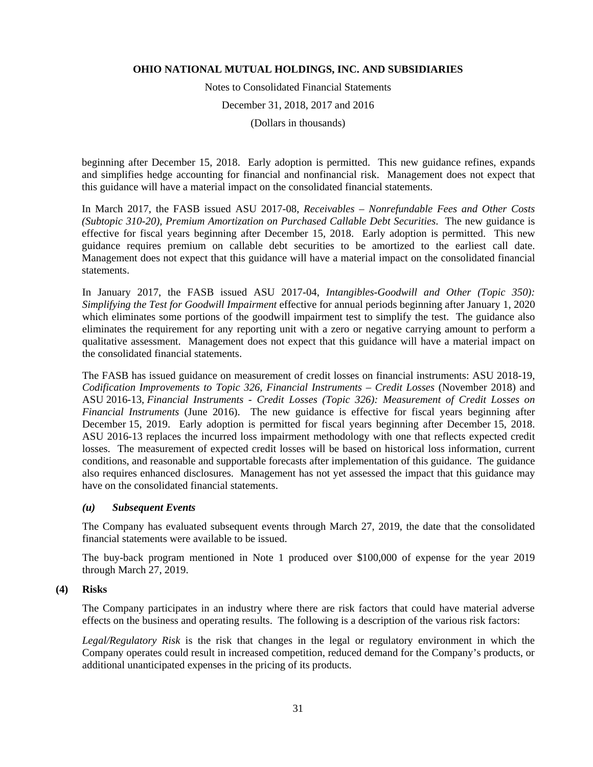Notes to Consolidated Financial Statements

December 31, 2018, 2017 and 2016

(Dollars in thousands)

beginning after December 15, 2018. Early adoption is permitted. This new guidance refines, expands and simplifies hedge accounting for financial and nonfinancial risk. Management does not expect that this guidance will have a material impact on the consolidated financial statements.

In March 2017, the FASB issued ASU 2017-08, *Receivables – Nonrefundable Fees and Other Costs (Subtopic 310-20), Premium Amortization on Purchased Callable Debt Securities*. The new guidance is effective for fiscal years beginning after December 15, 2018. Early adoption is permitted. This new guidance requires premium on callable debt securities to be amortized to the earliest call date. Management does not expect that this guidance will have a material impact on the consolidated financial statements.

In January 2017, the FASB issued ASU 2017-04, *Intangibles-Goodwill and Other (Topic 350): Simplifying the Test for Goodwill Impairment* effective for annual periods beginning after January 1, 2020 which eliminates some portions of the goodwill impairment test to simplify the test. The guidance also eliminates the requirement for any reporting unit with a zero or negative carrying amount to perform a qualitative assessment. Management does not expect that this guidance will have a material impact on the consolidated financial statements.

The FASB has issued guidance on measurement of credit losses on financial instruments: ASU 2018-19, *Codification Improvements to Topic 326, Financial Instruments – Credit Losses* (November 2018) and ASU 2016-13, *Financial Instruments - Credit Losses (Topic 326): Measurement of Credit Losses on Financial Instruments* (June 2016). The new guidance is effective for fiscal years beginning after December 15, 2019. Early adoption is permitted for fiscal years beginning after December 15, 2018. ASU 2016-13 replaces the incurred loss impairment methodology with one that reflects expected credit losses. The measurement of expected credit losses will be based on historical loss information, current conditions, and reasonable and supportable forecasts after implementation of this guidance. The guidance also requires enhanced disclosures. Management has not yet assessed the impact that this guidance may have on the consolidated financial statements.

#### *(u) Subsequent Events*

The Company has evaluated subsequent events through March 27, 2019, the date that the consolidated financial statements were available to be issued.

The buy-back program mentioned in Note 1 produced over \$100,000 of expense for the year 2019 through March 27, 2019.

#### **(4) Risks**

The Company participates in an industry where there are risk factors that could have material adverse effects on the business and operating results. The following is a description of the various risk factors:

*Legal/Regulatory Risk* is the risk that changes in the legal or regulatory environment in which the Company operates could result in increased competition, reduced demand for the Company's products, or additional unanticipated expenses in the pricing of its products.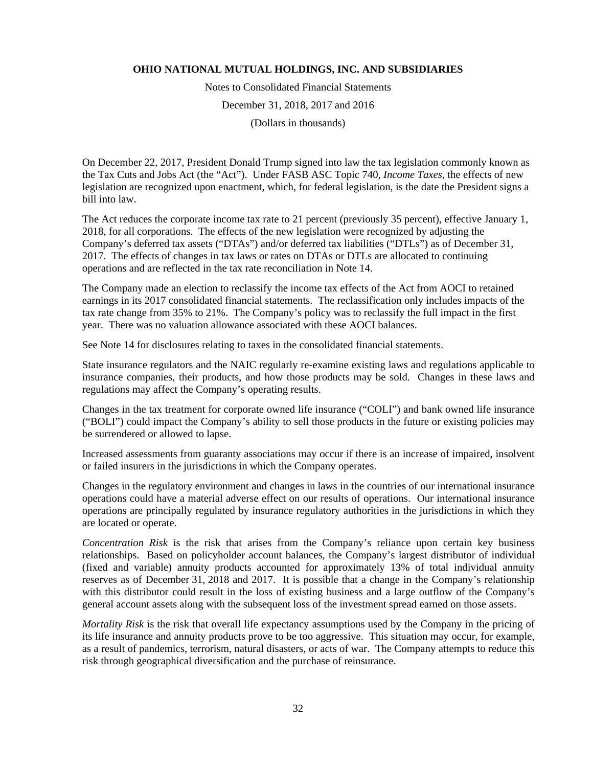Notes to Consolidated Financial Statements

December 31, 2018, 2017 and 2016

(Dollars in thousands)

On December 22, 2017, President Donald Trump signed into law the tax legislation commonly known as the Tax Cuts and Jobs Act (the "Act"). Under FASB ASC Topic 740, *Income Taxes*, the effects of new legislation are recognized upon enactment, which, for federal legislation, is the date the President signs a bill into law.

The Act reduces the corporate income tax rate to 21 percent (previously 35 percent), effective January 1, 2018, for all corporations. The effects of the new legislation were recognized by adjusting the Company's deferred tax assets ("DTAs") and/or deferred tax liabilities ("DTLs") as of December 31, 2017. The effects of changes in tax laws or rates on DTAs or DTLs are allocated to continuing operations and are reflected in the tax rate reconciliation in Note 14.

The Company made an election to reclassify the income tax effects of the Act from AOCI to retained earnings in its 2017 consolidated financial statements. The reclassification only includes impacts of the tax rate change from 35% to 21%. The Company's policy was to reclassify the full impact in the first year. There was no valuation allowance associated with these AOCI balances.

See Note 14 for disclosures relating to taxes in the consolidated financial statements.

State insurance regulators and the NAIC regularly re-examine existing laws and regulations applicable to insurance companies, their products, and how those products may be sold. Changes in these laws and regulations may affect the Company's operating results.

Changes in the tax treatment for corporate owned life insurance ("COLI") and bank owned life insurance ("BOLI") could impact the Company's ability to sell those products in the future or existing policies may be surrendered or allowed to lapse.

Increased assessments from guaranty associations may occur if there is an increase of impaired, insolvent or failed insurers in the jurisdictions in which the Company operates.

Changes in the regulatory environment and changes in laws in the countries of our international insurance operations could have a material adverse effect on our results of operations. Our international insurance operations are principally regulated by insurance regulatory authorities in the jurisdictions in which they are located or operate.

*Concentration Risk* is the risk that arises from the Company's reliance upon certain key business relationships. Based on policyholder account balances, the Company's largest distributor of individual (fixed and variable) annuity products accounted for approximately 13% of total individual annuity reserves as of December 31, 2018 and 2017. It is possible that a change in the Company's relationship with this distributor could result in the loss of existing business and a large outflow of the Company's general account assets along with the subsequent loss of the investment spread earned on those assets.

*Mortality Risk* is the risk that overall life expectancy assumptions used by the Company in the pricing of its life insurance and annuity products prove to be too aggressive. This situation may occur, for example, as a result of pandemics, terrorism, natural disasters, or acts of war. The Company attempts to reduce this risk through geographical diversification and the purchase of reinsurance.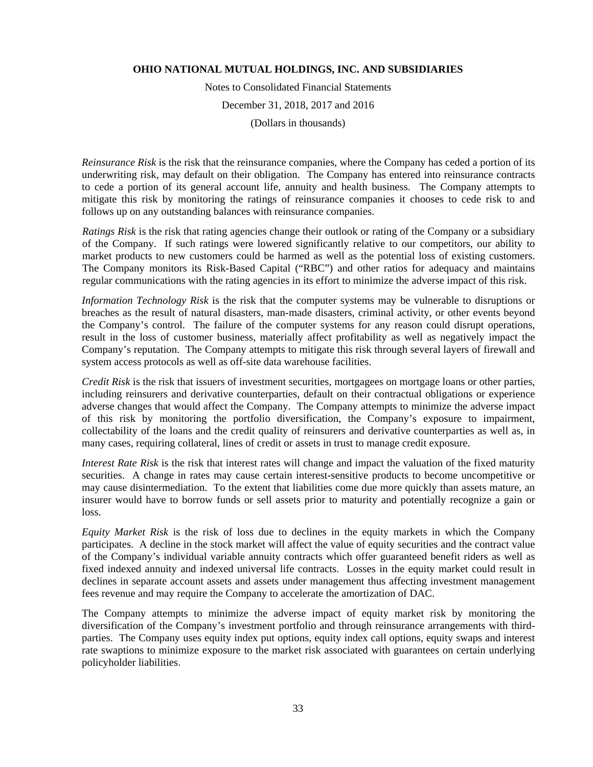Notes to Consolidated Financial Statements

December 31, 2018, 2017 and 2016

(Dollars in thousands)

*Reinsurance Risk* is the risk that the reinsurance companies, where the Company has ceded a portion of its underwriting risk, may default on their obligation. The Company has entered into reinsurance contracts to cede a portion of its general account life, annuity and health business. The Company attempts to mitigate this risk by monitoring the ratings of reinsurance companies it chooses to cede risk to and follows up on any outstanding balances with reinsurance companies.

*Ratings Risk* is the risk that rating agencies change their outlook or rating of the Company or a subsidiary of the Company. If such ratings were lowered significantly relative to our competitors, our ability to market products to new customers could be harmed as well as the potential loss of existing customers. The Company monitors its Risk-Based Capital ("RBC") and other ratios for adequacy and maintains regular communications with the rating agencies in its effort to minimize the adverse impact of this risk.

*Information Technology Risk* is the risk that the computer systems may be vulnerable to disruptions or breaches as the result of natural disasters, man-made disasters, criminal activity, or other events beyond the Company's control. The failure of the computer systems for any reason could disrupt operations, result in the loss of customer business, materially affect profitability as well as negatively impact the Company's reputation. The Company attempts to mitigate this risk through several layers of firewall and system access protocols as well as off-site data warehouse facilities.

*Credit Risk* is the risk that issuers of investment securities, mortgagees on mortgage loans or other parties, including reinsurers and derivative counterparties, default on their contractual obligations or experience adverse changes that would affect the Company. The Company attempts to minimize the adverse impact of this risk by monitoring the portfolio diversification, the Company's exposure to impairment, collectability of the loans and the credit quality of reinsurers and derivative counterparties as well as, in many cases, requiring collateral, lines of credit or assets in trust to manage credit exposure.

*Interest Rate Risk* is the risk that interest rates will change and impact the valuation of the fixed maturity securities. A change in rates may cause certain interest-sensitive products to become uncompetitive or may cause disintermediation. To the extent that liabilities come due more quickly than assets mature, an insurer would have to borrow funds or sell assets prior to maturity and potentially recognize a gain or loss.

*Equity Market Risk* is the risk of loss due to declines in the equity markets in which the Company participates. A decline in the stock market will affect the value of equity securities and the contract value of the Company's individual variable annuity contracts which offer guaranteed benefit riders as well as fixed indexed annuity and indexed universal life contracts. Losses in the equity market could result in declines in separate account assets and assets under management thus affecting investment management fees revenue and may require the Company to accelerate the amortization of DAC.

The Company attempts to minimize the adverse impact of equity market risk by monitoring the diversification of the Company's investment portfolio and through reinsurance arrangements with thirdparties. The Company uses equity index put options, equity index call options, equity swaps and interest rate swaptions to minimize exposure to the market risk associated with guarantees on certain underlying policyholder liabilities.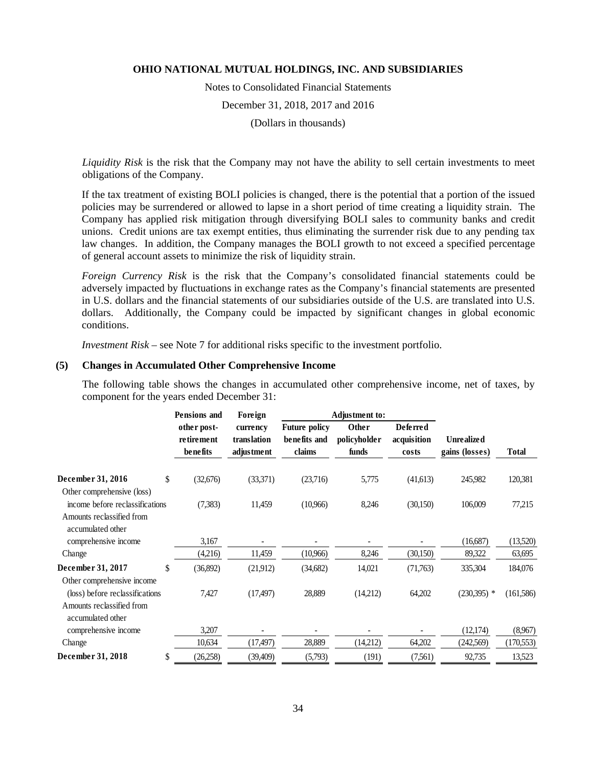Notes to Consolidated Financial Statements December 31, 2018, 2017 and 2016

(Dollars in thousands)

*Liquidity Risk* is the risk that the Company may not have the ability to sell certain investments to meet obligations of the Company.

If the tax treatment of existing BOLI policies is changed, there is the potential that a portion of the issued policies may be surrendered or allowed to lapse in a short period of time creating a liquidity strain. The Company has applied risk mitigation through diversifying BOLI sales to community banks and credit unions. Credit unions are tax exempt entities, thus eliminating the surrender risk due to any pending tax law changes. In addition, the Company manages the BOLI growth to not exceed a specified percentage of general account assets to minimize the risk of liquidity strain.

*Foreign Currency Risk* is the risk that the Company's consolidated financial statements could be adversely impacted by fluctuations in exchange rates as the Company's financial statements are presented in U.S. dollars and the financial statements of our subsidiaries outside of the U.S. are translated into U.S. dollars. Additionally, the Company could be impacted by significant changes in global economic conditions.

*Investment Risk* – see Note 7 for additional risks specific to the investment portfolio.

#### **(5) Changes in Accumulated Other Comprehensive Income**

The following table shows the changes in accumulated other comprehensive income, net of taxes, by component for the years ended December 31:

|                                                                                   | Pensions and                          | Foreign                               |                                                | <b>Adjustment to:</b>          |                                         |                                     |              |
|-----------------------------------------------------------------------------------|---------------------------------------|---------------------------------------|------------------------------------------------|--------------------------------|-----------------------------------------|-------------------------------------|--------------|
|                                                                                   | other post-<br>retirement<br>benefits | currency<br>translation<br>adjustment | <b>Future policy</b><br>benefits and<br>claims | Other<br>policyholder<br>funds | <b>Deferred</b><br>acquisition<br>costs | <b>Unrealized</b><br>gains (losses) | <b>Total</b> |
| December 31, 2016<br>\$<br>Other comprehensive (loss)                             | (32,676)                              | (33,371)                              | (23,716)                                       | 5,775                          | (41,613)                                | 245,982                             | 120,381      |
| income before reclassifications<br>Amounts reclassified from<br>accumulated other | (7,383)                               | 11,459                                | (10,966)                                       | 8,246                          | (30, 150)                               | 106,009                             | 77,215       |
| comprehensive income                                                              | 3,167                                 |                                       |                                                |                                |                                         | (16,687)                            | (13,520)     |
| Change                                                                            | (4,216)                               | 11,459                                | (10,966)                                       | 8,246                          | (30, 150)                               | 89,322                              | 63,695       |
| \$<br>December 31, 2017<br>Other comprehensive income                             | (36,892)                              | (21,912)                              | (34,682)                                       | 14,021                         | (71,763)                                | 335,304                             | 184,076      |
| (loss) before reclassifications<br>Amounts reclassified from<br>accumulated other | 7,427                                 | (17, 497)                             | 28,889                                         | (14,212)                       | 64,202                                  | $(230,395)$ *                       | (161, 586)   |
| comprehensive income                                                              | 3,207                                 |                                       |                                                |                                |                                         | (12,174)                            | (8,967)      |
| Change                                                                            | 10,634                                | (17, 497)                             | 28,889                                         | (14,212)                       | 64,202                                  | (242, 569)                          | (170, 553)   |
| December 31, 2018<br>\$                                                           | (26, 258)                             | (39, 409)                             | (5,793)                                        | (191)                          | (7,561)                                 | 92,735                              | 13,523       |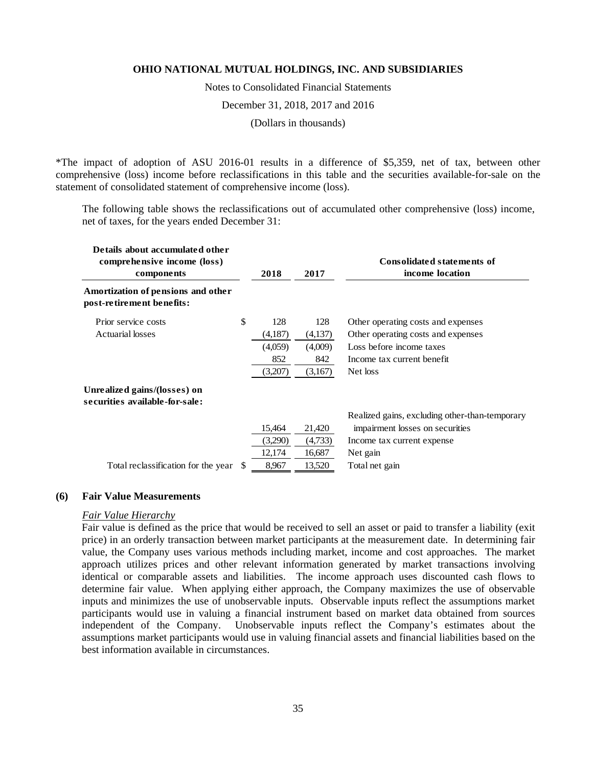Notes to Consolidated Financial Statements

December 31, 2018, 2017 and 2016

(Dollars in thousands)

\*The impact of adoption of ASU 2016-01 results in a difference of \$5,359, net of tax, between other comprehensive (loss) income before reclassifications in this table and the securities available-for-sale on the statement of consolidated statement of comprehensive income (loss).

The following table shows the reclassifications out of accumulated other comprehensive (loss) income, net of taxes, for the years ended December 31:

| Details about accumulated other<br>comprehensive income (loss)<br>components | 2018      | 2017    | <b>Consolidated statements of</b><br>income location |
|------------------------------------------------------------------------------|-----------|---------|------------------------------------------------------|
| Amortization of pensions and other<br>post-retirement benefits:              |           |         |                                                      |
| Prior service costs                                                          | \$<br>128 | 128     | Other operating costs and expenses                   |
| Actuarial losses                                                             | (4,187)   | (4,137) | Other operating costs and expenses                   |
|                                                                              | (4,059)   | (4,009) | Loss before income taxes                             |
|                                                                              | 852       | 842     | Income tax current benefit                           |
|                                                                              | (3,207)   | (3,167) | Net loss                                             |
| Unrealized gains/(losses) on<br>securities available-for-sale:               |           |         |                                                      |
|                                                                              |           |         | Realized gains, excluding other-than-temporary       |
|                                                                              | 15,464    | 21,420  | impairment losses on securities                      |
|                                                                              | (3,290)   | (4,733) | Income tax current expense                           |
|                                                                              | 12,174    | 16,687  | Net gain                                             |
| Total reclassification for the year                                          | 8,967     | 13,520  | Total net gain                                       |

#### **(6) Fair Value Measurements**

#### *Fair Value Hierarchy*

Fair value is defined as the price that would be received to sell an asset or paid to transfer a liability (exit price) in an orderly transaction between market participants at the measurement date. In determining fair value, the Company uses various methods including market, income and cost approaches. The market approach utilizes prices and other relevant information generated by market transactions involving identical or comparable assets and liabilities. The income approach uses discounted cash flows to determine fair value. When applying either approach, the Company maximizes the use of observable inputs and minimizes the use of unobservable inputs. Observable inputs reflect the assumptions market participants would use in valuing a financial instrument based on market data obtained from sources independent of the Company. Unobservable inputs reflect the Company's estimates about the assumptions market participants would use in valuing financial assets and financial liabilities based on the best information available in circumstances.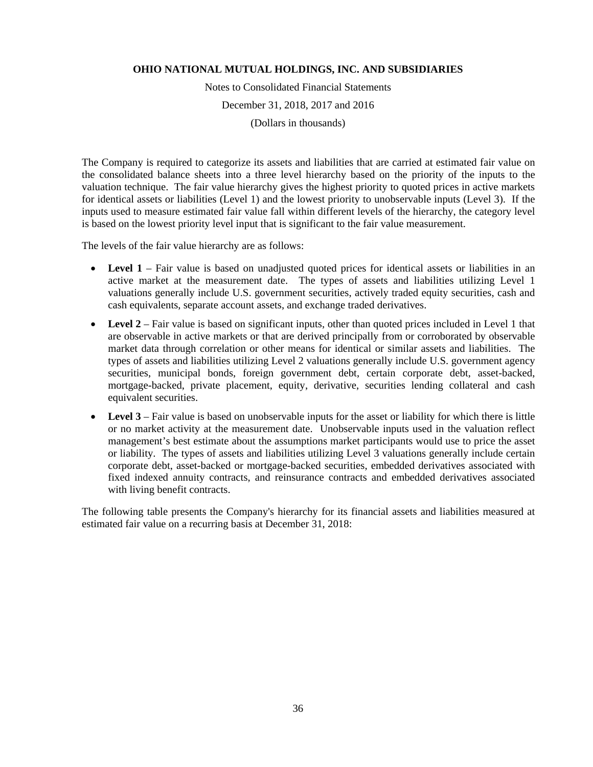Notes to Consolidated Financial Statements

December 31, 2018, 2017 and 2016

(Dollars in thousands)

The Company is required to categorize its assets and liabilities that are carried at estimated fair value on the consolidated balance sheets into a three level hierarchy based on the priority of the inputs to the valuation technique. The fair value hierarchy gives the highest priority to quoted prices in active markets for identical assets or liabilities (Level 1) and the lowest priority to unobservable inputs (Level 3). If the inputs used to measure estimated fair value fall within different levels of the hierarchy, the category level is based on the lowest priority level input that is significant to the fair value measurement.

The levels of the fair value hierarchy are as follows:

- **Level 1** Fair value is based on unadjusted quoted prices for identical assets or liabilities in an active market at the measurement date. The types of assets and liabilities utilizing Level 1 valuations generally include U.S. government securities, actively traded equity securities, cash and cash equivalents, separate account assets, and exchange traded derivatives.
- Level 2 Fair value is based on significant inputs, other than quoted prices included in Level 1 that are observable in active markets or that are derived principally from or corroborated by observable market data through correlation or other means for identical or similar assets and liabilities. The types of assets and liabilities utilizing Level 2 valuations generally include U.S. government agency securities, municipal bonds, foreign government debt, certain corporate debt, asset-backed, mortgage-backed, private placement, equity, derivative, securities lending collateral and cash equivalent securities.
- **Level 3** Fair value is based on unobservable inputs for the asset or liability for which there is little or no market activity at the measurement date. Unobservable inputs used in the valuation reflect management's best estimate about the assumptions market participants would use to price the asset or liability. The types of assets and liabilities utilizing Level 3 valuations generally include certain corporate debt, asset-backed or mortgage-backed securities, embedded derivatives associated with fixed indexed annuity contracts, and reinsurance contracts and embedded derivatives associated with living benefit contracts.

The following table presents the Company's hierarchy for its financial assets and liabilities measured at estimated fair value on a recurring basis at December 31, 2018: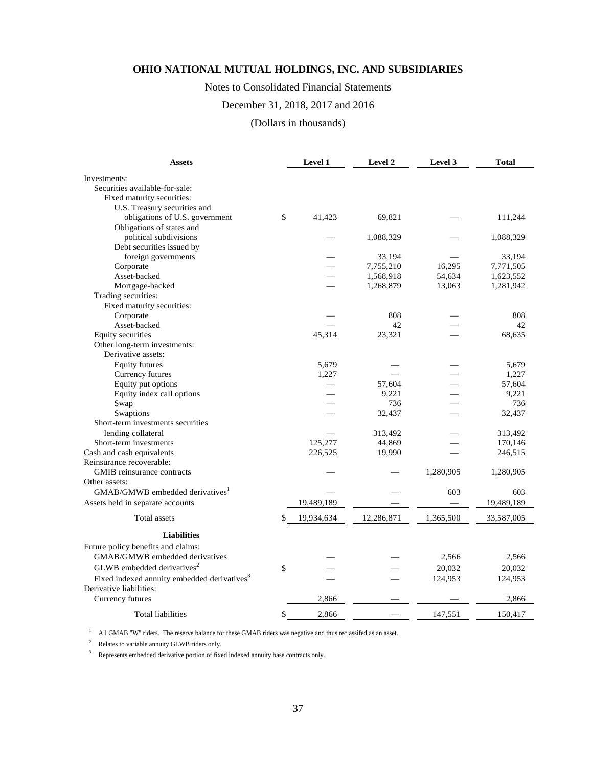Notes to Consolidated Financial Statements

December 31, 2018, 2017 and 2016

(Dollars in thousands)

| <b>Assets</b>                                           | Level 1          | Level 2    | Level 3   | <b>Total</b> |
|---------------------------------------------------------|------------------|------------|-----------|--------------|
| Investments:                                            |                  |            |           |              |
| Securities available-for-sale:                          |                  |            |           |              |
| Fixed maturity securities:                              |                  |            |           |              |
| U.S. Treasury securities and                            |                  |            |           |              |
| obligations of U.S. government                          | \$<br>41,423     | 69,821     |           | 111,244      |
| Obligations of states and                               |                  |            |           |              |
| political subdivisions                                  |                  | 1,088,329  |           | 1,088,329    |
| Debt securities issued by                               |                  |            |           |              |
| foreign governments                                     |                  | 33,194     |           | 33,194       |
| Corporate                                               |                  | 7,755,210  | 16,295    | 7,771,505    |
| Asset-backed                                            |                  | 1,568,918  | 54,634    | 1,623,552    |
| Mortgage-backed                                         |                  | 1,268,879  | 13,063    | 1,281,942    |
| Trading securities:                                     |                  |            |           |              |
| Fixed maturity securities:                              |                  |            |           |              |
| Corporate                                               |                  | 808        |           | 808          |
| Asset-backed                                            |                  | 42         |           | 42           |
| Equity securities                                       | 45,314           | 23,321     |           | 68,635       |
| Other long-term investments:                            |                  |            |           |              |
| Derivative assets:                                      |                  |            |           |              |
| <b>Equity futures</b>                                   | 5,679            |            |           | 5,679        |
| Currency futures                                        | 1,227            |            |           | 1,227        |
| Equity put options                                      |                  | 57,604     |           | 57,604       |
| Equity index call options                               |                  | 9,221      |           | 9,221        |
| Swap                                                    |                  | 736        |           | 736          |
| Swaptions                                               |                  | 32,437     |           | 32,437       |
| Short-term investments securities                       |                  |            |           |              |
| lending collateral                                      |                  | 313,492    |           | 313,492      |
| Short-term investments                                  | 125,277          | 44,869     |           | 170,146      |
| Cash and cash equivalents                               | 226,525          | 19,990     |           | 246,515      |
| Reinsurance recoverable:                                |                  |            |           |              |
| <b>GMIB</b> reinsurance contracts                       |                  |            | 1,280,905 | 1,280,905    |
| Other assets:                                           |                  |            |           |              |
| GMAB/GMWB embedded derivatives <sup>1</sup>             |                  |            | 603       | 603          |
| Assets held in separate accounts                        | 19,489,189       |            |           | 19,489,189   |
|                                                         |                  |            |           |              |
| Total assets                                            | \$<br>19,934,634 | 12,286,871 | 1,365,500 | 33,587,005   |
| <b>Liabilities</b>                                      |                  |            |           |              |
| Future policy benefits and claims:                      |                  |            |           |              |
| GMAB/GMWB embedded derivatives                          |                  |            | 2,566     | 2,566        |
| GLWB embedded derivatives <sup>2</sup>                  | \$               |            | 20,032    | 20,032       |
| Fixed indexed annuity embedded derivatives <sup>3</sup> |                  |            | 124,953   | 124,953      |
| Derivative liabilities:                                 |                  |            |           |              |
| Currency futures                                        | 2.866            |            |           | 2,866        |
| Total liabilities                                       | \$<br>2,866      |            | 147,551   | 150,417      |
|                                                         |                  |            |           |              |

<sup>1</sup> All GMAB "W" riders. The reserve balance for these GMAB riders was negative and thus reclassifed as an asset.

<sup>2</sup> Relates to variable annuity GLWB riders only.

 $^3$  Represents embedded derivative portion of fixed indexed annuity base contracts only.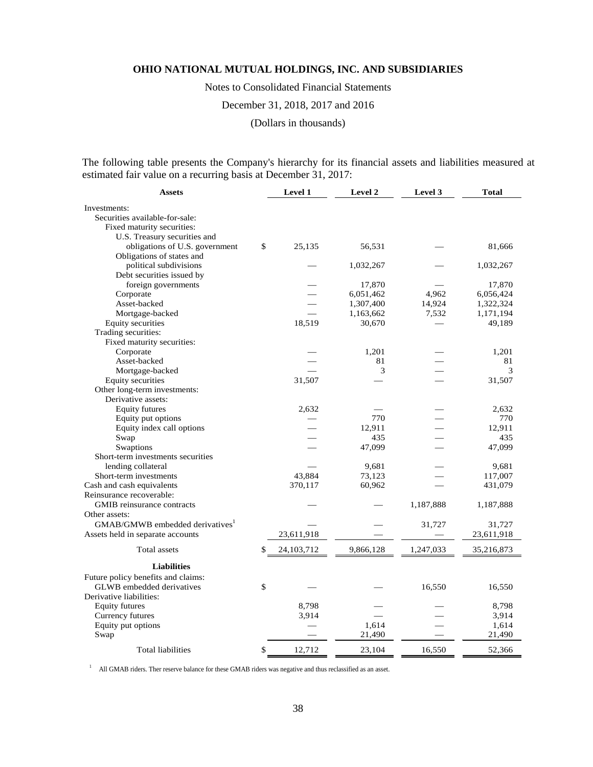Notes to Consolidated Financial Statements

December 31, 2018, 2017 and 2016

(Dollars in thousands)

The following table presents the Company's hierarchy for its financial assets and liabilities measured at estimated fair value on a recurring basis at December 31, 2017:

| <b>Assets</b>                               | Level 1            | Level 2   | Level 3   | <b>Total</b> |
|---------------------------------------------|--------------------|-----------|-----------|--------------|
| Investments:                                |                    |           |           |              |
| Securities available-for-sale:              |                    |           |           |              |
| Fixed maturity securities:                  |                    |           |           |              |
| U.S. Treasury securities and                |                    |           |           |              |
| obligations of U.S. government              | \$<br>25,135       | 56,531    |           | 81,666       |
| Obligations of states and                   |                    |           |           |              |
| political subdivisions                      |                    | 1,032,267 |           | 1,032,267    |
| Debt securities issued by                   |                    |           |           |              |
| foreign governments                         |                    | 17,870    |           | 17,870       |
| Corporate                                   |                    | 6,051,462 | 4,962     | 6,056,424    |
| Asset-backed                                |                    | 1,307,400 | 14,924    | 1,322,324    |
| Mortgage-backed                             |                    | 1,163,662 | 7,532     | 1,171,194    |
| Equity securities                           | 18,519             | 30,670    |           | 49,189       |
| Trading securities:                         |                    |           |           |              |
| Fixed maturity securities:                  |                    |           |           |              |
| Corporate                                   |                    | 1,201     |           | 1,201        |
| Asset-backed                                |                    | 81        |           | 81           |
|                                             |                    |           |           | 3            |
| Mortgage-backed                             |                    | 3         |           |              |
| Equity securities                           | 31,507             |           |           | 31,507       |
| Other long-term investments:                |                    |           |           |              |
| Derivative assets:                          |                    |           |           |              |
| <b>Equity futures</b>                       | 2,632              |           |           | 2,632        |
| Equity put options                          |                    | 770       |           | 770          |
| Equity index call options                   |                    | 12,911    |           | 12,911       |
| Swap                                        |                    | 435       |           | 435          |
| Swaptions                                   |                    | 47,099    |           | 47,099       |
| Short-term investments securities           |                    |           |           |              |
| lending collateral                          |                    | 9,681     |           | 9,681        |
| Short-term investments                      | 43,884             | 73,123    |           | 117,007      |
| Cash and cash equivalents                   | 370,117            | 60,962    |           | 431,079      |
| Reinsurance recoverable:                    |                    |           |           |              |
| GMIB reinsurance contracts                  |                    |           | 1,187,888 | 1,187,888    |
| Other assets:                               |                    |           |           |              |
| GMAB/GMWB embedded derivatives <sup>1</sup> |                    |           | 31,727    | 31,727       |
| Assets held in separate accounts            | 23,611,918         |           |           | 23,611,918   |
| Total assets                                | \$<br>24, 103, 712 | 9,866,128 | 1,247,033 | 35,216,873   |
| <b>Liabilities</b>                          |                    |           |           |              |
| Future policy benefits and claims:          |                    |           |           |              |
| GLWB embedded derivatives                   | \$                 |           | 16,550    | 16,550       |
| Derivative liabilities:                     |                    |           |           |              |
| <b>Equity futures</b>                       | 8,798              |           |           | 8,798        |
| Currency futures                            | 3,914              |           |           | 3,914        |
| Equity put options                          |                    | 1,614     |           | 1,614        |
| Swap                                        |                    | 21,490    |           | 21,490       |
|                                             |                    |           |           |              |
| <b>Total liabilities</b>                    | \$<br>12,712       | 23,104    | 16,550    | 52,366       |

<sup>1</sup> All GMAB riders. Ther reserve balance for these GMAB riders was negative and thus reclassified as an asset.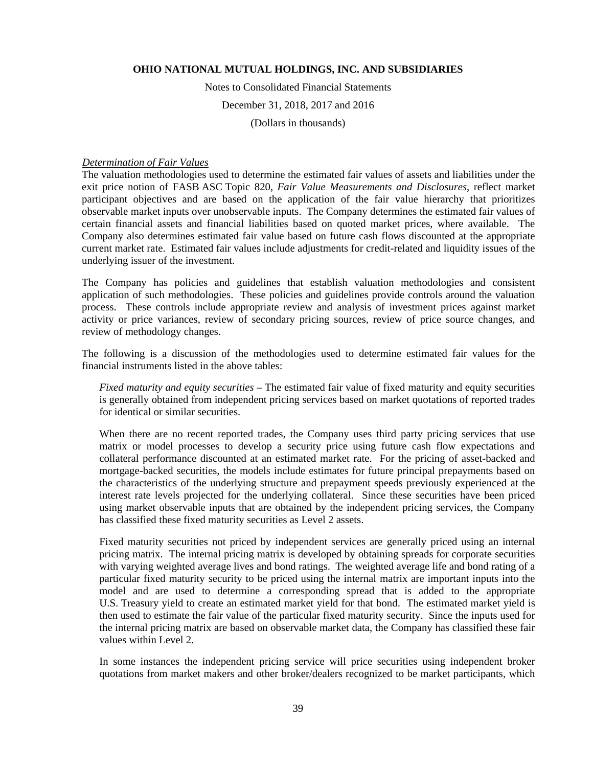#### Notes to Consolidated Financial Statements

#### December 31, 2018, 2017 and 2016

(Dollars in thousands)

#### *Determination of Fair Values*

The valuation methodologies used to determine the estimated fair values of assets and liabilities under the exit price notion of FASB ASC Topic 820, *Fair Value Measurements and Disclosures*, reflect market participant objectives and are based on the application of the fair value hierarchy that prioritizes observable market inputs over unobservable inputs. The Company determines the estimated fair values of certain financial assets and financial liabilities based on quoted market prices, where available. The Company also determines estimated fair value based on future cash flows discounted at the appropriate current market rate. Estimated fair values include adjustments for credit-related and liquidity issues of the underlying issuer of the investment.

The Company has policies and guidelines that establish valuation methodologies and consistent application of such methodologies. These policies and guidelines provide controls around the valuation process. These controls include appropriate review and analysis of investment prices against market activity or price variances, review of secondary pricing sources, review of price source changes, and review of methodology changes.

The following is a discussion of the methodologies used to determine estimated fair values for the financial instruments listed in the above tables:

*Fixed maturity and equity securities –* The estimated fair value of fixed maturity and equity securities is generally obtained from independent pricing services based on market quotations of reported trades for identical or similar securities.

When there are no recent reported trades, the Company uses third party pricing services that use matrix or model processes to develop a security price using future cash flow expectations and collateral performance discounted at an estimated market rate. For the pricing of asset-backed and mortgage-backed securities, the models include estimates for future principal prepayments based on the characteristics of the underlying structure and prepayment speeds previously experienced at the interest rate levels projected for the underlying collateral. Since these securities have been priced using market observable inputs that are obtained by the independent pricing services, the Company has classified these fixed maturity securities as Level 2 assets.

Fixed maturity securities not priced by independent services are generally priced using an internal pricing matrix. The internal pricing matrix is developed by obtaining spreads for corporate securities with varying weighted average lives and bond ratings. The weighted average life and bond rating of a particular fixed maturity security to be priced using the internal matrix are important inputs into the model and are used to determine a corresponding spread that is added to the appropriate U.S. Treasury yield to create an estimated market yield for that bond. The estimated market yield is then used to estimate the fair value of the particular fixed maturity security. Since the inputs used for the internal pricing matrix are based on observable market data, the Company has classified these fair values within Level 2.

In some instances the independent pricing service will price securities using independent broker quotations from market makers and other broker/dealers recognized to be market participants, which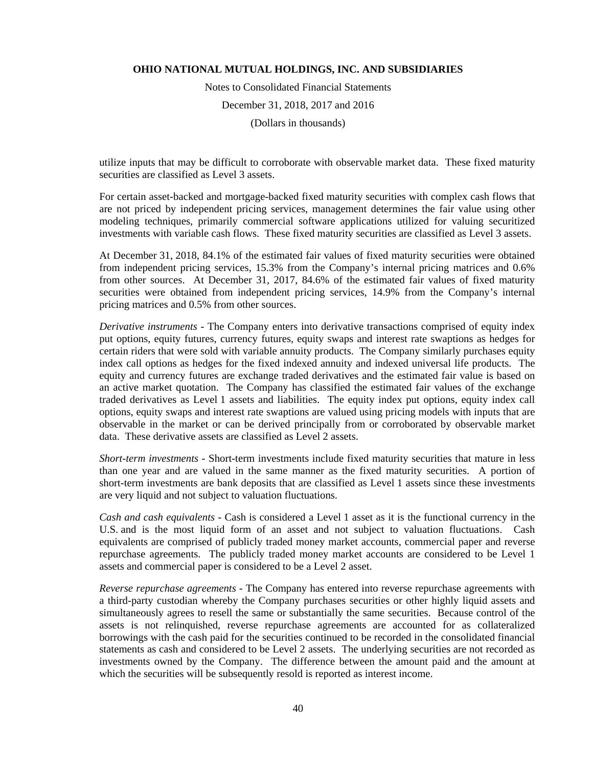Notes to Consolidated Financial Statements December 31, 2018, 2017 and 2016 (Dollars in thousands)

utilize inputs that may be difficult to corroborate with observable market data. These fixed maturity

securities are classified as Level 3 assets.

For certain asset-backed and mortgage-backed fixed maturity securities with complex cash flows that are not priced by independent pricing services, management determines the fair value using other modeling techniques, primarily commercial software applications utilized for valuing securitized investments with variable cash flows. These fixed maturity securities are classified as Level 3 assets.

At December 31, 2018, 84.1% of the estimated fair values of fixed maturity securities were obtained from independent pricing services, 15.3% from the Company's internal pricing matrices and 0.6% from other sources. At December 31, 2017, 84.6% of the estimated fair values of fixed maturity securities were obtained from independent pricing services, 14.9% from the Company's internal pricing matrices and 0.5% from other sources.

*Derivative instruments -* The Company enters into derivative transactions comprised of equity index put options, equity futures, currency futures, equity swaps and interest rate swaptions as hedges for certain riders that were sold with variable annuity products. The Company similarly purchases equity index call options as hedges for the fixed indexed annuity and indexed universal life products. The equity and currency futures are exchange traded derivatives and the estimated fair value is based on an active market quotation. The Company has classified the estimated fair values of the exchange traded derivatives as Level 1 assets and liabilities. The equity index put options, equity index call options, equity swaps and interest rate swaptions are valued using pricing models with inputs that are observable in the market or can be derived principally from or corroborated by observable market data. These derivative assets are classified as Level 2 assets.

*Short-term investments -* Short-term investments include fixed maturity securities that mature in less than one year and are valued in the same manner as the fixed maturity securities. A portion of short-term investments are bank deposits that are classified as Level 1 assets since these investments are very liquid and not subject to valuation fluctuations.

*Cash and cash equivalents* - Cash is considered a Level 1 asset as it is the functional currency in the U.S. and is the most liquid form of an asset and not subject to valuation fluctuations. Cash equivalents are comprised of publicly traded money market accounts, commercial paper and reverse repurchase agreements. The publicly traded money market accounts are considered to be Level 1 assets and commercial paper is considered to be a Level 2 asset.

*Reverse repurchase agreements* - The Company has entered into reverse repurchase agreements with a third-party custodian whereby the Company purchases securities or other highly liquid assets and simultaneously agrees to resell the same or substantially the same securities. Because control of the assets is not relinquished, reverse repurchase agreements are accounted for as collateralized borrowings with the cash paid for the securities continued to be recorded in the consolidated financial statements as cash and considered to be Level 2 assets. The underlying securities are not recorded as investments owned by the Company. The difference between the amount paid and the amount at which the securities will be subsequently resold is reported as interest income.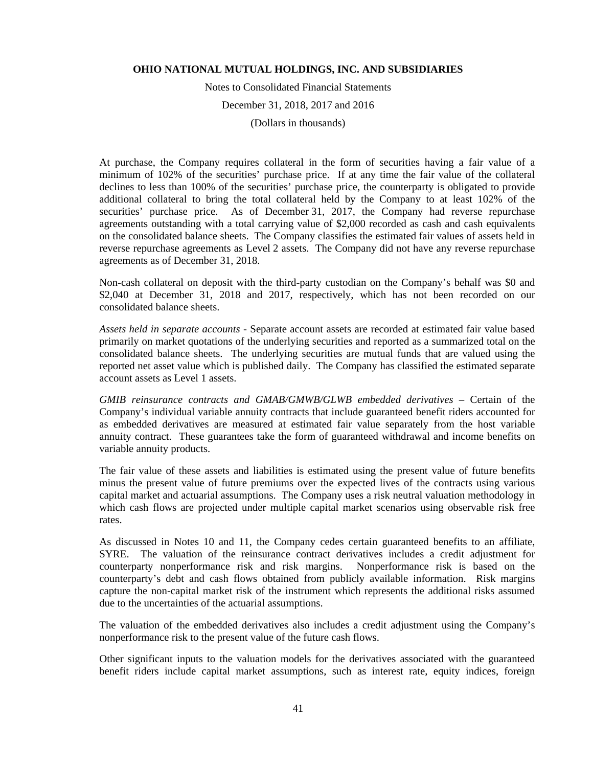Notes to Consolidated Financial Statements

December 31, 2018, 2017 and 2016

(Dollars in thousands)

At purchase, the Company requires collateral in the form of securities having a fair value of a minimum of 102% of the securities' purchase price. If at any time the fair value of the collateral declines to less than 100% of the securities' purchase price, the counterparty is obligated to provide additional collateral to bring the total collateral held by the Company to at least 102% of the securities' purchase price. As of December 31, 2017, the Company had reverse repurchase agreements outstanding with a total carrying value of \$2,000 recorded as cash and cash equivalents on the consolidated balance sheets. The Company classifies the estimated fair values of assets held in reverse repurchase agreements as Level 2 assets. The Company did not have any reverse repurchase agreements as of December 31, 2018.

Non-cash collateral on deposit with the third-party custodian on the Company's behalf was \$0 and \$2,040 at December 31, 2018 and 2017, respectively, which has not been recorded on our consolidated balance sheets.

*Assets held in separate accounts -* Separate account assets are recorded at estimated fair value based primarily on market quotations of the underlying securities and reported as a summarized total on the consolidated balance sheets. The underlying securities are mutual funds that are valued using the reported net asset value which is published daily. The Company has classified the estimated separate account assets as Level 1 assets.

GMIB reinsurance contracts and GMAB/GMWB/GLWB embedded derivatives – Certain of the Company's individual variable annuity contracts that include guaranteed benefit riders accounted for as embedded derivatives are measured at estimated fair value separately from the host variable annuity contract. These guarantees take the form of guaranteed withdrawal and income benefits on variable annuity products.

The fair value of these assets and liabilities is estimated using the present value of future benefits minus the present value of future premiums over the expected lives of the contracts using various capital market and actuarial assumptions. The Company uses a risk neutral valuation methodology in which cash flows are projected under multiple capital market scenarios using observable risk free rates.

As discussed in Notes 10 and 11, the Company cedes certain guaranteed benefits to an affiliate, SYRE. The valuation of the reinsurance contract derivatives includes a credit adjustment for counterparty nonperformance risk and risk margins. Nonperformance risk is based on the counterparty's debt and cash flows obtained from publicly available information. Risk margins capture the non-capital market risk of the instrument which represents the additional risks assumed due to the uncertainties of the actuarial assumptions.

The valuation of the embedded derivatives also includes a credit adjustment using the Company's nonperformance risk to the present value of the future cash flows.

Other significant inputs to the valuation models for the derivatives associated with the guaranteed benefit riders include capital market assumptions, such as interest rate, equity indices, foreign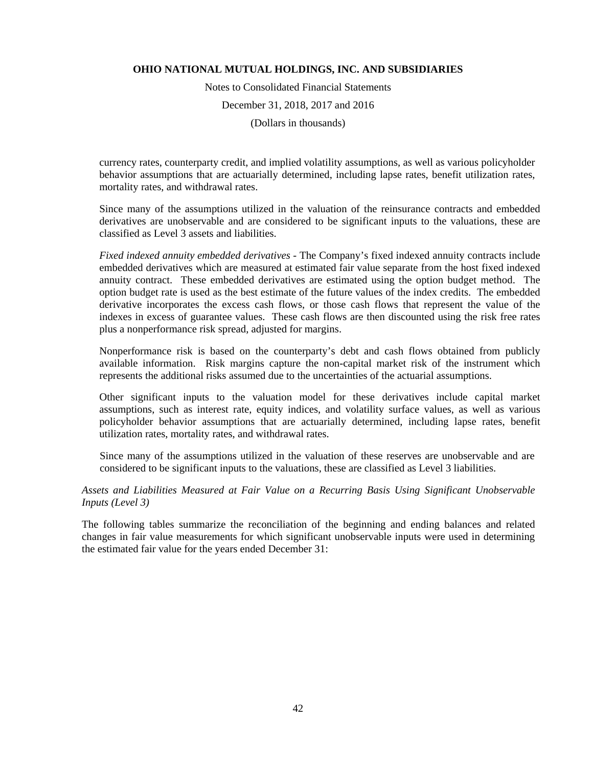Notes to Consolidated Financial Statements December 31, 2018, 2017 and 2016

(Dollars in thousands)

currency rates, counterparty credit, and implied volatility assumptions, as well as various policyholder behavior assumptions that are actuarially determined, including lapse rates, benefit utilization rates, mortality rates, and withdrawal rates.

Since many of the assumptions utilized in the valuation of the reinsurance contracts and embedded derivatives are unobservable and are considered to be significant inputs to the valuations, these are classified as Level 3 assets and liabilities.

*Fixed indexed annuity embedded derivatives* - The Company's fixed indexed annuity contracts include embedded derivatives which are measured at estimated fair value separate from the host fixed indexed annuity contract. These embedded derivatives are estimated using the option budget method. The option budget rate is used as the best estimate of the future values of the index credits. The embedded derivative incorporates the excess cash flows, or those cash flows that represent the value of the indexes in excess of guarantee values. These cash flows are then discounted using the risk free rates plus a nonperformance risk spread, adjusted for margins.

Nonperformance risk is based on the counterparty's debt and cash flows obtained from publicly available information. Risk margins capture the non-capital market risk of the instrument which represents the additional risks assumed due to the uncertainties of the actuarial assumptions.

Other significant inputs to the valuation model for these derivatives include capital market assumptions, such as interest rate, equity indices, and volatility surface values, as well as various policyholder behavior assumptions that are actuarially determined, including lapse rates, benefit utilization rates, mortality rates, and withdrawal rates.

Since many of the assumptions utilized in the valuation of these reserves are unobservable and are considered to be significant inputs to the valuations, these are classified as Level 3 liabilities.

*Assets and Liabilities Measured at Fair Value on a Recurring Basis Using Significant Unobservable Inputs (Level 3)* 

The following tables summarize the reconciliation of the beginning and ending balances and related changes in fair value measurements for which significant unobservable inputs were used in determining the estimated fair value for the years ended December 31: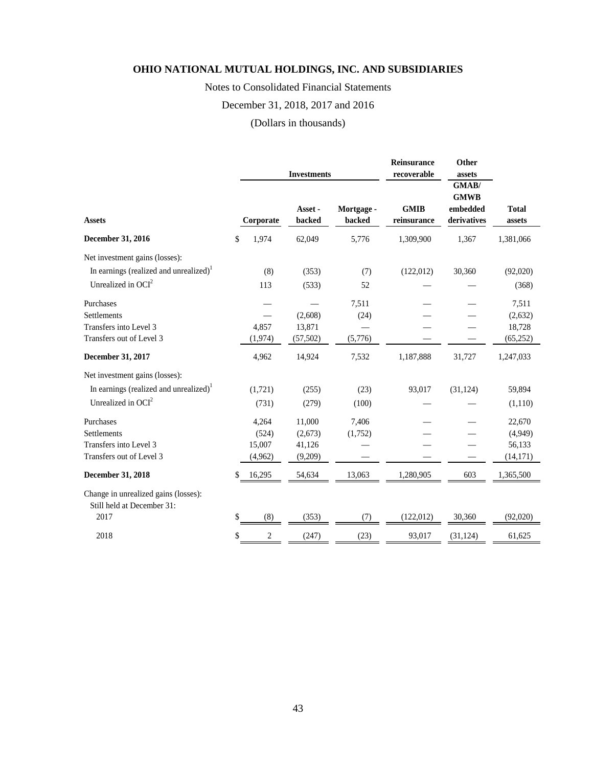Notes to Consolidated Financial Statements

December 31, 2018, 2017 and 2016

(Dollars in thousands)

|                                                                    |           | <b>Investments</b> |                      | Reinsurance<br>recoverable | Other<br>assets<br>GMAB/               |                        |
|--------------------------------------------------------------------|-----------|--------------------|----------------------|----------------------------|----------------------------------------|------------------------|
| <b>Assets</b>                                                      | Corporate | Asset -<br>backed  | Mortgage -<br>backed | <b>GMIB</b><br>reinsurance | <b>GMWB</b><br>embedded<br>derivatives | <b>Total</b><br>assets |
| December 31, 2016<br>\$                                            | 1,974     | 62,049             | 5,776                | 1,309,900                  | 1,367                                  | 1,381,066              |
| Net investment gains (losses):                                     |           |                    |                      |                            |                                        |                        |
| In earnings (realized and unrealized) <sup>1</sup>                 | (8)       | (353)              | (7)                  | (122, 012)                 | 30,360                                 | (92,020)               |
| Unrealized in $OCI2$                                               | 113       | (533)              | 52                   |                            |                                        | (368)                  |
| Purchases                                                          |           |                    | 7,511                |                            |                                        | 7,511                  |
| Settlements                                                        |           | (2,608)            | (24)                 |                            |                                        | (2,632)                |
| Transfers into Level 3                                             | 4,857     | 13,871             |                      |                            |                                        | 18,728                 |
| Transfers out of Level 3                                           | (1, 974)  | (57, 502)          | (5,776)              |                            |                                        | (65, 252)              |
| December 31, 2017                                                  | 4,962     | 14,924             | 7,532                | 1,187,888                  | 31,727                                 | 1,247,033              |
| Net investment gains (losses):                                     |           |                    |                      |                            |                                        |                        |
| In earnings (realized and unrealized) <sup>1</sup>                 | (1,721)   | (255)              | (23)                 | 93,017                     | (31, 124)                              | 59,894                 |
| Unrealized in $OCI2$                                               | (731)     | (279)              | (100)                |                            |                                        | (1,110)                |
| Purchases                                                          | 4,264     | 11,000             | 7,406                |                            |                                        | 22,670                 |
| Settlements                                                        | (524)     | (2,673)            | (1,752)              |                            |                                        | (4,949)                |
| Transfers into Level 3                                             | 15,007    | 41,126             |                      |                            |                                        | 56,133                 |
| Transfers out of Level 3                                           | (4,962)   | (9,209)            |                      |                            |                                        | (14, 171)              |
| December 31, 2018                                                  | 16,295    | 54,634             | 13,063               | 1,280,905                  | 603                                    | 1,365,500              |
| Change in unrealized gains (losses):<br>Still held at December 31: |           |                    |                      |                            |                                        |                        |
| 2017<br>\$                                                         | (8)       | (353)              | (7)                  | (122, 012)                 | 30,360                                 | (92,020)               |
| 2018<br>\$                                                         | 2         | (247)              | (23)                 | 93,017                     | (31, 124)                              | 61,625                 |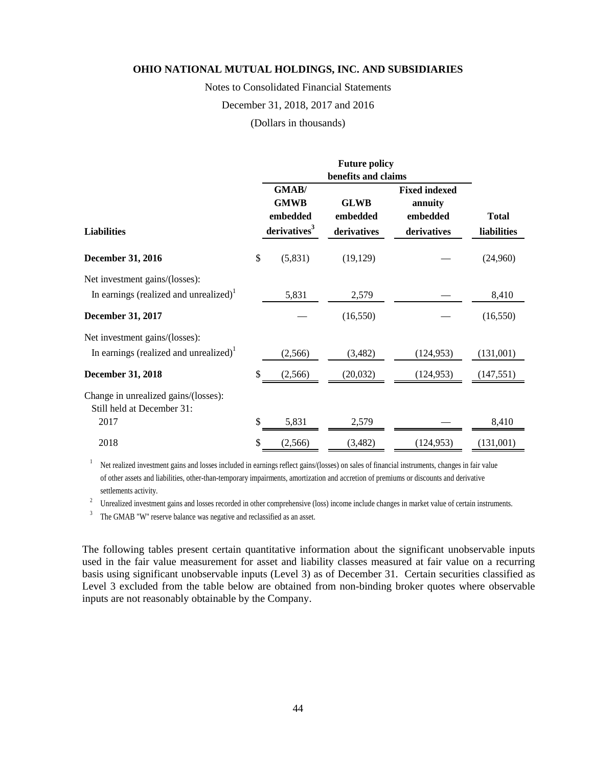Notes to Consolidated Financial Statements

December 31, 2018, 2017 and 2016

(Dollars in thousands)

|                                                                    |                                      | <b>Future policy</b>    |                                 |                             |
|--------------------------------------------------------------------|--------------------------------------|-------------------------|---------------------------------|-----------------------------|
|                                                                    |                                      | benefits and claims     |                                 |                             |
|                                                                    | GMAB/<br><b>GMWB</b>                 | <b>GLWB</b>             | <b>Fixed indexed</b><br>annuity |                             |
| <b>Liabilities</b>                                                 | embedded<br>derivatives <sup>3</sup> | embedded<br>derivatives | embedded<br>derivatives         | <b>Total</b><br>liabilities |
| <b>December 31, 2016</b>                                           | \$<br>(5,831)                        | (19, 129)               |                                 | (24,960)                    |
| Net investment gains/(losses):                                     |                                      |                         |                                 |                             |
| In earnings (realized and unrealized) <sup>1</sup>                 | 5,831                                | 2,579                   |                                 | 8,410                       |
| December 31, 2017                                                  |                                      | (16, 550)               |                                 | (16, 550)                   |
| Net investment gains/(losses):                                     |                                      |                         |                                 |                             |
| In earnings (realized and unrealized) <sup>1</sup>                 | (2,566)                              | (3,482)                 | (124, 953)                      | (131,001)                   |
| <b>December 31, 2018</b>                                           | \$<br>(2, 566)                       | (20,032)                | (124, 953)                      | (147, 551)                  |
| Change in unrealized gains/(losses):<br>Still held at December 31: |                                      |                         |                                 |                             |
| 2017                                                               | \$<br>5,831                          | 2,579                   |                                 | 8,410                       |
| 2018                                                               | \$<br>(2, 566)                       | (3,482)                 | (124, 953)                      | (131,001)                   |

<sup>1</sup> Net realized investment gains and losses included in earnings reflect gains/(losses) on sales of financial instruments, changes in fair value of other assets and liabilities, other-than-temporary impairments, amortization and accretion of premiums or discounts and derivative

settlements activity. 2 Unrealized investment gains and losses recorded in other comprehensive (loss) income include changes in market value of certain instruments.

<sup>3</sup> The GMAB "W" reserve balance was negative and reclassified as an asset.

The following tables present certain quantitative information about the significant unobservable inputs used in the fair value measurement for asset and liability classes measured at fair value on a recurring basis using significant unobservable inputs (Level 3) as of December 31. Certain securities classified as Level 3 excluded from the table below are obtained from non-binding broker quotes where observable inputs are not reasonably obtainable by the Company.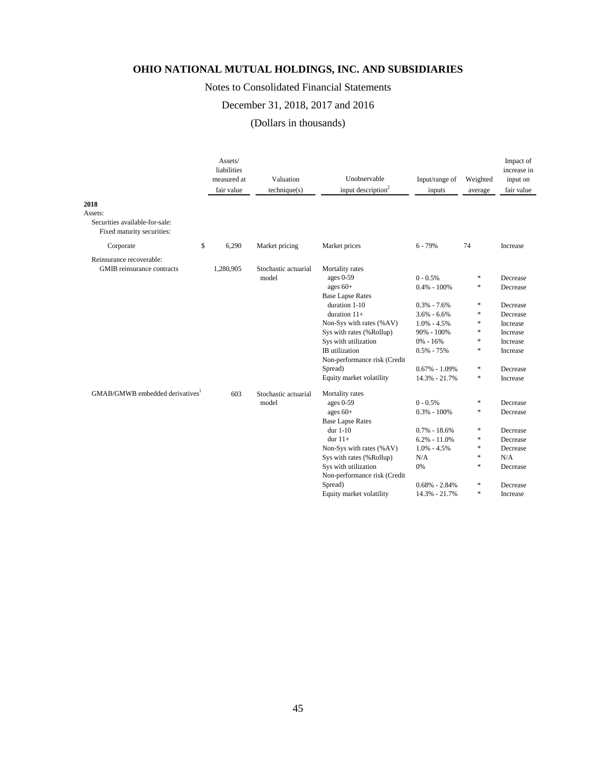# Notes to Consolidated Financial Statements

# December 31, 2018, 2017 and 2016

(Dollars in thousands)

|                                                                                 | Assets/<br>liabilities<br>measured at<br>fair value | Valuation<br>technique(s)     | Unobservable<br>input description <sup>2</sup>       | Input/range of<br>inputs | Weighted<br>average | Impact of<br>increase in<br>input on<br>fair value |
|---------------------------------------------------------------------------------|-----------------------------------------------------|-------------------------------|------------------------------------------------------|--------------------------|---------------------|----------------------------------------------------|
| 2018<br>Assets:<br>Securities available-for-sale:<br>Fixed maturity securities: |                                                     |                               |                                                      |                          |                     |                                                    |
| Corporate                                                                       | \$<br>6,290                                         | Market pricing                | Market prices                                        | $6 - 79%$                | 74                  | Increase                                           |
| Reinsurance recoverable:<br>GMIB reinsurance contracts                          | 1,280,905                                           | Stochastic actuarial<br>model | Mortality rates<br>ages $0-59$                       | $0 - 0.5%$               | *                   | Decrease                                           |
|                                                                                 |                                                     |                               | ages $60+$<br><b>Base Lapse Rates</b>                | $0.4\% - 100\%$          | *                   | Decrease                                           |
|                                                                                 |                                                     |                               | duration 1-10                                        | $0.3\% - 7.6\%$          | $\ast$              | Decrease                                           |
|                                                                                 |                                                     |                               | duration $11+$                                       | $3.6\% - 6.6\%$          | $\ast$              | Decrease                                           |
|                                                                                 |                                                     |                               | Non-Sys with rates (%AV)                             | $1.0\% - 4.5\%$          | $\ast$              | Increase                                           |
|                                                                                 |                                                     |                               | Sys with rates (%Rollup)                             | 90% - 100%               | *                   | Increase                                           |
|                                                                                 |                                                     |                               | Sys with utilization                                 | $0\% - 16\%$             | $\ast$              | Increase                                           |
|                                                                                 |                                                     |                               | IB utilization<br>Non-performance risk (Credit       | $0.5\% - 75\%$           | *                   | Increase                                           |
|                                                                                 |                                                     |                               | Spread)                                              | $0.67\% - 1.09\%$        | $\ast$              | Decrease                                           |
|                                                                                 |                                                     |                               | Equity market volatility                             | 14.3% - 21.7%            | *                   | Increase                                           |
| GMAB/GMWB embedded derivatives <sup>1</sup>                                     | 603                                                 | Stochastic actuarial          | Mortality rates                                      |                          |                     |                                                    |
|                                                                                 |                                                     | model                         | ages $0-59$                                          | $0 - 0.5%$               | *                   | Decrease                                           |
|                                                                                 |                                                     |                               | ages $60+$                                           | $0.3\% - 100\%$          | $\ast$              | Decrease                                           |
|                                                                                 |                                                     |                               | <b>Base Lapse Rates</b>                              |                          |                     |                                                    |
|                                                                                 |                                                     |                               | dur $1-10$                                           | $0.7\% - 18.6\%$         | $\ast$              | Decrease                                           |
|                                                                                 |                                                     |                               | dur $11+$                                            | $6.2\% - 11.0\%$         | $\ast$              | Decrease                                           |
|                                                                                 |                                                     |                               | Non-Sys with rates (%AV)                             | $1.0\% - 4.5\%$          | $\ast$              | Decrease                                           |
|                                                                                 |                                                     |                               | Sys with rates (%Rollup)                             | N/A                      | *                   | N/A                                                |
|                                                                                 |                                                     |                               | Sys with utilization<br>Non-performance risk (Credit | 0%                       | $\ast$              | Decrease                                           |
|                                                                                 |                                                     |                               | Spread)                                              | $0.68\% - 2.84\%$        | *                   | Decrease                                           |
|                                                                                 |                                                     |                               | Equity market volatility                             | 14.3% - 21.7%            | *                   | Increase                                           |
|                                                                                 |                                                     |                               |                                                      |                          |                     |                                                    |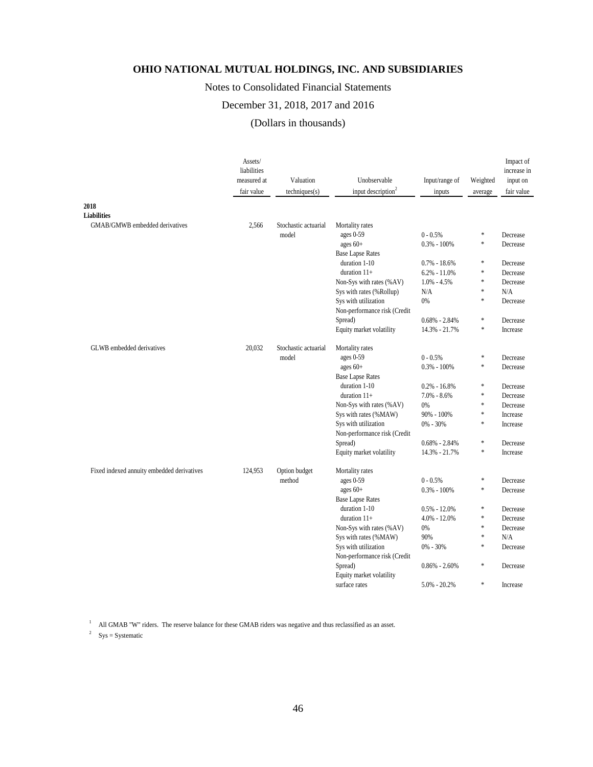# Notes to Consolidated Financial Statements

# December 31, 2018, 2017 and 2016

# (Dollars in thousands)

|                                            | Assets/<br>liabilities<br>measured at<br>fair value | Valuation<br>techniques(s) | Unobservable<br>input description <sup>2</sup> | Input/range of<br>inputs | Weighted<br>average | Impact of<br>increase in<br>input on<br>fair value |
|--------------------------------------------|-----------------------------------------------------|----------------------------|------------------------------------------------|--------------------------|---------------------|----------------------------------------------------|
| 2018                                       |                                                     |                            |                                                |                          |                     |                                                    |
| <b>Liabilities</b>                         |                                                     |                            |                                                |                          |                     |                                                    |
| GMAB/GMWB embedded derivatives             | 2,566                                               | Stochastic actuarial       | Mortality rates                                |                          |                     |                                                    |
|                                            |                                                     | model                      | ages 0-59                                      | $0 - 0.5%$               | $\ast$              | Decrease                                           |
|                                            |                                                     |                            | ages 60+                                       | $0.3\% - 100\%$          | *                   | Decrease                                           |
|                                            |                                                     |                            | <b>Base Lapse Rates</b>                        |                          |                     |                                                    |
|                                            |                                                     |                            | duration 1-10                                  | $0.7\% - 18.6\%$         | $\ast$              | Decrease                                           |
|                                            |                                                     |                            | duration 11+                                   | $6.2\% - 11.0\%$         | $\ast$              | Decrease                                           |
|                                            |                                                     |                            | Non-Sys with rates (%AV)                       | $1.0\% - 4.5\%$          | $\ast$              | Decrease                                           |
|                                            |                                                     |                            | Sys with rates (%Rollup)                       | N/A                      | $\ast$              | N/A                                                |
|                                            |                                                     |                            | Sys with utilization                           | 0%                       | $\ast$              | Decrease                                           |
|                                            |                                                     |                            | Non-performance risk (Credit                   |                          |                     |                                                    |
|                                            |                                                     |                            | Spread)                                        | $0.68\% - 2.84\%$        | *                   | Decrease                                           |
|                                            |                                                     |                            | Equity market volatility                       | 14.3% - 21.7%            | $\ast$              | Increase                                           |
| GLWB embedded derivatives                  | 20,032                                              | Stochastic actuarial       | Mortality rates                                |                          |                     |                                                    |
|                                            |                                                     | model                      | ages 0-59                                      | $0 - 0.5%$               | $\ast$              | Decrease                                           |
|                                            |                                                     |                            | ages 60+                                       | $0.3\% - 100\%$          | $\ast$              | Decrease                                           |
|                                            |                                                     |                            | <b>Base Lapse Rates</b>                        |                          |                     |                                                    |
|                                            |                                                     |                            | duration 1-10                                  | $0.2\% - 16.8\%$         | $\ast$              | Decrease                                           |
|                                            |                                                     |                            | duration $11+$                                 | $7.0\% - 8.6\%$          | $\ast$              | Decrease                                           |
|                                            |                                                     |                            | Non-Sys with rates (%AV)                       | 0%                       | ×                   | Decrease                                           |
|                                            |                                                     |                            | Sys with rates (%MAW)                          | 90% - 100%               | $\ast$              | Increase                                           |
|                                            |                                                     |                            | Sys with utilization                           | 0% - 30%                 | $\ast$              | Increase                                           |
|                                            |                                                     |                            | Non-performance risk (Credit                   |                          |                     |                                                    |
|                                            |                                                     |                            | Spread)                                        | $0.68\% - 2.84\%$        | $\ast$              | Decrease                                           |
|                                            |                                                     |                            | Equity market volatility                       | 14.3% - 21.7%            | $\ast$              | Increase                                           |
|                                            |                                                     |                            |                                                |                          |                     |                                                    |
| Fixed indexed annuity embedded derivatives | 124,953                                             | Option budget              | Mortality rates                                |                          |                     |                                                    |
|                                            |                                                     | method                     | ages 0-59                                      | $0 - 0.5%$               | $\ast$              | Decrease                                           |
|                                            |                                                     |                            | ages $60+$                                     | $0.3\% - 100\%$          | $\ast$              | Decrease                                           |
|                                            |                                                     |                            | <b>Base Lapse Rates</b>                        |                          |                     |                                                    |
|                                            |                                                     |                            | duration 1-10                                  | $0.5\% - 12.0\%$         | *                   | Decrease                                           |
|                                            |                                                     |                            | duration $11+$                                 | 4.0% - 12.0%             | $\ast$              | Decrease                                           |
|                                            |                                                     |                            | Non-Sys with rates (%AV)                       | 0%                       | $\ast$              | Decrease                                           |
|                                            |                                                     |                            | Sys with rates (%MAW)                          | 90%                      | $\ast$              | N/A                                                |
|                                            |                                                     |                            | Sys with utilization                           | $0\% - 30\%$             | $\ast$              | Decrease                                           |
|                                            |                                                     |                            | Non-performance risk (Credit                   |                          |                     |                                                    |
|                                            |                                                     |                            | Spread)                                        | $0.86\% - 2.60\%$        | $\ast$              | Decrease                                           |
|                                            |                                                     |                            | Equity market volatility                       |                          |                     |                                                    |
|                                            |                                                     |                            | surface rates                                  | $5.0\% - 20.2\%$         | $\ast$              | <b>Increase</b>                                    |

<sup>1</sup> All GMAB "W" riders. The reserve balance for these GMAB riders was negative and thus reclassified as an asset.

<sup>2</sup> Sys = Systematic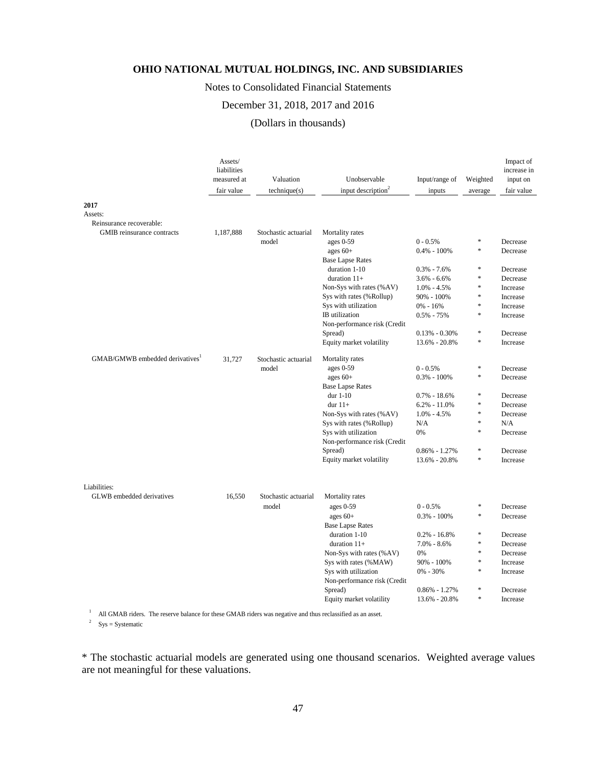# Notes to Consolidated Financial Statements

# December 31, 2018, 2017 and 2016

# (Dollars in thousands)

|                                             | Assets/<br>liabilities<br>measured at<br>fair value | Valuation<br>technique(s)     | Unobservable<br>input description <sup>2</sup>       | Input/range of<br>inputs | Weighted<br>average | Impact of<br>increase in<br>input on<br>fair value |
|---------------------------------------------|-----------------------------------------------------|-------------------------------|------------------------------------------------------|--------------------------|---------------------|----------------------------------------------------|
| 2017                                        |                                                     |                               |                                                      |                          |                     |                                                    |
| Assets:                                     |                                                     |                               |                                                      |                          |                     |                                                    |
| Reinsurance recoverable:                    |                                                     |                               |                                                      |                          |                     |                                                    |
| GMIB reinsurance contracts                  | 1,187,888                                           | Stochastic actuarial          | Mortality rates                                      |                          |                     |                                                    |
|                                             |                                                     | model                         | ages 0-59                                            | $0 - 0.5%$               | *                   | Decrease                                           |
|                                             |                                                     |                               | ages $60+$                                           | $0.4\% - 100\%$          | $\ast$              | Decrease                                           |
|                                             |                                                     |                               | <b>Base Lapse Rates</b>                              |                          |                     |                                                    |
|                                             |                                                     |                               | duration 1-10                                        | $0.3\% - 7.6\%$          | $\ast$              | Decrease                                           |
|                                             |                                                     |                               | duration $11+$                                       | $3.6\% - 6.6\%$          | *                   | Decrease                                           |
|                                             |                                                     |                               | Non-Sys with rates (%AV)                             | $1.0\% - 4.5\%$          | $\ast$              | Increase                                           |
|                                             |                                                     |                               | Sys with rates (%Rollup)                             | $90\% - 100\%$           | $\ast$              | Increase                                           |
|                                             |                                                     |                               | Sys with utilization                                 | $0\% - 16\%$             | $\ast$              | Increase                                           |
|                                             |                                                     |                               | IB utilization                                       | $0.5\% - 75\%$           | $\ast$              | Increase                                           |
|                                             |                                                     |                               | Non-performance risk (Credit                         |                          |                     |                                                    |
|                                             |                                                     |                               | Spread)                                              | $0.13\% - 0.30\%$        | $\ast$              | Decrease                                           |
|                                             |                                                     |                               | Equity market volatility                             | 13.6% - 20.8%            | $\ast$              | Increase                                           |
| GMAB/GMWB embedded derivatives <sup>1</sup> | 31,727                                              | Stochastic actuarial          | Mortality rates                                      |                          |                     |                                                    |
|                                             |                                                     | model                         | ages $0-59$                                          | $0 - 0.5%$               | $\ast$              | Decrease                                           |
|                                             |                                                     |                               | ages $60+$                                           | $0.3\% - 100\%$          | $\ast$              | Decrease                                           |
|                                             |                                                     |                               | <b>Base Lapse Rates</b>                              |                          |                     |                                                    |
|                                             |                                                     |                               | dur $1-10$                                           | $0.7\% - 18.6\%$         | *                   | Decrease                                           |
|                                             |                                                     |                               | dur $11+$                                            | $6.2\% - 11.0\%$         | *                   | Decrease                                           |
|                                             |                                                     |                               | Non-Sys with rates (%AV)                             | $1.0\% - 4.5\%$          | $\ast$              | Decrease                                           |
|                                             |                                                     |                               | Sys with rates (%Rollup)                             | N/A                      | $\ast$              | N/A                                                |
|                                             |                                                     |                               | Sys with utilization                                 | 0%                       | $\ast$              | Decrease                                           |
|                                             |                                                     |                               | Non-performance risk (Credit                         |                          |                     |                                                    |
|                                             |                                                     |                               | Spread)                                              | $0.86\% - 1.27\%$        | $\ast$              | Decrease                                           |
|                                             |                                                     |                               | Equity market volatility                             | 13.6% - 20.8%            | $\ast$              | Increase                                           |
| Liabilities:<br>GLWB embedded derivatives   | 16,550                                              | Stochastic actuarial<br>model | Mortality rates<br>ages $0-59$                       | $0 - 0.5%$               | $\ast$              | Decrease                                           |
|                                             |                                                     |                               | ages $60+$                                           | $0.3\% - 100\%$          | $\ast$              | Decrease                                           |
|                                             |                                                     |                               | <b>Base Lapse Rates</b>                              |                          |                     |                                                    |
|                                             |                                                     |                               | duration 1-10                                        | $0.2\% - 16.8\%$         | $\ast$              | Decrease                                           |
|                                             |                                                     |                               | duration $11+$                                       | $7.0\% - 8.6\%$          | ×                   | Decrease                                           |
|                                             |                                                     |                               | Non-Sys with rates (%AV)                             | 0%                       | $\ast$              | Decrease                                           |
|                                             |                                                     |                               | Sys with rates (%MAW)                                | $90\% - 100\%$           | $\ast$              | Increase                                           |
|                                             |                                                     |                               | Sys with utilization<br>Non-performance risk (Credit | $0\% - 30\%$             | $\ast$              | Increase                                           |
|                                             |                                                     |                               | Spread)                                              | $0.86\% - 1.27\%$        | *                   | Decrease                                           |
|                                             |                                                     |                               | Equity market volatility                             | 13.6% - 20.8%            | $\ast$              | Increase                                           |

<sup>1</sup> All GMAB riders. The reserve balance for these GMAB riders was negative and thus reclassified as an asset.

<sup>2</sup> Sys = Systematic

\* The stochastic actuarial models are generated using one thousand scenarios. Weighted average values are not meaningful for these valuations.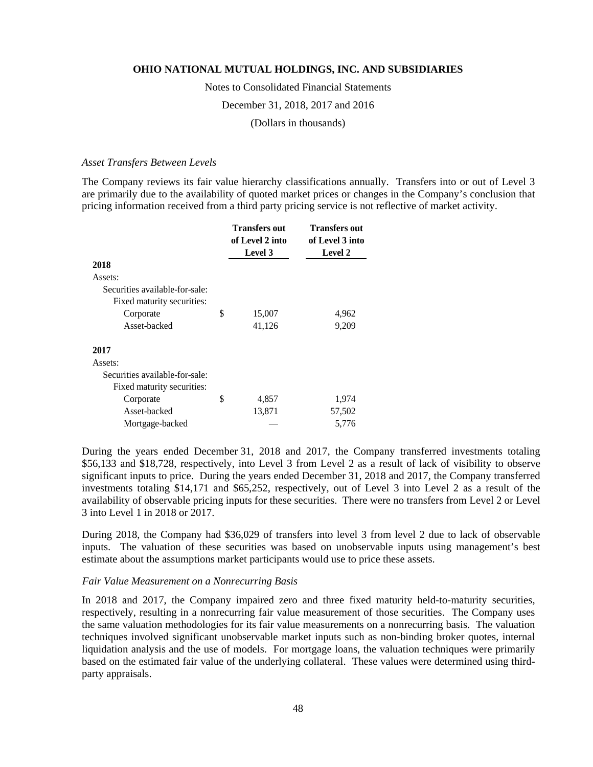Notes to Consolidated Financial Statements

December 31, 2018, 2017 and 2016

(Dollars in thousands)

#### *Asset Transfers Between Levels*

The Company reviews its fair value hierarchy classifications annually. Transfers into or out of Level 3 are primarily due to the availability of quoted market prices or changes in the Company's conclusion that pricing information received from a third party pricing service is not reflective of market activity.

|                                | <b>Transfers out</b> | <b>Transfers out</b> |
|--------------------------------|----------------------|----------------------|
|                                | of Level 2 into      | of Level 3 into      |
|                                | Level 3              | <b>Level 2</b>       |
| 2018                           |                      |                      |
| Assets:                        |                      |                      |
| Securities available-for-sale: |                      |                      |
| Fixed maturity securities:     |                      |                      |
| Corporate                      | \$<br>15,007         | 4,962                |
| Asset-backed                   | 41,126               | 9,209                |
| 2017                           |                      |                      |
| Assets:                        |                      |                      |
| Securities available-for-sale: |                      |                      |
| Fixed maturity securities:     |                      |                      |
| Corporate                      | \$<br>4,857          | 1,974                |
| Asset-backed                   | 13,871               | 57,502               |
| Mortgage-backed                |                      | 5,776                |

During the years ended December 31, 2018 and 2017, the Company transferred investments totaling \$56,133 and \$18,728, respectively, into Level 3 from Level 2 as a result of lack of visibility to observe significant inputs to price. During the years ended December 31, 2018 and 2017, the Company transferred investments totaling \$14,171 and \$65,252, respectively, out of Level 3 into Level 2 as a result of the availability of observable pricing inputs for these securities. There were no transfers from Level 2 or Level 3 into Level 1 in 2018 or 2017.

During 2018, the Company had \$36,029 of transfers into level 3 from level 2 due to lack of observable inputs. The valuation of these securities was based on unobservable inputs using management's best estimate about the assumptions market participants would use to price these assets.

#### *Fair Value Measurement on a Nonrecurring Basis*

In 2018 and 2017, the Company impaired zero and three fixed maturity held-to-maturity securities, respectively, resulting in a nonrecurring fair value measurement of those securities. The Company uses the same valuation methodologies for its fair value measurements on a nonrecurring basis. The valuation techniques involved significant unobservable market inputs such as non-binding broker quotes, internal liquidation analysis and the use of models. For mortgage loans, the valuation techniques were primarily based on the estimated fair value of the underlying collateral. These values were determined using thirdparty appraisals.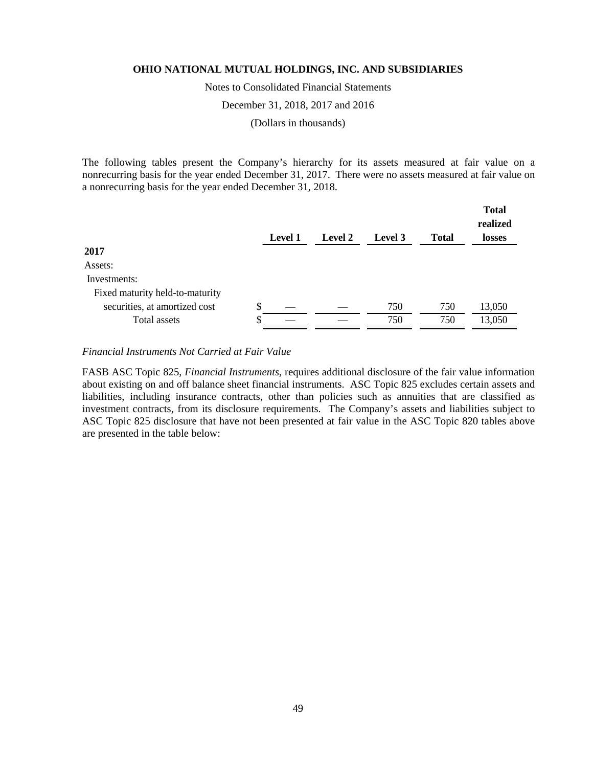Notes to Consolidated Financial Statements

December 31, 2018, 2017 and 2016

(Dollars in thousands)

The following tables present the Company's hierarchy for its assets measured at fair value on a nonrecurring basis for the year ended December 31, 2017. There were no assets measured at fair value on a nonrecurring basis for the year ended December 31, 2018.

|                                 | <b>Level 1</b> | Level 2 | Level 3 | <b>Total</b> | <b>Total</b><br>realized<br>losses |
|---------------------------------|----------------|---------|---------|--------------|------------------------------------|
| 2017                            |                |         |         |              |                                    |
| Assets:                         |                |         |         |              |                                    |
| Investments:                    |                |         |         |              |                                    |
| Fixed maturity held-to-maturity |                |         |         |              |                                    |
| securities, at amortized cost   | \$             |         | 750     | 750          | 13,050                             |
| Total assets                    | \$             |         | 750     | 750          | 13,050                             |
|                                 |                |         |         |              |                                    |

*Financial Instruments Not Carried at Fair Value* 

FASB ASC Topic 825, *Financial Instruments,* requires additional disclosure of the fair value information about existing on and off balance sheet financial instruments. ASC Topic 825 excludes certain assets and liabilities, including insurance contracts, other than policies such as annuities that are classified as investment contracts, from its disclosure requirements. The Company's assets and liabilities subject to ASC Topic 825 disclosure that have not been presented at fair value in the ASC Topic 820 tables above are presented in the table below: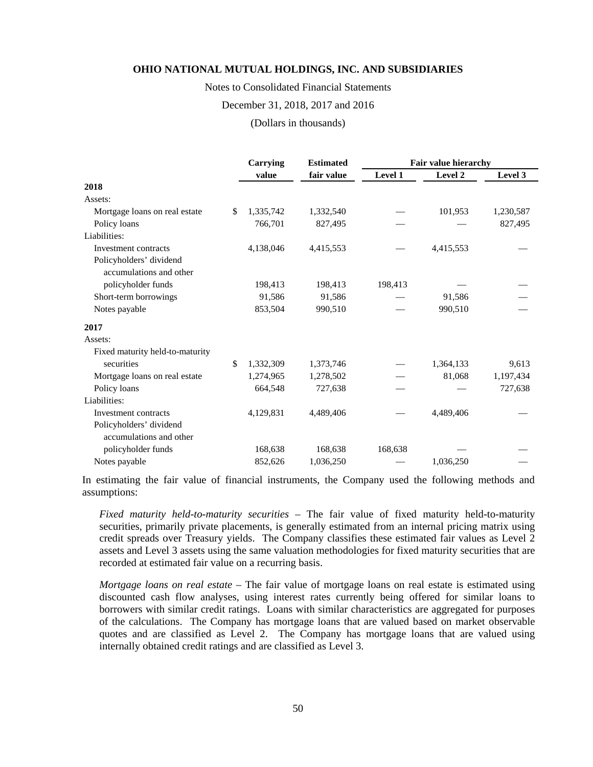Notes to Consolidated Financial Statements

December 31, 2018, 2017 and 2016

(Dollars in thousands)

|                                 |     | <b>Carrying</b> | <b>Estimated</b> | Fair value hierarchy |           |           |  |
|---------------------------------|-----|-----------------|------------------|----------------------|-----------|-----------|--|
|                                 |     | value           | fair value       | Level 1              | Level 2   | Level 3   |  |
| 2018                            |     |                 |                  |                      |           |           |  |
| Assets:                         |     |                 |                  |                      |           |           |  |
| Mortgage loans on real estate   | \$. | 1,335,742       | 1,332,540        |                      | 101,953   | 1,230,587 |  |
| Policy loans                    |     | 766,701         | 827,495          |                      |           | 827,495   |  |
| Liabilities:                    |     |                 |                  |                      |           |           |  |
| Investment contracts            |     | 4,138,046       | 4,415,553        |                      | 4,415,553 |           |  |
| Policyholders' dividend         |     |                 |                  |                      |           |           |  |
| accumulations and other         |     |                 |                  |                      |           |           |  |
| policyholder funds              |     | 198,413         | 198,413          | 198,413              |           |           |  |
| Short-term borrowings           |     | 91,586          | 91,586           |                      | 91,586    |           |  |
| Notes payable                   |     | 853,504         | 990,510          |                      | 990,510   |           |  |
| 2017                            |     |                 |                  |                      |           |           |  |
| Assets:                         |     |                 |                  |                      |           |           |  |
| Fixed maturity held-to-maturity |     |                 |                  |                      |           |           |  |
| securities                      | \$  | 1,332,309       | 1,373,746        |                      | 1,364,133 | 9,613     |  |
| Mortgage loans on real estate   |     | 1,274,965       | 1,278,502        |                      | 81,068    | 1,197,434 |  |
| Policy loans                    |     | 664,548         | 727,638          |                      |           | 727,638   |  |
| Liabilities:                    |     |                 |                  |                      |           |           |  |
| Investment contracts            |     | 4,129,831       | 4,489,406        |                      | 4,489,406 |           |  |
| Policyholders' dividend         |     |                 |                  |                      |           |           |  |
| accumulations and other         |     |                 |                  |                      |           |           |  |
| policyholder funds              |     | 168,638         | 168,638          | 168,638              |           |           |  |
| Notes payable                   |     | 852,626         | 1,036,250        |                      | 1,036,250 |           |  |

In estimating the fair value of financial instruments, the Company used the following methods and assumptions:

*Fixed maturity held-to-maturity securities* – The fair value of fixed maturity held-to-maturity securities, primarily private placements, is generally estimated from an internal pricing matrix using credit spreads over Treasury yields. The Company classifies these estimated fair values as Level 2 assets and Level 3 assets using the same valuation methodologies for fixed maturity securities that are recorded at estimated fair value on a recurring basis.

*Mortgage loans on real estate* – The fair value of mortgage loans on real estate is estimated using discounted cash flow analyses, using interest rates currently being offered for similar loans to borrowers with similar credit ratings. Loans with similar characteristics are aggregated for purposes of the calculations. The Company has mortgage loans that are valued based on market observable quotes and are classified as Level 2. The Company has mortgage loans that are valued using internally obtained credit ratings and are classified as Level 3.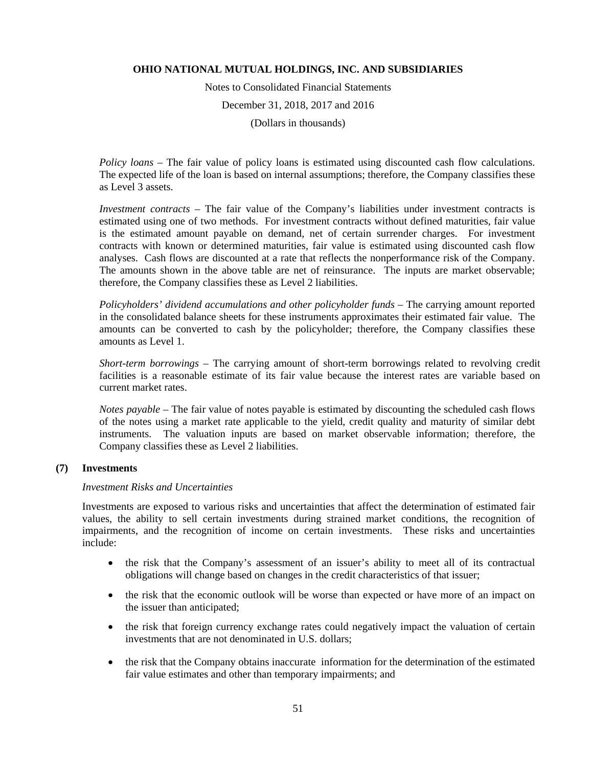Notes to Consolidated Financial Statements

December 31, 2018, 2017 and 2016

(Dollars in thousands)

*Policy loans* – The fair value of policy loans is estimated using discounted cash flow calculations. The expected life of the loan is based on internal assumptions; therefore, the Company classifies these as Level 3 assets.

*Investment contracts* – The fair value of the Company's liabilities under investment contracts is estimated using one of two methods. For investment contracts without defined maturities, fair value is the estimated amount payable on demand, net of certain surrender charges. For investment contracts with known or determined maturities, fair value is estimated using discounted cash flow analyses. Cash flows are discounted at a rate that reflects the nonperformance risk of the Company. The amounts shown in the above table are net of reinsurance. The inputs are market observable; therefore, the Company classifies these as Level 2 liabilities.

*Policyholders' dividend accumulations and other policyholder funds* – The carrying amount reported in the consolidated balance sheets for these instruments approximates their estimated fair value. The amounts can be converted to cash by the policyholder; therefore, the Company classifies these amounts as Level 1.

*Short-term borrowings* – The carrying amount of short-term borrowings related to revolving credit facilities is a reasonable estimate of its fair value because the interest rates are variable based on current market rates.

*Notes payable –* The fair value of notes payable is estimated by discounting the scheduled cash flows of the notes using a market rate applicable to the yield, credit quality and maturity of similar debt instruments. The valuation inputs are based on market observable information; therefore, the Company classifies these as Level 2 liabilities.

## **(7) Investments**

### *Investment Risks and Uncertainties*

Investments are exposed to various risks and uncertainties that affect the determination of estimated fair values, the ability to sell certain investments during strained market conditions, the recognition of impairments, and the recognition of income on certain investments. These risks and uncertainties include:

- the risk that the Company's assessment of an issuer's ability to meet all of its contractual obligations will change based on changes in the credit characteristics of that issuer;
- the risk that the economic outlook will be worse than expected or have more of an impact on the issuer than anticipated;
- the risk that foreign currency exchange rates could negatively impact the valuation of certain investments that are not denominated in U.S. dollars;
- the risk that the Company obtains inaccurate information for the determination of the estimated fair value estimates and other than temporary impairments; and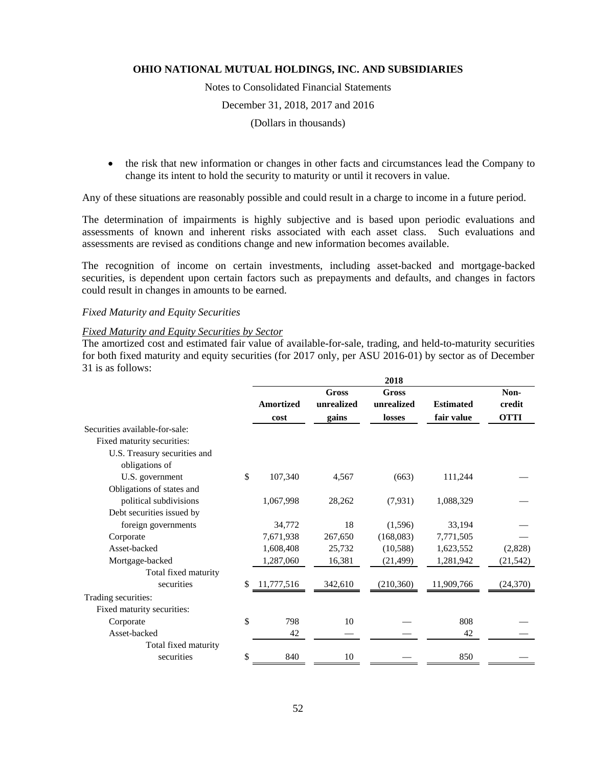Notes to Consolidated Financial Statements

December 31, 2018, 2017 and 2016

(Dollars in thousands)

 the risk that new information or changes in other facts and circumstances lead the Company to change its intent to hold the security to maturity or until it recovers in value.

Any of these situations are reasonably possible and could result in a charge to income in a future period.

The determination of impairments is highly subjective and is based upon periodic evaluations and assessments of known and inherent risks associated with each asset class. Such evaluations and assessments are revised as conditions change and new information becomes available.

The recognition of income on certain investments, including asset-backed and mortgage-backed securities, is dependent upon certain factors such as prepayments and defaults, and changes in factors could result in changes in amounts to be earned.

#### *Fixed Maturity and Equity Securities*

# *Fixed Maturity and Equity Securities by Sector*

The amortized cost and estimated fair value of available-for-sale, trading, and held-to-maturity securities for both fixed maturity and equity securities (for 2017 only, per ASU 2016-01) by sector as of December 31 is as follows:

|                                |              |                  |                            | 2018                       |                  |                |
|--------------------------------|--------------|------------------|----------------------------|----------------------------|------------------|----------------|
|                                |              | <b>Amortized</b> | <b>Gross</b><br>unrealized | <b>Gross</b><br>unrealized | <b>Estimated</b> | Non-<br>credit |
|                                |              | cost             | gains                      | losses                     | fair value       | <b>OTTI</b>    |
| Securities available-for-sale: |              |                  |                            |                            |                  |                |
| Fixed maturity securities:     |              |                  |                            |                            |                  |                |
| U.S. Treasury securities and   |              |                  |                            |                            |                  |                |
| obligations of                 |              |                  |                            |                            |                  |                |
| U.S. government                | $\mathbb{S}$ | 107,340          | 4,567                      | (663)                      | 111,244          |                |
| Obligations of states and      |              |                  |                            |                            |                  |                |
| political subdivisions         |              | 1,067,998        | 28,262                     | (7,931)                    | 1,088,329        |                |
| Debt securities issued by      |              |                  |                            |                            |                  |                |
| foreign governments            |              | 34,772           | 18                         | (1,596)                    | 33,194           |                |
| Corporate                      |              | 7,671,938        | 267,650                    | (168,083)                  | 7,771,505        |                |
| Asset-backed                   |              | 1,608,408        | 25,732                     | (10,588)                   | 1,623,552        | (2,828)        |
| Mortgage-backed                |              | 1,287,060        | 16,381                     | (21, 499)                  | 1,281,942        | (21, 542)      |
| Total fixed maturity           |              |                  |                            |                            |                  |                |
| securities                     | S.           | 11,777,516       | 342,610                    | (210, 360)                 | 11,909,766       | (24,370)       |
| Trading securities:            |              |                  |                            |                            |                  |                |
| Fixed maturity securities:     |              |                  |                            |                            |                  |                |
| Corporate                      | \$           | 798              | 10                         |                            | 808              |                |
| Asset-backed                   |              | 42               |                            |                            | 42               |                |
| Total fixed maturity           |              |                  |                            |                            |                  |                |
| securities                     | \$           | 840              | 10                         |                            | 850              |                |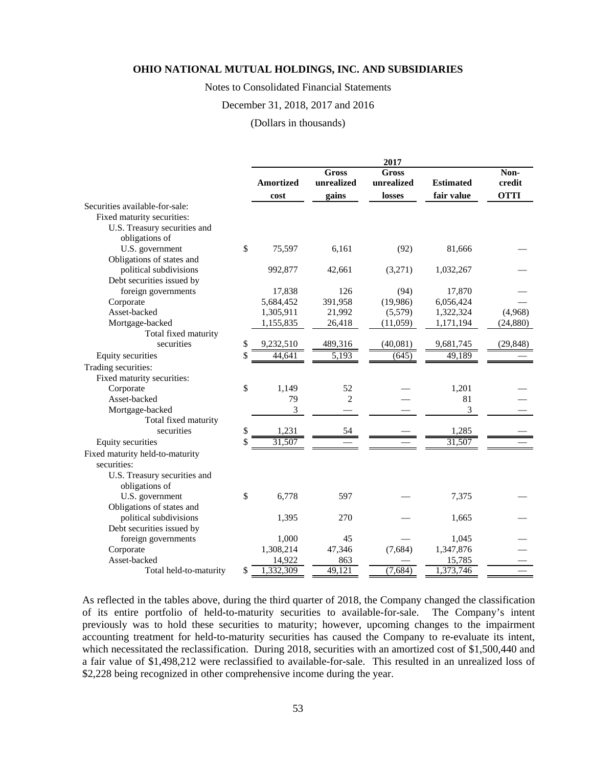# Notes to Consolidated Financial Statements

#### December 31, 2018, 2017 and 2016

(Dollars in thousands)

|                                    |                  |                            | 2017                       |                  |                |
|------------------------------------|------------------|----------------------------|----------------------------|------------------|----------------|
|                                    | <b>Amortized</b> | <b>Gross</b><br>unrealized | <b>Gross</b><br>unrealized | <b>Estimated</b> | Non-<br>credit |
|                                    | cost             | gains                      | losses                     | fair value       | <b>OTTI</b>    |
| Securities available-for-sale:     |                  |                            |                            |                  |                |
| Fixed maturity securities:         |                  |                            |                            |                  |                |
| U.S. Treasury securities and       |                  |                            |                            |                  |                |
| obligations of                     |                  |                            |                            |                  |                |
| U.S. government                    | \$<br>75,597     | 6,161                      | (92)                       | 81,666           |                |
| Obligations of states and          |                  |                            |                            |                  |                |
| political subdivisions             | 992,877          | 42,661                     | (3,271)                    | 1,032,267        |                |
| Debt securities issued by          |                  |                            |                            |                  |                |
| foreign governments                | 17,838           | 126                        | (94)                       | 17,870           |                |
| Corporate                          | 5,684,452        | 391,958                    | (19,986)                   | 6,056,424        |                |
| Asset-backed                       | 1,305,911        | 21,992                     | (5,579)                    | 1,322,324        | (4,968)        |
| Mortgage-backed                    | 1,155,835        | 26,418                     | (11,059)                   | 1,171,194        | (24, 880)      |
| Total fixed maturity<br>securities | \$               |                            |                            |                  |                |
|                                    | 9,232,510        | 489,316                    | (40,081)                   | 9,681,745        | (29, 848)      |
| Equity securities                  | \$<br>44,641     | 5,193                      | (645)                      | 49,189           |                |
| Trading securities:                |                  |                            |                            |                  |                |
| Fixed maturity securities:         |                  |                            |                            |                  |                |
| Corporate                          | \$<br>1.149      | 52                         |                            | 1,201            |                |
| Asset-backed                       | 79               | $\overline{c}$             |                            | 81               |                |
| Mortgage-backed                    | 3                |                            |                            | 3                |                |
| Total fixed maturity<br>securities | \$               |                            |                            |                  |                |
|                                    | 1,231            | 54                         |                            | 1,285            |                |
| Equity securities                  | 31,507           |                            |                            | 31,507           |                |
| Fixed maturity held-to-maturity    |                  |                            |                            |                  |                |
| securities:                        |                  |                            |                            |                  |                |
| U.S. Treasury securities and       |                  |                            |                            |                  |                |
| obligations of                     |                  |                            |                            |                  |                |
| U.S. government                    | \$<br>6,778      | 597                        |                            | 7,375            |                |
| Obligations of states and          |                  |                            |                            |                  |                |
| political subdivisions             | 1,395            | 270                        |                            | 1,665            |                |
| Debt securities issued by          |                  |                            |                            |                  |                |
| foreign governments                | 1,000            | 45                         |                            | 1,045            |                |
| Corporate                          | 1,308,214        | 47,346                     | (7,684)                    | 1,347,876        |                |
| Asset-backed                       | 14,922           | 863                        |                            | 15,785           |                |
| Total held-to-maturity             | \$<br>1,332,309  | 49,121                     | (7,684)                    | 1,373,746        |                |

As reflected in the tables above, during the third quarter of 2018, the Company changed the classification of its entire portfolio of held-to-maturity securities to available-for-sale. The Company's intent previously was to hold these securities to maturity; however, upcoming changes to the impairment accounting treatment for held-to-maturity securities has caused the Company to re-evaluate its intent, which necessitated the reclassification. During 2018, securities with an amortized cost of \$1,500,440 and a fair value of \$1,498,212 were reclassified to available-for-sale. This resulted in an unrealized loss of \$2,228 being recognized in other comprehensive income during the year.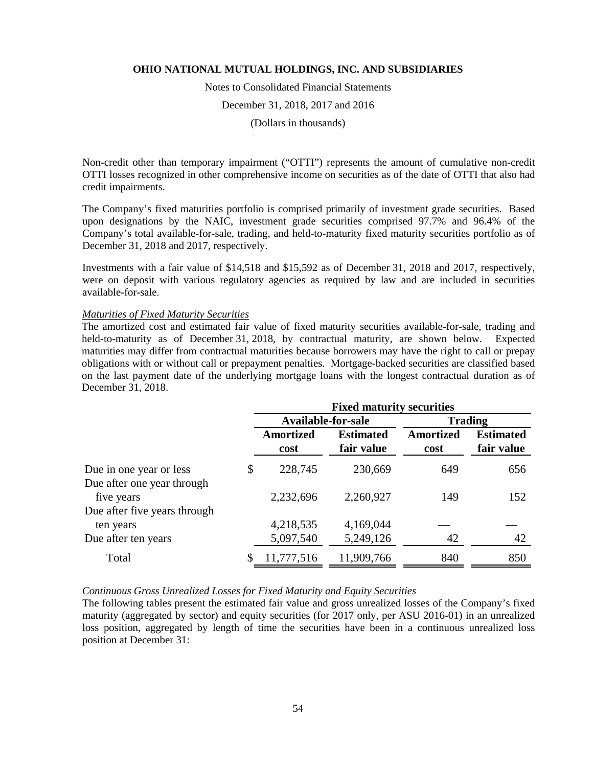Notes to Consolidated Financial Statements

December 31, 2018, 2017 and 2016

(Dollars in thousands)

Non-credit other than temporary impairment ("OTTI") represents the amount of cumulative non-credit OTTI losses recognized in other comprehensive income on securities as of the date of OTTI that also had credit impairments.

The Company's fixed maturities portfolio is comprised primarily of investment grade securities. Based upon designations by the NAIC, investment grade securities comprised 97.7% and 96.4% of the Company's total available-for-sale, trading, and held-to-maturity fixed maturity securities portfolio as of December 31, 2018 and 2017, respectively.

Investments with a fair value of \$14,518 and \$15,592 as of December 31, 2018 and 2017, respectively, were on deposit with various regulatory agencies as required by law and are included in securities available-for-sale.

# *Maturities of Fixed Maturity Securities*

The amortized cost and estimated fair value of fixed maturity securities available-for-sale, trading and held-to-maturity as of December 31, 2018, by contractual maturity, are shown below. Expected maturities may differ from contractual maturities because borrowers may have the right to call or prepay obligations with or without call or prepayment penalties. Mortgage-backed securities are classified based on the last payment date of the underlying mortgage loans with the longest contractual duration as of December 31, 2018.

|                                                       | <b>Fixed maturity securities</b> |                                |                          |                                |  |
|-------------------------------------------------------|----------------------------------|--------------------------------|--------------------------|--------------------------------|--|
|                                                       | <b>Available-for-sale</b>        |                                | <b>Trading</b>           |                                |  |
|                                                       | <b>Amortized</b><br>cost         | <b>Estimated</b><br>fair value | <b>Amortized</b><br>cost | <b>Estimated</b><br>fair value |  |
| Due in one year or less<br>Due after one year through | \$<br>228,745                    | 230,669                        | 649                      | 656                            |  |
| five years<br>Due after five years through            | 2,232,696                        | 2,260,927                      | 149                      | 152                            |  |
| ten years                                             | 4,218,535                        | 4,169,044                      |                          |                                |  |
| Due after ten years                                   | 5,097,540                        | 5,249,126                      | 42                       | 42                             |  |
| Total                                                 | 11,777,516                       | 11,909,766                     | 840                      | 850                            |  |

# *Continuous Gross Unrealized Losses for Fixed Maturity and Equity Securities*

The following tables present the estimated fair value and gross unrealized losses of the Company's fixed maturity (aggregated by sector) and equity securities (for 2017 only, per ASU 2016-01) in an unrealized loss position, aggregated by length of time the securities have been in a continuous unrealized loss position at December 31: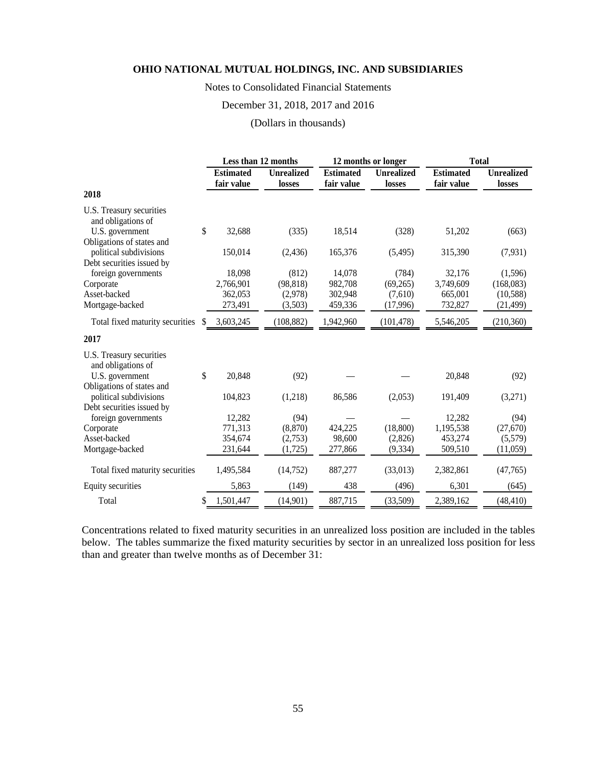### Notes to Consolidated Financial Statements

# December 31, 2018, 2017 and 2016

# (Dollars in thousands)

|                                                  |     | Less than 12 months            |                             |                                | 12 months or longer         | <b>Total</b>                   |                             |
|--------------------------------------------------|-----|--------------------------------|-----------------------------|--------------------------------|-----------------------------|--------------------------------|-----------------------------|
|                                                  |     | <b>Estimated</b><br>fair value | <b>Unrealized</b><br>losses | <b>Estimated</b><br>fair value | <b>Unrealized</b><br>losses | <b>Estimated</b><br>fair value | <b>Unrealized</b><br>losses |
| 2018                                             |     |                                |                             |                                |                             |                                |                             |
| U.S. Treasury securities<br>and obligations of   |     |                                |                             |                                |                             |                                |                             |
| U.S. government<br>Obligations of states and     | \$  | 32,688                         | (335)                       | 18,514                         | (328)                       | 51,202                         | (663)                       |
| political subdivisions                           |     | 150,014                        | (2,436)                     | 165,376                        | (5, 495)                    | 315,390                        | (7, 931)                    |
| Debt securities issued by<br>foreign governments |     | 18,098                         | (812)                       | 14,078                         | (784)                       | 32,176                         | (1,596)                     |
| Corporate                                        |     | 2,766,901                      | (98, 818)                   | 982,708                        | (69,265)                    | 3,749,609                      | (168, 083)                  |
| Asset-backed                                     |     | 362,053                        | (2,978)                     | 302,948                        | (7,610)                     | 665,001                        | (10,588)                    |
| Mortgage-backed                                  |     | 273,491                        | (3,503)                     | 459,336                        | (17,996)                    | 732,827                        | (21, 499)                   |
| Total fixed maturity securities                  | -SS | 3,603,245                      | (108, 882)                  | 1,942,960                      | (101, 478)                  | 5,546,205                      | (210, 360)                  |
| 2017                                             |     |                                |                             |                                |                             |                                |                             |
| U.S. Treasury securities<br>and obligations of   |     |                                |                             |                                |                             |                                |                             |
| U.S. government                                  | \$  | 20,848                         | (92)                        |                                |                             | 20,848                         | (92)                        |
| Obligations of states and                        |     |                                |                             |                                |                             |                                |                             |
| political subdivisions                           |     | 104,823                        | (1,218)                     | 86,586                         | (2,053)                     | 191,409                        | (3,271)                     |
| Debt securities issued by                        |     | 12,282                         | (94)                        |                                |                             | 12,282                         | (94)                        |
| foreign governments<br>Corporate                 |     | 771,313                        | (8, 870)                    | 424,225                        | (18, 800)                   | 1,195,538                      | (27,670)                    |
| Asset-backed                                     |     | 354,674                        | (2,753)                     | 98,600                         | (2,826)                     | 453,274                        | (5,579)                     |
| Mortgage-backed                                  |     | 231,644                        | (1, 725)                    | 277,866                        | (9, 334)                    | 509,510                        | (11,059)                    |
| Total fixed maturity securities                  |     | 1,495,584                      | (14, 752)                   | 887,277                        | (33,013)                    | 2,382,861                      | (47,765)                    |
| Equity securities                                |     | 5,863                          | (149)                       | 438                            | (496)                       | 6,301                          | (645)                       |
| Total                                            | \$  | 1,501,447                      | (14,901)                    | 887,715                        | (33,509)                    | 2,389,162                      | (48, 410)                   |

Concentrations related to fixed maturity securities in an unrealized loss position are included in the tables below. The tables summarize the fixed maturity securities by sector in an unrealized loss position for less than and greater than twelve months as of December 31: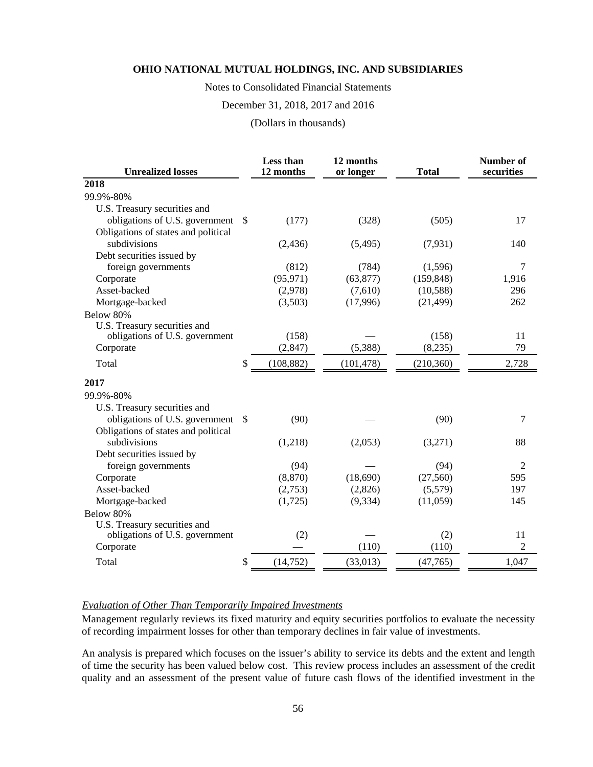Notes to Consolidated Financial Statements

December 31, 2018, 2017 and 2016

(Dollars in thousands)

| <b>Unrealized losses</b>            |               | <b>Less than</b><br>12 months | 12 months<br>or longer | <b>Total</b> | <b>Number of</b><br>securities |
|-------------------------------------|---------------|-------------------------------|------------------------|--------------|--------------------------------|
| 2018                                |               |                               |                        |              |                                |
| 99.9%-80%                           |               |                               |                        |              |                                |
| U.S. Treasury securities and        |               |                               |                        |              |                                |
| obligations of U.S. government      | \$            | (177)                         | (328)                  | (505)        | 17                             |
| Obligations of states and political |               |                               |                        |              |                                |
| subdivisions                        |               | (2, 436)                      | (5,495)                | (7,931)      | 140                            |
| Debt securities issued by           |               |                               |                        |              |                                |
| foreign governments                 |               | (812)                         | (784)                  | (1,596)      | 7                              |
| Corporate                           |               | (95, 971)                     | (63, 877)              | (159, 848)   | 1,916                          |
| Asset-backed                        |               | (2,978)                       | (7,610)                | (10,588)     | 296                            |
| Mortgage-backed                     |               | (3,503)                       | (17,996)               | (21, 499)    | 262                            |
| Below 80%                           |               |                               |                        |              |                                |
| U.S. Treasury securities and        |               |                               |                        |              |                                |
| obligations of U.S. government      |               | (158)                         |                        | (158)        | 11                             |
| Corporate                           |               | (2, 847)                      | (5,388)                | (8,235)      | 79                             |
| Total                               | \$            | (108, 882)                    | (101, 478)             | (210, 360)   | 2,728                          |
| 2017                                |               |                               |                        |              |                                |
| 99.9%-80%                           |               |                               |                        |              |                                |
| U.S. Treasury securities and        |               |                               |                        |              |                                |
| obligations of U.S. government      | $\mathcal{S}$ | (90)                          |                        | (90)         | 7                              |
| Obligations of states and political |               |                               |                        |              |                                |
| subdivisions                        |               | (1,218)                       | (2,053)                | (3,271)      | 88                             |
| Debt securities issued by           |               |                               |                        |              |                                |
| foreign governments                 |               | (94)                          |                        | (94)         | $\overline{c}$                 |
| Corporate                           |               | (8, 870)                      | (18,690)               | (27, 560)    | 595                            |
| Asset-backed                        |               | (2,753)                       | (2,826)                | (5,579)      | 197                            |
| Mortgage-backed                     |               | (1,725)                       | (9, 334)               | (11,059)     | 145                            |
| Below 80%                           |               |                               |                        |              |                                |
| U.S. Treasury securities and        |               |                               |                        |              |                                |
| obligations of U.S. government      |               | (2)                           |                        | (2)          | 11                             |
| Corporate                           |               |                               | (110)                  | (110)        | 2                              |
| Total                               | \$            | (14, 752)                     | (33, 013)              | (47, 765)    | 1,047                          |

# *Evaluation of Other Than Temporarily Impaired Investments*

Management regularly reviews its fixed maturity and equity securities portfolios to evaluate the necessity of recording impairment losses for other than temporary declines in fair value of investments.

An analysis is prepared which focuses on the issuer's ability to service its debts and the extent and length of time the security has been valued below cost. This review process includes an assessment of the credit quality and an assessment of the present value of future cash flows of the identified investment in the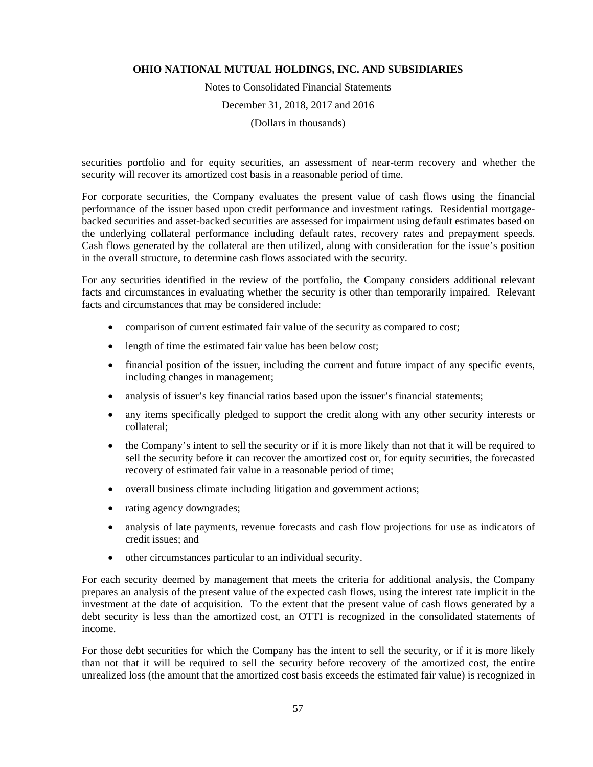Notes to Consolidated Financial Statements

December 31, 2018, 2017 and 2016

(Dollars in thousands)

securities portfolio and for equity securities, an assessment of near-term recovery and whether the security will recover its amortized cost basis in a reasonable period of time.

For corporate securities, the Company evaluates the present value of cash flows using the financial performance of the issuer based upon credit performance and investment ratings. Residential mortgagebacked securities and asset-backed securities are assessed for impairment using default estimates based on the underlying collateral performance including default rates, recovery rates and prepayment speeds. Cash flows generated by the collateral are then utilized, along with consideration for the issue's position in the overall structure, to determine cash flows associated with the security.

For any securities identified in the review of the portfolio, the Company considers additional relevant facts and circumstances in evaluating whether the security is other than temporarily impaired. Relevant facts and circumstances that may be considered include:

- comparison of current estimated fair value of the security as compared to cost;
- length of time the estimated fair value has been below cost;
- financial position of the issuer, including the current and future impact of any specific events, including changes in management;
- analysis of issuer's key financial ratios based upon the issuer's financial statements;
- any items specifically pledged to support the credit along with any other security interests or collateral;
- the Company's intent to sell the security or if it is more likely than not that it will be required to sell the security before it can recover the amortized cost or, for equity securities, the forecasted recovery of estimated fair value in a reasonable period of time;
- overall business climate including litigation and government actions;
- rating agency downgrades;
- analysis of late payments, revenue forecasts and cash flow projections for use as indicators of credit issues; and
- other circumstances particular to an individual security.

For each security deemed by management that meets the criteria for additional analysis, the Company prepares an analysis of the present value of the expected cash flows, using the interest rate implicit in the investment at the date of acquisition. To the extent that the present value of cash flows generated by a debt security is less than the amortized cost, an OTTI is recognized in the consolidated statements of income.

For those debt securities for which the Company has the intent to sell the security, or if it is more likely than not that it will be required to sell the security before recovery of the amortized cost, the entire unrealized loss (the amount that the amortized cost basis exceeds the estimated fair value) is recognized in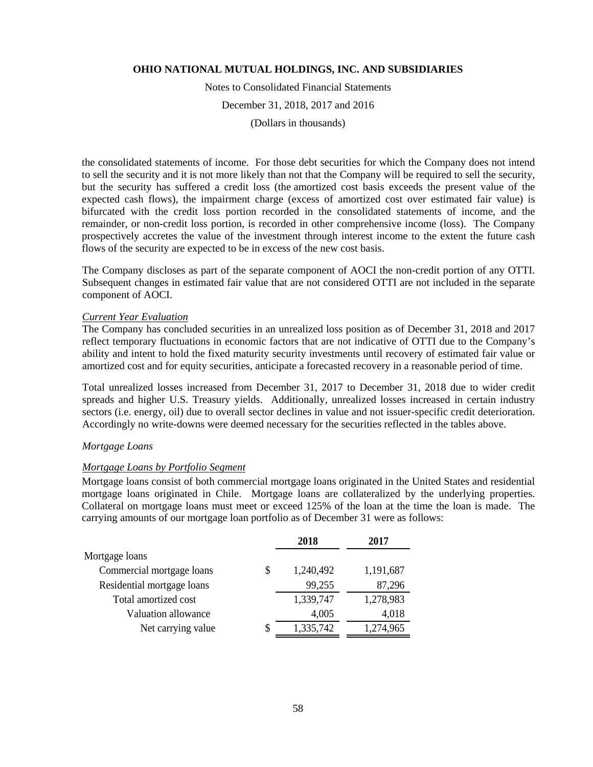Notes to Consolidated Financial Statements

December 31, 2018, 2017 and 2016

(Dollars in thousands)

the consolidated statements of income. For those debt securities for which the Company does not intend to sell the security and it is not more likely than not that the Company will be required to sell the security, but the security has suffered a credit loss (the amortized cost basis exceeds the present value of the expected cash flows), the impairment charge (excess of amortized cost over estimated fair value) is bifurcated with the credit loss portion recorded in the consolidated statements of income, and the remainder, or non-credit loss portion, is recorded in other comprehensive income (loss). The Company prospectively accretes the value of the investment through interest income to the extent the future cash flows of the security are expected to be in excess of the new cost basis.

The Company discloses as part of the separate component of AOCI the non-credit portion of any OTTI. Subsequent changes in estimated fair value that are not considered OTTI are not included in the separate component of AOCI.

#### *Current Year Evaluation*

The Company has concluded securities in an unrealized loss position as of December 31, 2018 and 2017 reflect temporary fluctuations in economic factors that are not indicative of OTTI due to the Company's ability and intent to hold the fixed maturity security investments until recovery of estimated fair value or amortized cost and for equity securities, anticipate a forecasted recovery in a reasonable period of time.

Total unrealized losses increased from December 31, 2017 to December 31, 2018 due to wider credit spreads and higher U.S. Treasury yields. Additionally, unrealized losses increased in certain industry sectors (i.e. energy, oil) due to overall sector declines in value and not issuer-specific credit deterioration. Accordingly no write-downs were deemed necessary for the securities reflected in the tables above.

# *Mortgage Loans*

#### *Mortgage Loans by Portfolio Segment*

Mortgage loans consist of both commercial mortgage loans originated in the United States and residential mortgage loans originated in Chile. Mortgage loans are collateralized by the underlying properties. Collateral on mortgage loans must meet or exceed 125% of the loan at the time the loan is made. The carrying amounts of our mortgage loan portfolio as of December 31 were as follows:

|                            |    | 2018      | 2017      |
|----------------------------|----|-----------|-----------|
| Mortgage loans             |    |           |           |
| Commercial mortgage loans  | \$ | 1,240,492 | 1,191,687 |
| Residential mortgage loans |    | 99,255    | 87,296    |
| Total amortized cost       |    | 1,339,747 | 1,278,983 |
| Valuation allowance        |    | 4,005     | 4,018     |
| Net carrying value         | S  | 1,335,742 | 1,274,965 |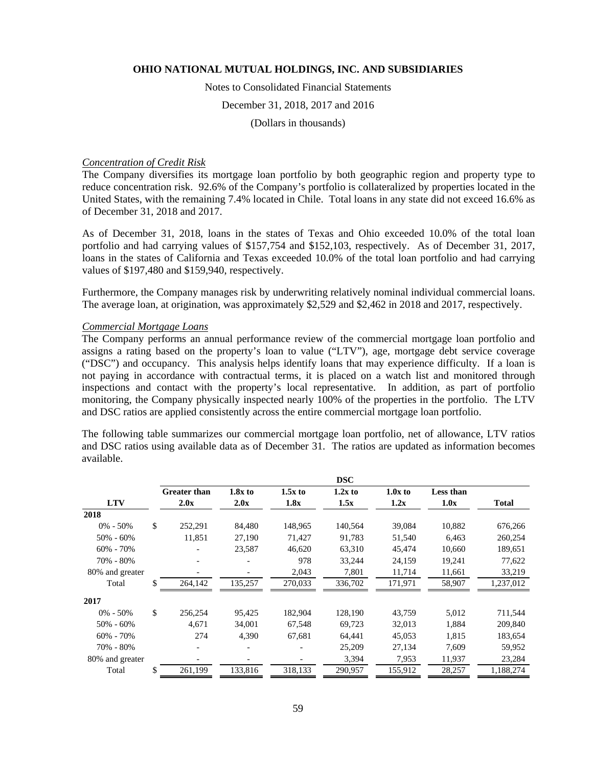#### Notes to Consolidated Financial Statements

#### December 31, 2018, 2017 and 2016

(Dollars in thousands)

#### *Concentration of Credit Risk*

The Company diversifies its mortgage loan portfolio by both geographic region and property type to reduce concentration risk. 92.6% of the Company's portfolio is collateralized by properties located in the United States, with the remaining 7.4% located in Chile. Total loans in any state did not exceed 16.6% as of December 31, 2018 and 2017.

As of December 31, 2018, loans in the states of Texas and Ohio exceeded 10.0% of the total loan portfolio and had carrying values of \$157,754 and \$152,103, respectively. As of December 31, 2017, loans in the states of California and Texas exceeded 10.0% of the total loan portfolio and had carrying values of \$197,480 and \$159,940, respectively.

Furthermore, the Company manages risk by underwriting relatively nominal individual commercial loans. The average loan, at origination, was approximately \$2,529 and \$2,462 in 2018 and 2017, respectively.

# *Commercial Mortgage Loans*

The Company performs an annual performance review of the commercial mortgage loan portfolio and assigns a rating based on the property's loan to value ("LTV"), age, mortgage debt service coverage ("DSC") and occupancy. This analysis helps identify loans that may experience difficulty. If a loan is not paying in accordance with contractual terms, it is placed on a watch list and monitored through inspections and contact with the property's local representative. In addition, as part of portfolio monitoring, the Company physically inspected nearly 100% of the properties in the portfolio. The LTV and DSC ratios are applied consistently across the entire commercial mortgage loan portfolio.

The following table summarizes our commercial mortgage loan portfolio, net of allowance, LTV ratios and DSC ratios using available data as of December 31. The ratios are updated as information becomes available.

|                 |                     |           |           | <b>DSC</b> |           |           |              |
|-----------------|---------------------|-----------|-----------|------------|-----------|-----------|--------------|
|                 | <b>Greater than</b> | $1.8x$ to | $1.5x$ to | $1.2x$ to  | $1.0x$ to | Less than |              |
| <b>LTV</b>      | 2.0x                | 2.0x      | 1.8x      | 1.5x       | 1.2x      | 1.0x      | <b>Total</b> |
| 2018            |                     |           |           |            |           |           |              |
| $0\% - 50\%$    | \$<br>252,291       | 84,480    | 148,965   | 140,564    | 39,084    | 10,882    | 676,266      |
| $50\% - 60\%$   | 11,851              | 27,190    | 71.427    | 91,783     | 51,540    | 6.463     | 260,254      |
| $60\% - 70\%$   |                     | 23,587    | 46,620    | 63,310     | 45,474    | 10,660    | 189,651      |
| 70% - 80%       |                     |           | 978       | 33,244     | 24,159    | 19,241    | 77,622       |
| 80% and greater |                     |           | 2,043     | 7,801      | 11,714    | 11,661    | 33,219       |
| Total           | \$<br>264,142       | 135,257   | 270.033   | 336,702    | 171,971   | 58,907    | 1,237,012    |
| 2017            |                     |           |           |            |           |           |              |
| $0\% - 50\%$    | \$<br>256,254       | 95,425    | 182.904   | 128,190    | 43,759    | 5,012     | 711,544      |
| $50\% - 60\%$   | 4,671               | 34,001    | 67,548    | 69,723     | 32,013    | 1,884     | 209,840      |
| $60\% - 70\%$   | 274                 | 4,390     | 67,681    | 64,441     | 45,053    | 1,815     | 183,654      |
| 70% - 80%       |                     |           |           | 25,209     | 27,134    | 7,609     | 59,952       |
| 80% and greater |                     |           |           | 3,394      | 7,953     | 11,937    | 23,284       |
| Total           | \$<br>261,199       | 133,816   | 318,133   | 290,957    | 155,912   | 28,257    | 1,188,274    |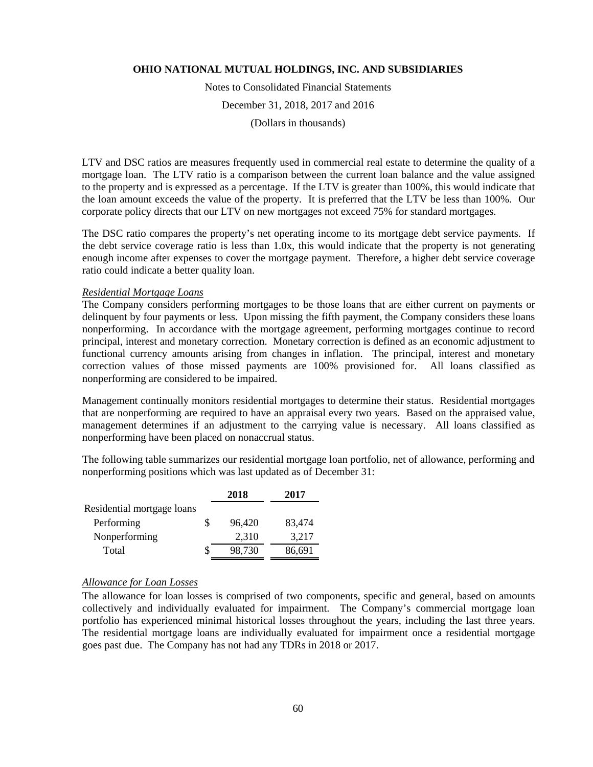Notes to Consolidated Financial Statements

December 31, 2018, 2017 and 2016

(Dollars in thousands)

LTV and DSC ratios are measures frequently used in commercial real estate to determine the quality of a mortgage loan. The LTV ratio is a comparison between the current loan balance and the value assigned to the property and is expressed as a percentage. If the LTV is greater than 100%, this would indicate that the loan amount exceeds the value of the property. It is preferred that the LTV be less than 100%. Our corporate policy directs that our LTV on new mortgages not exceed 75% for standard mortgages.

The DSC ratio compares the property's net operating income to its mortgage debt service payments. If the debt service coverage ratio is less than 1.0x, this would indicate that the property is not generating enough income after expenses to cover the mortgage payment. Therefore, a higher debt service coverage ratio could indicate a better quality loan.

#### *Residential Mortgage Loans*

The Company considers performing mortgages to be those loans that are either current on payments or delinquent by four payments or less. Upon missing the fifth payment, the Company considers these loans nonperforming. In accordance with the mortgage agreement, performing mortgages continue to record principal, interest and monetary correction. Monetary correction is defined as an economic adjustment to functional currency amounts arising from changes in inflation. The principal, interest and monetary correction values of those missed payments are 100% provisioned for. All loans classified as nonperforming are considered to be impaired.

Management continually monitors residential mortgages to determine their status. Residential mortgages that are nonperforming are required to have an appraisal every two years. Based on the appraised value, management determines if an adjustment to the carrying value is necessary. All loans classified as nonperforming have been placed on nonaccrual status.

The following table summarizes our residential mortgage loan portfolio, net of allowance, performing and nonperforming positions which was last updated as of December 31:

|                            |   | 2018   | 2017   |
|----------------------------|---|--------|--------|
| Residential mortgage loans |   |        |        |
| Performing                 | S | 96.420 | 83,474 |
| Nonperforming              |   | 2,310  | 3,217  |
| Total                      |   | 98,730 | 86,691 |

### *Allowance for Loan Losses*

The allowance for loan losses is comprised of two components, specific and general, based on amounts collectively and individually evaluated for impairment. The Company's commercial mortgage loan portfolio has experienced minimal historical losses throughout the years, including the last three years. The residential mortgage loans are individually evaluated for impairment once a residential mortgage goes past due. The Company has not had any TDRs in 2018 or 2017.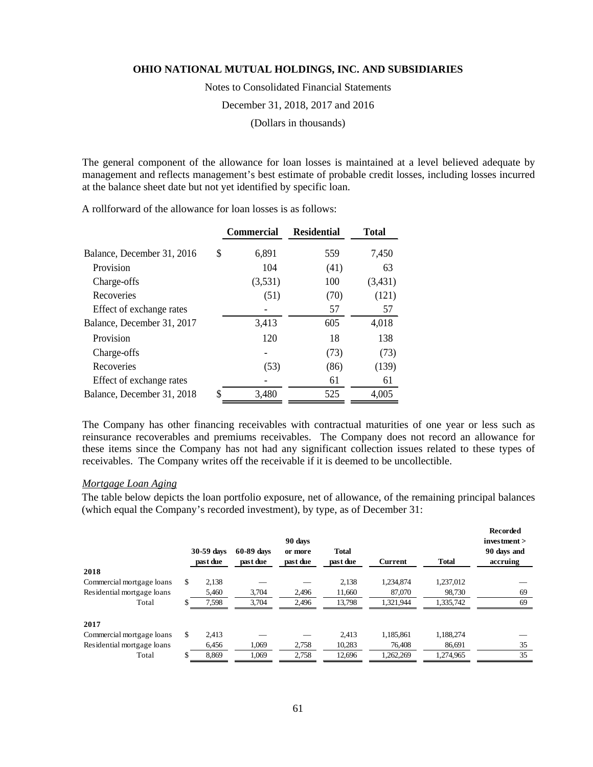Notes to Consolidated Financial Statements

December 31, 2018, 2017 and 2016

(Dollars in thousands)

The general component of the allowance for loan losses is maintained at a level believed adequate by management and reflects management's best estimate of probable credit losses, including losses incurred at the balance sheet date but not yet identified by specific loan.

A rollforward of the allowance for loan losses is as follows:

| Commercial | <b>Residential</b> | <b>Total</b> |
|------------|--------------------|--------------|
| 6,891      | 559                | 7,450        |
| 104        | (41)               | 63           |
| (3,531)    | 100                | (3,431)      |
| (51)       | (70)               | (121)        |
|            | 57                 | 57           |
| 3,413      | 605                | 4,018        |
| 120        | 18                 | 138          |
|            | (73)               | (73)         |
| (53)       | (86)               | (139)        |
|            | 61                 | 61           |
| 3,480      | 525                | 4,005        |
|            | \$                 |              |

The Company has other financing receivables with contractual maturities of one year or less such as reinsurance recoverables and premiums receivables. The Company does not record an allowance for these items since the Company has not had any significant collection issues related to these types of receivables. The Company writes off the receivable if it is deemed to be uncollectible.

#### *Mortgage Loan Aging*

The table below depicts the loan portfolio exposure, net of allowance, of the remaining principal balances (which equal the Company's recorded investment), by type, as of December 31:

|                            |   | 30-59 days<br>past due | 60-89 days<br>past due | 90 days<br>or more<br>past due | <b>Total</b><br>past due | <b>Current</b> | <b>Total</b> | <b>Recorded</b><br>$inves$ tment $>$<br>90 days and<br>accruing |
|----------------------------|---|------------------------|------------------------|--------------------------------|--------------------------|----------------|--------------|-----------------------------------------------------------------|
| 2018                       |   |                        |                        |                                |                          |                |              |                                                                 |
| Commercial mortgage loans  | S | 2,138                  |                        |                                | 2,138                    | 1.234.874      | 1,237,012    |                                                                 |
| Residential mortgage loans |   | 5,460                  | 3.704                  | 2,496                          | 11,660                   | 87,070         | 98,730       | 69                                                              |
| Total                      |   | 7,598                  | 3.704                  | 2.496                          | 13.798                   | 1,321,944      | 1.335.742    | 69                                                              |
| 2017                       |   |                        |                        |                                |                          |                |              |                                                                 |
| Commercial mortgage loans  | S | 2,413                  |                        |                                | 2,413                    | 1.185.861      | 1,188,274    |                                                                 |
| Residential mortgage loans |   | 6,456                  | 1,069                  | 2,758                          | 10,283                   | 76,408         | 86.691       | 35                                                              |
| Total                      |   | 8,869                  | 1,069                  | 2,758                          | 12,696                   | 1,262,269      | 1,274,965    | 35                                                              |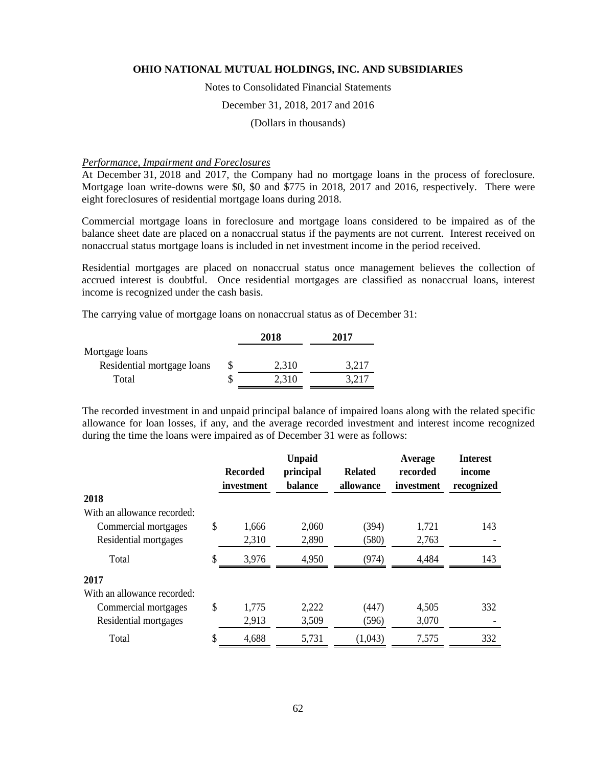#### Notes to Consolidated Financial Statements

#### December 31, 2018, 2017 and 2016

(Dollars in thousands)

# *Performance, Impairment and Foreclosures*

At December 31, 2018 and 2017, the Company had no mortgage loans in the process of foreclosure. Mortgage loan write-downs were \$0, \$0 and \$775 in 2018, 2017 and 2016, respectively. There were eight foreclosures of residential mortgage loans during 2018.

Commercial mortgage loans in foreclosure and mortgage loans considered to be impaired as of the balance sheet date are placed on a nonaccrual status if the payments are not current. Interest received on nonaccrual status mortgage loans is included in net investment income in the period received.

Residential mortgages are placed on nonaccrual status once management believes the collection of accrued interest is doubtful. Once residential mortgages are classified as nonaccrual loans, interest income is recognized under the cash basis.

The carrying value of mortgage loans on nonaccrual status as of December 31:

|                            |   | 2018  | 2017  |
|----------------------------|---|-------|-------|
| Mortgage loans             |   |       |       |
| Residential mortgage loans | S | 2,310 | 3,217 |
| Total                      |   | 2,310 |       |

The recorded investment in and unpaid principal balance of impaired loans along with the related specific allowance for loan losses, if any, and the average recorded investment and interest income recognized during the time the loans were impaired as of December 31 were as follows:

|                             | <b>Recorded</b><br>investment | <b>Unpaid</b><br>principal<br><b>balance</b> | <b>Related</b><br>allowance | Average<br>recorded<br>investment | <b>Interest</b><br>income<br>recognized |
|-----------------------------|-------------------------------|----------------------------------------------|-----------------------------|-----------------------------------|-----------------------------------------|
| 2018                        |                               |                                              |                             |                                   |                                         |
| With an allowance recorded: |                               |                                              |                             |                                   |                                         |
| Commercial mortgages        | \$<br>1,666                   | 2,060                                        | (394)                       | 1,721                             | 143                                     |
| Residential mortgages       | 2,310                         | 2,890                                        | (580)                       | 2,763                             |                                         |
| Total                       | \$<br>3,976                   | 4,950                                        | (974)                       | 4,484                             | 143                                     |
| 2017                        |                               |                                              |                             |                                   |                                         |
| With an allowance recorded: |                               |                                              |                             |                                   |                                         |
| Commercial mortgages        | \$<br>1,775                   | 2,222                                        | (447)                       | 4,505                             | 332                                     |
| Residential mortgages       | 2,913                         | 3,509                                        | (596)                       | 3,070                             |                                         |
| Total                       | \$<br>4,688                   | 5,731                                        | (1,043)                     | 7,575                             | 332                                     |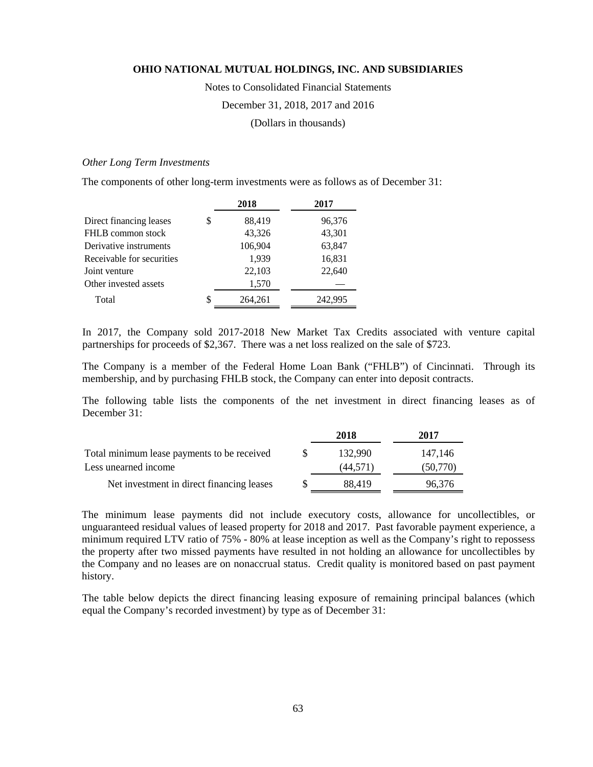Notes to Consolidated Financial Statements

December 31, 2018, 2017 and 2016

(Dollars in thousands)

### *Other Long Term Investments*

The components of other long-term investments were as follows as of December 31:

|                           |    | 2018    | 2017    |
|---------------------------|----|---------|---------|
| Direct financing leases   | \$ | 88,419  | 96,376  |
| FHLB common stock         |    | 43,326  | 43,301  |
| Derivative instruments    |    | 106,904 | 63,847  |
| Receivable for securities |    | 1,939   | 16,831  |
| Joint venture             |    | 22,103  | 22,640  |
| Other invested assets     |    | 1,570   |         |
| Total                     | S  | 264,261 | 242.995 |

In 2017, the Company sold 2017-2018 New Market Tax Credits associated with venture capital partnerships for proceeds of \$2,367. There was a net loss realized on the sale of \$723.

The Company is a member of the Federal Home Loan Bank ("FHLB") of Cincinnati. Through its membership, and by purchasing FHLB stock, the Company can enter into deposit contracts.

The following table lists the components of the net investment in direct financing leases as of December 31:

|                                             | 2018     | 2017     |
|---------------------------------------------|----------|----------|
| Total minimum lease payments to be received | 132.990  | 147.146  |
| Less unearned income                        | (44.571) | (50,770) |
| Net investment in direct financing leases   | 88.419   | 96.376   |

The minimum lease payments did not include executory costs, allowance for uncollectibles, or unguaranteed residual values of leased property for 2018 and 2017. Past favorable payment experience, a minimum required LTV ratio of 75% - 80% at lease inception as well as the Company's right to repossess the property after two missed payments have resulted in not holding an allowance for uncollectibles by the Company and no leases are on nonaccrual status. Credit quality is monitored based on past payment history.

The table below depicts the direct financing leasing exposure of remaining principal balances (which equal the Company's recorded investment) by type as of December 31: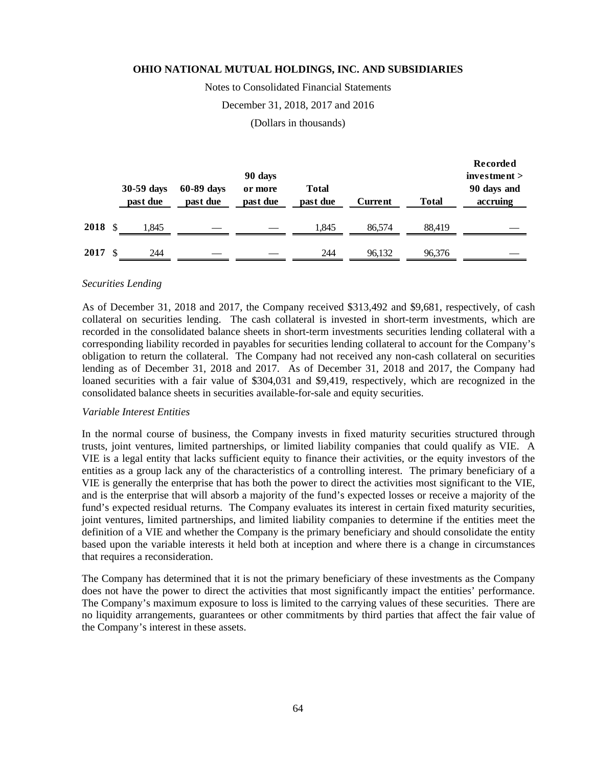Notes to Consolidated Financial Statements

December 31, 2018, 2017 and 2016

(Dollars in thousands)

|      |               | 30-59 days<br>past due | 60-89 days<br>past due | 90 days<br>or more<br>past due | <b>Total</b><br>past due | <b>Current</b> | <b>Total</b> | Recorded<br>investment<br>90 days and<br>accruing |
|------|---------------|------------------------|------------------------|--------------------------------|--------------------------|----------------|--------------|---------------------------------------------------|
| 2018 | <sup>\$</sup> | 1.845                  |                        |                                | 1.845                    | 86.574         | 88.419       |                                                   |
| 2017 |               | 244                    |                        |                                | 244                      | 96,132         | 96,376       |                                                   |

#### *Securities Lending*

As of December 31, 2018 and 2017, the Company received \$313,492 and \$9,681, respectively, of cash collateral on securities lending. The cash collateral is invested in short-term investments, which are recorded in the consolidated balance sheets in short-term investments securities lending collateral with a corresponding liability recorded in payables for securities lending collateral to account for the Company's obligation to return the collateral. The Company had not received any non-cash collateral on securities lending as of December 31, 2018 and 2017. As of December 31, 2018 and 2017, the Company had loaned securities with a fair value of \$304,031 and \$9,419, respectively, which are recognized in the consolidated balance sheets in securities available-for-sale and equity securities.

#### *Variable Interest Entities*

In the normal course of business, the Company invests in fixed maturity securities structured through trusts, joint ventures, limited partnerships, or limited liability companies that could qualify as VIE. A VIE is a legal entity that lacks sufficient equity to finance their activities, or the equity investors of the entities as a group lack any of the characteristics of a controlling interest. The primary beneficiary of a VIE is generally the enterprise that has both the power to direct the activities most significant to the VIE, and is the enterprise that will absorb a majority of the fund's expected losses or receive a majority of the fund's expected residual returns. The Company evaluates its interest in certain fixed maturity securities, joint ventures, limited partnerships, and limited liability companies to determine if the entities meet the definition of a VIE and whether the Company is the primary beneficiary and should consolidate the entity based upon the variable interests it held both at inception and where there is a change in circumstances that requires a reconsideration.

The Company has determined that it is not the primary beneficiary of these investments as the Company does not have the power to direct the activities that most significantly impact the entities' performance. The Company's maximum exposure to loss is limited to the carrying values of these securities. There are no liquidity arrangements, guarantees or other commitments by third parties that affect the fair value of the Company's interest in these assets.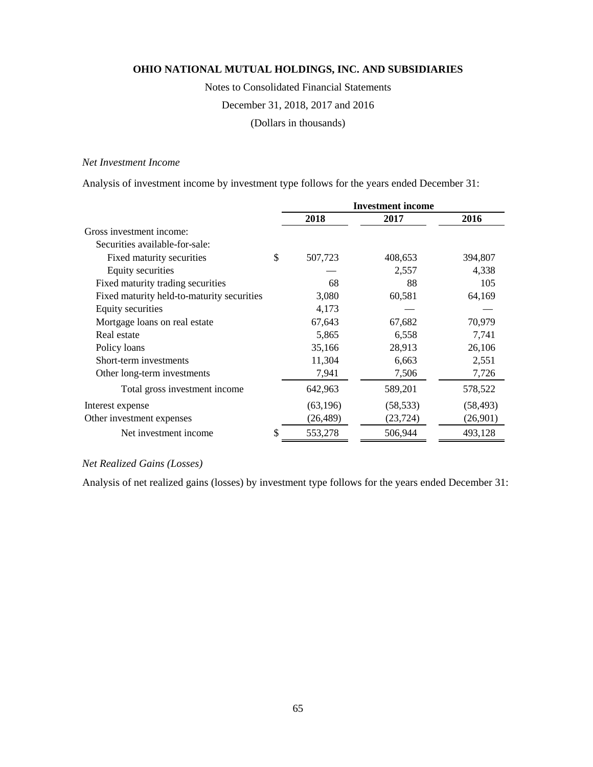Notes to Consolidated Financial Statements

December 31, 2018, 2017 and 2016

(Dollars in thousands)

# *Net Investment Income*

Analysis of investment income by investment type follows for the years ended December 31:

|                                            | <b>Investment income</b> |           |           |  |
|--------------------------------------------|--------------------------|-----------|-----------|--|
|                                            | 2018                     | 2017      | 2016      |  |
| Gross investment income:                   |                          |           |           |  |
| Securities available-for-sale:             |                          |           |           |  |
| Fixed maturity securities                  | \$<br>507,723            | 408,653   | 394,807   |  |
| Equity securities                          |                          | 2,557     | 4,338     |  |
| Fixed maturity trading securities          | 68                       | 88        | 105       |  |
| Fixed maturity held-to-maturity securities | 3,080                    | 60,581    | 64,169    |  |
| Equity securities                          | 4,173                    |           |           |  |
| Mortgage loans on real estate              | 67,643                   | 67,682    | 70,979    |  |
| Real estate                                | 5,865                    | 6,558     | 7,741     |  |
| Policy loans                               | 35,166                   | 28,913    | 26,106    |  |
| Short-term investments                     | 11,304                   | 6,663     | 2,551     |  |
| Other long-term investments                | 7,941                    | 7,506     | 7,726     |  |
| Total gross investment income              | 642,963                  | 589,201   | 578,522   |  |
| Interest expense                           | (63,196)                 | (58, 533) | (58, 493) |  |
| Other investment expenses                  | (26, 489)                | (23, 724) | (26,901)  |  |
| Net investment income                      | \$<br>553,278            | 506,944   | 493,128   |  |

# *Net Realized Gains (Losses)*

Analysis of net realized gains (losses) by investment type follows for the years ended December 31: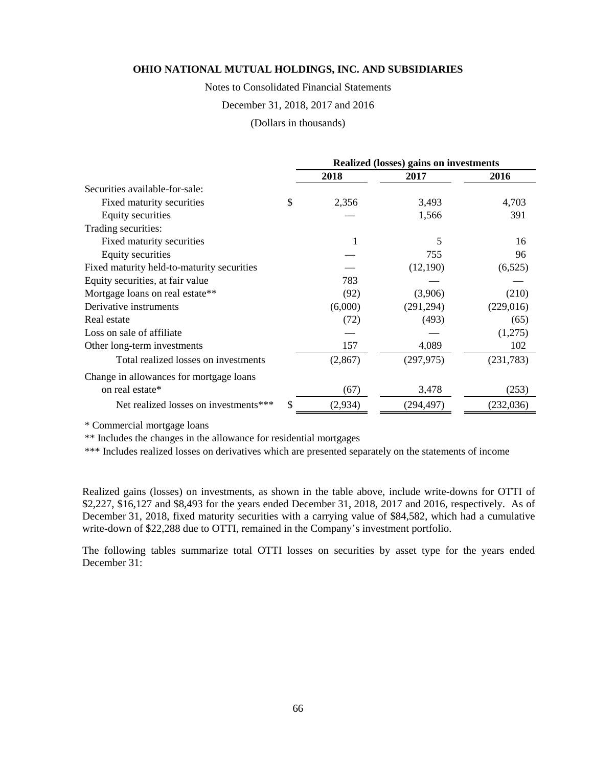Notes to Consolidated Financial Statements

December 31, 2018, 2017 and 2016

(Dollars in thousands)

|                                            | <b>Realized (losses) gains on investments</b> |            |            |  |  |
|--------------------------------------------|-----------------------------------------------|------------|------------|--|--|
|                                            | 2018                                          | 2017       | 2016       |  |  |
| Securities available-for-sale:             |                                               |            |            |  |  |
| Fixed maturity securities                  | \$<br>2,356                                   | 3,493      | 4,703      |  |  |
| Equity securities                          |                                               | 1,566      | 391        |  |  |
| Trading securities:                        |                                               |            |            |  |  |
| Fixed maturity securities                  | 1                                             | 5          | 16         |  |  |
| <b>Equity securities</b>                   |                                               | 755        | 96         |  |  |
| Fixed maturity held-to-maturity securities |                                               | (12,190)   | (6,525)    |  |  |
| Equity securities, at fair value           | 783                                           |            |            |  |  |
| Mortgage loans on real estate**            | (92)                                          | (3,906)    | (210)      |  |  |
| Derivative instruments                     | (6,000)                                       | (291, 294) | (229, 016) |  |  |
| Real estate                                | (72)                                          | (493)      | (65)       |  |  |
| Loss on sale of affiliate                  |                                               |            | (1,275)    |  |  |
| Other long-term investments                | 157                                           | 4,089      | 102        |  |  |
| Total realized losses on investments       | (2,867)                                       | (297, 975) | (231, 783) |  |  |
| Change in allowances for mortgage loans    |                                               |            |            |  |  |
| on real estate*                            | (67)                                          | 3,478      | (253)      |  |  |
| Net realized losses on investments***      | \$<br>(2,934)                                 | (294, 497) | (232,036)  |  |  |

\* Commercial mortgage loans

\*\* Includes the changes in the allowance for residential mortgages

\*\*\* Includes realized losses on derivatives which are presented separately on the statements of income

Realized gains (losses) on investments, as shown in the table above, include write-downs for OTTI of \$2,227, \$16,127 and \$8,493 for the years ended December 31, 2018, 2017 and 2016, respectively. As of December 31, 2018, fixed maturity securities with a carrying value of \$84,582, which had a cumulative write-down of \$22,288 due to OTTI, remained in the Company's investment portfolio.

The following tables summarize total OTTI losses on securities by asset type for the years ended December 31: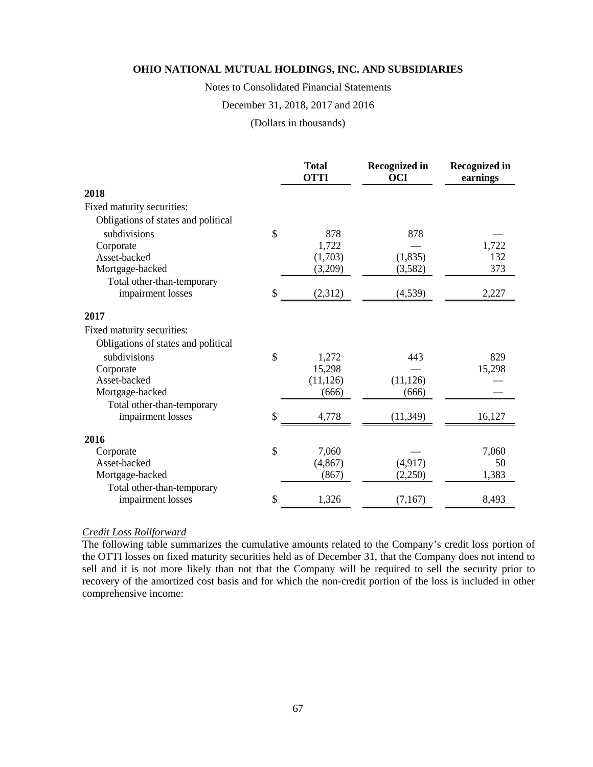Notes to Consolidated Financial Statements

#### December 31, 2018, 2017 and 2016

(Dollars in thousands)

|                                     | <b>Total</b><br><b>OTTI</b> | <b>Recognized in</b><br><b>OCI</b> | <b>Recognized in</b><br>earnings |
|-------------------------------------|-----------------------------|------------------------------------|----------------------------------|
| 2018                                |                             |                                    |                                  |
| Fixed maturity securities:          |                             |                                    |                                  |
| Obligations of states and political |                             |                                    |                                  |
| subdivisions                        | \$<br>878                   | 878                                |                                  |
| Corporate                           | 1,722                       |                                    | 1,722                            |
| Asset-backed                        | (1,703)                     | (1, 835)                           | 132                              |
| Mortgage-backed                     | (3,209)                     | (3,582)                            | 373                              |
| Total other-than-temporary          |                             |                                    |                                  |
| impairment losses                   | \$<br>(2,312)               | (4,539)                            | 2,227                            |
| 2017                                |                             |                                    |                                  |
| Fixed maturity securities:          |                             |                                    |                                  |
| Obligations of states and political |                             |                                    |                                  |
| subdivisions                        | \$<br>1,272                 | 443                                | 829                              |
| Corporate                           | 15,298                      |                                    | 15,298                           |
| Asset-backed                        | (11, 126)                   | (11, 126)                          |                                  |
| Mortgage-backed                     | (666)                       | (666)                              |                                  |
| Total other-than-temporary          |                             |                                    |                                  |
| impairment losses                   | \$<br>4,778                 | (11, 349)                          | 16,127                           |
| 2016                                |                             |                                    |                                  |
| Corporate                           | \$<br>7,060                 |                                    | 7,060                            |
| Asset-backed                        | (4, 867)                    | (4, 917)                           | 50                               |
| Mortgage-backed                     | (867)                       | (2,250)                            | 1,383                            |
| Total other-than-temporary          | \$                          |                                    |                                  |
| impairment losses                   | 1,326                       | (7,167)                            | 8,493                            |

### *Credit Loss Rollforward*

The following table summarizes the cumulative amounts related to the Company's credit loss portion of the OTTI losses on fixed maturity securities held as of December 31, that the Company does not intend to sell and it is not more likely than not that the Company will be required to sell the security prior to recovery of the amortized cost basis and for which the non-credit portion of the loss is included in other comprehensive income: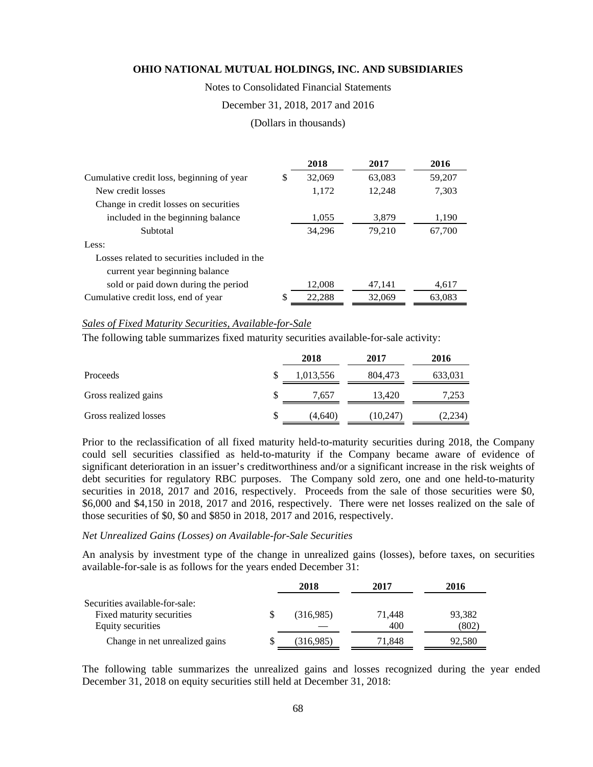#### Notes to Consolidated Financial Statements

#### December 31, 2018, 2017 and 2016

#### (Dollars in thousands)

|                                              | 2018         | 2017   | 2016   |
|----------------------------------------------|--------------|--------|--------|
| Cumulative credit loss, beginning of year    | \$<br>32,069 | 63,083 | 59,207 |
| New credit losses                            | 1,172        | 12,248 | 7,303  |
| Change in credit losses on securities        |              |        |        |
| included in the beginning balance            | 1,055        | 3,879  | 1,190  |
| Subtotal                                     | 34,296       | 79,210 | 67,700 |
| Less:                                        |              |        |        |
| Losses related to securities included in the |              |        |        |
| current year beginning balance               |              |        |        |
| sold or paid down during the period          | 12,008       | 47,141 | 4,617  |
| Cumulative credit loss, end of year          | \$<br>22.288 | 32,069 | 63,083 |

### *Sales of Fixed Maturity Securities, Available-for-Sale*

The following table summarizes fixed maturity securities available-for-sale activity:

|                       | 2018      | 2017    | 2016    |
|-----------------------|-----------|---------|---------|
| Proceeds              | 1,013,556 | 804.473 | 633,031 |
| Gross realized gains  | 7.657     | 13.420  | 7,253   |
| Gross realized losses | (4.640)   | 10,247, | (2,234) |

Prior to the reclassification of all fixed maturity held-to-maturity securities during 2018, the Company could sell securities classified as held-to-maturity if the Company became aware of evidence of significant deterioration in an issuer's creditworthiness and/or a significant increase in the risk weights of debt securities for regulatory RBC purposes. The Company sold zero, one and one held-to-maturity securities in 2018, 2017 and 2016, respectively. Proceeds from the sale of those securities were \$0, \$6,000 and \$4,150 in 2018, 2017 and 2016, respectively. There were net losses realized on the sale of those securities of \$0, \$0 and \$850 in 2018, 2017 and 2016, respectively.

#### *Net Unrealized Gains (Losses) on Available-for-Sale Securities*

An analysis by investment type of the change in unrealized gains (losses), before taxes, on securities available-for-sale is as follows for the years ended December 31:

|                                                                                  | 2018      | 2017          | 2016            |
|----------------------------------------------------------------------------------|-----------|---------------|-----------------|
| Securities available-for-sale:<br>Fixed maturity securities<br>Equity securities | (316,985) | 71.448<br>400 | 93,382<br>(802) |
| Change in net unrealized gains                                                   | (316,985) | 71.848        | 92,580          |

The following table summarizes the unrealized gains and losses recognized during the year ended December 31, 2018 on equity securities still held at December 31, 2018: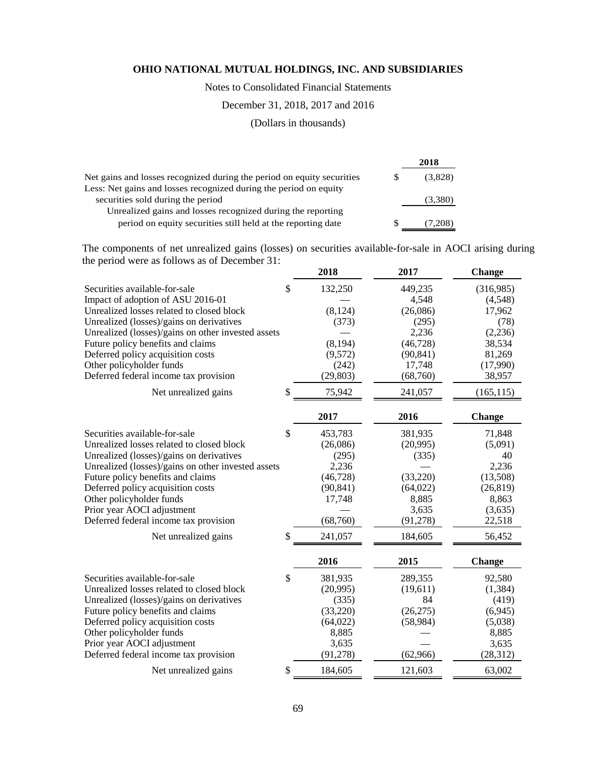Notes to Consolidated Financial Statements

# December 31, 2018, 2017 and 2016

(Dollars in thousands)

|                                                                        |    | 2018    |
|------------------------------------------------------------------------|----|---------|
| Net gains and losses recognized during the period on equity securities | -S | (3,828) |
| Less: Net gains and losses recognized during the period on equity      |    |         |
| securities sold during the period                                      |    | (3,380) |
| Unrealized gains and losses recognized during the reporting            |    |         |
| period on equity securities still held at the reporting date           | S  | .7,208  |

The components of net unrealized gains (losses) on securities available-for-sale in AOCI arising during the period were as follows as of December 31:

|                                                    | 2018          | 2017      | <b>Change</b> |
|----------------------------------------------------|---------------|-----------|---------------|
| Securities available-for-sale                      | \$<br>132,250 | 449,235   | (316,985)     |
| Impact of adoption of ASU 2016-01                  |               | 4,548     | (4,548)       |
| Unrealized losses related to closed block          | (8, 124)      | (26,086)  | 17,962        |
| Unrealized (losses)/gains on derivatives           | (373)         | (295)     | (78)          |
| Unrealized (losses)/gains on other invested assets |               | 2,236     | (2,236)       |
| Future policy benefits and claims                  | (8, 194)      | (46, 728) | 38,534        |
| Deferred policy acquisition costs                  | (9,572)       | (90, 841) | 81,269        |
| Other policyholder funds                           | (242)         | 17,748    | (17,990)      |
| Deferred federal income tax provision              | (29, 803)     | (68,760)  | 38,957        |
| Net unrealized gains                               | \$<br>75,942  | 241,057   | (165, 115)    |
|                                                    | 2017          | 2016      | <b>Change</b> |
| Securities available-for-sale                      | \$<br>453,783 | 381,935   | 71,848        |
| Unrealized losses related to closed block          | (26,086)      | (20,995)  | (5,091)       |
| Unrealized (losses)/gains on derivatives           | (295)         | (335)     | 40            |
| Unrealized (losses)/gains on other invested assets | 2,236         |           | 2,236         |
| Future policy benefits and claims                  | (46, 728)     | (33,220)  | (13,508)      |
| Deferred policy acquisition costs                  | (90, 841)     | (64, 022) | (26, 819)     |
| Other policyholder funds                           | 17,748        | 8,885     | 8,863         |
| Prior year AOCI adjustment                         |               | 3,635     | (3,635)       |
| Deferred federal income tax provision              | (68,760)      | (91, 278) | 22,518        |
| Net unrealized gains                               | \$<br>241,057 | 184,605   | 56,452        |
|                                                    | 2016          | 2015      | <b>Change</b> |
| Securities available-for-sale                      | \$<br>381,935 | 289,355   | 92,580        |
| Unrealized losses related to closed block          | (20,995)      | (19,611)  | (1, 384)      |
| Unrealized (losses)/gains on derivatives           | (335)         | 84        | (419)         |
| Future policy benefits and claims                  | (33,220)      | (26, 275) | (6,945)       |
| Deferred policy acquisition costs                  | (64, 022)     | (58,984)  | (5,038)       |
| Other policyholder funds                           | 8,885         |           | 8,885         |
| Prior year AOCI adjustment                         | 3,635         |           | 3,635         |
| Deferred federal income tax provision              | (91, 278)     | (62,966)  | (28, 312)     |
| Net unrealized gains                               | \$<br>184,605 | 121,603   | 63,002        |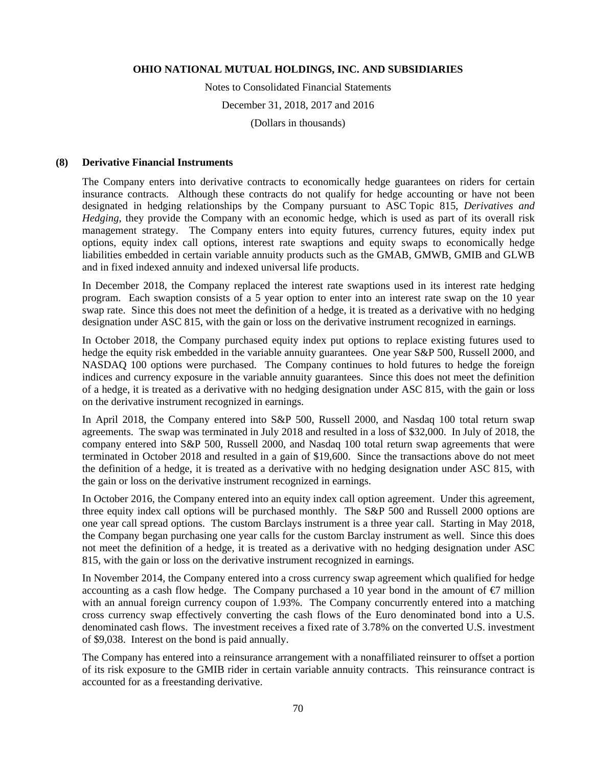Notes to Consolidated Financial Statements

December 31, 2018, 2017 and 2016

(Dollars in thousands)

#### **(8) Derivative Financial Instruments**

The Company enters into derivative contracts to economically hedge guarantees on riders for certain insurance contracts. Although these contracts do not qualify for hedge accounting or have not been designated in hedging relationships by the Company pursuant to ASC Topic 815, *Derivatives and Hedging*, they provide the Company with an economic hedge, which is used as part of its overall risk management strategy. The Company enters into equity futures, currency futures, equity index put options, equity index call options, interest rate swaptions and equity swaps to economically hedge liabilities embedded in certain variable annuity products such as the GMAB, GMWB, GMIB and GLWB and in fixed indexed annuity and indexed universal life products.

In December 2018, the Company replaced the interest rate swaptions used in its interest rate hedging program. Each swaption consists of a 5 year option to enter into an interest rate swap on the 10 year swap rate. Since this does not meet the definition of a hedge, it is treated as a derivative with no hedging designation under ASC 815, with the gain or loss on the derivative instrument recognized in earnings.

In October 2018, the Company purchased equity index put options to replace existing futures used to hedge the equity risk embedded in the variable annuity guarantees. One year S&P 500, Russell 2000, and NASDAQ 100 options were purchased. The Company continues to hold futures to hedge the foreign indices and currency exposure in the variable annuity guarantees. Since this does not meet the definition of a hedge, it is treated as a derivative with no hedging designation under ASC 815, with the gain or loss on the derivative instrument recognized in earnings.

In April 2018, the Company entered into S&P 500, Russell 2000, and Nasdaq 100 total return swap agreements. The swap was terminated in July 2018 and resulted in a loss of \$32,000. In July of 2018, the company entered into S&P 500, Russell 2000, and Nasdaq 100 total return swap agreements that were terminated in October 2018 and resulted in a gain of \$19,600. Since the transactions above do not meet the definition of a hedge, it is treated as a derivative with no hedging designation under ASC 815, with the gain or loss on the derivative instrument recognized in earnings.

In October 2016, the Company entered into an equity index call option agreement. Under this agreement, three equity index call options will be purchased monthly. The S&P 500 and Russell 2000 options are one year call spread options. The custom Barclays instrument is a three year call. Starting in May 2018, the Company began purchasing one year calls for the custom Barclay instrument as well. Since this does not meet the definition of a hedge, it is treated as a derivative with no hedging designation under ASC 815, with the gain or loss on the derivative instrument recognized in earnings.

In November 2014, the Company entered into a cross currency swap agreement which qualified for hedge accounting as a cash flow hedge. The Company purchased a 10 year bond in the amount of  $\epsilon$  million with an annual foreign currency coupon of 1.93%. The Company concurrently entered into a matching cross currency swap effectively converting the cash flows of the Euro denominated bond into a U.S. denominated cash flows. The investment receives a fixed rate of 3.78% on the converted U.S. investment of \$9,038. Interest on the bond is paid annually.

The Company has entered into a reinsurance arrangement with a nonaffiliated reinsurer to offset a portion of its risk exposure to the GMIB rider in certain variable annuity contracts. This reinsurance contract is accounted for as a freestanding derivative.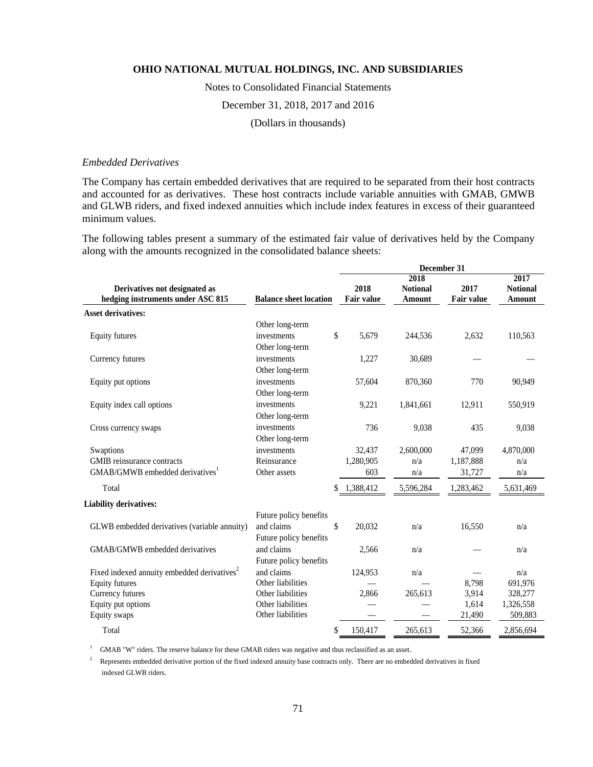Notes to Consolidated Financial Statements

December 31, 2018, 2017 and 2016

(Dollars in thousands)

#### *Embedded Derivatives*

The Company has certain embedded derivatives that are required to be separated from their host contracts and accounted for as derivatives. These host contracts include variable annuities with GMAB, GMWB and GLWB riders, and fixed indexed annuities which include index features in excess of their guaranteed minimum values.

The following tables present a summary of the estimated fair value of derivatives held by the Company along with the amounts recognized in the consolidated balance sheets:

|                                                                    |                               |    | December 31               |                                   |                           |                                   |  |  |  |
|--------------------------------------------------------------------|-------------------------------|----|---------------------------|-----------------------------------|---------------------------|-----------------------------------|--|--|--|
| Derivatives not designated as<br>hedging instruments under ASC 815 | <b>Balance sheet location</b> |    | 2018<br><b>Fair value</b> | 2018<br><b>Notional</b><br>Amount | 2017<br><b>Fair value</b> | 2017<br><b>Notional</b><br>Amount |  |  |  |
| <b>Asset derivatives:</b>                                          |                               |    |                           |                                   |                           |                                   |  |  |  |
|                                                                    | Other long-term               |    |                           |                                   |                           |                                   |  |  |  |
| <b>Equity futures</b>                                              | investments                   | \$ | 5.679                     | 244,536                           | 2,632                     | 110,563                           |  |  |  |
|                                                                    | Other long-term               |    |                           |                                   |                           |                                   |  |  |  |
| Currency futures                                                   | investments                   |    | 1,227                     | 30,689                            |                           |                                   |  |  |  |
|                                                                    | Other long-term               |    |                           |                                   |                           |                                   |  |  |  |
| Equity put options                                                 | investments                   |    | 57,604                    | 870,360                           | 770                       | 90,949                            |  |  |  |
|                                                                    | Other long-term               |    |                           |                                   |                           |                                   |  |  |  |
| Equity index call options                                          | investments                   |    | 9,221                     | 1,841,661                         | 12,911                    | 550,919                           |  |  |  |
|                                                                    | Other long-term               |    |                           |                                   |                           |                                   |  |  |  |
| Cross currency swaps                                               | investments                   |    | 736                       | 9,038                             | 435                       | 9,038                             |  |  |  |
|                                                                    | Other long-term               |    |                           |                                   |                           |                                   |  |  |  |
| Swaptions                                                          | investments                   |    | 32,437                    | 2,600,000                         | 47,099                    | 4,870,000                         |  |  |  |
| <b>GMIB</b> reinsurance contracts                                  | Reinsurance                   |    | 1,280,905                 | n/a                               | 1,187,888                 | n/a                               |  |  |  |
| GMAB/GMWB embedded derivatives                                     | Other assets                  |    | 603                       | n/a                               | 31,727                    | n/a                               |  |  |  |
| Total                                                              |                               | \$ | 1,388,412                 | 5,596,284                         | 1,283,462                 | 5,631,469                         |  |  |  |
| <b>Liability derivatives:</b>                                      |                               |    |                           |                                   |                           |                                   |  |  |  |
|                                                                    | Future policy benefits        |    |                           |                                   |                           |                                   |  |  |  |
| GLWB embedded derivatives (variable annuity)                       | and claims                    | \$ | 20,032                    | n/a                               | 16,550                    | n/a                               |  |  |  |
|                                                                    | Future policy benefits        |    |                           |                                   |                           |                                   |  |  |  |
| GMAB/GMWB embedded derivatives                                     | and claims                    |    | 2,566                     | n/a                               |                           | n/a                               |  |  |  |
|                                                                    | Future policy benefits        |    |                           |                                   |                           |                                   |  |  |  |
| Fixed indexed annuity embedded derivatives <sup>2</sup>            | and claims                    |    | 124,953                   | n/a                               |                           | n/a                               |  |  |  |
| <b>Equity futures</b>                                              | Other liabilities             |    |                           |                                   | 8,798                     | 691,976                           |  |  |  |
| Currency futures                                                   | Other liabilities             |    | 2,866                     | 265,613                           | 3,914                     | 328,277                           |  |  |  |
| Equity put options                                                 | Other liabilities             |    |                           |                                   | 1,614                     | 1,326,558                         |  |  |  |
| Equity swaps                                                       | Other liabilities             |    |                           |                                   | 21,490                    | 509,883                           |  |  |  |
| Total                                                              |                               | \$ | 150,417                   | 265,613                           | 52,366                    | 2,856,694                         |  |  |  |

<sup>1</sup> GMAB "W" riders. The reserve balance for these GMAB riders was negative and thus reclassified as an asset.

<sup>2</sup> Represents embedded derivative portion of the fixed indexed annuity base contracts only. There are no embedded derivatives in fixed indexed GLWB riders.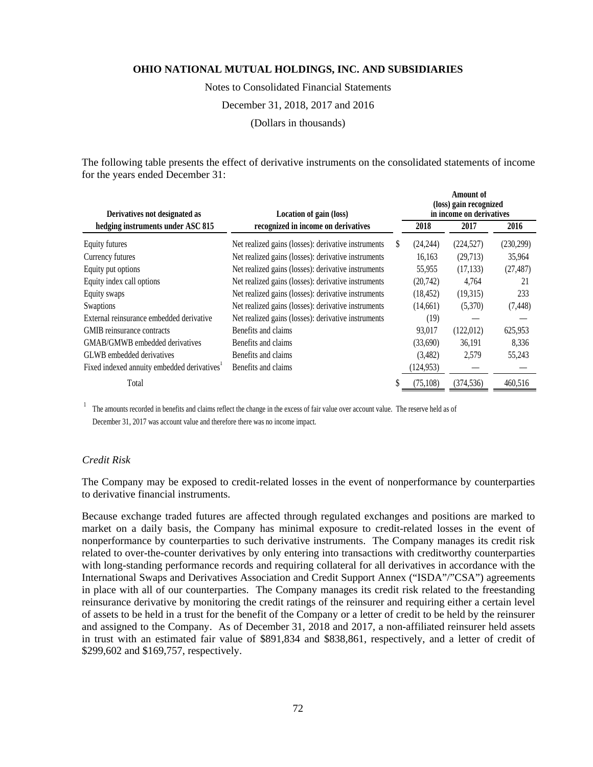Notes to Consolidated Financial Statements

December 31, 2018, 2017 and 2016

(Dollars in thousands)

The following table presents the effect of derivative instruments on the consolidated statements of income for the years ended December 31:

| Derivatives not designated as<br>Location of gain (loss) |                                                     |    | Amount of<br>(loss) gain recognized<br>in income on derivatives |            |           |
|----------------------------------------------------------|-----------------------------------------------------|----|-----------------------------------------------------------------|------------|-----------|
| hedging instruments under ASC 815                        | recognized in income on derivatives                 |    | 2018                                                            | 2017       | 2016      |
| Equity futures                                           | Net realized gains (losses): derivative instruments | S. | (24, 244)                                                       | (224, 527) | (230,299) |
| Currency futures                                         | Net realized gains (losses): derivative instruments |    | 16,163                                                          | (29,713)   | 35,964    |
| Equity put options                                       | Net realized gains (losses): derivative instruments |    | 55,955                                                          | (17, 133)  | (27, 487) |
| Equity index call options                                | Net realized gains (losses): derivative instruments |    | (20,742)                                                        | 4.764      | 21        |
| Equity swaps                                             | Net realized gains (losses): derivative instruments |    | (18, 452)                                                       | (19,315)   | 233       |
| Swaptions                                                | Net realized gains (losses): derivative instruments |    | (14,661)                                                        | (5,370)    | (7, 448)  |
| External reinsurance embedded derivative                 | Net realized gains (losses): derivative instruments |    | (19)                                                            |            |           |
| GMIB reinsurance contracts                               | Benefits and claims                                 |    | 93,017                                                          | (122,012)  | 625,953   |
| GMAB/GMWB embedded derivatives                           | Benefits and claims                                 |    | (33,690)                                                        | 36.191     | 8,336     |
| GLWB embedded derivatives                                | Benefits and claims                                 |    | (3,482)                                                         | 2,579      | 55,243    |
| Fixed indexed annuity embedded derivatives <sup>1</sup>  | Benefits and claims                                 |    | (124.953)                                                       |            |           |
| Total                                                    |                                                     |    | (75, 108)                                                       | (374, 536) | 460,516   |

<sup>1</sup> The amounts recorded in benefits and claims reflect the change in the excess of fair value over account value. The reserve held as of December 31, 2017 was account value and therefore there was no income impact.

#### *Credit Risk*

The Company may be exposed to credit-related losses in the event of nonperformance by counterparties to derivative financial instruments.

Because exchange traded futures are affected through regulated exchanges and positions are marked to market on a daily basis, the Company has minimal exposure to credit-related losses in the event of nonperformance by counterparties to such derivative instruments. The Company manages its credit risk related to over-the-counter derivatives by only entering into transactions with creditworthy counterparties with long-standing performance records and requiring collateral for all derivatives in accordance with the International Swaps and Derivatives Association and Credit Support Annex ("ISDA"/"CSA") agreements in place with all of our counterparties. The Company manages its credit risk related to the freestanding reinsurance derivative by monitoring the credit ratings of the reinsurer and requiring either a certain level of assets to be held in a trust for the benefit of the Company or a letter of credit to be held by the reinsurer and assigned to the Company. As of December 31, 2018 and 2017, a non-affiliated reinsurer held assets in trust with an estimated fair value of \$891,834 and \$838,861, respectively, and a letter of credit of \$299,602 and \$169,757, respectively.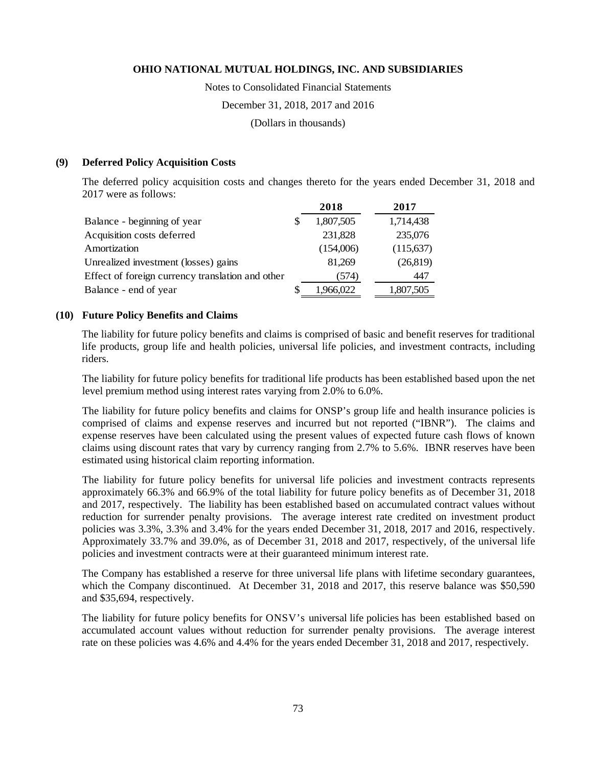Notes to Consolidated Financial Statements

December 31, 2018, 2017 and 2016

(Dollars in thousands)

### **(9) Deferred Policy Acquisition Costs**

The deferred policy acquisition costs and changes thereto for the years ended December 31, 2018 and 2017 were as follows:

|                                                  | 2018      | 2017      |
|--------------------------------------------------|-----------|-----------|
| Balance - beginning of year                      | 1,807,505 | 1,714,438 |
| Acquisition costs deferred                       | 231,828   | 235,076   |
| Amortization                                     | (154,006) | (115,637) |
| Unrealized investment (losses) gains             | 81,269    | (26,819)  |
| Effect of foreign currency translation and other | (574)     | 447       |
| Balance - end of year                            | 1.966.022 | 1,807,505 |

## **(10) Future Policy Benefits and Claims**

The liability for future policy benefits and claims is comprised of basic and benefit reserves for traditional life products, group life and health policies, universal life policies, and investment contracts, including riders.

The liability for future policy benefits for traditional life products has been established based upon the net level premium method using interest rates varying from 2.0% to 6.0%.

The liability for future policy benefits and claims for ONSP's group life and health insurance policies is comprised of claims and expense reserves and incurred but not reported ("IBNR"). The claims and expense reserves have been calculated using the present values of expected future cash flows of known claims using discount rates that vary by currency ranging from 2.7% to 5.6%. IBNR reserves have been estimated using historical claim reporting information.

The liability for future policy benefits for universal life policies and investment contracts represents approximately 66.3% and 66.9% of the total liability for future policy benefits as of December 31, 2018 and 2017, respectively. The liability has been established based on accumulated contract values without reduction for surrender penalty provisions. The average interest rate credited on investment product policies was 3.3%, 3.3% and 3.4% for the years ended December 31, 2018, 2017 and 2016, respectively. Approximately 33.7% and 39.0%, as of December 31, 2018 and 2017, respectively, of the universal life policies and investment contracts were at their guaranteed minimum interest rate.

The Company has established a reserve for three universal life plans with lifetime secondary guarantees, which the Company discontinued. At December 31, 2018 and 2017, this reserve balance was \$50,590 and \$35,694, respectively.

The liability for future policy benefits for ONSV's universal life policies has been established based on accumulated account values without reduction for surrender penalty provisions. The average interest rate on these policies was 4.6% and 4.4% for the years ended December 31, 2018 and 2017, respectively.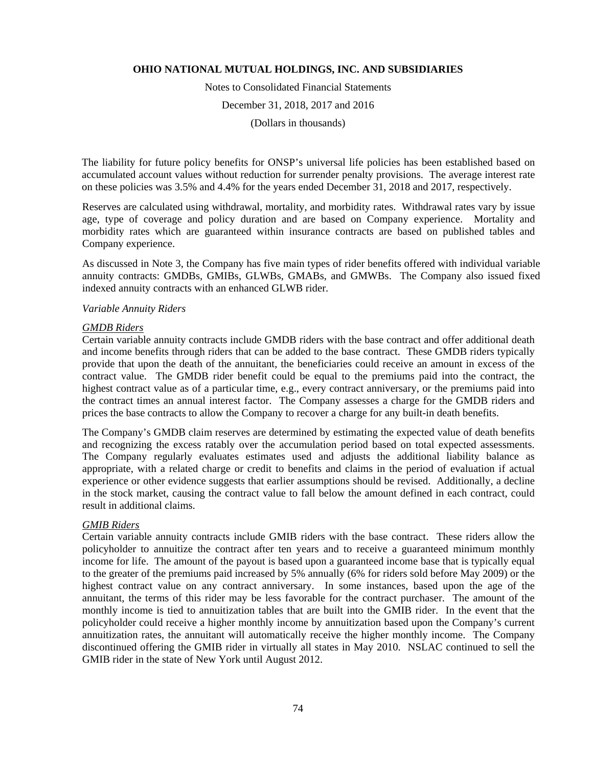Notes to Consolidated Financial Statements

December 31, 2018, 2017 and 2016

(Dollars in thousands)

The liability for future policy benefits for ONSP's universal life policies has been established based on accumulated account values without reduction for surrender penalty provisions. The average interest rate on these policies was 3.5% and 4.4% for the years ended December 31, 2018 and 2017, respectively.

Reserves are calculated using withdrawal, mortality, and morbidity rates. Withdrawal rates vary by issue age, type of coverage and policy duration and are based on Company experience. Mortality and morbidity rates which are guaranteed within insurance contracts are based on published tables and Company experience.

As discussed in Note 3, the Company has five main types of rider benefits offered with individual variable annuity contracts: GMDBs, GMIBs, GLWBs, GMABs, and GMWBs.The Company also issued fixed indexed annuity contracts with an enhanced GLWB rider.

### *Variable Annuity Riders*

### *GMDB Riders*

Certain variable annuity contracts include GMDB riders with the base contract and offer additional death and income benefits through riders that can be added to the base contract. These GMDB riders typically provide that upon the death of the annuitant, the beneficiaries could receive an amount in excess of the contract value. The GMDB rider benefit could be equal to the premiums paid into the contract, the highest contract value as of a particular time, e.g., every contract anniversary, or the premiums paid into the contract times an annual interest factor. The Company assesses a charge for the GMDB riders and prices the base contracts to allow the Company to recover a charge for any built-in death benefits.

The Company's GMDB claim reserves are determined by estimating the expected value of death benefits and recognizing the excess ratably over the accumulation period based on total expected assessments. The Company regularly evaluates estimates used and adjusts the additional liability balance as appropriate, with a related charge or credit to benefits and claims in the period of evaluation if actual experience or other evidence suggests that earlier assumptions should be revised. Additionally, a decline in the stock market, causing the contract value to fall below the amount defined in each contract, could result in additional claims.

### *GMIB Riders*

Certain variable annuity contracts include GMIB riders with the base contract. These riders allow the policyholder to annuitize the contract after ten years and to receive a guaranteed minimum monthly income for life. The amount of the payout is based upon a guaranteed income base that is typically equal to the greater of the premiums paid increased by 5% annually (6% for riders sold before May 2009) or the highest contract value on any contract anniversary. In some instances, based upon the age of the annuitant, the terms of this rider may be less favorable for the contract purchaser. The amount of the monthly income is tied to annuitization tables that are built into the GMIB rider. In the event that the policyholder could receive a higher monthly income by annuitization based upon the Company's current annuitization rates, the annuitant will automatically receive the higher monthly income. The Company discontinued offering the GMIB rider in virtually all states in May 2010. NSLAC continued to sell the GMIB rider in the state of New York until August 2012.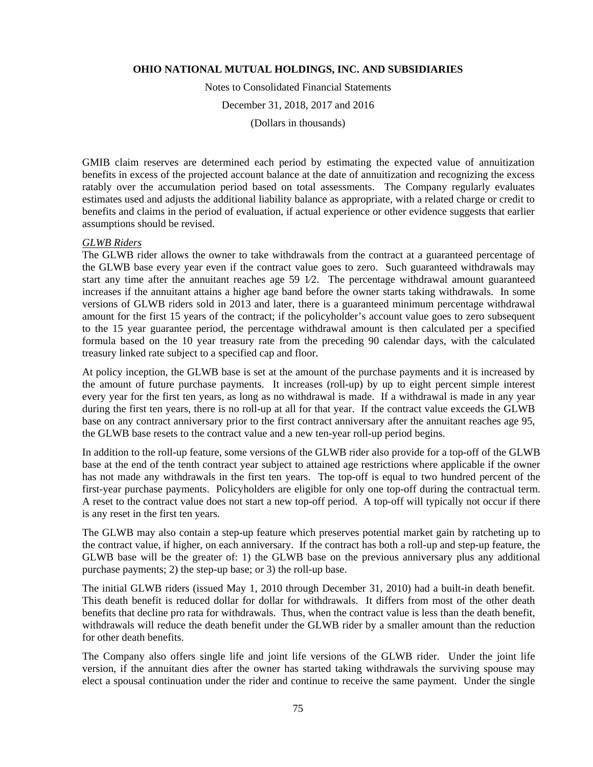Notes to Consolidated Financial Statements

December 31, 2018, 2017 and 2016

(Dollars in thousands)

GMIB claim reserves are determined each period by estimating the expected value of annuitization benefits in excess of the projected account balance at the date of annuitization and recognizing the excess ratably over the accumulation period based on total assessments. The Company regularly evaluates estimates used and adjusts the additional liability balance as appropriate, with a related charge or credit to benefits and claims in the period of evaluation, if actual experience or other evidence suggests that earlier assumptions should be revised.

## *GLWB Riders*

The GLWB rider allows the owner to take withdrawals from the contract at a guaranteed percentage of the GLWB base every year even if the contract value goes to zero. Such guaranteed withdrawals may start any time after the annuitant reaches age 59 1⁄2. The percentage withdrawal amount guaranteed increases if the annuitant attains a higher age band before the owner starts taking withdrawals. In some versions of GLWB riders sold in 2013 and later, there is a guaranteed minimum percentage withdrawal amount for the first 15 years of the contract; if the policyholder's account value goes to zero subsequent to the 15 year guarantee period, the percentage withdrawal amount is then calculated per a specified formula based on the 10 year treasury rate from the preceding 90 calendar days, with the calculated treasury linked rate subject to a specified cap and floor.

At policy inception, the GLWB base is set at the amount of the purchase payments and it is increased by the amount of future purchase payments. It increases (roll-up) by up to eight percent simple interest every year for the first ten years, as long as no withdrawal is made. If a withdrawal is made in any year during the first ten years, there is no roll-up at all for that year. If the contract value exceeds the GLWB base on any contract anniversary prior to the first contract anniversary after the annuitant reaches age 95, the GLWB base resets to the contract value and a new ten-year roll-up period begins.

In addition to the roll-up feature, some versions of the GLWB rider also provide for a top-off of the GLWB base at the end of the tenth contract year subject to attained age restrictions where applicable if the owner has not made any withdrawals in the first ten years. The top-off is equal to two hundred percent of the first-year purchase payments. Policyholders are eligible for only one top-off during the contractual term. A reset to the contract value does not start a new top-off period. A top-off will typically not occur if there is any reset in the first ten years.

The GLWB may also contain a step-up feature which preserves potential market gain by ratcheting up to the contract value, if higher, on each anniversary. If the contract has both a roll-up and step-up feature, the GLWB base will be the greater of: 1) the GLWB base on the previous anniversary plus any additional purchase payments; 2) the step-up base; or 3) the roll-up base.

The initial GLWB riders (issued May 1, 2010 through December 31, 2010) had a built-in death benefit. This death benefit is reduced dollar for dollar for withdrawals. It differs from most of the other death benefits that decline pro rata for withdrawals. Thus, when the contract value is less than the death benefit, withdrawals will reduce the death benefit under the GLWB rider by a smaller amount than the reduction for other death benefits.

The Company also offers single life and joint life versions of the GLWB rider. Under the joint life version, if the annuitant dies after the owner has started taking withdrawals the surviving spouse may elect a spousal continuation under the rider and continue to receive the same payment. Under the single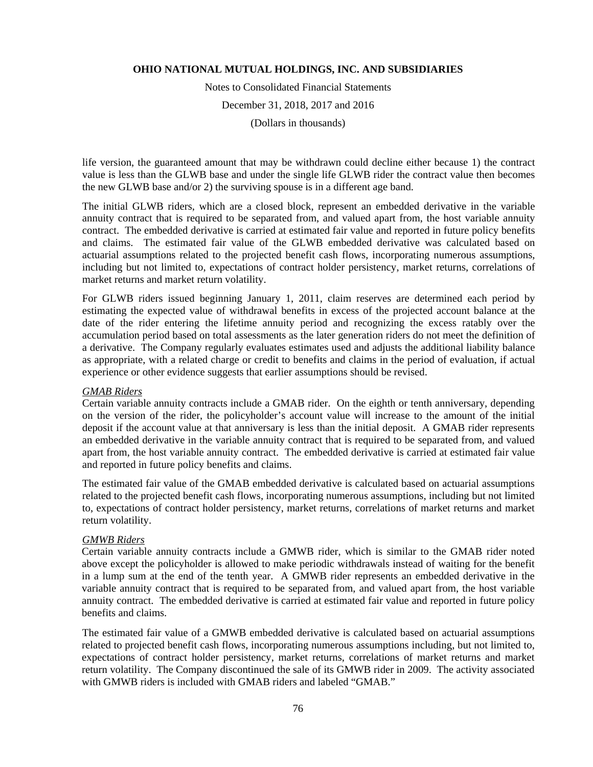Notes to Consolidated Financial Statements

December 31, 2018, 2017 and 2016

(Dollars in thousands)

life version, the guaranteed amount that may be withdrawn could decline either because 1) the contract value is less than the GLWB base and under the single life GLWB rider the contract value then becomes the new GLWB base and/or 2) the surviving spouse is in a different age band.

The initial GLWB riders, which are a closed block, represent an embedded derivative in the variable annuity contract that is required to be separated from, and valued apart from, the host variable annuity contract. The embedded derivative is carried at estimated fair value and reported in future policy benefits and claims. The estimated fair value of the GLWB embedded derivative was calculated based on actuarial assumptions related to the projected benefit cash flows, incorporating numerous assumptions, including but not limited to, expectations of contract holder persistency, market returns, correlations of market returns and market return volatility.

For GLWB riders issued beginning January 1, 2011, claim reserves are determined each period by estimating the expected value of withdrawal benefits in excess of the projected account balance at the date of the rider entering the lifetime annuity period and recognizing the excess ratably over the accumulation period based on total assessments as the later generation riders do not meet the definition of a derivative. The Company regularly evaluates estimates used and adjusts the additional liability balance as appropriate, with a related charge or credit to benefits and claims in the period of evaluation, if actual experience or other evidence suggests that earlier assumptions should be revised.

#### *GMAB Riders*

Certain variable annuity contracts include a GMAB rider. On the eighth or tenth anniversary, depending on the version of the rider, the policyholder's account value will increase to the amount of the initial deposit if the account value at that anniversary is less than the initial deposit. A GMAB rider represents an embedded derivative in the variable annuity contract that is required to be separated from, and valued apart from, the host variable annuity contract. The embedded derivative is carried at estimated fair value and reported in future policy benefits and claims.

The estimated fair value of the GMAB embedded derivative is calculated based on actuarial assumptions related to the projected benefit cash flows, incorporating numerous assumptions, including but not limited to, expectations of contract holder persistency, market returns, correlations of market returns and market return volatility.

#### *GMWB Riders*

Certain variable annuity contracts include a GMWB rider, which is similar to the GMAB rider noted above except the policyholder is allowed to make periodic withdrawals instead of waiting for the benefit in a lump sum at the end of the tenth year. A GMWB rider represents an embedded derivative in the variable annuity contract that is required to be separated from, and valued apart from, the host variable annuity contract. The embedded derivative is carried at estimated fair value and reported in future policy benefits and claims.

The estimated fair value of a GMWB embedded derivative is calculated based on actuarial assumptions related to projected benefit cash flows, incorporating numerous assumptions including, but not limited to, expectations of contract holder persistency, market returns, correlations of market returns and market return volatility. The Company discontinued the sale of its GMWB rider in 2009. The activity associated with GMWB riders is included with GMAB riders and labeled "GMAB."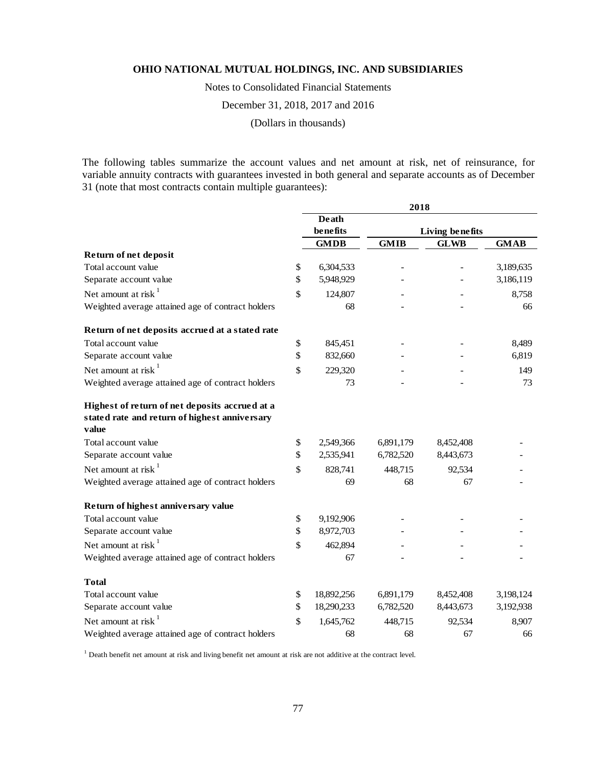Notes to Consolidated Financial Statements

December 31, 2018, 2017 and 2016

(Dollars in thousands)

The following tables summarize the account values and net amount at risk, net of reinsurance, for variable annuity contracts with guarantees invested in both general and separate accounts as of December 31 (note that most contracts contain multiple guarantees):

|                                                                                                          |                  | 2018                   |             |             |
|----------------------------------------------------------------------------------------------------------|------------------|------------------------|-------------|-------------|
|                                                                                                          | <b>Death</b>     |                        |             |             |
|                                                                                                          | benefits         | <b>Living benefits</b> |             |             |
|                                                                                                          | <b>GMDB</b>      | <b>GMIB</b>            | <b>GLWB</b> | <b>GMAB</b> |
| Return of net deposit                                                                                    |                  |                        |             |             |
| Total account value                                                                                      | \$<br>6,304,533  |                        |             | 3,189,635   |
| Separate account value                                                                                   | \$<br>5,948,929  |                        |             | 3,186,119   |
| Net amount at risk $1$                                                                                   | \$<br>124,807    |                        |             | 8,758       |
| Weighted average attained age of contract holders                                                        | 68               |                        |             | 66          |
| Return of net deposits accrued at a stated rate                                                          |                  |                        |             |             |
| Total account value                                                                                      | \$<br>845,451    |                        |             | 8,489       |
| Separate account value                                                                                   | \$<br>832,660    |                        |             | 6,819       |
| Net amount at risk $1$                                                                                   | \$<br>229,320    |                        |             | 149         |
| Weighted average attained age of contract holders                                                        | 73               |                        |             | 73          |
| Highest of return of net deposits accrued at a<br>stated rate and return of highest anniversary<br>value |                  |                        |             |             |
| Total account value                                                                                      | \$<br>2,549,366  | 6,891,179              | 8,452,408   |             |
| Separate account value                                                                                   | \$<br>2,535,941  | 6,782,520              | 8,443,673   |             |
| Net amount at risk $1$                                                                                   | \$<br>828,741    | 448,715                | 92,534      |             |
| Weighted average attained age of contract holders                                                        | 69               | 68                     | 67          |             |
| Return of highest anniversary value                                                                      |                  |                        |             |             |
| Total account value                                                                                      | \$<br>9,192,906  |                        |             |             |
| Separate account value                                                                                   | \$<br>8,972,703  |                        |             |             |
| Net amount at risk $1$                                                                                   | \$<br>462,894    |                        |             |             |
| Weighted average attained age of contract holders                                                        | 67               |                        |             |             |
| <b>Total</b>                                                                                             |                  |                        |             |             |
| Total account value                                                                                      | \$<br>18,892,256 | 6,891,179              | 8,452,408   | 3,198,124   |
| Separate account value                                                                                   | \$<br>18,290,233 | 6,782,520              | 8,443,673   | 3,192,938   |
| Net amount at risk $1$                                                                                   | \$<br>1,645,762  | 448,715                | 92,534      | 8,907       |
| Weighted average attained age of contract holders                                                        | 68               | 68                     | 67          | 66          |

<sup>1</sup> Death benefit net amount at risk and living benefit net amount at risk are not additive at the contract level.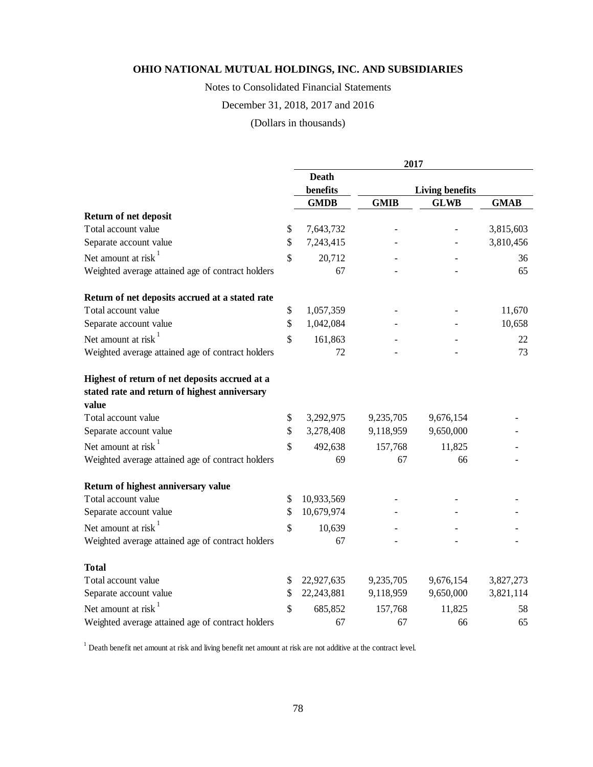Notes to Consolidated Financial Statements

December 31, 2018, 2017 and 2016

(Dollars in thousands)

|                                                                                                 | 2017               |             |                        |             |  |
|-------------------------------------------------------------------------------------------------|--------------------|-------------|------------------------|-------------|--|
|                                                                                                 | <b>Death</b>       |             |                        |             |  |
|                                                                                                 | benefits           |             | <b>Living benefits</b> |             |  |
|                                                                                                 | <b>GMDB</b>        | <b>GMIB</b> | <b>GLWB</b>            | <b>GMAB</b> |  |
| Return of net deposit                                                                           |                    |             |                        |             |  |
| Total account value                                                                             | \$<br>7,643,732    |             |                        | 3,815,603   |  |
| Separate account value                                                                          | \$<br>7,243,415    |             |                        | 3,810,456   |  |
| Net amount at risk $1$                                                                          | \$<br>20,712       |             |                        | 36          |  |
| Weighted average attained age of contract holders                                               | 67                 |             |                        | 65          |  |
| Return of net deposits accrued at a stated rate                                                 |                    |             |                        |             |  |
| Total account value                                                                             | \$<br>1,057,359    |             |                        | 11,670      |  |
| Separate account value                                                                          | \$<br>1,042,084    |             |                        | 10,658      |  |
| Net amount at risk                                                                              | \$<br>161,863      |             |                        | 22          |  |
| Weighted average attained age of contract holders                                               | 72                 |             |                        | 73          |  |
| Highest of return of net deposits accrued at a<br>stated rate and return of highest anniversary |                    |             |                        |             |  |
| value                                                                                           |                    |             |                        |             |  |
| Total account value                                                                             | \$<br>3,292,975    | 9,235,705   | 9,676,154              |             |  |
| Separate account value                                                                          | \$<br>3,278,408    | 9,118,959   | 9,650,000              |             |  |
| Net amount at risk $1$                                                                          | \$<br>492,638      | 157,768     | 11,825                 |             |  |
| Weighted average attained age of contract holders                                               | 69                 | 67          | 66                     |             |  |
| Return of highest anniversary value                                                             |                    |             |                        |             |  |
| Total account value                                                                             | \$<br>10,933,569   |             |                        |             |  |
| Separate account value                                                                          | \$<br>10,679,974   |             |                        |             |  |
| Net amount at risk $1$                                                                          | \$<br>10,639       |             |                        |             |  |
| Weighted average attained age of contract holders                                               | 67                 |             |                        |             |  |
| <b>Total</b>                                                                                    |                    |             |                        |             |  |
| Total account value                                                                             | \$<br>22,927,635   | 9,235,705   | 9,676,154              | 3,827,273   |  |
| Separate account value                                                                          | \$<br>22, 243, 881 | 9,118,959   | 9,650,000              | 3,821,114   |  |
| Net amount at risk $1$                                                                          | \$<br>685,852      | 157,768     | 11,825                 | 58          |  |
| Weighted average attained age of contract holders                                               | 67                 | 67          | 66                     | 65          |  |

 $<sup>1</sup>$  Death benefit net amount at risk and living benefit net amount at risk are not additive at the contract level.</sup>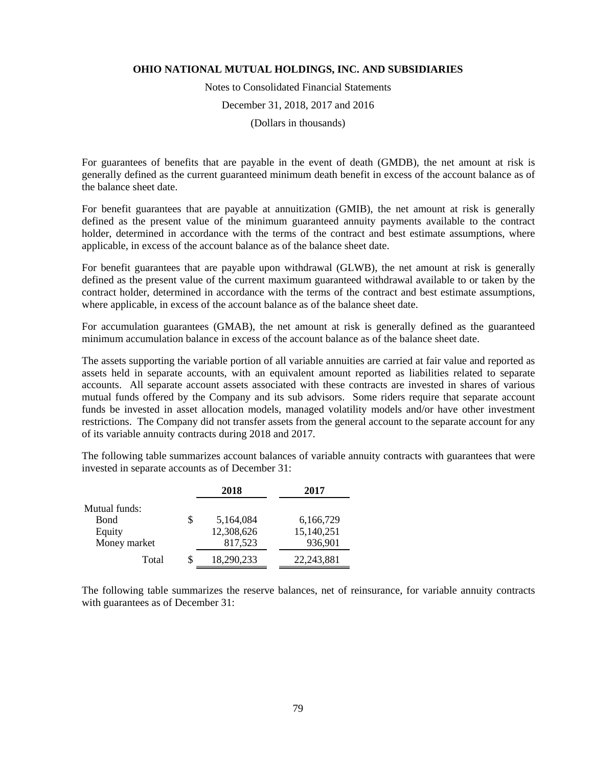Notes to Consolidated Financial Statements

December 31, 2018, 2017 and 2016

(Dollars in thousands)

For guarantees of benefits that are payable in the event of death (GMDB), the net amount at risk is generally defined as the current guaranteed minimum death benefit in excess of the account balance as of the balance sheet date.

For benefit guarantees that are payable at annuitization (GMIB), the net amount at risk is generally defined as the present value of the minimum guaranteed annuity payments available to the contract holder, determined in accordance with the terms of the contract and best estimate assumptions, where applicable, in excess of the account balance as of the balance sheet date.

For benefit guarantees that are payable upon withdrawal (GLWB), the net amount at risk is generally defined as the present value of the current maximum guaranteed withdrawal available to or taken by the contract holder, determined in accordance with the terms of the contract and best estimate assumptions, where applicable, in excess of the account balance as of the balance sheet date.

For accumulation guarantees (GMAB), the net amount at risk is generally defined as the guaranteed minimum accumulation balance in excess of the account balance as of the balance sheet date.

The assets supporting the variable portion of all variable annuities are carried at fair value and reported as assets held in separate accounts, with an equivalent amount reported as liabilities related to separate accounts. All separate account assets associated with these contracts are invested in shares of various mutual funds offered by the Company and its sub advisors. Some riders require that separate account funds be invested in asset allocation models, managed volatility models and/or have other investment restrictions. The Company did not transfer assets from the general account to the separate account for any of its variable annuity contracts during 2018 and 2017.

The following table summarizes account balances of variable annuity contracts with guarantees that were invested in separate accounts as of December 31:

|               |    | 2018       | 2017       |
|---------------|----|------------|------------|
| Mutual funds: |    |            |            |
| <b>B</b> ond  | \$ | 5,164,084  | 6,166,729  |
| Equity        |    | 12,308,626 | 15,140,251 |
| Money market  |    | 817,523    | 936,901    |
| Total         | S  | 18,290,233 | 22,243,881 |

The following table summarizes the reserve balances, net of reinsurance, for variable annuity contracts with guarantees as of December 31: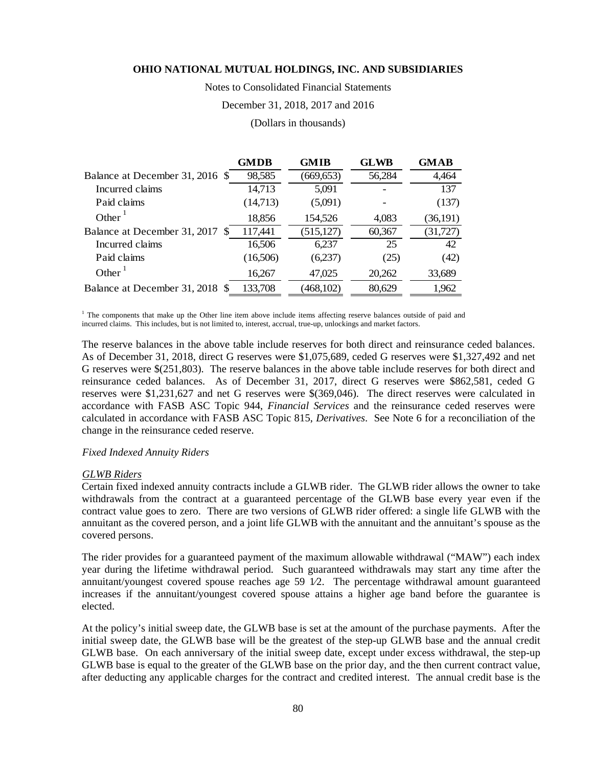Notes to Consolidated Financial Statements

December 31, 2018, 2017 and 2016

(Dollars in thousands)

|                                 | <b>GMDB</b> | <b>GMIB</b> | <b>GLWB</b> | <b>GMAB</b> |
|---------------------------------|-------------|-------------|-------------|-------------|
| Balance at December 31, 2016 \$ | 98,585      | (669, 653)  | 56,284      | 4,464       |
| Incurred claims                 | 14,713      | 5,091       |             | 137         |
| Paid claims                     | (14,713)    | (5,091)     |             | (137)       |
| Other $1$                       | 18,856      | 154,526     | 4,083       | (36,191)    |
| Balance at December 31, 2017 \$ | 117,441     | (515, 127)  | 60,367      | (31, 727)   |
| Incurred claims                 | 16,506      | 6,237       | 25          | 42          |
| Paid claims                     | (16,506)    | (6,237)     | (25)        | (42)        |
| Other $\frac{1}{1}$             | 16,267      | 47,025      | 20,262      | 33,689      |
| Balance at December 31, 2018 \$ | 133,708     | (468, 102)  | 80,629      | 1,962       |

<sup>1</sup> The components that make up the Other line item above include items affecting reserve balances outside of paid and incurred claims. This includes, but is not limited to, interest, accrual, true-up, unlockings and market factors.

The reserve balances in the above table include reserves for both direct and reinsurance ceded balances. As of December 31, 2018, direct G reserves were \$1,075,689, ceded G reserves were \$1,327,492 and net G reserves were \$(251,803). The reserve balances in the above table include reserves for both direct and reinsurance ceded balances. As of December 31, 2017, direct G reserves were \$862,581, ceded G reserves were \$1,231,627 and net G reserves were \$(369,046). The direct reserves were calculated in accordance with FASB ASC Topic 944, *Financial Services* and the reinsurance ceded reserves were calculated in accordance with FASB ASC Topic 815, *Derivatives*. See Note 6 for a reconciliation of the change in the reinsurance ceded reserve.

#### *Fixed Indexed Annuity Riders*

#### *GLWB Riders*

Certain fixed indexed annuity contracts include a GLWB rider. The GLWB rider allows the owner to take withdrawals from the contract at a guaranteed percentage of the GLWB base every year even if the contract value goes to zero. There are two versions of GLWB rider offered: a single life GLWB with the annuitant as the covered person, and a joint life GLWB with the annuitant and the annuitant's spouse as the covered persons.

The rider provides for a guaranteed payment of the maximum allowable withdrawal ("MAW") each index year during the lifetime withdrawal period. Such guaranteed withdrawals may start any time after the annuitant/youngest covered spouse reaches age 59 1⁄2. The percentage withdrawal amount guaranteed increases if the annuitant/youngest covered spouse attains a higher age band before the guarantee is elected.

At the policy's initial sweep date, the GLWB base is set at the amount of the purchase payments. After the initial sweep date, the GLWB base will be the greatest of the step-up GLWB base and the annual credit GLWB base. On each anniversary of the initial sweep date, except under excess withdrawal, the step-up GLWB base is equal to the greater of the GLWB base on the prior day, and the then current contract value, after deducting any applicable charges for the contract and credited interest. The annual credit base is the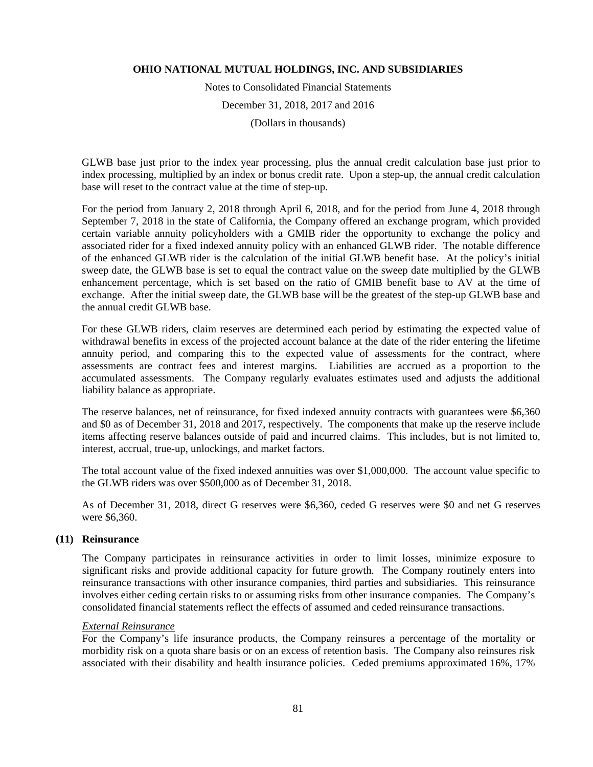Notes to Consolidated Financial Statements

December 31, 2018, 2017 and 2016

(Dollars in thousands)

GLWB base just prior to the index year processing, plus the annual credit calculation base just prior to index processing, multiplied by an index or bonus credit rate. Upon a step-up, the annual credit calculation base will reset to the contract value at the time of step-up.

For the period from January 2, 2018 through April 6, 2018, and for the period from June 4, 2018 through September 7, 2018 in the state of California, the Company offered an exchange program, which provided certain variable annuity policyholders with a GMIB rider the opportunity to exchange the policy and associated rider for a fixed indexed annuity policy with an enhanced GLWB rider. The notable difference of the enhanced GLWB rider is the calculation of the initial GLWB benefit base. At the policy's initial sweep date, the GLWB base is set to equal the contract value on the sweep date multiplied by the GLWB enhancement percentage, which is set based on the ratio of GMIB benefit base to AV at the time of exchange. After the initial sweep date, the GLWB base will be the greatest of the step-up GLWB base and the annual credit GLWB base.

For these GLWB riders, claim reserves are determined each period by estimating the expected value of withdrawal benefits in excess of the projected account balance at the date of the rider entering the lifetime annuity period, and comparing this to the expected value of assessments for the contract, where assessments are contract fees and interest margins. Liabilities are accrued as a proportion to the accumulated assessments. The Company regularly evaluates estimates used and adjusts the additional liability balance as appropriate.

The reserve balances, net of reinsurance, for fixed indexed annuity contracts with guarantees were \$6,360 and \$0 as of December 31, 2018 and 2017, respectively. The components that make up the reserve include items affecting reserve balances outside of paid and incurred claims. This includes, but is not limited to, interest, accrual, true-up, unlockings, and market factors.

The total account value of the fixed indexed annuities was over \$1,000,000. The account value specific to the GLWB riders was over \$500,000 as of December 31, 2018.

As of December 31, 2018, direct G reserves were \$6,360, ceded G reserves were \$0 and net G reserves were \$6,360.

## **(11) Reinsurance**

The Company participates in reinsurance activities in order to limit losses, minimize exposure to significant risks and provide additional capacity for future growth. The Company routinely enters into reinsurance transactions with other insurance companies, third parties and subsidiaries. This reinsurance involves either ceding certain risks to or assuming risks from other insurance companies. The Company's consolidated financial statements reflect the effects of assumed and ceded reinsurance transactions.

### *External Reinsurance*

For the Company's life insurance products, the Company reinsures a percentage of the mortality or morbidity risk on a quota share basis or on an excess of retention basis. The Company also reinsures risk associated with their disability and health insurance policies. Ceded premiums approximated 16%, 17%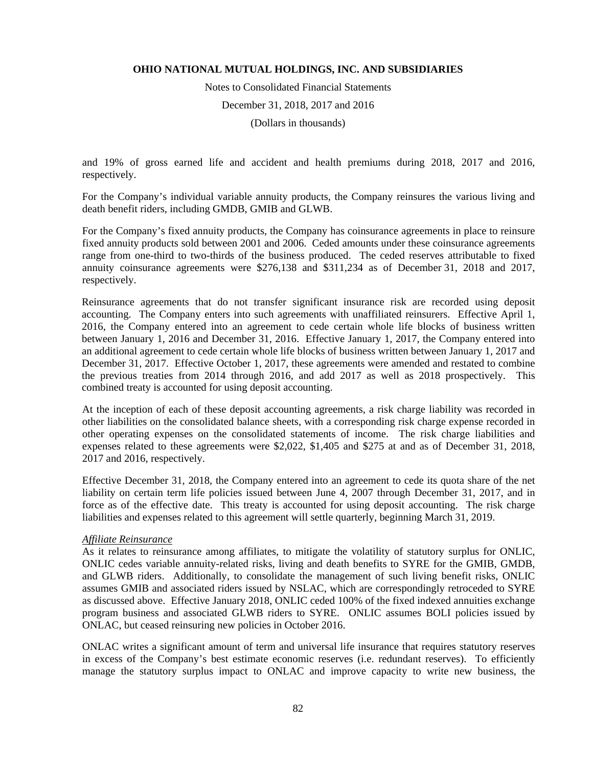Notes to Consolidated Financial Statements December 31, 2018, 2017 and 2016 (Dollars in thousands)

and 19% of gross earned life and accident and health premiums during 2018, 2017 and 2016, respectively.

For the Company's individual variable annuity products, the Company reinsures the various living and death benefit riders, including GMDB, GMIB and GLWB.

For the Company's fixed annuity products, the Company has coinsurance agreements in place to reinsure fixed annuity products sold between 2001 and 2006. Ceded amounts under these coinsurance agreements range from one-third to two-thirds of the business produced. The ceded reserves attributable to fixed annuity coinsurance agreements were \$276,138 and \$311,234 as of December 31, 2018 and 2017, respectively.

Reinsurance agreements that do not transfer significant insurance risk are recorded using deposit accounting. The Company enters into such agreements with unaffiliated reinsurers. Effective April 1, 2016, the Company entered into an agreement to cede certain whole life blocks of business written between January 1, 2016 and December 31, 2016. Effective January 1, 2017, the Company entered into an additional agreement to cede certain whole life blocks of business written between January 1, 2017 and December 31, 2017. Effective October 1, 2017, these agreements were amended and restated to combine the previous treaties from 2014 through 2016, and add 2017 as well as 2018 prospectively. This combined treaty is accounted for using deposit accounting.

At the inception of each of these deposit accounting agreements, a risk charge liability was recorded in other liabilities on the consolidated balance sheets, with a corresponding risk charge expense recorded in other operating expenses on the consolidated statements of income. The risk charge liabilities and expenses related to these agreements were \$2,022, \$1,405 and \$275 at and as of December 31, 2018, 2017 and 2016, respectively.

Effective December 31, 2018, the Company entered into an agreement to cede its quota share of the net liability on certain term life policies issued between June 4, 2007 through December 31, 2017, and in force as of the effective date. This treaty is accounted for using deposit accounting. The risk charge liabilities and expenses related to this agreement will settle quarterly, beginning March 31, 2019.

### *Affiliate Reinsurance*

As it relates to reinsurance among affiliates, to mitigate the volatility of statutory surplus for ONLIC, ONLIC cedes variable annuity-related risks, living and death benefits to SYRE for the GMIB, GMDB, and GLWB riders. Additionally, to consolidate the management of such living benefit risks, ONLIC assumes GMIB and associated riders issued by NSLAC, which are correspondingly retroceded to SYRE as discussed above. Effective January 2018, ONLIC ceded 100% of the fixed indexed annuities exchange program business and associated GLWB riders to SYRE. ONLIC assumes BOLI policies issued by ONLAC, but ceased reinsuring new policies in October 2016.

ONLAC writes a significant amount of term and universal life insurance that requires statutory reserves in excess of the Company's best estimate economic reserves (i.e. redundant reserves). To efficiently manage the statutory surplus impact to ONLAC and improve capacity to write new business, the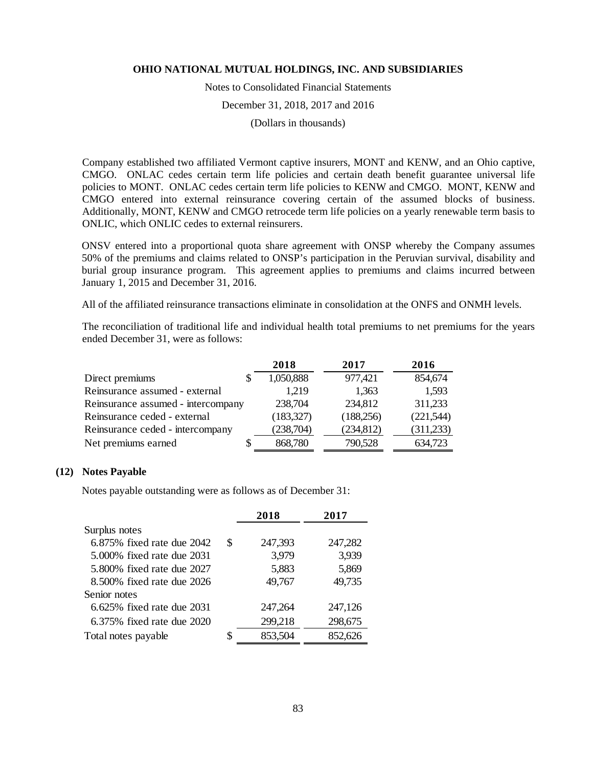Notes to Consolidated Financial Statements

December 31, 2018, 2017 and 2016

(Dollars in thousands)

Company established two affiliated Vermont captive insurers, MONT and KENW, and an Ohio captive, CMGO. ONLAC cedes certain term life policies and certain death benefit guarantee universal life policies to MONT. ONLAC cedes certain term life policies to KENW and CMGO. MONT, KENW and CMGO entered into external reinsurance covering certain of the assumed blocks of business. Additionally, MONT, KENW and CMGO retrocede term life policies on a yearly renewable term basis to ONLIC, which ONLIC cedes to external reinsurers.

ONSV entered into a proportional quota share agreement with ONSP whereby the Company assumes 50% of the premiums and claims related to ONSP's participation in the Peruvian survival, disability and burial group insurance program. This agreement applies to premiums and claims incurred between January 1, 2015 and December 31, 2016.

All of the affiliated reinsurance transactions eliminate in consolidation at the ONFS and ONMH levels.

The reconciliation of traditional life and individual health total premiums to net premiums for the years ended December 31, were as follows:

|                                    | 2018       | 2017       | 2016       |
|------------------------------------|------------|------------|------------|
| Direct premiums                    | 1,050,888  | 977,421    | 854,674    |
| Reinsurance assumed - external     | 1,219      | 1,363      | 1,593      |
| Reinsurance assumed - intercompany | 238,704    | 234,812    | 311,233    |
| Reinsurance ceded - external       | (183, 327) | (188, 256) | (221,544)  |
| Reinsurance ceded - intercompany   | (238,704)  | (234, 812) | (311, 233) |
| Net premiums earned                | 868,780    | 790,528    | 634,723    |

## **(12) Notes Payable**

Notes payable outstanding were as follows as of December 31:

|                               |    | 2018    | 2017    |
|-------------------------------|----|---------|---------|
| Surplus notes                 |    |         |         |
| 6.875% fixed rate due 2042    | \$ | 247,393 | 247,282 |
| 5,000% fixed rate due 2031    |    | 3,979   | 3,939   |
| 5.800\% fixed rate due 2027   |    | 5,883   | 5,869   |
| 8.500\% fixed rate due 2026   |    | 49,767  | 49,735  |
| Senior notes                  |    |         |         |
| $6.625\%$ fixed rate due 2031 |    | 247,264 | 247,126 |
| 6.375% fixed rate due 2020    |    | 299,218 | 298,675 |
| Total notes payable           | S  | 853,504 | 852,626 |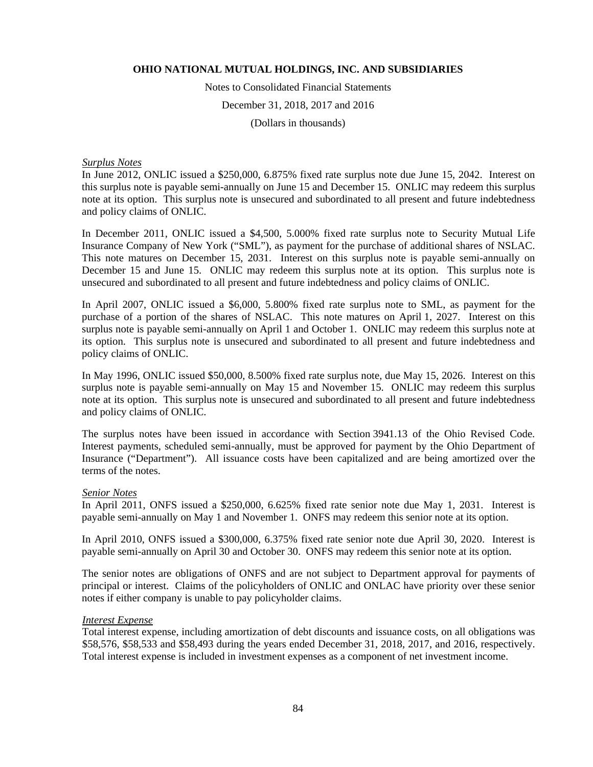Notes to Consolidated Financial Statements

December 31, 2018, 2017 and 2016

(Dollars in thousands)

#### *Surplus Notes*

In June 2012, ONLIC issued a \$250,000, 6.875% fixed rate surplus note due June 15, 2042. Interest on this surplus note is payable semi-annually on June 15 and December 15. ONLIC may redeem this surplus note at its option. This surplus note is unsecured and subordinated to all present and future indebtedness and policy claims of ONLIC.

In December 2011, ONLIC issued a \$4,500, 5.000% fixed rate surplus note to Security Mutual Life Insurance Company of New York ("SML"), as payment for the purchase of additional shares of NSLAC. This note matures on December 15, 2031. Interest on this surplus note is payable semi-annually on December 15 and June 15. ONLIC may redeem this surplus note at its option. This surplus note is unsecured and subordinated to all present and future indebtedness and policy claims of ONLIC.

In April 2007, ONLIC issued a \$6,000, 5.800% fixed rate surplus note to SML, as payment for the purchase of a portion of the shares of NSLAC. This note matures on April 1, 2027. Interest on this surplus note is payable semi-annually on April 1 and October 1. ONLIC may redeem this surplus note at its option. This surplus note is unsecured and subordinated to all present and future indebtedness and policy claims of ONLIC.

In May 1996, ONLIC issued \$50,000, 8.500% fixed rate surplus note, due May 15, 2026. Interest on this surplus note is payable semi-annually on May 15 and November 15. ONLIC may redeem this surplus note at its option. This surplus note is unsecured and subordinated to all present and future indebtedness and policy claims of ONLIC.

The surplus notes have been issued in accordance with Section 3941.13 of the Ohio Revised Code. Interest payments, scheduled semi-annually, must be approved for payment by the Ohio Department of Insurance ("Department"). All issuance costs have been capitalized and are being amortized over the terms of the notes.

#### *Senior Notes*

In April 2011, ONFS issued a \$250,000, 6.625% fixed rate senior note due May 1, 2031. Interest is payable semi-annually on May 1 and November 1. ONFS may redeem this senior note at its option.

In April 2010, ONFS issued a \$300,000, 6.375% fixed rate senior note due April 30, 2020. Interest is payable semi-annually on April 30 and October 30. ONFS may redeem this senior note at its option.

The senior notes are obligations of ONFS and are not subject to Department approval for payments of principal or interest. Claims of the policyholders of ONLIC and ONLAC have priority over these senior notes if either company is unable to pay policyholder claims.

#### *Interest Expense*

Total interest expense, including amortization of debt discounts and issuance costs, on all obligations was \$58,576, \$58,533 and \$58,493 during the years ended December 31, 2018, 2017, and 2016, respectively. Total interest expense is included in investment expenses as a component of net investment income.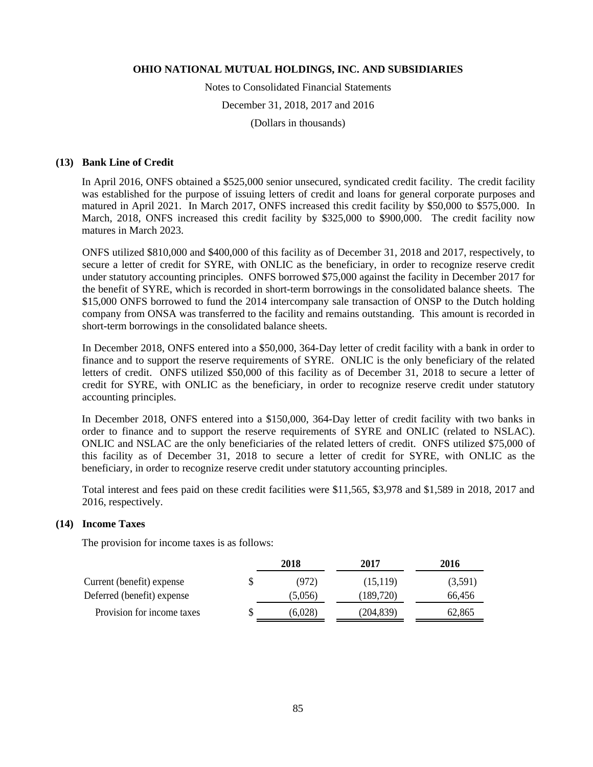Notes to Consolidated Financial Statements

December 31, 2018, 2017 and 2016

(Dollars in thousands)

### **(13) Bank Line of Credit**

In April 2016, ONFS obtained a \$525,000 senior unsecured, syndicated credit facility. The credit facility was established for the purpose of issuing letters of credit and loans for general corporate purposes and matured in April 2021. In March 2017, ONFS increased this credit facility by \$50,000 to \$575,000. In March, 2018, ONFS increased this credit facility by \$325,000 to \$900,000. The credit facility now matures in March 2023.

ONFS utilized \$810,000 and \$400,000 of this facility as of December 31, 2018 and 2017, respectively, to secure a letter of credit for SYRE, with ONLIC as the beneficiary, in order to recognize reserve credit under statutory accounting principles. ONFS borrowed \$75,000 against the facility in December 2017 for the benefit of SYRE, which is recorded in short-term borrowings in the consolidated balance sheets. The \$15,000 ONFS borrowed to fund the 2014 intercompany sale transaction of ONSP to the Dutch holding company from ONSA was transferred to the facility and remains outstanding. This amount is recorded in short-term borrowings in the consolidated balance sheets.

In December 2018, ONFS entered into a \$50,000, 364-Day letter of credit facility with a bank in order to finance and to support the reserve requirements of SYRE. ONLIC is the only beneficiary of the related letters of credit. ONFS utilized \$50,000 of this facility as of December 31, 2018 to secure a letter of credit for SYRE, with ONLIC as the beneficiary, in order to recognize reserve credit under statutory accounting principles.

In December 2018, ONFS entered into a \$150,000, 364-Day letter of credit facility with two banks in order to finance and to support the reserve requirements of SYRE and ONLIC (related to NSLAC). ONLIC and NSLAC are the only beneficiaries of the related letters of credit. ONFS utilized \$75,000 of this facility as of December 31, 2018 to secure a letter of credit for SYRE, with ONLIC as the beneficiary, in order to recognize reserve credit under statutory accounting principles.

Total interest and fees paid on these credit facilities were \$11,565, \$3,978 and \$1,589 in 2018, 2017 and 2016, respectively.

#### **(14) Income Taxes**

The provision for income taxes is as follows:

|                            | 2018    | 2017       | 2016    |
|----------------------------|---------|------------|---------|
| Current (benefit) expense  | (972)   | (15, 119)  | (3,591) |
| Deferred (benefit) expense | (5,056) | (189, 720) | 66,456  |
| Provision for income taxes | (6.028) | (204, 839) | 62,865  |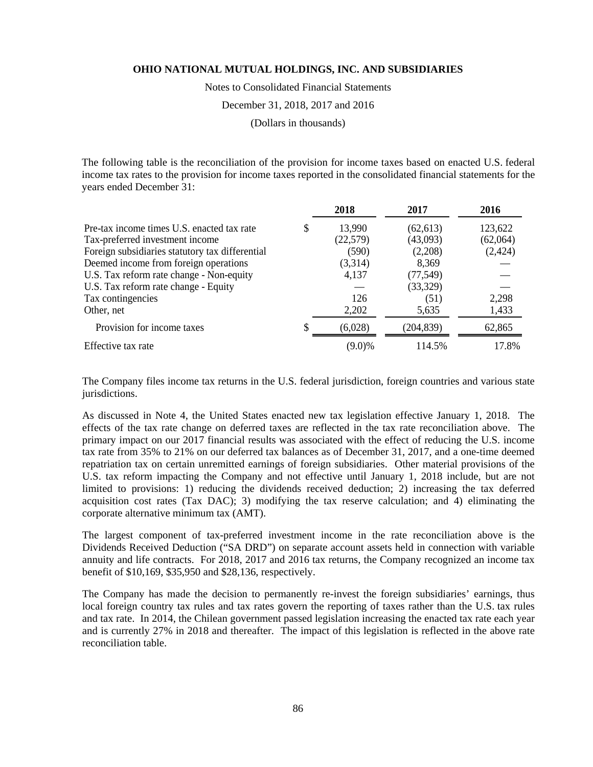Notes to Consolidated Financial Statements

December 31, 2018, 2017 and 2016

(Dollars in thousands)

The following table is the reconciliation of the provision for income taxes based on enacted U.S. federal income tax rates to the provision for income taxes reported in the consolidated financial statements for the years ended December 31:

|                                                 |   | 2018      | 2017       | 2016     |
|-------------------------------------------------|---|-----------|------------|----------|
| Pre-tax income times U.S. enacted tax rate      | S | 13,990    | (62, 613)  | 123,622  |
| Tax-preferred investment income                 |   | (22, 579) | (43,093)   | (62,064) |
| Foreign subsidiaries statutory tax differential |   | (590)     | (2,208)    | (2, 424) |
| Deemed income from foreign operations           |   | (3,314)   | 8,369      |          |
| U.S. Tax reform rate change - Non-equity        |   | 4,137     | (77, 549)  |          |
| U.S. Tax reform rate change - Equity            |   |           | (33,329)   |          |
| Tax contingencies                               |   | 126       | (51)       | 2,298    |
| Other, net                                      |   | 2,202     | 5,635      | 1,433    |
| Provision for income taxes                      |   | (6,028)   | (204, 839) | 62,865   |
| Effective tax rate                              |   | $(9.0)\%$ | 114.5%     | 17.8%    |

The Company files income tax returns in the U.S. federal jurisdiction, foreign countries and various state jurisdictions.

As discussed in Note 4, the United States enacted new tax legislation effective January 1, 2018. The effects of the tax rate change on deferred taxes are reflected in the tax rate reconciliation above. The primary impact on our 2017 financial results was associated with the effect of reducing the U.S. income tax rate from 35% to 21% on our deferred tax balances as of December 31, 2017, and a one-time deemed repatriation tax on certain unremitted earnings of foreign subsidiaries. Other material provisions of the U.S. tax reform impacting the Company and not effective until January 1, 2018 include, but are not limited to provisions: 1) reducing the dividends received deduction; 2) increasing the tax deferred acquisition cost rates (Tax DAC); 3) modifying the tax reserve calculation; and 4) eliminating the corporate alternative minimum tax (AMT).

The largest component of tax-preferred investment income in the rate reconciliation above is the Dividends Received Deduction ("SA DRD") on separate account assets held in connection with variable annuity and life contracts. For 2018, 2017 and 2016 tax returns, the Company recognized an income tax benefit of \$10,169, \$35,950 and \$28,136, respectively.

The Company has made the decision to permanently re-invest the foreign subsidiaries' earnings, thus local foreign country tax rules and tax rates govern the reporting of taxes rather than the U.S. tax rules and tax rate. In 2014, the Chilean government passed legislation increasing the enacted tax rate each year and is currently 27% in 2018 and thereafter. The impact of this legislation is reflected in the above rate reconciliation table.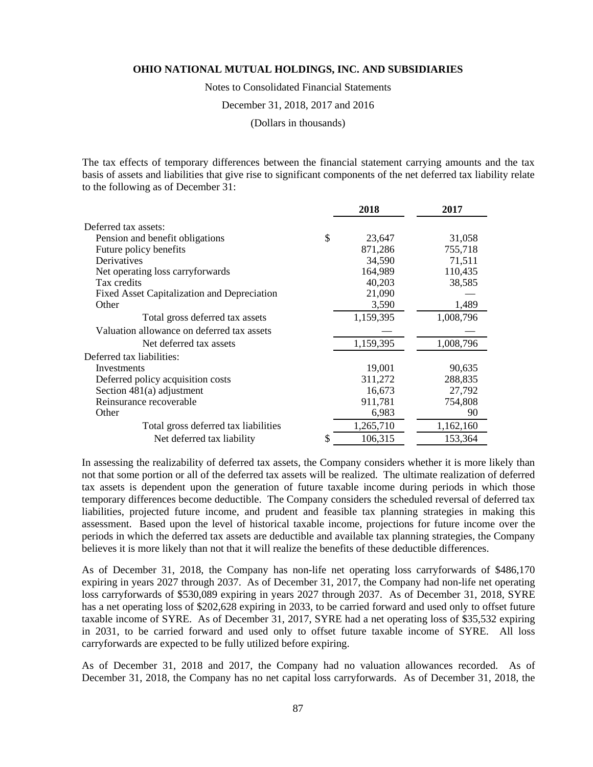Notes to Consolidated Financial Statements

December 31, 2018, 2017 and 2016

(Dollars in thousands)

The tax effects of temporary differences between the financial statement carrying amounts and the tax basis of assets and liabilities that give rise to significant components of the net deferred tax liability relate to the following as of December 31:

|                                             | 2018         | 2017      |
|---------------------------------------------|--------------|-----------|
| Deferred tax assets:                        |              |           |
| Pension and benefit obligations             | \$<br>23,647 | 31,058    |
| Future policy benefits                      | 871,286      | 755,718   |
| Derivatives                                 | 34,590       | 71,511    |
| Net operating loss carryforwards            | 164,989      | 110,435   |
| Tax credits                                 | 40,203       | 38,585    |
| Fixed Asset Capitalization and Depreciation | 21,090       |           |
| Other                                       | 3,590        | 1,489     |
| Total gross deferred tax assets             | 1,159,395    | 1,008,796 |
| Valuation allowance on deferred tax assets  |              |           |
| Net deferred tax assets                     | 1,159,395    | 1,008,796 |
| Deferred tax liabilities:                   |              |           |
| Investments                                 | 19,001       | 90,635    |
| Deferred policy acquisition costs           | 311,272      | 288,835   |
| Section $481(a)$ adjustment                 | 16,673       | 27,792    |
| Reinsurance recoverable                     | 911,781      | 754,808   |
| Other                                       | 6,983        | 90        |
| Total gross deferred tax liabilities        | 1,265,710    | 1,162,160 |
| Net deferred tax liability                  | 106,315<br>S | 153,364   |

In assessing the realizability of deferred tax assets, the Company considers whether it is more likely than not that some portion or all of the deferred tax assets will be realized. The ultimate realization of deferred tax assets is dependent upon the generation of future taxable income during periods in which those temporary differences become deductible. The Company considers the scheduled reversal of deferred tax liabilities, projected future income, and prudent and feasible tax planning strategies in making this assessment. Based upon the level of historical taxable income, projections for future income over the periods in which the deferred tax assets are deductible and available tax planning strategies, the Company believes it is more likely than not that it will realize the benefits of these deductible differences.

As of December 31, 2018, the Company has non-life net operating loss carryforwards of \$486,170 expiring in years 2027 through 2037. As of December 31, 2017, the Company had non-life net operating loss carryforwards of \$530,089 expiring in years 2027 through 2037. As of December 31, 2018, SYRE has a net operating loss of \$202,628 expiring in 2033, to be carried forward and used only to offset future taxable income of SYRE. As of December 31, 2017, SYRE had a net operating loss of \$35,532 expiring in 2031, to be carried forward and used only to offset future taxable income of SYRE. All loss carryforwards are expected to be fully utilized before expiring.

As of December 31, 2018 and 2017, the Company had no valuation allowances recorded. As of December 31, 2018, the Company has no net capital loss carryforwards. As of December 31, 2018, the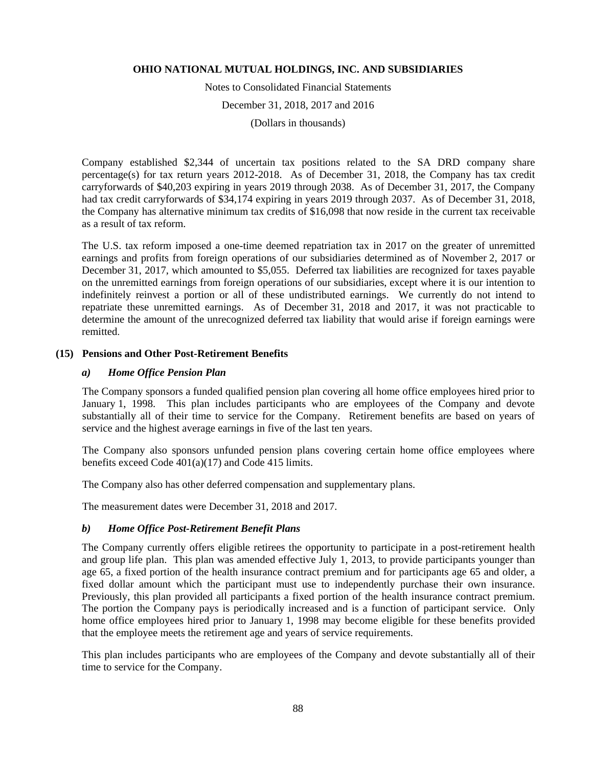Notes to Consolidated Financial Statements

December 31, 2018, 2017 and 2016

(Dollars in thousands)

Company established \$2,344 of uncertain tax positions related to the SA DRD company share percentage(s) for tax return years 2012-2018. As of December 31, 2018, the Company has tax credit carryforwards of \$40,203 expiring in years 2019 through 2038. As of December 31, 2017, the Company had tax credit carryforwards of \$34,174 expiring in years 2019 through 2037. As of December 31, 2018, the Company has alternative minimum tax credits of \$16,098 that now reside in the current tax receivable as a result of tax reform.

The U.S. tax reform imposed a one-time deemed repatriation tax in 2017 on the greater of unremitted earnings and profits from foreign operations of our subsidiaries determined as of November 2, 2017 or December 31, 2017, which amounted to \$5,055. Deferred tax liabilities are recognized for taxes payable on the unremitted earnings from foreign operations of our subsidiaries, except where it is our intention to indefinitely reinvest a portion or all of these undistributed earnings. We currently do not intend to repatriate these unremitted earnings. As of December 31, 2018 and 2017, it was not practicable to determine the amount of the unrecognized deferred tax liability that would arise if foreign earnings were remitted.

## **(15) Pensions and Other Post-Retirement Benefits**

## *a) Home Office Pension Plan*

The Company sponsors a funded qualified pension plan covering all home office employees hired prior to January 1, 1998. This plan includes participants who are employees of the Company and devote substantially all of their time to service for the Company. Retirement benefits are based on years of service and the highest average earnings in five of the last ten years.

The Company also sponsors unfunded pension plans covering certain home office employees where benefits exceed Code 401(a)(17) and Code 415 limits.

The Company also has other deferred compensation and supplementary plans.

The measurement dates were December 31, 2018 and 2017.

## *b) Home Office Post-Retirement Benefit Plans*

The Company currently offers eligible retirees the opportunity to participate in a post-retirement health and group life plan. This plan was amended effective July 1, 2013, to provide participants younger than age 65, a fixed portion of the health insurance contract premium and for participants age 65 and older, a fixed dollar amount which the participant must use to independently purchase their own insurance. Previously, this plan provided all participants a fixed portion of the health insurance contract premium. The portion the Company pays is periodically increased and is a function of participant service. Only home office employees hired prior to January 1, 1998 may become eligible for these benefits provided that the employee meets the retirement age and years of service requirements.

This plan includes participants who are employees of the Company and devote substantially all of their time to service for the Company.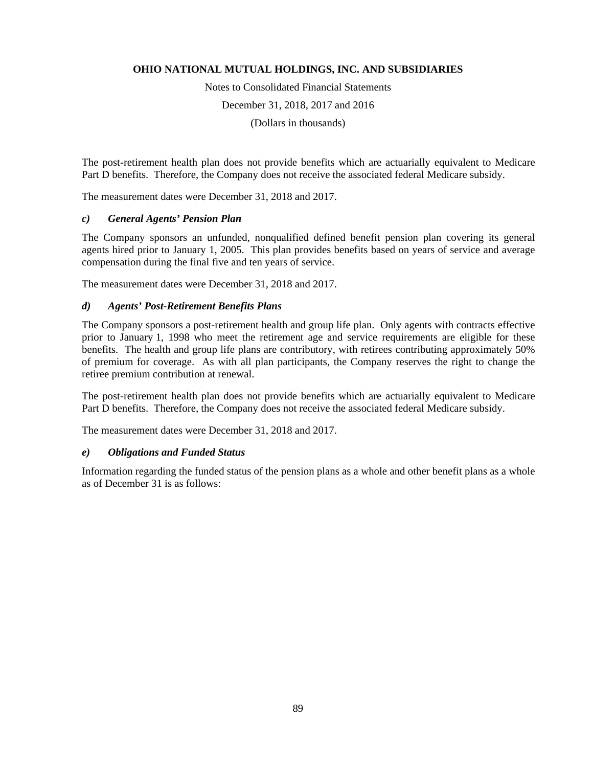Notes to Consolidated Financial Statements

December 31, 2018, 2017 and 2016

(Dollars in thousands)

The post-retirement health plan does not provide benefits which are actuarially equivalent to Medicare Part D benefits. Therefore, the Company does not receive the associated federal Medicare subsidy.

The measurement dates were December 31, 2018 and 2017.

## *c) General Agents' Pension Plan*

The Company sponsors an unfunded, nonqualified defined benefit pension plan covering its general agents hired prior to January 1, 2005. This plan provides benefits based on years of service and average compensation during the final five and ten years of service.

The measurement dates were December 31, 2018 and 2017.

## *d) Agents' Post-Retirement Benefits Plans*

The Company sponsors a post-retirement health and group life plan. Only agents with contracts effective prior to January 1, 1998 who meet the retirement age and service requirements are eligible for these benefits. The health and group life plans are contributory, with retirees contributing approximately 50% of premium for coverage. As with all plan participants, the Company reserves the right to change the retiree premium contribution at renewal.

The post-retirement health plan does not provide benefits which are actuarially equivalent to Medicare Part D benefits. Therefore, the Company does not receive the associated federal Medicare subsidy.

The measurement dates were December 31, 2018 and 2017.

### *e) Obligations and Funded Status*

Information regarding the funded status of the pension plans as a whole and other benefit plans as a whole as of December 31 is as follows: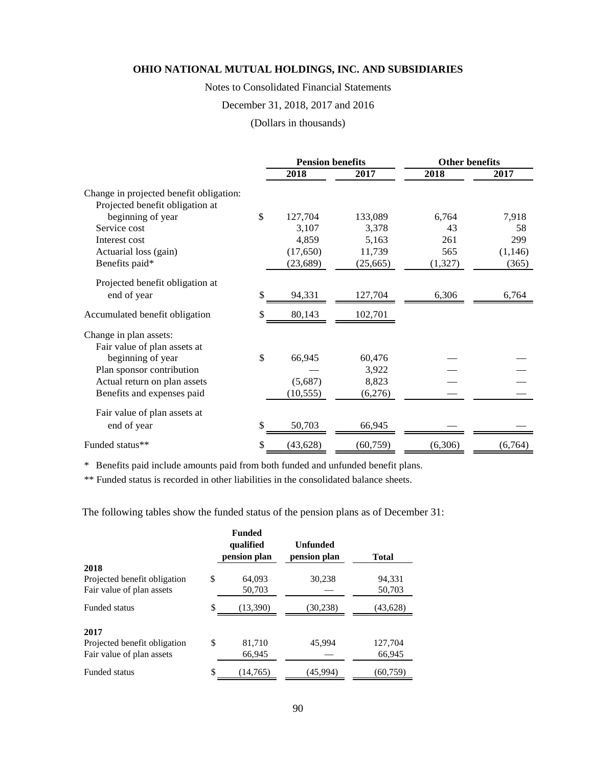Notes to Consolidated Financial Statements

## December 31, 2018, 2017 and 2016

(Dollars in thousands)

|                                         | <b>Pension benefits</b> |           | <b>Other benefits</b> |         |
|-----------------------------------------|-------------------------|-----------|-----------------------|---------|
|                                         | 2018                    | 2017      | 2018                  | 2017    |
| Change in projected benefit obligation: |                         |           |                       |         |
| Projected benefit obligation at         |                         |           |                       |         |
| beginning of year                       | \$<br>127,704           | 133,089   | 6,764                 | 7,918   |
| Service cost                            | 3,107                   | 3,378     | 43                    | 58      |
| Interest cost                           | 4,859                   | 5,163     | 261                   | 299     |
| Actuarial loss (gain)                   | (17,650)                | 11,739    | 565                   | (1,146) |
| Benefits paid*                          | (23, 689)               | (25, 665) | (1,327)               | (365)   |
| Projected benefit obligation at         |                         |           |                       |         |
| end of year                             | \$<br>94,331            | 127,704   | 6,306                 | 6,764   |
| Accumulated benefit obligation          | \$<br>80,143            | 102,701   |                       |         |
| Change in plan assets:                  |                         |           |                       |         |
| Fair value of plan assets at            |                         |           |                       |         |
| beginning of year                       | \$<br>66,945            | 60,476    |                       |         |
| Plan sponsor contribution               |                         | 3,922     |                       |         |
| Actual return on plan assets            | (5,687)                 | 8,823     |                       |         |
| Benefits and expenses paid              | (10, 555)               | (6,276)   |                       |         |
| Fair value of plan assets at            |                         |           |                       |         |
| end of year                             | \$<br>50,703            | 66,945    |                       |         |
| Funded status**                         | \$<br>(43, 628)         | (60, 759) | (6,306)               | (6,764) |

\* Benefits paid include amounts paid from both funded and unfunded benefit plans.

\*\* Funded status is recorded in other liabilities in the consolidated balance sheets.

The following tables show the funded status of the pension plans as of December 31:

|                                                           | <b>Funded</b><br>qualified<br>pension plan | <b>Unfunded</b><br>pension plan | <b>Total</b>     |
|-----------------------------------------------------------|--------------------------------------------|---------------------------------|------------------|
| 2018                                                      |                                            |                                 |                  |
| Projected benefit obligation<br>Fair value of plan assets | \$<br>64,093<br>50,703                     | 30,238                          | 94,331<br>50,703 |
| <b>Funded status</b>                                      | \$<br>(13,390)                             | (30, 238)                       | (43, 628)        |
| 2017                                                      |                                            |                                 |                  |
| Projected benefit obligation                              | \$<br>81,710                               | 45.994                          | 127,704          |
| Fair value of plan assets                                 | 66,945                                     |                                 | 66,945           |
| <b>Funded status</b>                                      | \$<br>(14,765)                             | (45,994)                        | (60, 759)        |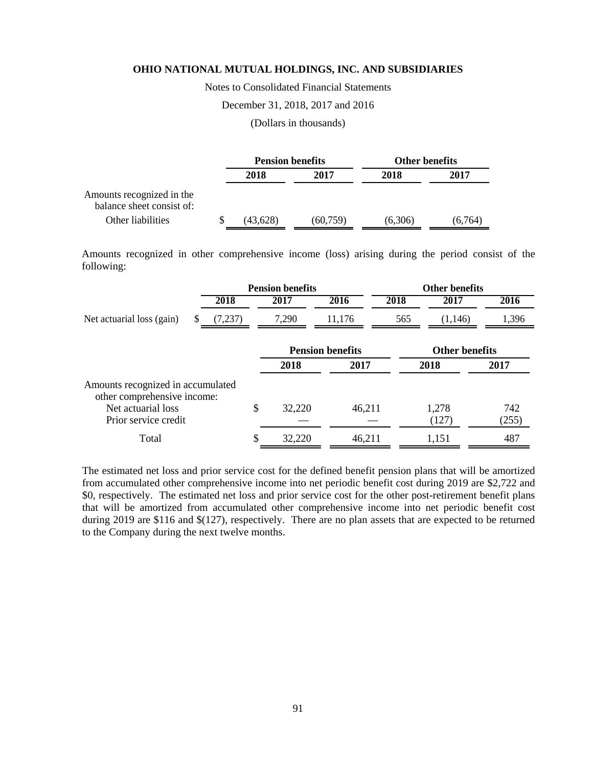Notes to Consolidated Financial Statements

December 31, 2018, 2017 and 2016

(Dollars in thousands)

|                                                        |           | <b>Pension benefits</b> | Other benefits |         |
|--------------------------------------------------------|-----------|-------------------------|----------------|---------|
|                                                        | 2018      | 2017                    | 2018           | 2017    |
| Amounts recognized in the<br>balance sheet consist of: |           |                         |                |         |
| Other liabilities                                      | (43, 628) | (60,759)                | (6,306)        | (6,764) |

Amounts recognized in other comprehensive income (loss) arising during the period consist of the following:

|                                                                  |               | <b>Pension benefits</b> |                         |      | <b>Other benefits</b> |              |
|------------------------------------------------------------------|---------------|-------------------------|-------------------------|------|-----------------------|--------------|
|                                                                  | 2018          | 2017                    | 2016                    | 2018 | 2017                  | 2016         |
| Net actuarial loss (gain)                                        | (7, 237)<br>S | 7,290                   | 11,176                  | 565  | (1,146)               | 1,396        |
|                                                                  |               |                         | <b>Pension benefits</b> |      | <b>Other benefits</b> |              |
|                                                                  |               | 2018                    | 2017                    |      | 2018                  | 2017         |
| Amounts recognized in accumulated<br>other comprehensive income: |               |                         |                         |      |                       |              |
| Net actuarial loss<br>Prior service credit                       |               | \$<br>32,220            | 46,211                  |      | 1,278<br>(127)        | 742<br>(255) |
| Total                                                            |               | \$<br>32,220            | 46,211                  |      | 1,151                 | 487          |

The estimated net loss and prior service cost for the defined benefit pension plans that will be amortized from accumulated other comprehensive income into net periodic benefit cost during 2019 are \$2,722 and \$0, respectively. The estimated net loss and prior service cost for the other post-retirement benefit plans that will be amortized from accumulated other comprehensive income into net periodic benefit cost during 2019 are \$116 and \$(127), respectively. There are no plan assets that are expected to be returned to the Company during the next twelve months.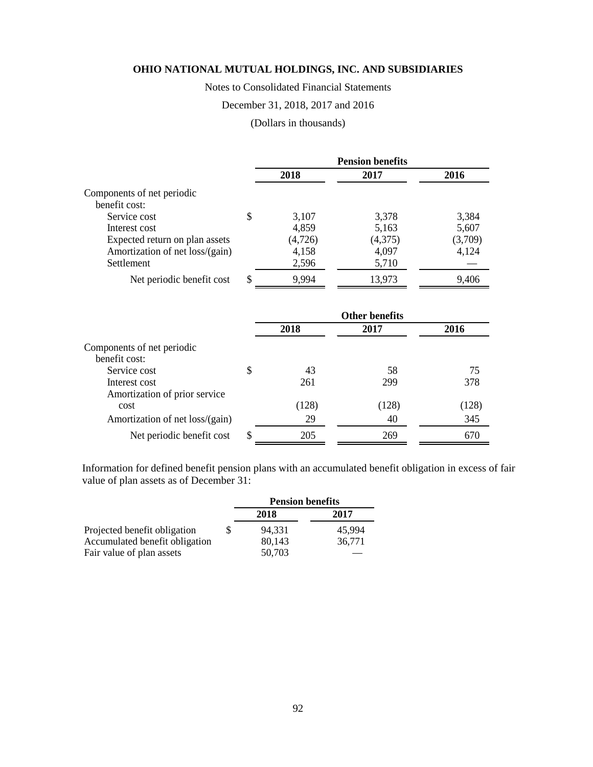Notes to Consolidated Financial Statements

## December 31, 2018, 2017 and 2016

# (Dollars in thousands)

|                                 | <b>Pension benefits</b> |         |         |  |
|---------------------------------|-------------------------|---------|---------|--|
|                                 | 2018                    | 2017    | 2016    |  |
| Components of net periodic      |                         |         |         |  |
| benefit cost:                   |                         |         |         |  |
| Service cost                    | \$<br>3,107             | 3,378   | 3,384   |  |
| Interest cost                   | 4,859                   | 5,163   | 5,607   |  |
| Expected return on plan assets  | (4, 726)                | (4,375) | (3,709) |  |
| Amortization of net loss/(gain) | 4,158                   | 4,097   | 4,124   |  |
| Settlement                      | 2,596                   | 5,710   |         |  |
| Net periodic benefit cost       | \$<br>9.994             | 13,973  | 9,406   |  |
|                                 |                         |         |         |  |

|                                 |               | <b>Other benefits</b> |       |       |  |
|---------------------------------|---------------|-----------------------|-------|-------|--|
|                                 |               | 2018                  | 2017  | 2016  |  |
| Components of net periodic      |               |                       |       |       |  |
| benefit cost:                   |               |                       |       |       |  |
| Service cost                    | \$            | 43                    | 58    | 75    |  |
| Interest cost                   |               | 261                   | 299   | 378   |  |
| Amortization of prior service   |               |                       |       |       |  |
| cost                            |               | (128)                 | (128) | (128) |  |
| Amortization of net loss/(gain) |               | 29                    | 40    | 345   |  |
| Net periodic benefit cost       | <sup>\$</sup> | 205                   | 269   | 670   |  |

Information for defined benefit pension plans with an accumulated benefit obligation in excess of fair value of plan assets as of December 31:

|                                | <b>Pension benefits</b> |        |  |
|--------------------------------|-------------------------|--------|--|
|                                | 2018                    | 2017   |  |
| Projected benefit obligation   | 94.331                  | 45.994 |  |
| Accumulated benefit obligation | 80.143                  | 36,771 |  |
| Fair value of plan assets      | 50,703                  |        |  |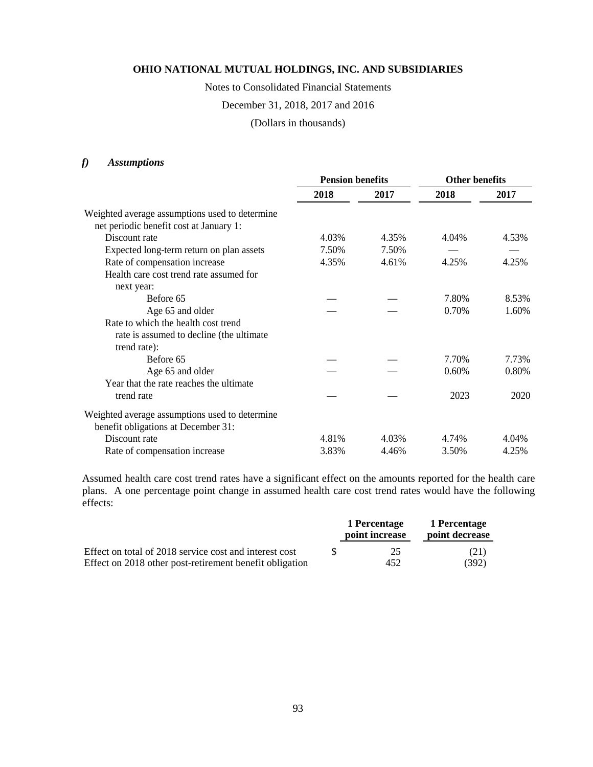Notes to Consolidated Financial Statements

December 31, 2018, 2017 and 2016

(Dollars in thousands)

## *f) Assumptions*

| <b>Pension benefits</b> |       |       |                       |
|-------------------------|-------|-------|-----------------------|
| 2018                    | 2017  | 2018  | 2017                  |
|                         |       |       |                       |
|                         |       |       |                       |
| 4.03%                   | 4.35% | 4.04% | 4.53%                 |
| 7.50%                   | 7.50% |       |                       |
| 4.35%                   | 4.61% | 4.25% | 4.25%                 |
|                         |       |       |                       |
|                         |       |       |                       |
|                         |       | 7.80% | 8.53%                 |
|                         |       | 0.70% | 1.60%                 |
|                         |       |       |                       |
|                         |       |       |                       |
|                         |       |       |                       |
|                         |       | 7.70% | 7.73%                 |
|                         |       | 0.60% | 0.80%                 |
|                         |       |       |                       |
|                         |       | 2023  | 2020                  |
|                         |       |       |                       |
|                         |       |       |                       |
| 4.81%                   | 4.03% | 4.74% | 4.04%                 |
| 3.83%                   | 4.46% | 3.50% | 4.25%                 |
|                         |       |       | <b>Other benefits</b> |

Assumed health care cost trend rates have a significant effect on the amounts reported for the health care plans. A one percentage point change in assumed health care cost trend rates would have the following effects:

|                                                         | 1 Percentage<br>point increase | 1 Percentage<br>point decrease |
|---------------------------------------------------------|--------------------------------|--------------------------------|
| Effect on total of 2018 service cost and interest cost  | 25                             | (21)                           |
| Effect on 2018 other post-retirement benefit obligation | 452                            | (392)                          |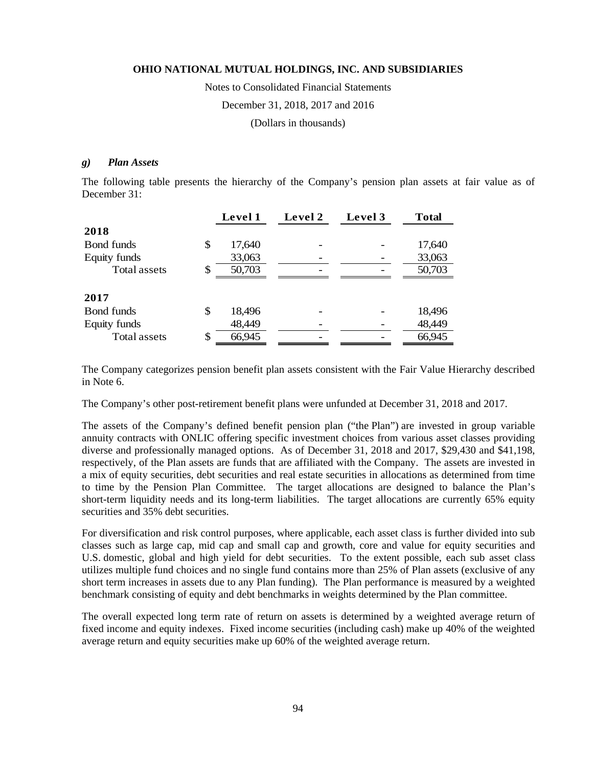Notes to Consolidated Financial Statements

December 31, 2018, 2017 and 2016

(Dollars in thousands)

#### *g) Plan Assets*

The following table presents the hierarchy of the Company's pension plan assets at fair value as of December 31:

|                     | Level 1      | Level 2 | Level 3 | <b>Total</b> |
|---------------------|--------------|---------|---------|--------------|
| 2018                |              |         |         |              |
| <b>Bond funds</b>   | \$<br>17,640 |         |         | 17,640       |
| Equity funds        | 33,063       |         |         | 33,063       |
| <b>Total assets</b> | \$<br>50,703 |         |         | 50,703       |
|                     |              |         |         |              |
| 2017                |              |         |         |              |
| <b>Bond funds</b>   | \$<br>18,496 |         |         | 18,496       |
| Equity funds        | 48,449       |         |         | 48,449       |
| <b>Total assets</b> | \$<br>66,945 |         |         | 66,945       |

The Company categorizes pension benefit plan assets consistent with the Fair Value Hierarchy described in Note 6.

The Company's other post-retirement benefit plans were unfunded at December 31, 2018 and 2017.

The assets of the Company's defined benefit pension plan ("the Plan") are invested in group variable annuity contracts with ONLIC offering specific investment choices from various asset classes providing diverse and professionally managed options. As of December 31, 2018 and 2017, \$29,430 and \$41,198, respectively, of the Plan assets are funds that are affiliated with the Company. The assets are invested in a mix of equity securities, debt securities and real estate securities in allocations as determined from time to time by the Pension Plan Committee. The target allocations are designed to balance the Plan's short-term liquidity needs and its long-term liabilities. The target allocations are currently 65% equity securities and 35% debt securities.

For diversification and risk control purposes, where applicable, each asset class is further divided into sub classes such as large cap, mid cap and small cap and growth, core and value for equity securities and U.S. domestic, global and high yield for debt securities. To the extent possible, each sub asset class utilizes multiple fund choices and no single fund contains more than 25% of Plan assets (exclusive of any short term increases in assets due to any Plan funding). The Plan performance is measured by a weighted benchmark consisting of equity and debt benchmarks in weights determined by the Plan committee.

The overall expected long term rate of return on assets is determined by a weighted average return of fixed income and equity indexes. Fixed income securities (including cash) make up 40% of the weighted average return and equity securities make up 60% of the weighted average return.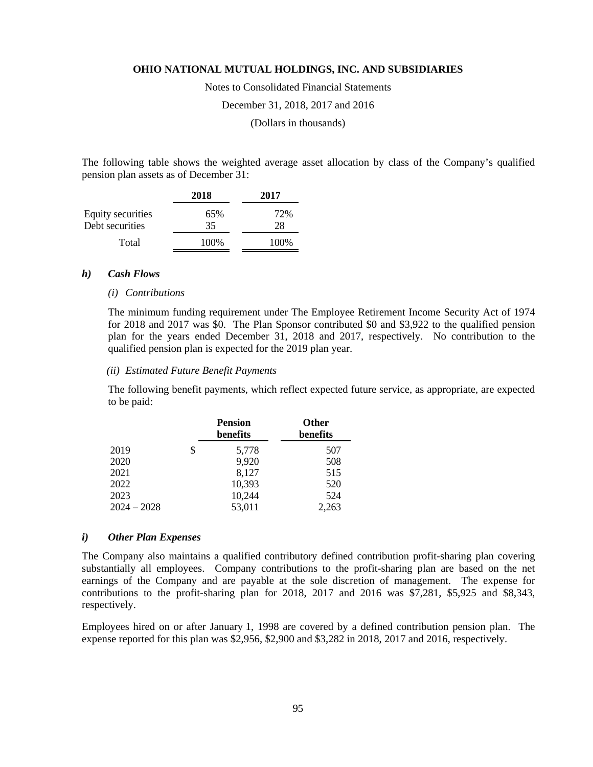Notes to Consolidated Financial Statements

December 31, 2018, 2017 and 2016

(Dollars in thousands)

The following table shows the weighted average asset allocation by class of the Company's qualified pension plan assets as of December 31:

|                                      | 2018      | 2017      |
|--------------------------------------|-----------|-----------|
| Equity securities<br>Debt securities | 65%<br>35 | 72%<br>28 |
| Total                                | 100%      | 100%      |

#### *h) Cash Flows*

#### *(i) Contributions*

The minimum funding requirement under The Employee Retirement Income Security Act of 1974 for 2018 and 2017 was \$0. The Plan Sponsor contributed \$0 and \$3,922 to the qualified pension plan for the years ended December 31, 2018 and 2017, respectively. No contribution to the qualified pension plan is expected for the 2019 plan year.

#### *(ii) Estimated Future Benefit Payments*

The following benefit payments, which reflect expected future service, as appropriate, are expected to be paid:

|             | <b>Pension</b><br>benefits | <b>Other</b><br>benefits |
|-------------|----------------------------|--------------------------|
| 2019        | \$<br>5,778                | 507                      |
| 2020        | 9,920                      | 508                      |
| 2021        | 8,127                      | 515                      |
| 2022        | 10,393                     | 520                      |
| 2023        | 10,244                     | 524                      |
| 2024 – 2028 | 53,011                     | 2,263                    |

#### *i) Other Plan Expenses*

The Company also maintains a qualified contributory defined contribution profit-sharing plan covering substantially all employees. Company contributions to the profit-sharing plan are based on the net earnings of the Company and are payable at the sole discretion of management. The expense for contributions to the profit-sharing plan for 2018, 2017 and 2016 was \$7,281, \$5,925 and \$8,343, respectively.

Employees hired on or after January 1, 1998 are covered by a defined contribution pension plan. The expense reported for this plan was \$2,956, \$2,900 and \$3,282 in 2018, 2017 and 2016, respectively.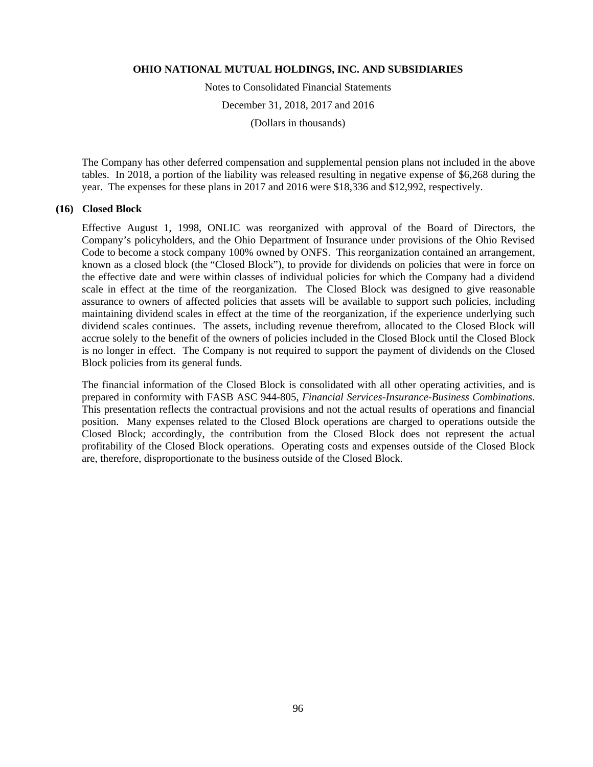Notes to Consolidated Financial Statements

December 31, 2018, 2017 and 2016

(Dollars in thousands)

The Company has other deferred compensation and supplemental pension plans not included in the above tables. In 2018, a portion of the liability was released resulting in negative expense of \$6,268 during the year. The expenses for these plans in 2017 and 2016 were \$18,336 and \$12,992, respectively.

#### **(16) Closed Block**

Effective August 1, 1998, ONLIC was reorganized with approval of the Board of Directors, the Company's policyholders, and the Ohio Department of Insurance under provisions of the Ohio Revised Code to become a stock company 100% owned by ONFS. This reorganization contained an arrangement, known as a closed block (the "Closed Block"), to provide for dividends on policies that were in force on the effective date and were within classes of individual policies for which the Company had a dividend scale in effect at the time of the reorganization. The Closed Block was designed to give reasonable assurance to owners of affected policies that assets will be available to support such policies, including maintaining dividend scales in effect at the time of the reorganization, if the experience underlying such dividend scales continues. The assets, including revenue therefrom, allocated to the Closed Block will accrue solely to the benefit of the owners of policies included in the Closed Block until the Closed Block is no longer in effect. The Company is not required to support the payment of dividends on the Closed Block policies from its general funds.

The financial information of the Closed Block is consolidated with all other operating activities, and is prepared in conformity with FASB ASC 944-805, *Financial Services-Insurance-Business Combinations.* This presentation reflects the contractual provisions and not the actual results of operations and financial position. Many expenses related to the Closed Block operations are charged to operations outside the Closed Block; accordingly, the contribution from the Closed Block does not represent the actual profitability of the Closed Block operations. Operating costs and expenses outside of the Closed Block are, therefore, disproportionate to the business outside of the Closed Block.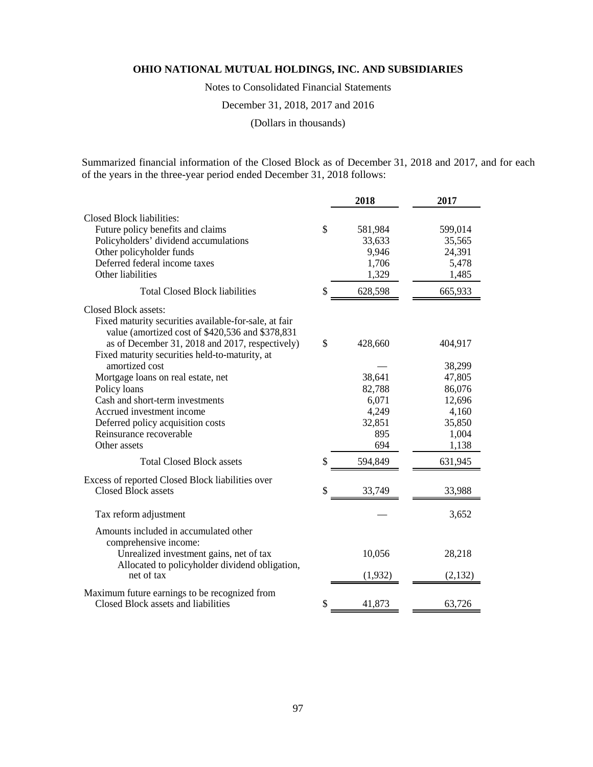Notes to Consolidated Financial Statements

December 31, 2018, 2017 and 2016

(Dollars in thousands)

Summarized financial information of the Closed Block as of December 31, 2018 and 2017, and for each of the years in the three-year period ended December 31, 2018 follows:

|                                                       |                           | 2018    | 2017    |
|-------------------------------------------------------|---------------------------|---------|---------|
| <b>Closed Block liabilities:</b>                      |                           |         |         |
| Future policy benefits and claims                     | \$                        | 581,984 | 599,014 |
| Policyholders' dividend accumulations                 |                           | 33,633  | 35,565  |
| Other policyholder funds                              |                           | 9,946   | 24,391  |
| Deferred federal income taxes                         |                           | 1,706   | 5,478   |
| Other liabilities                                     |                           | 1,329   | 1,485   |
| <b>Total Closed Block liabilities</b>                 | \$                        | 628,598 | 665,933 |
| Closed Block assets:                                  |                           |         |         |
| Fixed maturity securities available-for-sale, at fair |                           |         |         |
| value (amortized cost of \$420,536 and \$378,831      |                           |         |         |
| as of December 31, 2018 and 2017, respectively)       | \$                        | 428,660 | 404,917 |
| Fixed maturity securities held-to-maturity, at        |                           |         |         |
| amortized cost                                        |                           |         | 38,299  |
| Mortgage loans on real estate, net                    |                           | 38,641  | 47,805  |
| Policy loans                                          |                           | 82,788  | 86,076  |
| Cash and short-term investments                       |                           | 6,071   | 12,696  |
| Accrued investment income                             |                           | 4,249   | 4,160   |
| Deferred policy acquisition costs                     |                           | 32,851  | 35,850  |
| Reinsurance recoverable                               |                           | 895     | 1,004   |
| Other assets                                          |                           | 694     | 1,138   |
| <b>Total Closed Block assets</b>                      | \$                        | 594,849 | 631,945 |
| Excess of reported Closed Block liabilities over      |                           |         |         |
| <b>Closed Block assets</b>                            | \$                        | 33,749  | 33,988  |
| Tax reform adjustment                                 |                           |         | 3,652   |
| Amounts included in accumulated other                 |                           |         |         |
| comprehensive income:                                 |                           |         |         |
| Unrealized investment gains, net of tax               |                           | 10,056  | 28,218  |
| Allocated to policyholder dividend obligation,        |                           |         |         |
| net of tax                                            |                           | (1,932) | (2,132) |
| Maximum future earnings to be recognized from         |                           |         |         |
| Closed Block assets and liabilities                   | $\boldsymbol{\mathsf{S}}$ | 41,873  | 63,726  |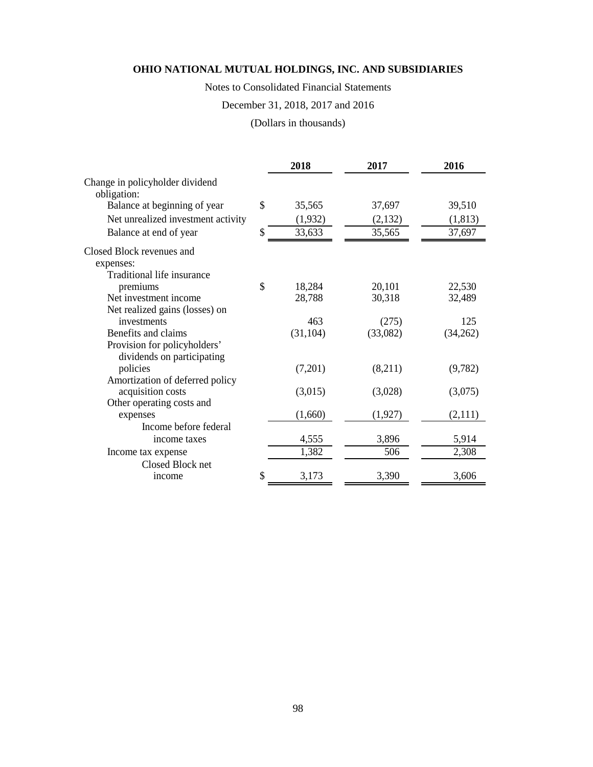Notes to Consolidated Financial Statements

December 31, 2018, 2017 and 2016

(Dollars in thousands)

|                                                            | 2018         | 2017     | 2016     |
|------------------------------------------------------------|--------------|----------|----------|
| Change in policyholder dividend<br>obligation:             |              |          |          |
| Balance at beginning of year                               | \$<br>35,565 | 37,697   | 39,510   |
| Net unrealized investment activity                         | (1,932)      | (2,132)  | (1, 813) |
| Balance at end of year                                     | \$<br>33,633 | 35,565   | 37,697   |
| Closed Block revenues and                                  |              |          |          |
| expenses:                                                  |              |          |          |
| Traditional life insurance                                 |              |          |          |
| premiums                                                   | \$<br>18,284 | 20,101   | 22,530   |
| Net investment income                                      | 28,788       | 30,318   | 32,489   |
| Net realized gains (losses) on                             |              |          |          |
| investments                                                | 463          | (275)    | 125      |
| Benefits and claims                                        | (31, 104)    | (33,082) | (34,262) |
| Provision for policyholders'<br>dividends on participating |              |          |          |
| policies                                                   | (7,201)      | (8,211)  | (9,782)  |
| Amortization of deferred policy                            |              |          |          |
| acquisition costs                                          | (3,015)      | (3,028)  | (3,075)  |
| Other operating costs and                                  |              |          |          |
| expenses                                                   | (1,660)      | (1, 927) | (2,111)  |
| Income before federal                                      |              |          |          |
| income taxes                                               | 4,555        | 3,896    | 5,914    |
| Income tax expense                                         | 1,382        | 506      | 2,308    |
| Closed Block net                                           |              |          |          |
| income                                                     | \$<br>3,173  | 3,390    | 3,606    |
|                                                            |              |          |          |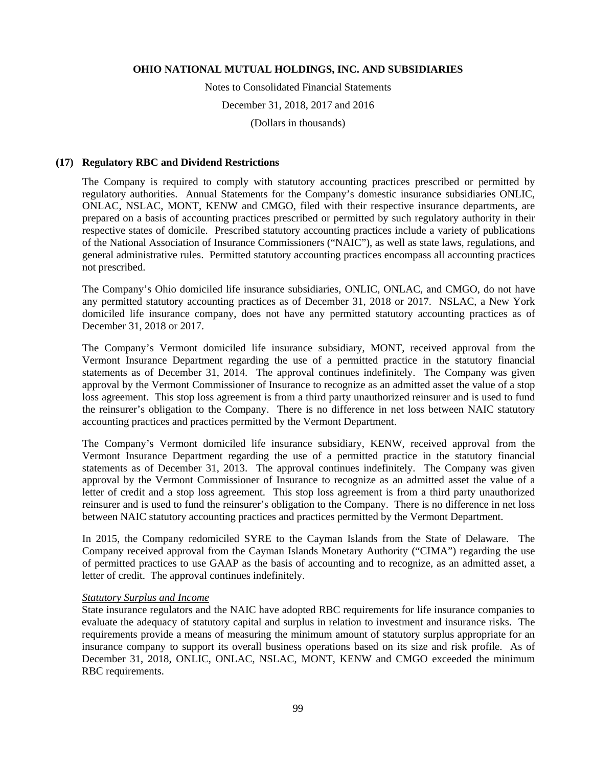Notes to Consolidated Financial Statements

December 31, 2018, 2017 and 2016

(Dollars in thousands)

### **(17) Regulatory RBC and Dividend Restrictions**

The Company is required to comply with statutory accounting practices prescribed or permitted by regulatory authorities. Annual Statements for the Company's domestic insurance subsidiaries ONLIC, ONLAC, NSLAC, MONT, KENW and CMGO, filed with their respective insurance departments, are prepared on a basis of accounting practices prescribed or permitted by such regulatory authority in their respective states of domicile. Prescribed statutory accounting practices include a variety of publications of the National Association of Insurance Commissioners ("NAIC"), as well as state laws, regulations, and general administrative rules. Permitted statutory accounting practices encompass all accounting practices not prescribed.

The Company's Ohio domiciled life insurance subsidiaries, ONLIC, ONLAC, and CMGO, do not have any permitted statutory accounting practices as of December 31, 2018 or 2017. NSLAC, a New York domiciled life insurance company, does not have any permitted statutory accounting practices as of December 31, 2018 or 2017.

The Company's Vermont domiciled life insurance subsidiary, MONT, received approval from the Vermont Insurance Department regarding the use of a permitted practice in the statutory financial statements as of December 31, 2014. The approval continues indefinitely. The Company was given approval by the Vermont Commissioner of Insurance to recognize as an admitted asset the value of a stop loss agreement. This stop loss agreement is from a third party unauthorized reinsurer and is used to fund the reinsurer's obligation to the Company. There is no difference in net loss between NAIC statutory accounting practices and practices permitted by the Vermont Department.

The Company's Vermont domiciled life insurance subsidiary, KENW, received approval from the Vermont Insurance Department regarding the use of a permitted practice in the statutory financial statements as of December 31, 2013. The approval continues indefinitely. The Company was given approval by the Vermont Commissioner of Insurance to recognize as an admitted asset the value of a letter of credit and a stop loss agreement. This stop loss agreement is from a third party unauthorized reinsurer and is used to fund the reinsurer's obligation to the Company. There is no difference in net loss between NAIC statutory accounting practices and practices permitted by the Vermont Department.

In 2015, the Company redomiciled SYRE to the Cayman Islands from the State of Delaware. The Company received approval from the Cayman Islands Monetary Authority ("CIMA") regarding the use of permitted practices to use GAAP as the basis of accounting and to recognize, as an admitted asset, a letter of credit. The approval continues indefinitely.

## *Statutory Surplus and Income*

State insurance regulators and the NAIC have adopted RBC requirements for life insurance companies to evaluate the adequacy of statutory capital and surplus in relation to investment and insurance risks. The requirements provide a means of measuring the minimum amount of statutory surplus appropriate for an insurance company to support its overall business operations based on its size and risk profile. As of December 31, 2018, ONLIC, ONLAC, NSLAC, MONT, KENW and CMGO exceeded the minimum RBC requirements.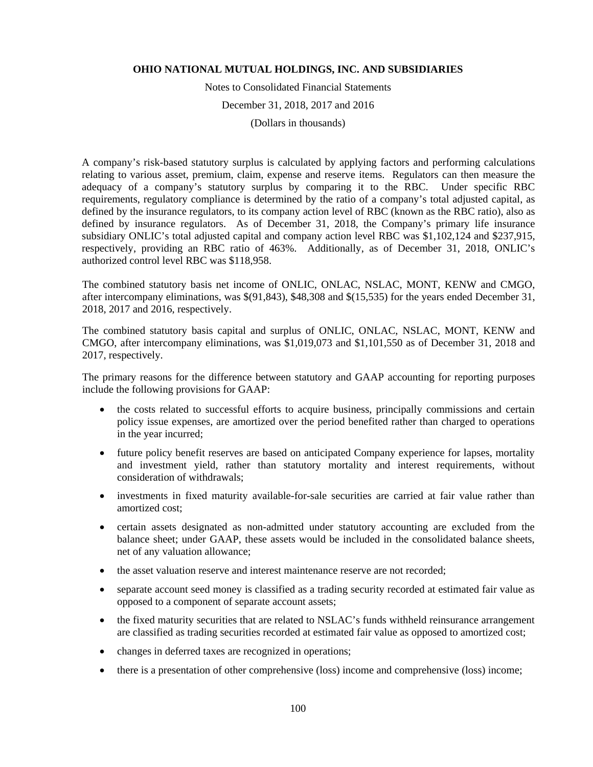Notes to Consolidated Financial Statements

December 31, 2018, 2017 and 2016

(Dollars in thousands)

A company's risk-based statutory surplus is calculated by applying factors and performing calculations relating to various asset, premium, claim, expense and reserve items. Regulators can then measure the adequacy of a company's statutory surplus by comparing it to the RBC. Under specific RBC requirements, regulatory compliance is determined by the ratio of a company's total adjusted capital, as defined by the insurance regulators, to its company action level of RBC (known as the RBC ratio), also as defined by insurance regulators. As of December 31, 2018, the Company's primary life insurance subsidiary ONLIC's total adjusted capital and company action level RBC was \$1,102,124 and \$237,915, respectively, providing an RBC ratio of 463%. Additionally, as of December 31, 2018, ONLIC's authorized control level RBC was \$118,958.

The combined statutory basis net income of ONLIC, ONLAC, NSLAC, MONT, KENW and CMGO, after intercompany eliminations, was \$(91,843), \$48,308 and \$(15,535) for the years ended December 31, 2018, 2017 and 2016, respectively.

The combined statutory basis capital and surplus of ONLIC, ONLAC, NSLAC, MONT, KENW and CMGO, after intercompany eliminations, was \$1,019,073 and \$1,101,550 as of December 31, 2018 and 2017, respectively.

The primary reasons for the difference between statutory and GAAP accounting for reporting purposes include the following provisions for GAAP:

- the costs related to successful efforts to acquire business, principally commissions and certain policy issue expenses, are amortized over the period benefited rather than charged to operations in the year incurred;
- future policy benefit reserves are based on anticipated Company experience for lapses, mortality and investment yield, rather than statutory mortality and interest requirements, without consideration of withdrawals;
- investments in fixed maturity available-for-sale securities are carried at fair value rather than amortized cost;
- certain assets designated as non-admitted under statutory accounting are excluded from the balance sheet; under GAAP, these assets would be included in the consolidated balance sheets, net of any valuation allowance;
- the asset valuation reserve and interest maintenance reserve are not recorded;
- separate account seed money is classified as a trading security recorded at estimated fair value as opposed to a component of separate account assets;
- the fixed maturity securities that are related to NSLAC's funds withheld reinsurance arrangement are classified as trading securities recorded at estimated fair value as opposed to amortized cost;
- changes in deferred taxes are recognized in operations;
- there is a presentation of other comprehensive (loss) income and comprehensive (loss) income;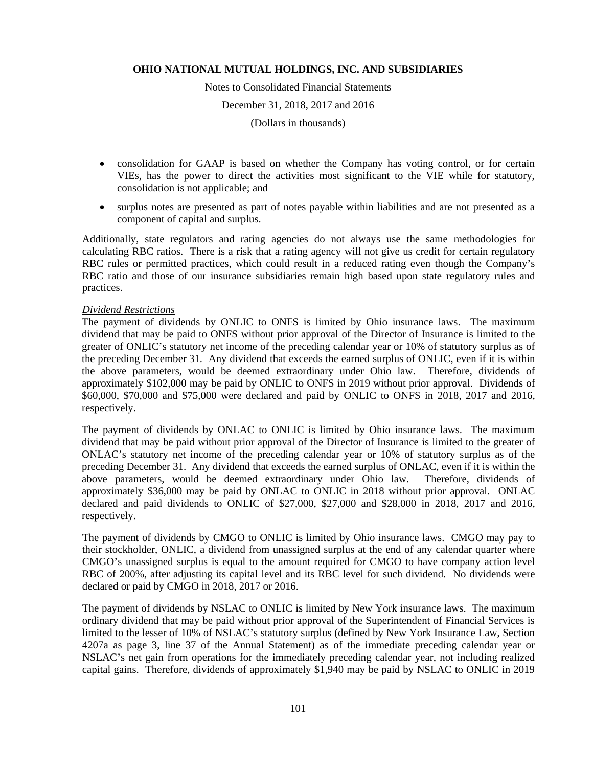Notes to Consolidated Financial Statements

December 31, 2018, 2017 and 2016

(Dollars in thousands)

- consolidation for GAAP is based on whether the Company has voting control, or for certain VIEs, has the power to direct the activities most significant to the VIE while for statutory, consolidation is not applicable; and
- surplus notes are presented as part of notes payable within liabilities and are not presented as a component of capital and surplus.

Additionally, state regulators and rating agencies do not always use the same methodologies for calculating RBC ratios. There is a risk that a rating agency will not give us credit for certain regulatory RBC rules or permitted practices, which could result in a reduced rating even though the Company's RBC ratio and those of our insurance subsidiaries remain high based upon state regulatory rules and practices.

#### *Dividend Restrictions*

The payment of dividends by ONLIC to ONFS is limited by Ohio insurance laws. The maximum dividend that may be paid to ONFS without prior approval of the Director of Insurance is limited to the greater of ONLIC's statutory net income of the preceding calendar year or 10% of statutory surplus as of the preceding December 31. Any dividend that exceeds the earned surplus of ONLIC, even if it is within the above parameters, would be deemed extraordinary under Ohio law. Therefore, dividends of approximately \$102,000 may be paid by ONLIC to ONFS in 2019 without prior approval. Dividends of \$60,000, \$70,000 and \$75,000 were declared and paid by ONLIC to ONFS in 2018, 2017 and 2016, respectively.

The payment of dividends by ONLAC to ONLIC is limited by Ohio insurance laws. The maximum dividend that may be paid without prior approval of the Director of Insurance is limited to the greater of ONLAC's statutory net income of the preceding calendar year or 10% of statutory surplus as of the preceding December 31. Any dividend that exceeds the earned surplus of ONLAC, even if it is within the above parameters, would be deemed extraordinary under Ohio law. Therefore, dividends of approximately \$36,000 may be paid by ONLAC to ONLIC in 2018 without prior approval. ONLAC declared and paid dividends to ONLIC of \$27,000, \$27,000 and \$28,000 in 2018, 2017 and 2016, respectively.

The payment of dividends by CMGO to ONLIC is limited by Ohio insurance laws. CMGO may pay to their stockholder, ONLIC, a dividend from unassigned surplus at the end of any calendar quarter where CMGO's unassigned surplus is equal to the amount required for CMGO to have company action level RBC of 200%, after adjusting its capital level and its RBC level for such dividend. No dividends were declared or paid by CMGO in 2018, 2017 or 2016.

The payment of dividends by NSLAC to ONLIC is limited by New York insurance laws. The maximum ordinary dividend that may be paid without prior approval of the Superintendent of Financial Services is limited to the lesser of 10% of NSLAC's statutory surplus (defined by New York Insurance Law, Section 4207a as page 3, line 37 of the Annual Statement) as of the immediate preceding calendar year or NSLAC's net gain from operations for the immediately preceding calendar year, not including realized capital gains. Therefore, dividends of approximately \$1,940 may be paid by NSLAC to ONLIC in 2019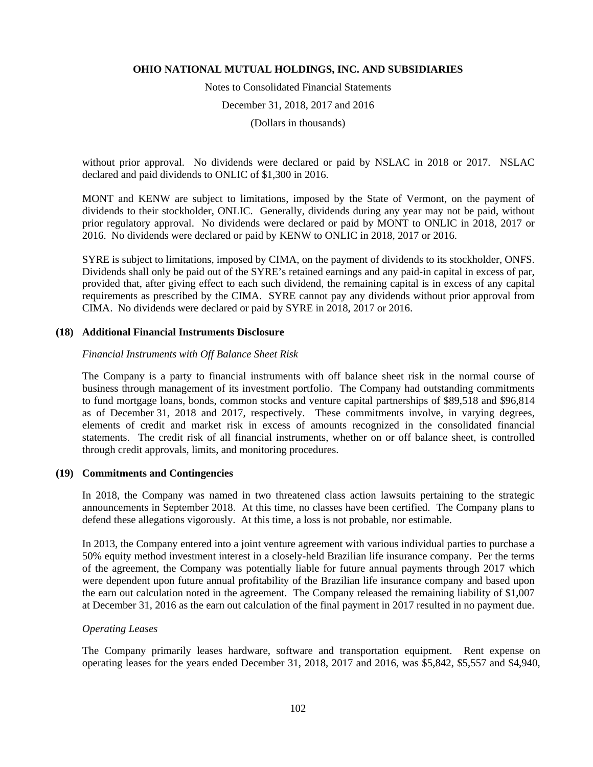Notes to Consolidated Financial Statements

December 31, 2018, 2017 and 2016

(Dollars in thousands)

without prior approval. No dividends were declared or paid by NSLAC in 2018 or 2017. NSLAC declared and paid dividends to ONLIC of \$1,300 in 2016.

MONT and KENW are subject to limitations, imposed by the State of Vermont, on the payment of dividends to their stockholder, ONLIC. Generally, dividends during any year may not be paid, without prior regulatory approval. No dividends were declared or paid by MONT to ONLIC in 2018, 2017 or 2016. No dividends were declared or paid by KENW to ONLIC in 2018, 2017 or 2016.

SYRE is subject to limitations, imposed by CIMA, on the payment of dividends to its stockholder, ONFS. Dividends shall only be paid out of the SYRE's retained earnings and any paid-in capital in excess of par, provided that, after giving effect to each such dividend, the remaining capital is in excess of any capital requirements as prescribed by the CIMA. SYRE cannot pay any dividends without prior approval from CIMA. No dividends were declared or paid by SYRE in 2018, 2017 or 2016.

#### **(18) Additional Financial Instruments Disclosure**

#### *Financial Instruments with Off Balance Sheet Risk*

The Company is a party to financial instruments with off balance sheet risk in the normal course of business through management of its investment portfolio. The Company had outstanding commitments to fund mortgage loans, bonds, common stocks and venture capital partnerships of \$89,518 and \$96,814 as of December 31, 2018 and 2017, respectively. These commitments involve, in varying degrees, elements of credit and market risk in excess of amounts recognized in the consolidated financial statements. The credit risk of all financial instruments, whether on or off balance sheet, is controlled through credit approvals, limits, and monitoring procedures.

### **(19) Commitments and Contingencies**

In 2018, the Company was named in two threatened class action lawsuits pertaining to the strategic announcements in September 2018. At this time, no classes have been certified. The Company plans to defend these allegations vigorously. At this time, a loss is not probable, nor estimable.

In 2013, the Company entered into a joint venture agreement with various individual parties to purchase a 50% equity method investment interest in a closely-held Brazilian life insurance company. Per the terms of the agreement, the Company was potentially liable for future annual payments through 2017 which were dependent upon future annual profitability of the Brazilian life insurance company and based upon the earn out calculation noted in the agreement. The Company released the remaining liability of \$1,007 at December 31, 2016 as the earn out calculation of the final payment in 2017 resulted in no payment due.

### *Operating Leases*

The Company primarily leases hardware, software and transportation equipment. Rent expense on operating leases for the years ended December 31, 2018, 2017 and 2016, was \$5,842, \$5,557 and \$4,940,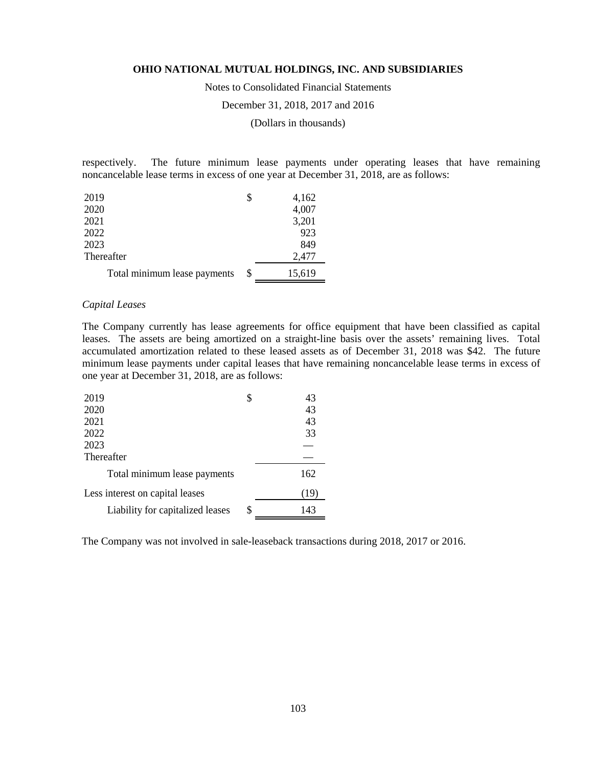Notes to Consolidated Financial Statements

December 31, 2018, 2017 and 2016

(Dollars in thousands)

respectively. The future minimum lease payments under operating leases that have remaining noncancelable lease terms in excess of one year at December 31, 2018, are as follows:

| 2019                         | 4,162  |
|------------------------------|--------|
| 2020                         | 4,007  |
| 2021                         | 3,201  |
| 2022                         | 923    |
| 2023                         | 849    |
| Thereafter                   | 2,477  |
| Total minimum lease payments | 15,619 |

## *Capital Leases*

The Company currently has lease agreements for office equipment that have been classified as capital leases. The assets are being amortized on a straight-line basis over the assets' remaining lives. Total accumulated amortization related to these leased assets as of December 31, 2018 was \$42. The future minimum lease payments under capital leases that have remaining noncancelable lease terms in excess of one year at December 31, 2018, are as follows:

| 2019                                   | 43   |
|----------------------------------------|------|
| 2020                                   | 43   |
| 2021                                   | 43   |
| 2022                                   | 33   |
| 2023                                   |      |
| Thereafter                             |      |
| Total minimum lease payments           | 162  |
| Less interest on capital leases        | (19) |
| \$<br>Liability for capitalized leases | 143  |

The Company was not involved in sale-leaseback transactions during 2018, 2017 or 2016.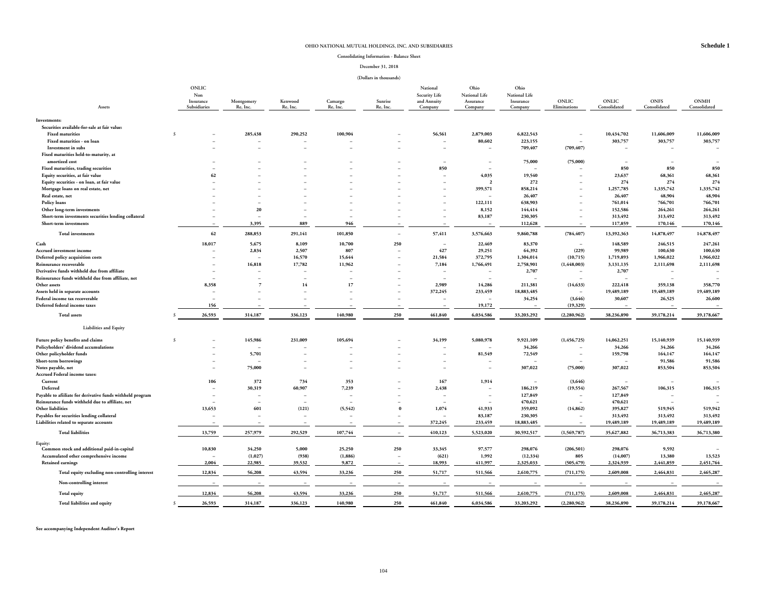#### **Consolidating Information - Balance Sheet**

#### **December 31, 2018**

#### **(Dollars in thousands)**

|                                                              | ONLIC                    |            |                          |                          |                          | National                 | Ohio           | Ohio          |                          |                          |                          |                      |
|--------------------------------------------------------------|--------------------------|------------|--------------------------|--------------------------|--------------------------|--------------------------|----------------|---------------|--------------------------|--------------------------|--------------------------|----------------------|
|                                                              | Non                      |            |                          |                          |                          | Security Life            | National Life  | National Life |                          |                          |                          |                      |
|                                                              | Insurance                | Montgomery | Kenwood                  | Camargo                  | Sunrise                  | and Annuity              | Assurance      | Insurance     | ONLIC                    | ONLIC                    | <b>ONFS</b>              | ONMH                 |
| Assets                                                       | Subsidiaries             | Re, Inc.   | Re, Inc.                 | Re, Inc.                 | Re, Inc.                 | Company                  | Company        | Company       | Eliminations             | Consolidated             | Consolidated             | Consolidated         |
|                                                              |                          |            |                          |                          |                          |                          |                |               |                          |                          |                          |                      |
| Investments:<br>Securities available-for-sale at fair value: |                          |            |                          |                          |                          |                          |                |               |                          |                          |                          |                      |
| <b>Fixed maturities</b>                                      | s                        |            | 290,252                  | 100,904                  |                          |                          | 2,879,003      | 6,822,543     |                          | 10,434,702               | 11,606,009               | 11,606,009           |
| Fixed maturities - on loan                                   |                          | 285,438    |                          |                          |                          | 56,561                   |                |               |                          |                          |                          |                      |
|                                                              |                          |            |                          |                          |                          |                          | 80,602         | 223,155       |                          | 303,757                  | 303,757                  | 303,757              |
| Investment in subs                                           |                          |            |                          |                          |                          |                          |                | 709,407       | (709, 407)               |                          |                          |                      |
| Fixed maturities held-to-maturity, at                        |                          |            |                          |                          |                          |                          |                |               |                          |                          |                          |                      |
| amortized cost                                               |                          |            |                          |                          |                          |                          |                | 75,000        | (75,000)                 |                          |                          |                      |
| Fixed maturities, trading securities                         |                          |            |                          |                          |                          | 850                      |                |               |                          | 850                      | 850                      | 850                  |
| Equity securities, at fair value                             | 62                       |            |                          |                          |                          |                          | 4,035          | 19,540        |                          | 23,637                   | 68,361                   | 68,361               |
| Equity securities - on loan, at fair value                   |                          |            |                          |                          |                          |                          | $\overline{2}$ | 272           |                          | 274                      | 274                      | 274                  |
| Mortgage loans on real estate, net                           |                          |            |                          |                          |                          |                          | 399,571        | 858,214       |                          | 1,257,785                | 1,335,742                | 1,335,742            |
| Real estate, net                                             |                          |            |                          |                          |                          |                          |                | 26,407        |                          | 26,407                   | 48,904                   | 48,904               |
| <b>Policy</b> loans                                          |                          |            |                          |                          |                          |                          | 122,111        | 638,903       |                          | 761,014                  | 766,701                  | 766,701              |
| Other long-term investments                                  |                          | 20         |                          |                          |                          |                          | 8,152          | 144,414       |                          | 152,586                  | 264,261                  | 264,261              |
| Short-term investments securities lending collateral         |                          |            |                          |                          |                          |                          | 83,187         | 230,305       |                          | 313,492                  | 313,492                  | 313,492              |
| Short-term investments                                       |                          | 3,395      | 889                      | 946                      |                          |                          |                | 112,628       |                          | 117,859                  | 170,146                  | 170,146              |
| <b>Total</b> investments                                     | 62                       | 288,853    | 291,141                  | 101,850                  | $\overline{\phantom{a}}$ | 57,411                   | 3,576,663      | 9,860,788     | (784, 407)               | 13,392,363               | 14,878,497               | 14,878,497           |
| Cash                                                         | 18,017                   | 5,675      | 8,109                    | 10,700                   | 250                      | $\overline{\phantom{a}}$ | 22,469         | 83,370        | $\overline{\phantom{0}}$ | 148,589                  | 246,515                  | 247,261              |
| Accrued investment income                                    |                          | 2,834      | 2,507                    | 807                      |                          | 427                      | 29,251         | 64,392        | (229)                    | 99,989                   | 100,630                  | 100,630              |
| Deferred policy acquisition costs                            |                          |            | 16,570                   | 15,644                   |                          | 21,584                   | 372,795        | 1,304,014     | (10,715)                 | 1,719,893                | 1,966,022                | 1,966,022            |
| Reinsurance recoverable                                      |                          | 16,818     | 17,782                   | 11,962                   |                          | 7,184                    | 1,766,491      | 2,758,901     | (1, 448, 003)            | 3,131,135                | 2,111,698                | 2,111,698            |
| Derivative funds withheld due from affiliate                 |                          |            |                          | ÷                        |                          |                          |                | 2,707         | $\overline{\phantom{a}}$ | 2,707                    |                          |                      |
| Reinsurance funds withheld due from affiliate, net           |                          |            |                          |                          |                          |                          |                |               |                          |                          |                          |                      |
| Other assets                                                 | 8,358                    |            | 14                       | 17                       |                          | 2,989                    | 14,286         | 211,381       | (14, 633)                | 222,418                  | 359,138                  | 358,770              |
| Assets held in separate accounts                             |                          |            |                          |                          |                          | 372,245                  | 233,459        | 18,883,485    | $\overline{\phantom{a}}$ | 19,489,189               | 19,489,189               | 19,489,189           |
| Federal income tax recoverable                               |                          |            |                          |                          |                          |                          |                | 34,254        | (3,646)                  | 30,607                   | 26,525                   | 26,600               |
| Deferred federal income taxes                                | 156                      |            |                          |                          |                          |                          | 19,172         |               | (19, 329)                |                          |                          |                      |
|                                                              |                          |            |                          |                          |                          |                          |                |               |                          |                          |                          |                      |
| <b>Total</b> assets                                          | 26,593                   | 314,187    | 336,123                  | 140,980                  | 250                      | 461,840                  | 6,034,586      | 33,203,292    | (2, 280, 962)            | 38,236,890               | 39,178,214               | 39,178,667           |
| Liabilities and Equity                                       |                          |            |                          |                          |                          |                          |                |               |                          |                          |                          |                      |
|                                                              | $\mathbf{\hat{s}}$       |            |                          |                          |                          |                          |                |               |                          |                          |                          |                      |
| Future policy benefits and claims                            |                          | 145,986    | 231,009                  | 105,694                  |                          | 34,199                   | 5,080,978      | 9,921,109     | (1, 456, 725)            | 14,062,251               | 15,140,939               | 15,140,939<br>34,266 |
| Policyholders' dividend accumulations                        |                          |            |                          |                          |                          |                          |                | 34,266        |                          | 34,266                   | 34,266                   |                      |
| Other policyholder funds                                     |                          | 5,701      |                          |                          |                          |                          | 81,549         | 72,549        | $\overline{a}$           | 159,798                  | 164,147                  | 164,147              |
| Short-term borrowings                                        |                          |            |                          |                          |                          |                          |                |               |                          | $\overline{\phantom{a}}$ | 91,586                   | 91,586               |
| Notes payable, net                                           |                          | 75,000     |                          |                          |                          |                          |                | 307,022       | (75,000)                 | 307,022                  | 853,504                  | 853,504              |
| Accrued Federal income taxes:                                |                          |            |                          |                          |                          |                          |                |               |                          |                          |                          |                      |
| Current                                                      | 106                      | 372        | 734                      | 353                      |                          | 167                      | 1,914          |               | (3,646)                  |                          |                          |                      |
| Deferred                                                     |                          | 30,319     | 60,907                   | 7,239                    |                          | 2,438                    |                | 186,219       | (19, 554)                | 267,567                  | 106,315                  | 106,315              |
| Payable to afiiliate for derivative funds withheld program   |                          |            |                          |                          |                          |                          |                | 127,849       | $\overline{\phantom{a}}$ | 127,849                  | $\overline{\phantom{a}}$ |                      |
| Reinsurance funds withheld due to affiliate, net             |                          |            |                          |                          |                          |                          |                | 470,621       |                          | 470,621                  |                          |                      |
| <b>Other liabilities</b>                                     | 13,653                   | 601        | (121)                    | (5, 542)                 | $\mathbf{0}$             | 1,074                    | 41,933         | 359,092       | (14, 862)                | 395,827                  | 519,945                  | 519,942              |
| Payables for securities lending collateral                   |                          |            |                          |                          |                          |                          | 83,187         | 230,305       |                          | 313,492                  | 313,492                  | 313,492              |
| Liabilities related to separate accounts                     |                          |            |                          |                          |                          | 372,245                  | 233,459        | 18,883,485    |                          | 19,489,189               | 19,489,189               | 19,489,189           |
| <b>Total liabilities</b>                                     | 13,759                   | 257,979    | 292,529                  | 107,744                  |                          | 410,123                  | 5,523,020      | 30,592,517    | (1,569,787)              | 35,627,882               | 36,713,383               | 36,713,380           |
| Equity:                                                      |                          |            |                          |                          |                          |                          |                |               |                          |                          |                          |                      |
| Common stock and additional paid-in-capital                  | 10,830                   | 34,250     | 5,000                    | 25,250                   | 250                      | 33,345                   | 97,577         | 298,076       | (206, 501)               | 298,076                  | 9,592                    |                      |
| Accumulated other comprehensive income                       |                          | (1,027)    | (938)                    | (1, 886)                 |                          | (621)                    | 1,992          | (12, 334)     | 805                      | (14,007)                 | 13,380                   | 13,523               |
| <b>Retained earnings</b>                                     | 2,004                    | 22,985     | 39,532                   | 9,872                    |                          | 18,993                   | 411,997        | 2,325,033     | (505, 479)               | 2,324,939                | 2,441,859                | 2,451,764            |
| Total equity excluding non-controlling interest              | 12,834                   | 56,208     | 43,594                   | 33,236                   | 250                      | 51,717                   | 511,566        | 2,610,775     | (711, 175)               | 2,609,008                | 2,464,831                | 2,465,287            |
| Non-controlling interest                                     | $\overline{\phantom{a}}$ |            | $\overline{\phantom{a}}$ | $\overline{\phantom{0}}$ | $\overline{\phantom{a}}$ | $\overline{a}$           |                |               | $\overline{\phantom{a}}$ |                          |                          |                      |
| <b>Total equity</b>                                          | 12,834                   | 56,208     | 43,594                   | 33,236                   | 250                      | 51,717                   | 511,566        | 2,610,775     | (711, 175)               | 2,609,008                | 2,464,831                | 2,465,287            |
|                                                              |                          |            |                          |                          |                          |                          |                |               |                          |                          |                          |                      |
| Total liabilities and equity                                 | 26,593                   | 314,187    | 336,123                  | 140,980                  | 250                      | 461,840                  | 6,034,586      | 33,203,292    | (2, 280, 962)            | 38,236,890               | 39,178,214               | 39,178,667           |

**See accompanying Independent Auditor's Report**